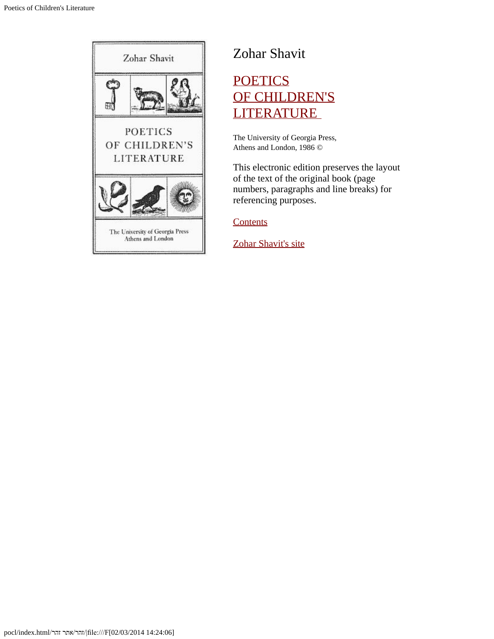<span id="page-0-0"></span>

## Zohar Shavit

# **[POETICS](#page-1-0)** [OF CHILDREN'S](#page-1-0) **[LITERATURE](#page-1-0)**

The University of Georgia Press, Athens and London, 1986 ©

This electronic edition preserves the layout of the text of the original book (page numbers, paragraphs and line breaks) for referencing purposes.

### **[Contents](#page-1-0)**

Zohar Shavit's site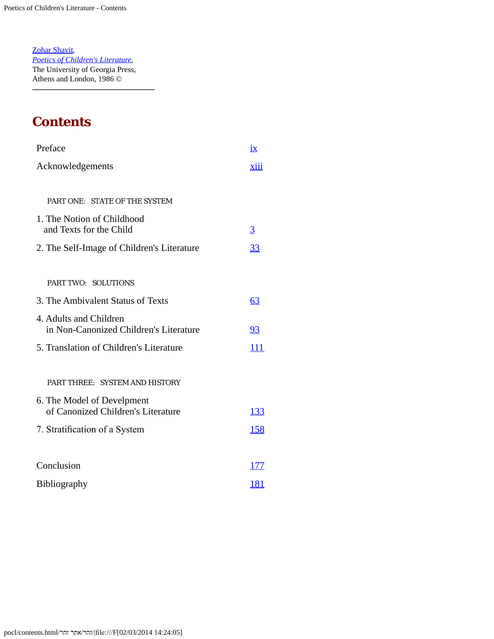## <span id="page-1-0"></span>**Contents**

| Preface                                                          | ix             |
|------------------------------------------------------------------|----------------|
| Acknowledgements                                                 | <b>X111</b>    |
|                                                                  |                |
| PART ONE: STATE OF THE SYSTEM                                    |                |
| 1. The Notion of Childhood<br>and Texts for the Child            | $\overline{3}$ |
| 2. The Self-Image of Children's Literature                       | <u>33</u>      |
|                                                                  |                |
| PART TWO: SOLUTIONS                                              |                |
| 3. The Ambivalent Status of Texts                                | 63             |
| 4. Adults and Children<br>in Non-Canonized Children's Literature | <u>93</u>      |
| 5. Translation of Children's Literature                          | 111            |
|                                                                  |                |
| <b>PART THREE: SYSTEM AND HISTORY</b>                            |                |
| 6. The Model of Develpment<br>of Canonized Children's Literature | 133            |
| 7. Stratification of a System                                    | 158            |
|                                                                  |                |
| Conclusion                                                       | 177            |
| <b>Bibliography</b>                                              | <u> 181</u>    |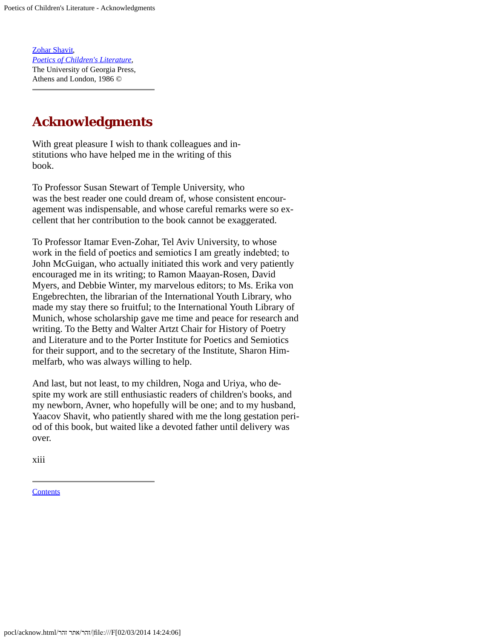# <span id="page-2-0"></span>**Acknowledgments**

With great pleasure I wish to thank colleagues and institutions who have helped me in the writing of this book.

To Professor Susan Stewart of Temple University, who was the best reader one could dream of, whose consistent encouragement was indispensable, and whose careful remarks were so excellent that her contribution to the book cannot be exaggerated.

To Professor Itamar Even-Zohar, Tel Aviv University, to whose work in the field of poetics and semiotics I am greatly indebted; to John McGuigan, who actually initiated this work and very patiently encouraged me in its writing; to Ramon Maayan-Rosen, David Myers, and Debbie Winter, my marvelous editors; to Ms. Erika von Engebrechten, the librarian of the International Youth Library, who made my stay there so fruitful; to the International Youth Library of Munich, whose scholarship gave me time and peace for research and writing. To the Betty and Walter Artzt Chair for History of Poetry and Literature and to the Porter Institute for Poetics and Semiotics for their support, and to the secretary of the Institute, Sharon Himmelfarb, who was always willing to help.

And last, but not least, to my children, Noga and Uriya, who despite my work are still enthusiastic readers of children's books, and my newborn, Avner, who hopefully will be one; and to my husband, Yaacov Shavit, who patiently shared with me the long gestation period of this book, but waited like a devoted father until delivery was over.

xiii

**[Contents](#page-1-0)**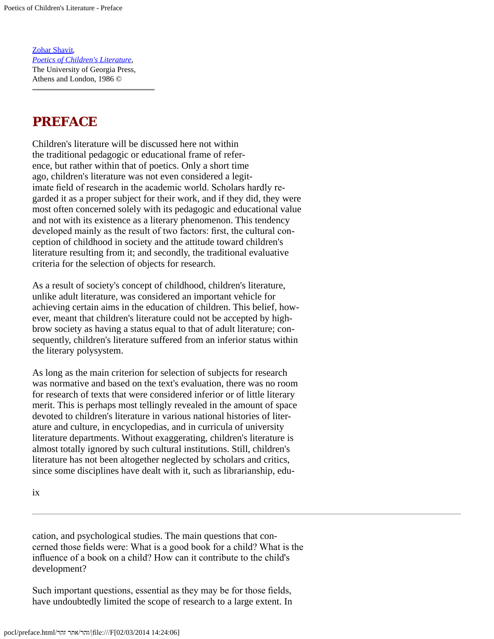## <span id="page-3-0"></span>**PREFACE**

Children's literature will be discussed here not within the traditional pedagogic or educational frame of reference, but rather within that of poetics. Only a short time ago, children's literature was not even considered a legitimate field of research in the academic world. Scholars hardly regarded it as a proper subject for their work, and if they did, they were most often concerned solely with its pedagogic and educational value and not with its existence as a literary phenomenon. This tendency developed mainly as the result of two factors: first, the cultural conception of childhood in society and the attitude toward children's literature resulting from it; and secondly, the traditional evaluative criteria for the selection of objects for research.

As a result of society's concept of childhood, children's literature, unlike adult literature, was considered an important vehicle for achieving certain aims in the education of children. This belief, however, meant that children's literature could not be accepted by highbrow society as having a status equal to that of adult literature; consequently, children's literature suffered from an inferior status within the literary polysystem.

As long as the main criterion for selection of subjects for research was normative and based on the text's evaluation, there was no room for research of texts that were considered inferior or of little literary merit. This is perhaps most tellingly revealed in the amount of space devoted to children's literature in various national histories of literature and culture, in encyclopedias, and in curricula of university literature departments. Without exaggerating, children's literature is almost totally ignored by such cultural institutions. Still, children's literature has not been altogether neglected by scholars and critics, since some disciplines have dealt with it, such as librarianship, edu-

ix

cation, and psychological studies. The main questions that concerned those fields were: What is a good book for a child? What is the influence of a book on a child? How can it contribute to the child's development?

Such important questions, essential as they may be for those fields, have undoubtedly limited the scope of research to a large extent. In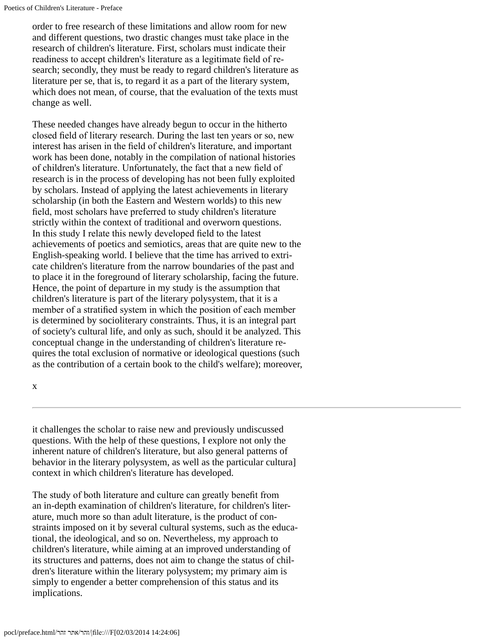order to free research of these limitations and allow room for new and different questions, two drastic changes must take place in the research of children's literature. First, scholars must indicate their readiness to accept children's literature as a legitimate field of research; secondly, they must be ready to regard children's literature as literature per se, that is, to regard it as a part of the literary system, which does not mean, of course, that the evaluation of the texts must change as well.

These needed changes have already begun to occur in the hitherto closed field of literary research. During the last ten years or so, new interest has arisen in the field of children's literature, and important work has been done, notably in the compilation of national histories of children's literature. Unfortunately, the fact that a new field of research is in the process of developing has not been fully exploited by scholars. Instead of applying the latest achievements in literary scholarship (in both the Eastern and Western worlds) to this new field, most scholars have preferred to study children's literature strictly within the context of traditional and overworn questions. In this study I relate this newly developed field to the latest achievements of poetics and semiotics, areas that are quite new to the English-speaking world. I believe that the time has arrived to extricate children's literature from the narrow boundaries of the past and to place it in the foreground of literary scholarship, facing the future. Hence, the point of departure in my study is the assumption that children's literature is part of the literary polysystem, that it is a member of a stratified system in which the position of each member is determined by socioliterary constraints. Thus, it is an integral part of society's cultural life, and only as such, should it be analyzed. This conceptual change in the understanding of children's literature requires the total exclusion of normative or ideological questions (such as the contribution of a certain book to the child's welfare); moreover,

x

it challenges the scholar to raise new and previously undiscussed questions. With the help of these questions, I explore not only the inherent nature of children's literature, but also general patterns of behavior in the literary polysystem, as well as the particular cultura] context in which children's literature has developed.

The study of both literature and culture can greatly benefit from an in-depth examination of children's literature, for children's literature, much more so than adult literature, is the product of constraints imposed on it by several cultural systems, such as the educational, the ideological, and so on. Nevertheless, my approach to children's literature, while aiming at an improved understanding of its structures and patterns, does not aim to change the status of children's literature within the literary polysystem; my primary aim is simply to engender a better comprehension of this status and its implications.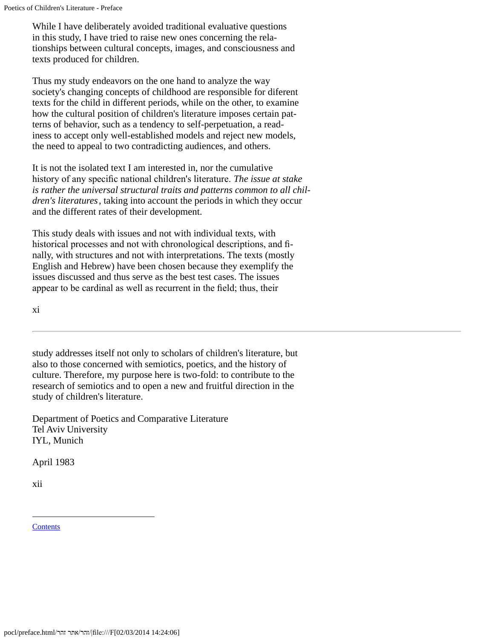While I have deliberately avoided traditional evaluative questions in this study, I have tried to raise new ones concerning the relationships between cultural concepts, images, and consciousness and texts produced for children.

Thus my study endeavors on the one hand to analyze the way society's changing concepts of childhood are responsible for diferent texts for the child in different periods, while on the other, to examine how the cultural position of children's literature imposes certain patterns of behavior, such as a tendency to self-perpetuation, a readiness to accept only well-established models and reject new models, the need to appeal to two contradicting audiences, and others.

It is not the isolated text I am interested in, nor the cumulative history of any specific national children's literature. *The issue at stake is rather the universal structural traits and patterns common to all children's literatures*, taking into account the periods in which they occur and the different rates of their development.

This study deals with issues and not with individual texts, with historical processes and not with chronological descriptions, and finally, with structures and not with interpretations. The texts (mostly English and Hebrew) have been chosen because they exemplify the issues discussed and thus serve as the best test cases. The issues appear to be cardinal as well as recurrent in the field; thus, their

xi

study addresses itself not only to scholars of children's literature, but also to those concerned with semiotics, poetics, and the history of culture. Therefore, my purpose here is two-fold: to contribute to the research of semiotics and to open a new and fruitful direction in the study of children's literature.

Department of Poetics and Comparative Literature Tel Aviv University IYL, Munich

April 1983

xii

**[Contents](#page-1-0)**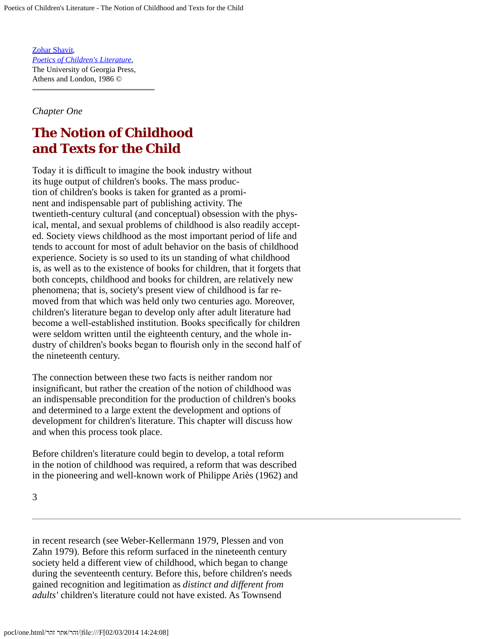<span id="page-6-0"></span>*Chapter One*

# **The Notion of Childhood and Texts for the Child**

Today it is difficult to imagine the book industry without its huge output of children's books. The mass production of children's books is taken for granted as a prominent and indispensable part of publishing activity. The twentieth-century cultural (and conceptual) obsession with the physical, mental, and sexual problems of childhood is also readily accepted. Society views childhood as the most important period of life and tends to account for most of adult behavior on the basis of childhood experience. Society is so used to its un standing of what childhood is, as well as to the existence of books for children, that it forgets that both concepts, childhood and books for children, are relatively new phenomena; that is, society's present view of childhood is far removed from that which was held only two centuries ago. Moreover, children's literature began to develop only after adult literature had become a well-established institution. Books specifically for children were seldom written until the eighteenth century, and the whole industry of children's books began to flourish only in the second half of the nineteenth century.

The connection between these two facts is neither random nor insignificant, but rather the creation of the notion of childhood was an indispensable precondition for the production of children's books and determined to a large extent the development and options of development for children's literature. This chapter will discuss how and when this process took place.

Before children's literature could begin to develop, a total reform in the notion of childhood was required, a reform that was described in the pioneering and well-known work of Philippe Ariès (1962) and

in recent research (see Weber-Kellermann 1979, Plessen and von Zahn 1979). Before this reform surfaced in the nineteenth century society held a different view of childhood, which began to change during the seventeenth century. Before this, before children's needs gained recognition and legitimation as *distinct and different from adults'* children's literature could not have existed. As Townsend

<sup>3</sup>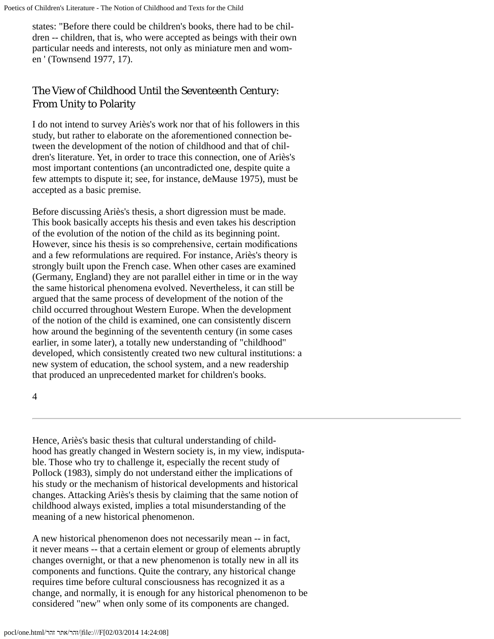states: "Before there could be children's books, there had to be children -- children, that is, who were accepted as beings with their own particular needs and interests, not only as miniature men and women ' (Townsend 1977, 17).

## The View of Childhood Until the Seventeenth Century: From Unity to Polarity

I do not intend to survey Ariès's work nor that of his followers in this study, but rather to elaborate on the aforementioned connection between the development of the notion of childhood and that of children's literature. Yet, in order to trace this connection, one of Ariès's most important contentions (an uncontradicted one, despite quite a few attempts to dispute it; see, for instance, deMause 1975), must be accepted as a basic premise.

Before discussing Ariès's thesis, a short digression must be made. This book basically accepts his thesis and even takes his description of the evolution of the notion of the child as its beginning point. However, since his thesis is so comprehensive, certain modifications and a few reformulations are required. For instance, Ariès's theory is strongly built upon the French case. When other cases are examined (Germany, England) they are not parallel either in time or in the way the same historical phenomena evolved. Nevertheless, it can still be argued that the same process of development of the notion of the child occurred throughout Western Europe. When the development of the notion of the child is examined, one can consistently discern how around the beginning of the sevententh century (in some cases earlier, in some later), a totally new understanding of "childhood" developed, which consistently created two new cultural institutions: a new system of education, the school system, and a new readership that produced an unprecedented market for children's books.

4

Hence, Ariès's basic thesis that cultural understanding of childhood has greatly changed in Western society is, in my view, indisputable. Those who try to challenge it, especially the recent study of Pollock (1983), simply do not understand either the implications of his study or the mechanism of historical developments and historical changes. Attacking Ariès's thesis by claiming that the same notion of childhood always existed, implies a total misunderstanding of the meaning of a new historical phenomenon.

A new historical phenomenon does not necessarily mean -- in fact, it never means -- that a certain element or group of elements abruptly changes overnight, or that a new phenomenon is totally new in all its components and functions. Quite the contrary, any historical change requires time before cultural consciousness has recognized it as a change, and normally, it is enough for any historical phenomenon to be considered "new" when only some of its components are changed.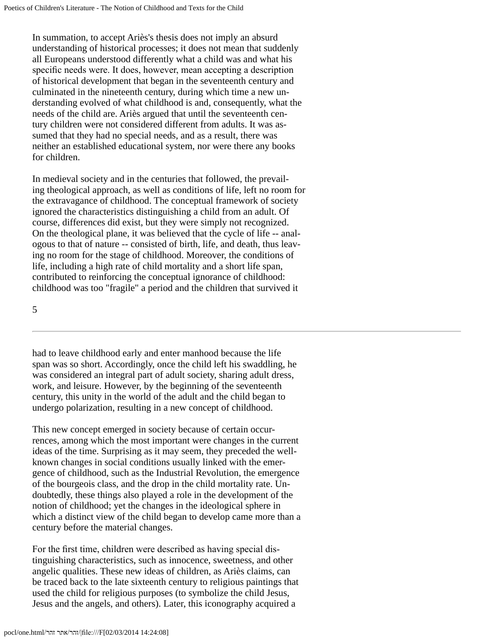In summation, to accept Ariès's thesis does not imply an absurd understanding of historical processes; it does not mean that suddenly all Europeans understood differently what a child was and what his specific needs were. It does, however, mean accepting a description of historical development that began in the seventeenth century and culminated in the nineteenth century, during which time a new understanding evolved of what childhood is and, consequently, what the needs of the child are. Ariès argued that until the seventeenth century children were not considered different from adults. It was assumed that they had no special needs, and as a result, there was neither an established educational system, nor were there any books for children.

In medieval society and in the centuries that followed, the prevailing theological approach, as well as conditions of life, left no room for the extravagance of childhood. The conceptual framework of society ignored the characteristics distinguishing a child from an adult. Of course, differences did exist, but they were simply not recognized. On the theological plane, it was believed that the cycle of life -- analogous to that of nature -- consisted of birth, life, and death, thus leaving no room for the stage of childhood. Moreover, the conditions of life, including a high rate of child mortality and a short life span, contributed to reinforcing the conceptual ignorance of childhood: childhood was too "fragile" a period and the children that survived it

5

had to leave childhood early and enter manhood because the life span was so short. Accordingly, once the child left his swaddling, he was considered an integral part of adult society, sharing adult dress, work, and leisure. However, by the beginning of the seventeenth century, this unity in the world of the adult and the child began to undergo polarization, resulting in a new concept of childhood.

This new concept emerged in society because of certain occurrences, among which the most important were changes in the current ideas of the time. Surprising as it may seem, they preceded the wellknown changes in social conditions usually linked with the emergence of childhood, such as the Industrial Revolution, the emergence of the bourgeois class, and the drop in the child mortality rate. Undoubtedly, these things also played a role in the development of the notion of childhood; yet the changes in the ideological sphere in which a distinct view of the child began to develop came more than a century before the material changes.

For the first time, children were described as having special distinguishing characteristics, such as innocence, sweetness, and other angelic qualities. These new ideas of children, as Ariès claims, can be traced back to the late sixteenth century to religious paintings that used the child for religious purposes (to symbolize the child Jesus, Jesus and the angels, and others). Later, this iconography acquired a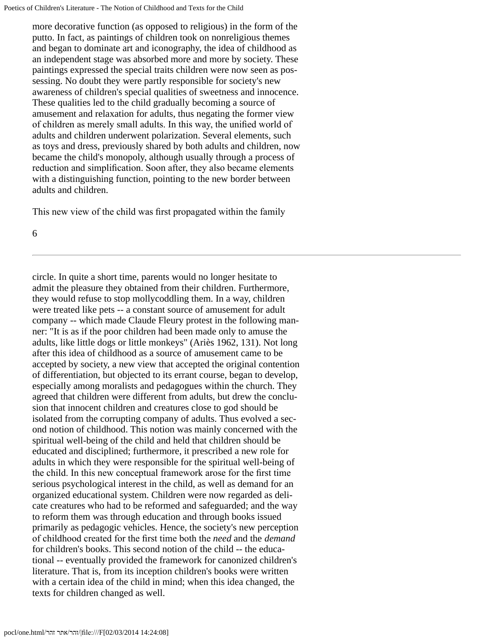more decorative function (as opposed to religious) in the form of the putto. In fact, as paintings of children took on nonreligious themes and began to dominate art and iconography, the idea of childhood as an independent stage was absorbed more and more by society. These paintings expressed the special traits children were now seen as possessing. No doubt they were partly responsible for society's new awareness of children's special qualities of sweetness and innocence. These qualities led to the child gradually becoming a source of amusement and relaxation for adults, thus negating the former view of children as merely small adults. In this way, the unified world of adults and children underwent polarization. Several elements, such as toys and dress, previously shared by both adults and children, now became the child's monopoly, although usually through a process of reduction and simplification. Soon after, they also became elements with a distinguishing function, pointing to the new border between adults and children.

This new view of the child was first propagated within the family

6

circle. In quite a short time, parents would no longer hesitate to admit the pleasure they obtained from their children. Furthermore, they would refuse to stop mollycoddling them. In a way, children were treated like pets -- a constant source of amusement for adult company -- which made Claude Fleury protest in the following manner: "It is as if the poor children had been made only to amuse the adults, like little dogs or little monkeys" (Ariès 1962, 131). Not long after this idea of childhood as a source of amusement came to be accepted by society, a new view that accepted the original contention of differentiation, but objected to its errant course, began to develop, especially among moralists and pedagogues within the church. They agreed that children were different from adults, but drew the conclusion that innocent children and creatures close to god should be isolated from the corrupting company of adults. Thus evolved a second notion of childhood. This notion was mainly concerned with the spiritual well-being of the child and held that children should be educated and disciplined; furthermore, it prescribed a new role for adults in which they were responsible for the spiritual well-being of the child. In this new conceptual framework arose for the first time serious psychological interest in the child, as well as demand for an organized educational system. Children were now regarded as delicate creatures who had to be reformed and safeguarded; and the way to reform them was through education and through books issued primarily as pedagogic vehicles. Hence, the society's new perception of childhood created for the first time both the *need* and the *demand* for children's books. This second notion of the child -- the educational -- eventually provided the framework for canonized children's literature. That is, from its inception children's books were written with a certain idea of the child in mind; when this idea changed, the texts for children changed as well.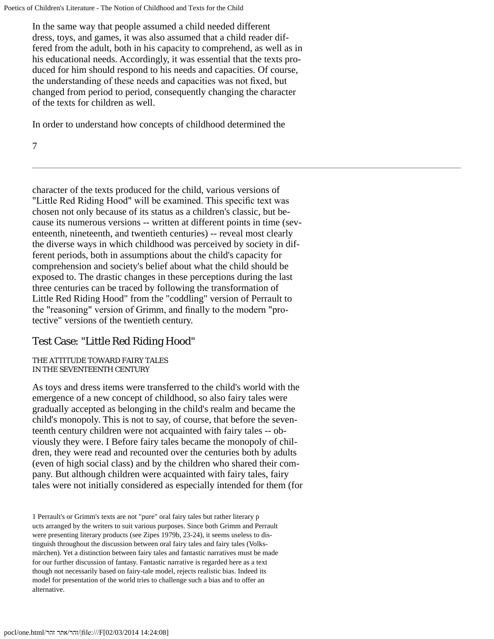In the same way that people assumed a child needed different dress, toys, and games, it was also assumed that a child reader differed from the adult, both in his capacity to comprehend, as well as in his educational needs. Accordingly, it was essential that the texts produced for him should respond to his needs and capacities. Of course, the understanding of these needs and capacities was not fixed, but changed from period to period, consequently changing the character of the texts for children as well.

In order to understand how concepts of childhood determined the

7

character of the texts produced for the child, various versions of "Little Red Riding Hood" will be examined. This specific text was chosen not only because of its status as a children's classic, but because its numerous versions -- written at different points in time (seventeenth, nineteenth, and twentieth centuries) -- reveal most clearly the diverse ways in which childhood was perceived by society in different periods, both in assumptions about the child's capacity for comprehension and society's belief about what the child should be exposed to. The drastic changes in these perceptions during the last three centuries can be traced by following the transformation of Little Red Riding Hood" from the "coddling" version of Perrault to the "reasoning" version of Grimm, and finally to the modern "protective" versions of the twentieth century.

## Test Case: "Little Red Riding Hood"

THE ATTITUDE TOWARD FAIRY TALES IN THE SEVENTEENTH CENTURY

As toys and dress items were transferred to the child's world with the emergence of a new concept of childhood, so also fairy tales were gradually accepted as belonging in the child's realm and became the child's monopoly. This is not to say, of course, that before the seventeenth century children were not acquainted with fairy tales -- obviously they were. I Before fairy tales became the monopoly of children, they were read and recounted over the centuries both by adults (even of high social class) and by the children who shared their company. But although children were acquainted with fairy tales, fairy tales were not initially considered as especially intended for them (for

1 Perrault's or Grimm's texts are not "pure" oral fairy tales but rather literary p ucts arranged by the writers to suit various purposes. Since both Grimm and Perrault were presenting literary products (see Zipes 1979b, 23-24), it seems useless to distinguish throughout the discussion between oral fairy tales and fairy tales (Volksmärchen). Yet a distinction between fairy tales and fantastic narratives must be made for our further discussion of fantasy. Fantastic narrative is regarded here as a text though not necessarily based on fairy-tale model, rejects realistic bias. Indeed its model for presentation of the world tries to challenge such a bias and to offer an alternative.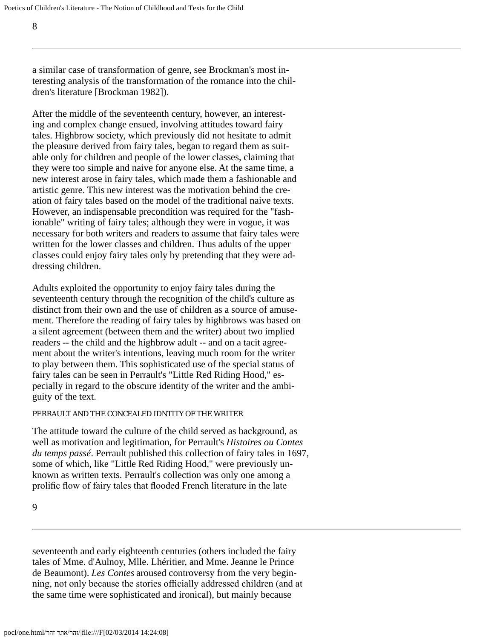a similar case of transformation of genre, see Brockman's most interesting analysis of the transformation of the romance into the children's literature [Brockman 1982]).

After the middle of the seventeenth century, however, an interesting and complex change ensued, involving attitudes toward fairy tales. Highbrow society, which previously did not hesitate to admit the pleasure derived from fairy tales, began to regard them as suitable only for children and people of the lower classes, claiming that they were too simple and naive for anyone else. At the same time, a new interest arose in fairy tales, which made them a fashionable and artistic genre. This new interest was the motivation behind the creation of fairy tales based on the model of the traditional naive texts. However, an indispensable precondition was required for the "fashionable" writing of fairy tales; although they were in vogue, it was necessary for both writers and readers to assume that fairy tales were written for the lower classes and children. Thus adults of the upper classes could enjoy fairy tales only by pretending that they were addressing children.

Adults exploited the opportunity to enjoy fairy tales during the seventeenth century through the recognition of the child's culture as distinct from their own and the use of children as a source of amusement. Therefore the reading of fairy tales by highbrows was based on a silent agreement (between them and the writer) about two implied readers -- the child and the highbrow adult -- and on a tacit agreement about the writer's intentions, leaving much room for the writer to play between them. This sophisticated use of the special status of fairy tales can be seen in Perrault's "Little Red Riding Hood," especially in regard to the obscure identity of the writer and the ambiguity of the text.

#### PERRAULT AND THE CONCEALED IDNTITY OF THE WRITER

The attitude toward the culture of the child served as background, as well as motivation and legitimation, for Perrault's *Histoires ou Contes du temps passé*. Perrault published this collection of fairy tales in 1697, some of which, like "Little Red Riding Hood," were previously unknown as written texts. Perrault's collection was only one among a prolific flow of fairy tales that flooded French literature in the late

seventeenth and early eighteenth centuries (others included the fairy tales of Mme. d'Aulnoy, Mlle. Lhéritier, and Mme. Jeanne le Prince de Beaumont). *Les Contes* aroused controversy from the very beginning, not only because the stories officially addressed children (and at the same time were sophisticated and ironical), but mainly because

<sup>9</sup>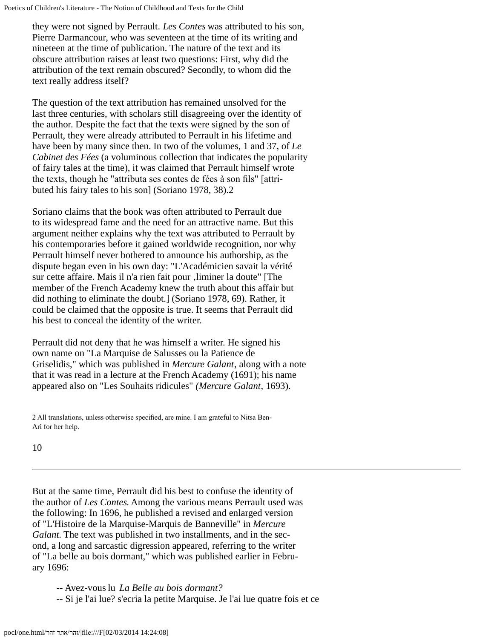they were not signed by Perrault. *Les Contes* was attributed to his son, Pierre Darmancour, who was seventeen at the time of its writing and nineteen at the time of publication. The nature of the text and its obscure attribution raises at least two questions: First, why did the attribution of the text remain obscured? Secondly, to whom did the text really address itself?

The question of the text attribution has remained unsolved for the last three centuries, with scholars still disagreeing over the identity of the author. Despite the fact that the texts were signed by the son of Perrault, they were already attributed to Perrault in his lifetime and have been by many since then. In two of the volumes, 1 and 37, of *Le Cabinet des Fées* (a voluminous collection that indicates the popularity of fairy tales at the time), it was claimed that Perrault himself wrote the texts, though he "attributa ses contes de fées à son fils" [attributed his fairy tales to his son] (Soriano 1978, 38).2

Soriano claims that the book was often attributed to Perrault due to its widespread fame and the need for an attractive name. But this argument neither explains why the text was attributed to Perrault by his contemporaries before it gained worldwide recognition, nor why Perrault himself never bothered to announce his authorship, as the dispute began even in his own day: "L'Académicien savait la vérité sur cette affaire. Mais il n'a rien fait pour , liminer la doute" [The member of the French Academy knew the truth about this affair but did nothing to eliminate the doubt.] (Soriano 1978, 69). Rather, it could be claimed that the opposite is true. It seems that Perrault did his best to conceal the identity of the writer.

Perrault did not deny that he was himself a writer. He signed his own name on "La Marquise de Salusses ou la Patience de Griselidis," which was published in *Mercure Galant*, along with a note that it was read in a lecture at the French Academy (1691); his name appeared also on "Les Souhaits ridicules" *(Mercure Galant*, 1693).

2 All translations, unless otherwise specified, are mine. I am grateful to Nitsa Ben-Ari for her help.

10

But at the same time, Perrault did his best to confuse the identity of the author of *Les Contes*. Among the various means Perrault used was the following: In 1696, he published a revised and enlarged version of "L'Histoire de la Marquise-Marquis de Banneville" in *Mercure Galant*. The text was published in two installments, and in the second, a long and sarcastic digression appeared, referring to the writer of "La belle au bois dormant," which was published earlier in February 1696:

-- Avez-vous lu *La Belle au bois dormant?*

-- Si je l'ai lue? s'ecria la petite Marquise. Je l'ai lue quatre fois et ce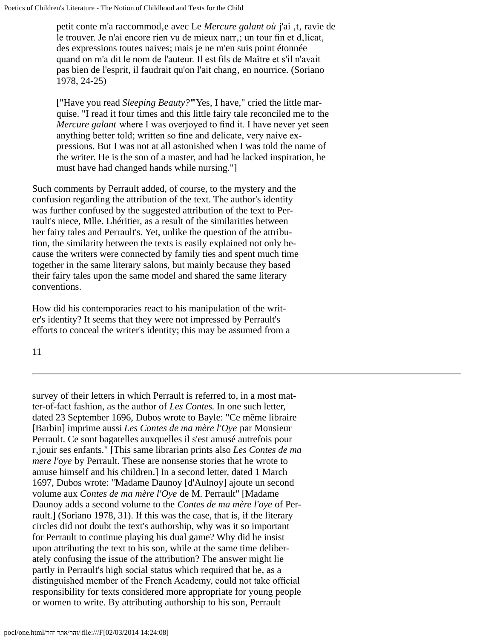petit conte m'a raccommod, e avec Le *Mercure galant où* j'ai, t, ravie de le trouver. Je n'ai encore rien vu de mieux narr, un tour fin et d, licat, des expressions toutes naives; mais je ne m'en suis point étonnée quand on m'a dit le nom de l'auteur. Il est fils de Maître et s'il n'avait pas bien de l'esprit, il faudrait qu'on l'ait chang, en nourrice. (Soriano 1978, 24-25)

["Have you read *Sleeping Beauty?"* Yes, I have," cried the little marquise. "I read it four times and this little fairy tale reconciled me to the *Mercure galant* where I was overjoyed to find it. I have never yet seen anything better told; written so fine and delicate, very naive expressions. But I was not at all astonished when I was told the name of the writer. He is the son of a master, and had he lacked inspiration, he must have had changed hands while nursing."]

Such comments by Perrault added, of course, to the mystery and the confusion regarding the attribution of the text. The author's identity was further confused by the suggested attribution of the text to Perrault's niece, Mlle. Lhéritier, as a result of the similarities between her fairy tales and Perrault's. Yet, unlike the question of the attribution, the similarity between the texts is easily explained not only because the writers were connected by family ties and spent much time together in the same literary salons, but mainly because they based their fairy tales upon the same model and shared the same literary conventions.

How did his contemporaries react to his manipulation of the writer's identity? It seems that they were not impressed by Perrault's efforts to conceal the writer's identity; this may be assumed from a

11

survey of their letters in which Perrault is referred to, in a most matter-of-fact fashion, as the author of *Les Contes*. In one such letter, dated 23 September 1696, Dubos wrote to Bayle: "Ce même libraire [Barbin] imprime aussi *Les Contes de ma mère l'Oye* par Monsieur Perrault. Ce sont bagatelles auxquelles il s'est amusé autrefois pour r'jouir ses enfants." [This same librarian prints also *Les Contes de ma mere l'oye* by Perrault. These are nonsense stories that he wrote to amuse himself and his children.] In a second letter, dated 1 March 1697, Dubos wrote: "Madame Daunoy [d'Aulnoy] ajoute un second volume aux *Contes de ma mère l'Oye* de M. Perrault" [Madame Daunoy adds a second volume to the *Contes de ma mère l'oye* of Perrault.] (Soriano 1978, 31). If this was the case, that is, if the literary circles did not doubt the text's authorship, why was it so important for Perrault to continue playing his dual game? Why did he insist upon attributing the text to his son, while at the same time deliberately confusing the issue of the attribution? The answer might lie partly in Perrault's high social status which required that he, as a distinguished member of the French Academy, could not take official responsibility for texts considered more appropriate for young people or women to write. By attributing authorship to his son, Perrault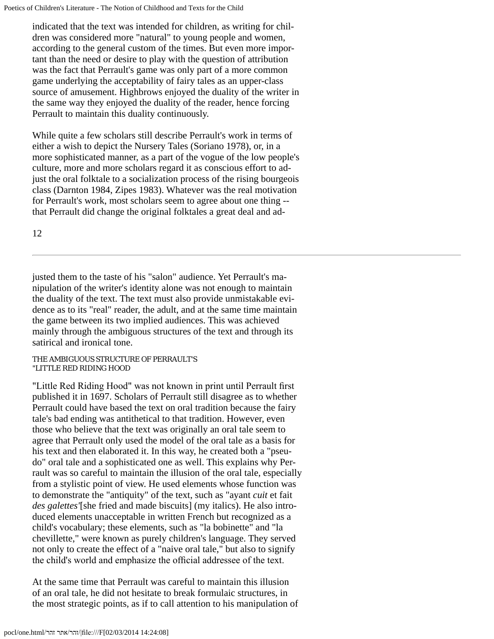indicated that the text was intended for children, as writing for children was considered more "natural" to young people and women, according to the general custom of the times. But even more important than the need or desire to play with the question of attribution was the fact that Perrault's game was only part of a more common game underlying the acceptability of fairy tales as an upper-class source of amusement. Highbrows enjoyed the duality of the writer in the same way they enjoyed the duality of the reader, hence forcing Perrault to maintain this duality continuously.

While quite a few scholars still describe Perrault's work in terms of either a wish to depict the Nursery Tales (Soriano 1978), or, in a more sophisticated manner, as a part of the vogue of the low people's culture, more and more scholars regard it as conscious effort to adjust the oral folktale to a socialization process of the rising bourgeois class (Darnton 1984, Zipes 1983). Whatever was the real motivation for Perrault's work, most scholars seem to agree about one thing - that Perrault did change the original folktales a great deal and ad-

12

justed them to the taste of his "salon" audience. Yet Perrault's manipulation of the writer's identity alone was not enough to maintain the duality of the text. The text must also provide unmistakable evidence as to its "real" reader, the adult, and at the same time maintain the game between its two implied audiences. This was achieved mainly through the ambiguous structures of the text and through its satirical and ironical tone.

#### THE AMBIGUOUS STRUCTURE OF PERRAULT'S "LITTLE RED RIDING HOOD

"Little Red Riding Hood" was not known in print until Perrault first published it in 1697. Scholars of Perrault still disagree as to whether Perrault could have based the text on oral tradition because the fairy tale's bad ending was antithetical to that tradition. However, even those who believe that the text was originally an oral tale seem to agree that Perrault only used the model of the oral tale as a basis for his text and then elaborated it. In this way, he created both a "pseudo" oral tale and a sophisticated one as well. This explains why Perrault was so careful to maintain the illusion of the oral tale, especially from a stylistic point of view. He used elements whose function was to demonstrate the "antiquity" of the text, such as "ayant *cuit* et fait des galettes'[she fried and made biscuits] (my italics). He also introduced elements unacceptable in written French but recognized as a child's vocabulary; these elements, such as "la bobinette" and "la chevillette," were known as purely children's language. They served not only to create the effect of a "naive oral tale," but also to signify the child's world and emphasize the official addressee of the text.

At the same time that Perrault was careful to maintain this illusion of an oral tale, he did not hesitate to break formulaic structures, in the most strategic points, as if to call attention to his manipulation of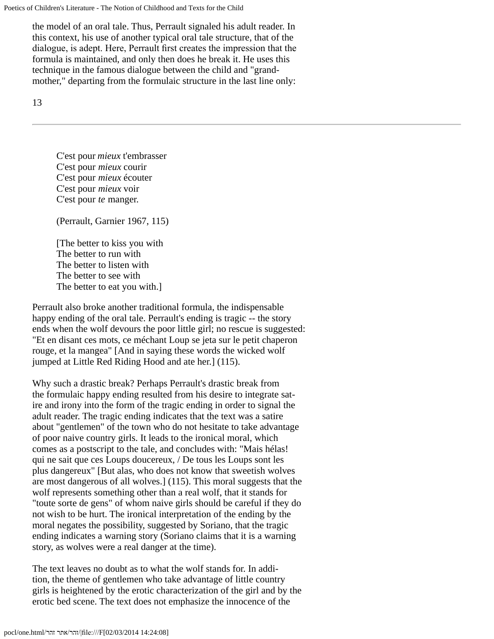the model of an oral tale. Thus, Perrault signaled his adult reader. In this context, his use of another typical oral tale structure, that of the dialogue, is adept. Here, Perrault first creates the impression that the formula is maintained, and only then does he break it. He uses this technique in the famous dialogue between the child and "grandmother," departing from the formulaic structure in the last line only:

13

C'est pour *mieux* t'embrasser C'est pour *mieux* courir C'est pour *mieux* écouter C'est pour *mieux* voir C'est pour *te* manger.

(Perrault, Garnier 1967, 115)

[The better to kiss you with The better to run with The better to listen with The better to see with The better to eat you with.]

Perrault also broke another traditional formula, the indispensable happy ending of the oral tale. Perrault's ending is tragic -- the story ends when the wolf devours the poor little girl; no rescue is suggested: "Et en disant ces mots, ce méchant Loup se jeta sur le petit chaperon rouge, et la mangea" [And in saying these words the wicked wolf jumped at Little Red Riding Hood and ate her.] (115).

Why such a drastic break? Perhaps Perrault's drastic break from the formulaic happy ending resulted from his desire to integrate satire and irony into the form of the tragic ending in order to signal the adult reader. The tragic ending indicates that the text was a satire about "gentlemen" of the town who do not hesitate to take advantage of poor naive country girls. It leads to the ironical moral, which comes as a postscript to the tale, and concludes with: "Mais hélas! qui ne sait que ces Loups doucereux, / De tous les Loups sont les plus dangereux" [But alas, who does not know that sweetish wolves are most dangerous of all wolves.] (115). This moral suggests that the wolf represents something other than a real wolf, that it stands for "toute sorte de gens" of whom naive girls should be careful if they do not wish to be hurt. The ironical interpretation of the ending by the moral negates the possibility, suggested by Soriano, that the tragic ending indicates a warning story (Soriano claims that it is a warning story, as wolves were a real danger at the time).

The text leaves no doubt as to what the wolf stands for. In addition, the theme of gentlemen who take advantage of little country girls is heightened by the erotic characterization of the girl and by the erotic bed scene. The text does not emphasize the innocence of the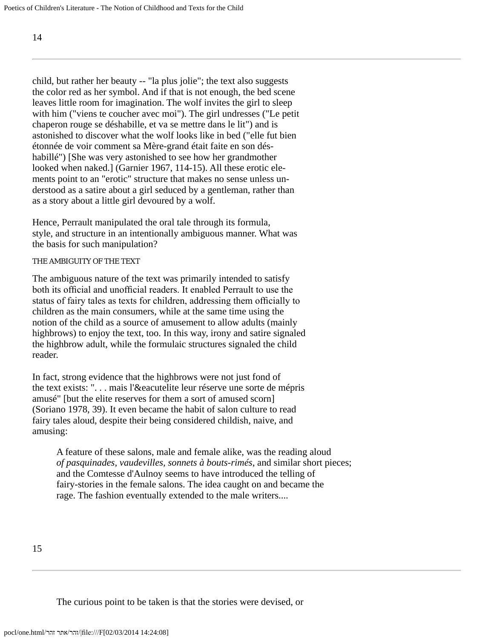#### 14

child, but rather her beauty -- "la plus jolie"; the text also suggests the color red as her symbol. And if that is not enough, the bed scene leaves little room for imagination. The wolf invites the girl to sleep with him ("viens te coucher avec moi"). The girl undresses ("Le petit chaperon rouge se déshabille, et va se mettre dans le lit") and is astonished to discover what the wolf looks like in bed ("elle fut bien étonnée de voir comment sa Mère-grand était faite en son déshabillé") [She was very astonished to see how her grandmother looked when naked.] (Garnier 1967, 114-15). All these erotic elements point to an "erotic" structure that makes no sense unless understood as a satire about a girl seduced by a gentleman, rather than as a story about a little girl devoured by a wolf.

Hence, Perrault manipulated the oral tale through its formula, style, and structure in an intentionally ambiguous manner. What was the basis for such manipulation?

#### THE AMBIGUITY OF THE TEXT

The ambiguous nature of the text was primarily intended to satisfy both its official and unofficial readers. It enabled Perrault to use the status of fairy tales as texts for children, addressing them officially to children as the main consumers, while at the same time using the notion of the child as a source of amusement to allow adults (mainly highbrows) to enjoy the text, too. In this way, irony and satire signaled the highbrow adult, while the formulaic structures signaled the child reader.

In fact, strong evidence that the highbrows were not just fond of the text exists: "... mais l'&eacutelite leur réserve une sorte de mépris amusé" [but the elite reserves for them a sort of amused scorn] (Soriano 1978, 39). It even became the habit of salon culture to read fairy tales aloud, despite their being considered childish, naive, and amusing:

A feature of these salons, male and female alike, was the reading aloud *of pasquinades, vaudevilles, sonnets à bouts-rimés*, and similar short pieces; and the Comtesse d'Aulnoy seems to have introduced the telling of fairy-stories in the female salons. The idea caught on and became the rage. The fashion eventually extended to the male writers....

#### 15

The curious point to be taken is that the stories were devised, or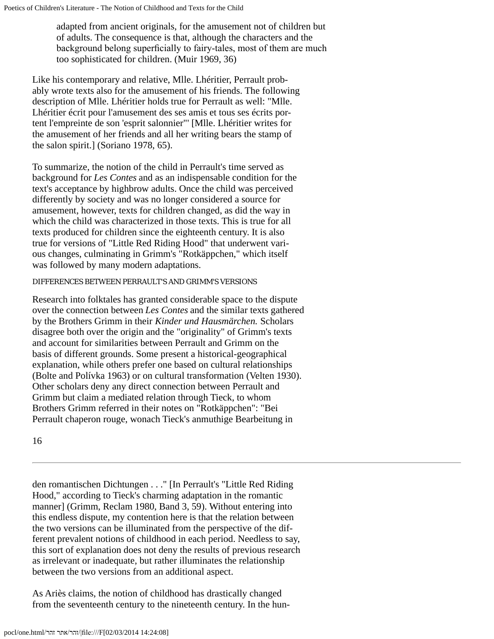adapted from ancient originals, for the amusement not of children but of adults. The consequence is that, although the characters and the background belong superficially to fairy-tales, most of them are much too sophisticated for children. (Muir 1969, 36)

Like his contemporary and relative, Mlle. Lhéritier, Perrault probably wrote texts also for the amusement of his friends. The following description of Mlle. Lhéritier holds true for Perrault as well: "Mlle. Lhéritier écrit pour l'amusement des ses amis et tous ses écrits portent l'empreinte de son 'esprit salonnier"' [Mlle. Lhéritier writes for the amusement of her friends and all her writing bears the stamp of the salon spirit.] (Soriano 1978, 65).

To summarize, the notion of the child in Perrault's time served as background for *Les Contes* and as an indispensable condition for the text's acceptance by highbrow adults. Once the child was perceived differently by society and was no longer considered a source for amusement, however, texts for children changed, as did the way in which the child was characterized in those texts. This is true for all texts produced for children since the eighteenth century. It is also true for versions of "Little Red Riding Hood" that underwent various changes, culminating in Grimm's "Rotkäppchen," which itself was followed by many modern adaptations.

#### DIFFERENCES BETWEEN PERRAULT'S AND GRIMM'S VERSIONS

Research into folktales has granted considerable space to the dispute over the connection between *Les Contes* and the similar texts gathered by the Brothers Grimm in their *Kinder und Hausmärchen.* Scholars disagree both over the origin and the "originality" of Grimm's texts and account for similarities between Perrault and Grimm on the basis of different grounds. Some present a historical-geographical explanation, while others prefer one based on cultural relationships (Bolte and Polívka 1963) or on cultural transformation (Velten 1930). Other scholars deny any direct connection between Perrault and Grimm but claim a mediated relation through Tieck, to whom Brothers Grimm referred in their notes on "Rotkäppchen": "Bei Perrault chaperon rouge, wonach Tieck's anmuthige Bearbeitung in

16

den romantischen Dichtungen . . ." [In Perrault's "Little Red Riding Hood," according to Tieck's charming adaptation in the romantic manner] (Grimm, Reclam 1980, Band 3, 59). Without entering into this endless dispute, my contention here is that the relation between the two versions can be illuminated from the perspective of the different prevalent notions of childhood in each period. Needless to say, this sort of explanation does not deny the results of previous research as irrelevant or inadequate, but rather illuminates the relationship between the two versions from an additional aspect.

As Ariès claims, the notion of childhood has drastically changed from the seventeenth century to the nineteenth century. In the hun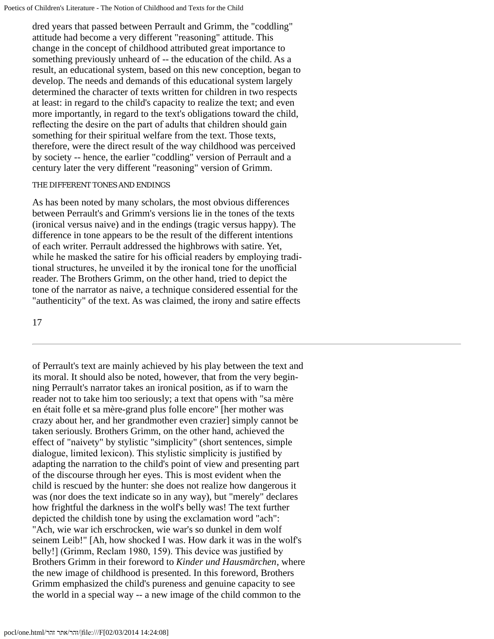dred years that passed between Perrault and Grimm, the "coddling" attitude had become a very different "reasoning" attitude. This change in the concept of childhood attributed great importance to something previously unheard of -- the education of the child. As a result, an educational system, based on this new conception, began to develop. The needs and demands of this educational system largely determined the character of texts written for children in two respects at least: in regard to the child's capacity to realize the text; and even more importantly, in regard to the text's obligations toward the child, reflecting the desire on the part of adults that children should gain something for their spiritual welfare from the text. Those texts, therefore, were the direct result of the way childhood was perceived by society -- hence, the earlier "coddling" version of Perrault and a century later the very different "reasoning" version of Grimm.

#### THE DIFFERENT TONES AND ENDINGS

As has been noted by many scholars, the most obvious differences between Perrault's and Grimm's versions lie in the tones of the texts (ironical versus naive) and in the endings (tragic versus happy). The difference in tone appears to be the result of the different intentions of each writer. Perrault addressed the highbrows with satire. Yet, while he masked the satire for his official readers by employing traditional structures, he unveiled it by the ironical tone for the unofficial reader. The Brothers Grimm, on the other hand, tried to depict the tone of the narrator as naive, a technique considered essential for the "authenticity" of the text. As was claimed, the irony and satire effects

#### 17

of Perrault's text are mainly achieved by his play between the text and its moral. It should also be noted, however, that from the very beginning Perrault's narrator takes an ironical position, as if to warn the reader not to take him too seriously; a text that opens with "sa mère en était folle et sa mère-grand plus folle encore" [her mother was crazy about her, and her grandmother even crazier] simply cannot be taken seriously. Brothers Grimm, on the other hand, achieved the effect of "naivety" by stylistic "simplicity" (short sentences, simple dialogue, limited lexicon). This stylistic simplicity is justified by adapting the narration to the child's point of view and presenting part of the discourse through her eyes. This is most evident when the child is rescued by the hunter: she does not realize how dangerous it was (nor does the text indicate so in any way), but "merely" declares how frightful the darkness in the wolf's belly was! The text further depicted the childish tone by using the exclamation word "ach": "Ach, wie war ich erschrocken, wie war's so dunkel in dem wolf seinem Leib!" [Ah, how shocked I was. How dark it was in the wolf's belly!] (Grimm, Reclam 1980, 159). This device was justified by Brothers Grimm in their foreword to *Kinder und Hausmärchen*, where the new image of childhood is presented. In this foreword, Brothers Grimm emphasized the child's pureness and genuine capacity to see the world in a special way -- a new image of the child common to the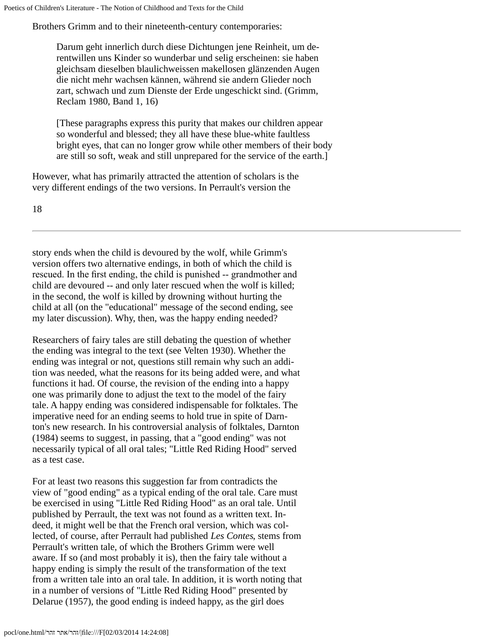Brothers Grimm and to their nineteenth-century contemporaries:

Darum geht innerlich durch diese Dichtungen jene Reinheit, um derentwillen uns Kinder so wunderbar und selig erscheinen: sie haben gleichsam dieselben blaulichweissen makellosen glänzenden Augen die nicht mehr wachsen kännen, während sie andern Glieder noch zart, schwach und zum Dienste der Erde ungeschickt sind. (Grimm, Reclam 1980, Band 1, 16)

[These paragraphs express this purity that makes our children appear so wonderful and blessed; they all have these blue-white faultless bright eyes, that can no longer grow while other members of their body are still so soft, weak and still unprepared for the service of the earth.]

However, what has primarily attracted the attention of scholars is the very different endings of the two versions. In Perrault's version the

18

story ends when the child is devoured by the wolf, while Grimm's version offers two alternative endings, in both of which the child is rescued. In the first ending, the child is punished -- grandmother and child are devoured -- and only later rescued when the wolf is killed; in the second, the wolf is killed by drowning without hurting the child at all (on the "educational" message of the second ending, see my later discussion). Why, then, was the happy ending needed?

Researchers of fairy tales are still debating the question of whether the ending was integral to the text (see Velten 1930). Whether the ending was integral or not, questions still remain why such an addition was needed, what the reasons for its being added were, and what functions it had. Of course, the revision of the ending into a happy one was primarily done to adjust the text to the model of the fairy tale. A happy ending was considered indispensable for folktales. The imperative need for an ending seems to hold true in spite of Darnton's new research. In his controversial analysis of folktales, Darnton (1984) seems to suggest, in passing, that a "good ending" was not necessarily typical of all oral tales; "Little Red Riding Hood" served as a test case.

For at least two reasons this suggestion far from contradicts the view of "good ending" as a typical ending of the oral tale. Care must be exercised in using "Little Red Riding Hood" as an oral tale. Until published by Perrault, the text was not found as a written text. Indeed, it might well be that the French oral version, which was collected, of course, after Perrault had published *Les Contes*, stems from Perrault's written tale, of which the Brothers Grimm were well aware. If so (and most probably it is), then the fairy tale without a happy ending is simply the result of the transformation of the text from a written tale into an oral tale. In addition, it is worth noting that in a number of versions of "Little Red Riding Hood" presented by Delarue (1957), the good ending is indeed happy, as the girl does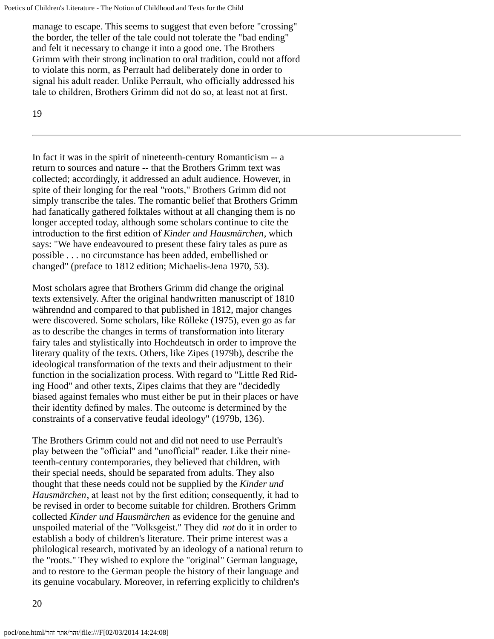manage to escape. This seems to suggest that even before "crossing" the border, the teller of the tale could not tolerate the "bad ending" and felt it necessary to change it into a good one. The Brothers Grimm with their strong inclination to oral tradition, could not afford to violate this norm, as Perrault had deliberately done in order to signal his adult reader. Unlike Perrault, who officially addressed his tale to children, Brothers Grimm did not do so, at least not at first.

19

In fact it was in the spirit of nineteenth-century Romanticism -- a return to sources and nature -- that the Brothers Grimm text was collected; accordingly, it addressed an adult audience. However, in spite of their longing for the real "roots," Brothers Grimm did not simply transcribe the tales. The romantic belief that Brothers Grimm had fanatically gathered folktales without at all changing them is no longer accepted today, although some scholars continue to cite the introduction to the first edition of *Kinder und Hausmärchen*, which says: "We have endeavoured to present these fairy tales as pure as possible . . . no circumstance has been added, embellished or changed" (preface to 1812 edition; Michaelis-Jena 1970, 53).

Most scholars agree that Brothers Grimm did change the original texts extensively. After the original handwritten manuscript of 1810 währendnd and compared to that published in 1812, major changes were discovered. Some scholars, like Rölleke (1975), even go as far as to describe the changes in terms of transformation into literary fairy tales and stylistically into Hochdeutsch in order to improve the literary quality of the texts. Others, like Zipes (1979b), describe the ideological transformation of the texts and their adjustment to their function in the socialization process. With regard to "Little Red Riding Hood" and other texts, Zipes claims that they are "decidedly biased against females who must either be put in their places or have their identity defined by males. The outcome is determined by the constraints of a conservative feudal ideology" (1979b, 136).

The Brothers Grimm could not and did not need to use Perrault's play between the "official" and "unofficial" reader. Like their nineteenth-century contemporaries, they believed that children, with their special needs, should be separated from adults. They also thought that these needs could not be supplied by the *Kinder und Hausmärchen*, at least not by the first edition; consequently, it had to be revised in order to become suitable for children. Brothers Grimm collected *Kinder und Hausmärchen* as evidence for the genuine and unspoiled material of the "Volksgeist." They did *not* do it in order to establish a body of children's literature. Their prime interest was a philological research, motivated by an ideology of a national return to the "roots." They wished to explore the "original" German language, and to restore to the German people the history of their language and its genuine vocabulary. Moreover, in referring explicitly to children's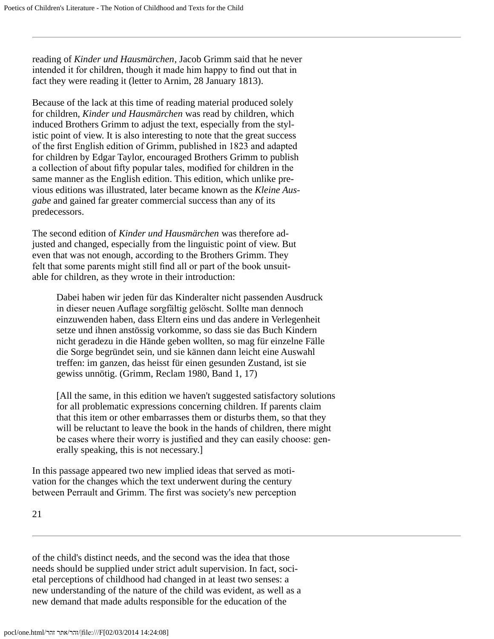reading of *Kinder und Hausmärchen*, Jacob Grimm said that he never intended it for children, though it made him happy to find out that in fact they were reading it (letter to Arnim, 28 January 1813).

Because of the lack at this time of reading material produced solely for children, *Kinder und Hausmärchen* was read by children, which induced Brothers Grimm to adjust the text, especially from the stylistic point of view. It is also interesting to note that the great success of the first English edition of Grimm, published in 1823 and adapted for children by Edgar Taylor, encouraged Brothers Grimm to publish a collection of about fifty popular tales, modified for children in the same manner as the English edition. This edition, which unlike previous editions was illustrated, later became known as the *Kleine Ausgabe* and gained far greater commercial success than any of its predecessors.

The second edition of *Kinder und Hausmärchen* was therefore adjusted and changed, especially from the linguistic point of view. But even that was not enough, according to the Brothers Grimm. They felt that some parents might still find all or part of the book unsuitable for children, as they wrote in their introduction:

Dabei haben wir jeden für das Kinderalter nicht passenden Ausdruck in dieser neuen Auflage sorgfältig gelöscht. Sollte man dennoch einzuwenden haben, dass Eltern eins und das andere in Verlegenheit setze und ihnen anstössig vorkomme, so dass sie das Buch Kindern nicht geradezu in die Hände geben wollten, so mag für einzelne Fälle die Sorge begründet sein, und sie kännen dann leicht eine Auswahl treffen: im ganzen, das heisst für einen gesunden Zustand, ist sie gewiss unnötig. (Grimm, Reclam 1980, Band 1, 17)

[All the same, in this edition we haven't suggested satisfactory solutions for all problematic expressions concerning children. If parents claim that this item or other embarrasses them or disturbs them, so that they will be reluctant to leave the book in the hands of children, there might be cases where their worry is justified and they can easily choose: generally speaking, this is not necessary.]

In this passage appeared two new implied ideas that served as motivation for the changes which the text underwent during the century between Perrault and Grimm. The first was society's new perception

21

of the child's distinct needs, and the second was the idea that those needs should be supplied under strict adult supervision. In fact, societal perceptions of childhood had changed in at least two senses: a new understanding of the nature of the child was evident, as well as a new demand that made adults responsible for the education of the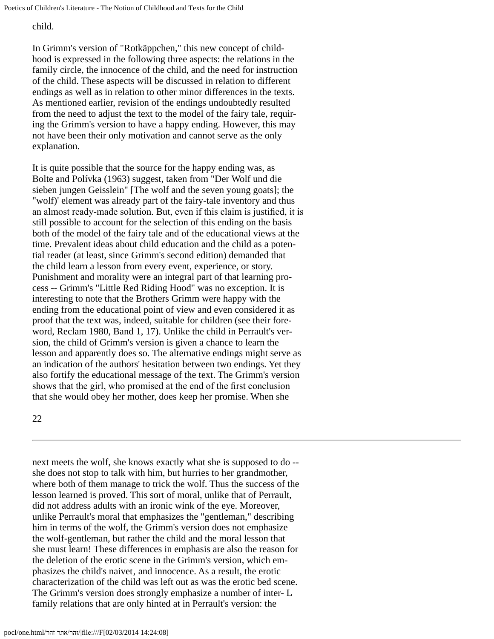child.

In Grimm's version of "Rotkäppchen," this new concept of childhood is expressed in the following three aspects: the relations in the family circle, the innocence of the child, and the need for instruction of the child. These aspects will be discussed in relation to different endings as well as in relation to other minor differences in the texts. As mentioned earlier, revision of the endings undoubtedly resulted from the need to adjust the text to the model of the fairy tale, requiring the Grimm's version to have a happy ending. However, this may not have been their only motivation and cannot serve as the only explanation.

It is quite possible that the source for the happy ending was, as Bolte and Polívka (1963) suggest, taken from "Der Wolf und die sieben jungen Geisslein" [The wolf and the seven young goats]; the "wolf)' element was already part of the fairy-tale inventory and thus an almost ready-made solution. But, even if this claim is justified, it is still possible to account for the selection of this ending on the basis both of the model of the fairy tale and of the educational views at the time. Prevalent ideas about child education and the child as a potential reader (at least, since Grimm's second edition) demanded that the child learn a lesson from every event, experience, or story. Punishment and morality were an integral part of that learning process -- Grimm's "Little Red Riding Hood" was no exception. It is interesting to note that the Brothers Grimm were happy with the ending from the educational point of view and even considered it as proof that the text was, indeed, suitable for children (see their foreword, Reclam 1980, Band 1, 17). Unlike the child in Perrault's version, the child of Grimm's version is given a chance to learn the lesson and apparently does so. The alternative endings might serve as an indication of the authors' hesitation between two endings. Yet they also fortify the educational message of the text. The Grimm's version shows that the girl, who promised at the end of the first conclusion that she would obey her mother, does keep her promise. When she

22

next meets the wolf, she knows exactly what she is supposed to do - she does not stop to talk with him, but hurries to her grandmother, where both of them manage to trick the wolf. Thus the success of the lesson learned is proved. This sort of moral, unlike that of Perrault, did not address adults with an ironic wink of the eye. Moreover, unlike Perrault's moral that emphasizes the "gentleman," describing him in terms of the wolf, the Grimm's version does not emphasize the wolf-gentleman, but rather the child and the moral lesson that she must learn! These differences in emphasis are also the reason for the deletion of the erotic scene in the Grimm's version, which emphasizes the child's naivet, and innocence. As a result, the erotic characterization of the child was left out as was the erotic bed scene. The Grimm's version does strongly emphasize a number of inter- L family relations that are only hinted at in Perrault's version: the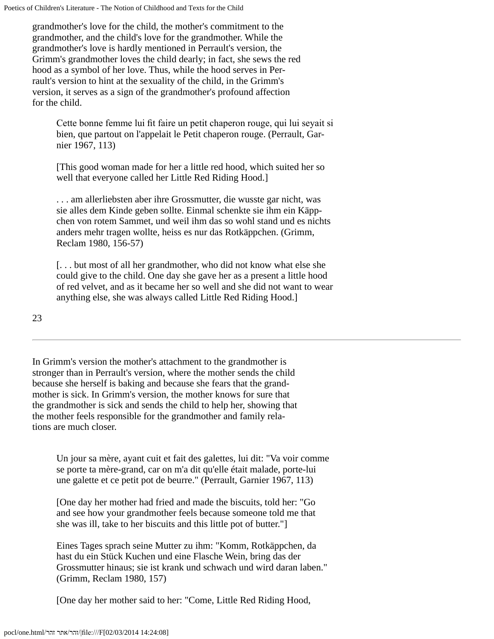grandmother's love for the child, the mother's commitment to the grandmother, and the child's love for the grandmother. While the grandmother's love is hardly mentioned in Perrault's version, the Grimm's grandmother loves the child dearly; in fact, she sews the red hood as a symbol of her love. Thus, while the hood serves in Perrault's version to hint at the sexuality of the child, in the Grimm's version, it serves as a sign of the grandmother's profound affection for the child.

Cette bonne femme lui fit faire un petit chaperon rouge, qui lui seyait si bien, que partout on l'appelait le Petit chaperon rouge. (Perrault, Garnier 1967, 113)

[This good woman made for her a little red hood, which suited her so well that everyone called her Little Red Riding Hood.]

. . . am allerliebsten aber ihre Grossmutter, die wusste gar nicht, was sie alles dem Kinde geben sollte. Einmal schenkte sie ihm ein Käppchen von rotem Sammet, und weil ihm das so wohl stand und es nichts anders mehr tragen wollte, heiss es nur das Rotkäppchen. (Grimm, Reclam 1980, 156-57)

[. . . but most of all her grandmother, who did not know what else she could give to the child. One day she gave her as a present a little hood of red velvet, and as it became her so well and she did not want to wear anything else, she was always called Little Red Riding Hood.]

23

In Grimm's version the mother's attachment to the grandmother is stronger than in Perrault's version, where the mother sends the child because she herself is baking and because she fears that the grandmother is sick. In Grimm's version, the mother knows for sure that the grandmother is sick and sends the child to help her, showing that the mother feels responsible for the grandmother and family relations are much closer.

Un jour sa mère, ayant cuit et fait des galettes, lui dit: "Va voir comme se porte ta mère-grand, car on m'a dit qu'elle était malade, porte-lui une galette et ce petit pot de beurre." (Perrault, Garnier 1967, 113)

[One day her mother had fried and made the biscuits, told her: "Go and see how your grandmother feels because someone told me that she was ill, take to her biscuits and this little pot of butter."]

Eines Tages sprach seine Mutter zu ihm: "Komm, Rotkäppchen, da hast du ein Stück Kuchen und eine Flasche Wein, bring das der Grossmutter hinaus; sie ist krank und schwach und wird daran laben." (Grimm, Reclam 1980, 157)

[One day her mother said to her: "Come, Little Red Riding Hood,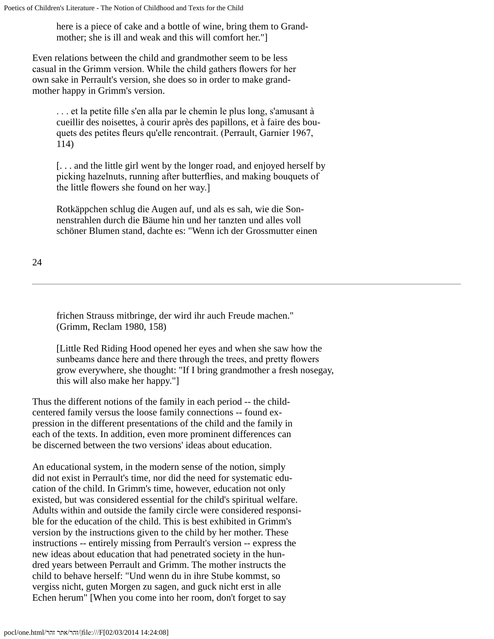here is a piece of cake and a bottle of wine, bring them to Grandmother; she is ill and weak and this will comfort her."]

Even relations between the child and grandmother seem to be less casual in the Grimm version. While the child gathers flowers for her own sake in Perrault's version, she does so in order to make grandmother happy in Grimm's version.

. . . et la petite fille s'en alla par le chemin le plus long, s'amusant à cueillir des noisettes, à courir après des papillons, et à faire des bouquets des petites fleurs qu'elle rencontrait. (Perrault, Garnier 1967, 114)

[. . . and the little girl went by the longer road, and enjoyed herself by picking hazelnuts, running after butterflies, and making bouquets of the little flowers she found on her way.]

Rotkäppchen schlug die Augen auf, und als es sah, wie die Sonnenstrahlen durch die Bäume hin und her tanzten und alles voll schöner Blumen stand, dachte es: "Wenn ich der Grossmutter einen

#### 24

frichen Strauss mitbringe, der wird ihr auch Freude machen." (Grimm, Reclam 1980, 158)

[Little Red Riding Hood opened her eyes and when she saw how the sunbeams dance here and there through the trees, and pretty flowers grow everywhere, she thought: "If I bring grandmother a fresh nosegay, this will also make her happy."]

Thus the different notions of the family in each period -- the childcentered family versus the loose family connections -- found expression in the different presentations of the child and the family in each of the texts. In addition, even more prominent differences can be discerned between the two versions' ideas about education.

An educational system, in the modern sense of the notion, simply did not exist in Perrault's time, nor did the need for systematic education of the child. In Grimm's time, however, education not only existed, but was considered essential for the child's spiritual welfare. Adults within and outside the family circle were considered responsible for the education of the child. This is best exhibited in Grimm's version by the instructions given to the child by her mother. These instructions -- entirely missing from Perrault's version -- express the new ideas about education that had penetrated society in the hundred years between Perrault and Grimm. The mother instructs the child to behave herself: "Und wenn du in ihre Stube kommst, so vergiss nicht, guten Morgen zu sagen, and guck nicht erst in alle Echen herum" [When you come into her room, don't forget to say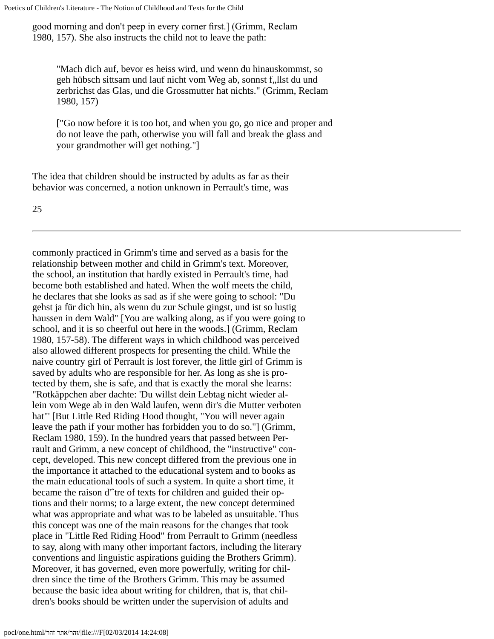good morning and don't peep in every corner first.] (Grimm, Reclam 1980, 157). She also instructs the child not to leave the path:

"Mach dich auf, bevor es heiss wird, und wenn du hinauskommst, so geh hübsch sittsam und lauf nicht vom Weg ab, sonnst f,,llst du und zerbrichst das Glas, und die Grossmutter hat nichts." (Grimm, Reclam 1980, 157)

["Go now before it is too hot, and when you go, go nice and proper and do not leave the path, otherwise you will fall and break the glass and your grandmother will get nothing."]

The idea that children should be instructed by adults as far as their behavior was concerned, a notion unknown in Perrault's time, was

commonly practiced in Grimm's time and served as a basis for the relationship between mother and child in Grimm's text. Moreover, the school, an institution that hardly existed in Perrault's time, had become both established and hated. When the wolf meets the child, he declares that she looks as sad as if she were going to school: "Du gehst ja für dich hin, als wenn du zur Schule gingst, und ist so lustig haussen in dem Wald" [You are walking along, as if you were going to school, and it is so cheerful out here in the woods.] (Grimm, Reclam 1980, 157-58). The different ways in which childhood was perceived also allowed different prospects for presenting the child. While the naive country girl of Perrault is lost forever, the little girl of Grimm is saved by adults who are responsible for her. As long as she is protected by them, she is safe, and that is exactly the moral she learns: "Rotkäppchen aber dachte: 'Du willst dein Lebtag nicht wieder allein vom Wege ab in den Wald laufen, wenn dir's die Mutter verboten hat"' [But Little Red Riding Hood thought, "You will never again leave the path if your mother has forbidden you to do so."] (Grimm, Reclam 1980, 159). In the hundred years that passed between Perrault and Grimm, a new concept of childhood, the "instructive" concept, developed. This new concept differed from the previous one in the importance it attached to the educational system and to books as the main educational tools of such a system. In quite a short time, it became the raison d'^tre of texts for children and guided their options and their norms; to a large extent, the new concept determined what was appropriate and what was to be labeled as unsuitable. Thus this concept was one of the main reasons for the changes that took place in "Little Red Riding Hood" from Perrault to Grimm (needless to say, along with many other important factors, including the literary conventions and linguistic aspirations guiding the Brothers Grimm). Moreover, it has governed, even more powerfully, writing for children since the time of the Brothers Grimm. This may be assumed because the basic idea about writing for children, that is, that children's books should be written under the supervision of adults and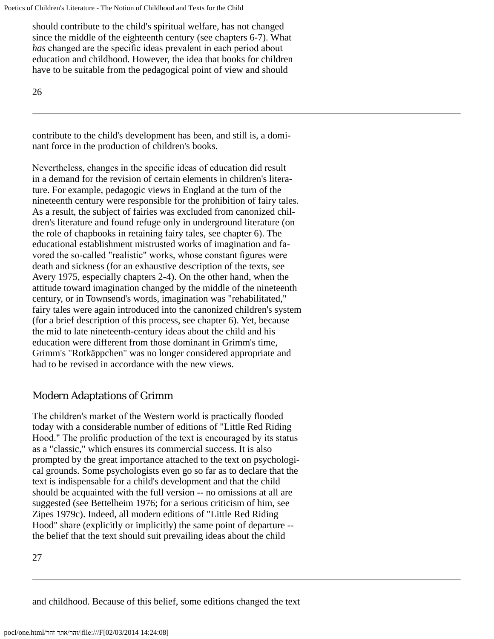should contribute to the child's spiritual welfare, has not changed since the middle of the eighteenth century (see chapters 6-7). What *has* changed are the specific ideas prevalent in each period about education and childhood. However, the idea that books for children have to be suitable from the pedagogical point of view and should

26

contribute to the child's development has been, and still is, a dominant force in the production of children's books.

Nevertheless, changes in the specific ideas of education did result in a demand for the revision of certain elements in children's literature. For example, pedagogic views in England at the turn of the nineteenth century were responsible for the prohibition of fairy tales. As a result, the subject of fairies was excluded from canonized children's literature and found refuge only in underground literature (on the role of chapbooks in retaining fairy tales, see chapter 6). The educational establishment mistrusted works of imagination and favored the so-called "realistic" works, whose constant figures were death and sickness (for an exhaustive description of the texts, see Avery 1975, especially chapters 2-4). On the other hand, when the attitude toward imagination changed by the middle of the nineteenth century, or in Townsend's words, imagination was "rehabilitated," fairy tales were again introduced into the canonized children's system (for a brief description of this process, see chapter 6). Yet, because the mid to late nineteenth-century ideas about the child and his education were different from those dominant in Grimm's time, Grimm's "Rotkäppchen" was no longer considered appropriate and had to be revised in accordance with the new views.

## Modern Adaptations of Grimm

The children's market of the Western world is practically flooded today with a considerable number of editions of "Little Red Riding Hood." The prolific production of the text is encouraged by its status as a "classic," which ensures its commercial success. It is also prompted by the great importance attached to the text on psychological grounds. Some psychologists even go so far as to declare that the text is indispensable for a child's development and that the child should be acquainted with the full version -- no omissions at all are suggested (see Bettelheim 1976; for a serious criticism of him, see Zipes 1979c). Indeed, all modern editions of "Little Red Riding Hood" share (explicitly or implicitly) the same point of departure - the belief that the text should suit prevailing ideas about the child

27

and childhood. Because of this belief, some editions changed the text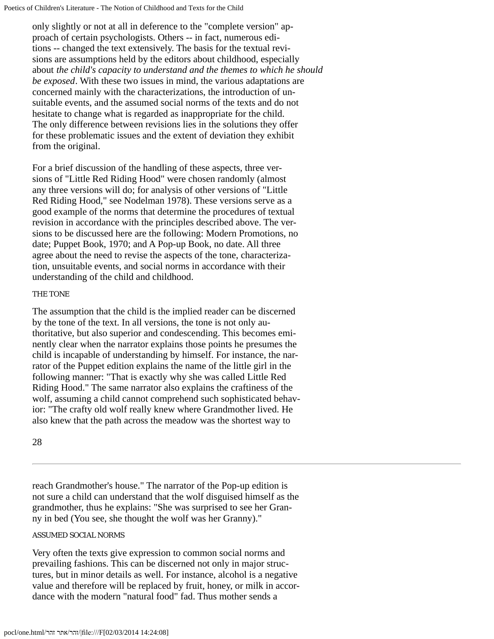only slightly or not at all in deference to the "complete version" approach of certain psychologists. Others -- in fact, numerous editions -- changed the text extensively. The basis for the textual revisions are assumptions held by the editors about childhood, especially about *the child's capacity to understand and the themes to which he should be exposed*. With these two issues in mind, the various adaptations are concerned mainly with the characterizations, the introduction of unsuitable events, and the assumed social norms of the texts and do not hesitate to change what is regarded as inappropriate for the child. The only difference between revisions lies in the solutions they offer for these problematic issues and the extent of deviation they exhibit from the original.

For a brief discussion of the handling of these aspects, three versions of "Little Red Riding Hood" were chosen randomly (almost any three versions will do; for analysis of other versions of "Little Red Riding Hood," see Nodelman 1978). These versions serve as a good example of the norms that determine the procedures of textual revision in accordance with the principles described above. The versions to be discussed here are the following: Modern Promotions, no date; Puppet Book, 1970; and A Pop-up Book, no date. All three agree about the need to revise the aspects of the tone, characterization, unsuitable events, and social norms in accordance with their understanding of the child and childhood.

#### THE TONE

The assumption that the child is the implied reader can be discerned by the tone of the text. In all versions, the tone is not only authoritative, but also superior and condescending. This becomes eminently clear when the narrator explains those points he presumes the child is incapable of understanding by himself. For instance, the narrator of the Puppet edition explains the name of the little girl in the following manner: "That is exactly why she was called Little Red Riding Hood." The same narrator also explains the craftiness of the wolf, assuming a child cannot comprehend such sophisticated behavior: "The crafty old wolf really knew where Grandmother lived. He also knew that the path across the meadow was the shortest way to

#### 28

reach Grandmother's house." The narrator of the Pop-up edition is not sure a child can understand that the wolf disguised himself as the grandmother, thus he explains: "She was surprised to see her Granny in bed (You see, she thought the wolf was her Granny)."

#### ASSUMED SOCIAL NORMS

Very often the texts give expression to common social norms and prevailing fashions. This can be discerned not only in major structures, but in minor details as well. For instance, alcohol is a negative value and therefore will be replaced by fruit, honey, or milk in accordance with the modern "natural food" fad. Thus mother sends a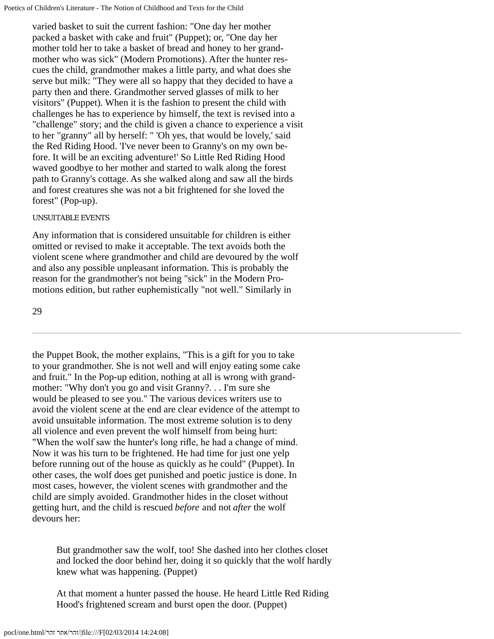varied basket to suit the current fashion: "One day her mother packed a basket with cake and fruit" (Puppet); or, "One day her mother told her to take a basket of bread and honey to her grandmother who was sick" (Modern Promotions). After the hunter rescues the child, grandmother makes a little party, and what does she serve but milk: "They were all so happy that they decided to have a party then and there. Grandmother served glasses of milk to her visitors" (Puppet). When it is the fashion to present the child with challenges he has to experience by himself, the text is revised into a "challenge" story; and the child is given a chance to experience a visit to her "granny" all by herself: " 'Oh yes, that would be lovely,' said the Red Riding Hood. 'I've never been to Granny's on my own before. It will be an exciting adventure!' So Little Red Riding Hood waved goodbye to her mother and started to walk along the forest path to Granny's cottage. As she walked along and saw all the birds and forest creatures she was not a bit frightened for she loved the forest" (Pop-up).

#### UNSUITABLE EVENTS

Any information that is considered unsuitable for children is either omitted or revised to make it acceptable. The text avoids both the violent scene where grandmother and child are devoured by the wolf and also any possible unpleasant information. This is probably the reason for the grandmother's not being "sick" in the Modern Promotions edition, but rather euphemistically "not well." Similarly in

29

the Puppet Book, the mother explains, "This is a gift for you to take to your grandmother. She is not well and will enjoy eating some cake and fruit." In the Pop-up edition, nothing at all is wrong with grandmother: "Why don't you go and visit Granny?. . . I'm sure she would be pleased to see you." The various devices writers use to avoid the violent scene at the end are clear evidence of the attempt to avoid unsuitable information. The most extreme solution is to deny all violence and even prevent the wolf himself from being hurt: "When the wolf saw the hunter's long rifle, he had a change of mind. Now it was his turn to be frightened. He had time for just one yelp before running out of the house as quickly as he could" (Puppet). In other cases, the wolf does get punished and poetic justice is done. In most cases, however, the violent scenes with grandmother and the child are simply avoided. Grandmother hides in the closet without getting hurt, and the child is rescued *before* and not *after* the wolf devours her:

But grandmother saw the wolf, too! She dashed into her clothes closet and locked the door behind her, doing it so quickly that the wolf hardly knew what was happening. (Puppet)

At that moment a hunter passed the house. He heard Little Red Riding Hood's frightened scream and burst open the door. (Puppet)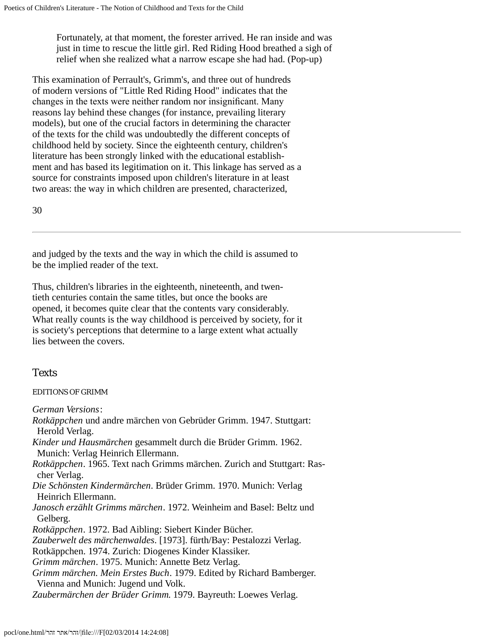Fortunately, at that moment, the forester arrived. He ran inside and was just in time to rescue the little girl. Red Riding Hood breathed a sigh of relief when she realized what a narrow escape she had had. (Pop-up)

This examination of Perrault's, Grimm's, and three out of hundreds of modern versions of "Little Red Riding Hood" indicates that the changes in the texts were neither random nor insignificant. Many reasons lay behind these changes (for instance, prevailing literary models), but one of the crucial factors in determining the character of the texts for the child was undoubtedly the different concepts of childhood held by society. Since the eighteenth century, children's literature has been strongly linked with the educational establishment and has based its legitimation on it. This linkage has served as a source for constraints imposed upon children's literature in at least two areas: the way in which children are presented, characterized,

30

and judged by the texts and the way in which the child is assumed to be the implied reader of the text.

Thus, children's libraries in the eighteenth, nineteenth, and twentieth centuries contain the same titles, but once the books are opened, it becomes quite clear that the contents vary considerably. What really counts is the way childhood is perceived by society, for it is society's perceptions that determine to a large extent what actually lies between the covers.

### Texts

#### EDITIONS OF GRIMM

*German Versions*:

*Rotkäppchen* und andre märchen von Gebrüder Grimm. 1947. Stuttgart: Herold Verlag.

*Kinder und Hausmärchen* gesammelt durch die Brüder Grimm. 1962. Munich: Verlag Heinrich Ellermann.

*Rotkäppchen*. 1965. Text nach Grimms märchen. Zurich and Stuttgart: Ras cher Verlag.

*Die Schönsten Kindermärchen*. Brüder Grimm. 1970. Munich: Verlag Heinrich Ellermann.

*Janosch erzählt Grimms märchen*. 1972. Weinheim and Basel: Beltz und Gelberg.

*Rotkäppchen*. 1972. Bad Aibling: Siebert Kinder Bücher.

*Zauberwelt des märchenwaldes*. [1973]. fürth/Bay: Pestalozzi Verlag.

Rotkäppchen. 1974. Zurich: Diogenes Kinder Klassiker.

*Grimm märchen*. 1975. Munich: Annette Betz Verlag.

*Grimm märchen. Mein Erstes Buch*. 1979. Edited by Richard Bamberger.

 Vienna and Munich: Jugend und Volk. *Zaubermärchen der Brüder Grimm*. 1979. Bayreuth: Loewes Verlag.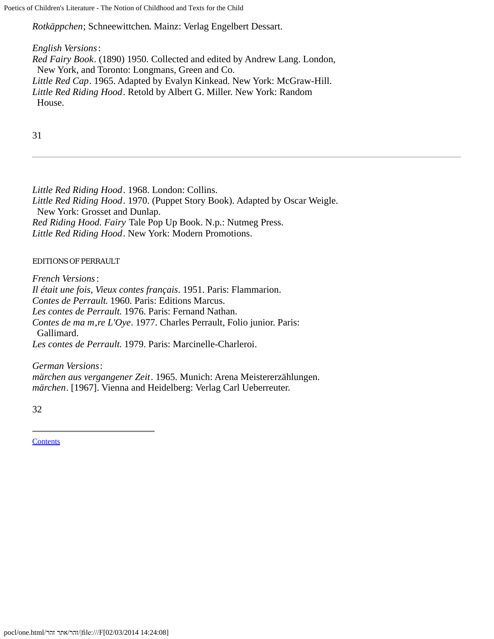*Rotkäppchen*; Schneewittchen. Mainz: Verlag Engelbert Dessart.

*English Versions*: *Red Fairy Book*. (1890) 1950. Collected and edited by Andrew Lang. London, New York, and Toronto: Longmans, Green and Co. *Little Red Cap*. 1965. Adapted by Evalyn Kinkead. New York: McGraw-Hill. *Little Red Riding Hood*. Retold by Albert G. Miller. New York: Random House.

31

*Little Red Riding Hood*. 1968. London: Collins. *Little Red Riding Hood*. 1970. (Puppet Story Book). Adapted by Oscar Weigle. New York: Grosset and Dunlap. *Red Riding Hood. Fairy* Tale Pop Up Book. N.p.: Nutmeg Press. *Little Red Riding Hood*. New York: Modern Promotions.

#### EDITIONS OF PERRAULT

*French Versions*:

*Il était une fois, Vieux contes français*. 1951. Paris: Flammarion. *Contes de Perrault*. 1960. Paris: Editions Marcus. *Les contes de Perrault*. 1976. Paris: Fernand Nathan. *Contes de ma m're L'Oye*. 1977. Charles Perrault, Folio junior. Paris: Gallimard.

*Les contes de Perrault*. 1979. Paris: Marcinelle-Charleroi.

*German Versions*: *märchen aus vergangener Zeit*. 1965. Munich: Arena Meistererzählungen. *märchen*. [1967]. Vienna and Heidelberg: Verlag Carl Ueberreuter.

32

**[Contents](#page-1-0)**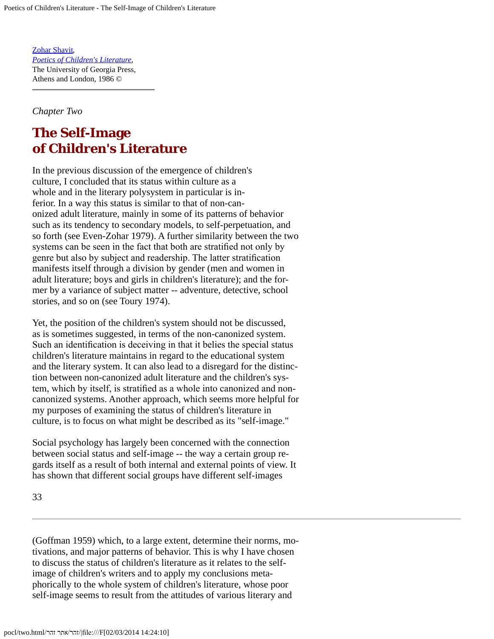<span id="page-31-0"></span>*Chapter Two*

# **The Self-Image of Children's Literature**

In the previous discussion of the emergence of children's culture, I concluded that its status within culture as a whole and in the literary polysystem in particular is inferior. In a way this status is similar to that of non-canonized adult literature, mainly in some of its patterns of behavior such as its tendency to secondary models, to self-perpetuation, and so forth (see Even-Zohar 1979). A further similarity between the two systems can be seen in the fact that both are stratified not only by genre but also by subject and readership. The latter stratification manifests itself through a division by gender (men and women in adult literature; boys and girls in children's literature); and the former by a variance of subject matter -- adventure, detective, school stories, and so on (see Toury 1974).

Yet, the position of the children's system should not be discussed, as is sometimes suggested, in terms of the non-canonized system. Such an identification is deceiving in that it belies the special status children's literature maintains in regard to the educational system and the literary system. It can also lead to a disregard for the distinction between non-canonized adult literature and the children's system, which by itself, is stratified as a whole into canonized and noncanonized systems. Another approach, which seems more helpful for my purposes of examining the status of children's literature in culture, is to focus on what might be described as its "self-image."

Social psychology has largely been concerned with the connection between social status and self-image -- the way a certain group regards itself as a result of both internal and external points of view. It has shown that different social groups have different self-images

33

(Goffman 1959) which, to a large extent, determine their norms, motivations, and major patterns of behavior. This is why I have chosen to discuss the status of children's literature as it relates to the selfimage of children's writers and to apply my conclusions metaphorically to the whole system of children's literature, whose poor self-image seems to result from the attitudes of various literary and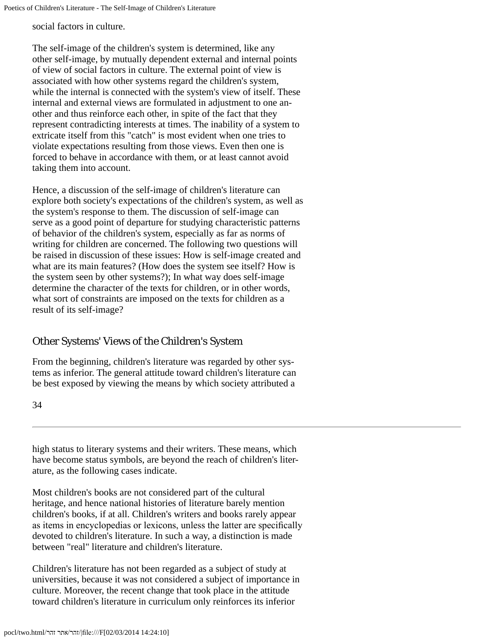social factors in culture.

The self-image of the children's system is determined, like any other self-image, by mutually dependent external and internal points of view of social factors in culture. The external point of view is associated with how other systems regard the children's system, while the internal is connected with the system's view of itself. These internal and external views are formulated in adjustment to one another and thus reinforce each other, in spite of the fact that they represent contradicting interests at times. The inability of a system to extricate itself from this "catch" is most evident when one tries to violate expectations resulting from those views. Even then one is forced to behave in accordance with them, or at least cannot avoid taking them into account.

Hence, a discussion of the self-image of children's literature can explore both society's expectations of the children's system, as well as the system's response to them. The discussion of self-image can serve as a good point of departure for studying characteristic patterns of behavior of the children's system, especially as far as norms of writing for children are concerned. The following two questions will be raised in discussion of these issues: How is self-image created and what are its main features? (How does the system see itself? How is the system seen by other systems?); In what way does self-image determine the character of the texts for children, or in other words, what sort of constraints are imposed on the texts for children as a result of its self-image?

## Other Systems' Views of the Children's System

From the beginning, children's literature was regarded by other systems as inferior. The general attitude toward children's literature can be best exposed by viewing the means by which society attributed a

34

high status to literary systems and their writers. These means, which have become status symbols, are beyond the reach of children's literature, as the following cases indicate.

Most children's books are not considered part of the cultural heritage, and hence national histories of literature barely mention children's books, if at all. Children's writers and books rarely appear as items in encyclopedias or lexicons, unless the latter are specifically devoted to children's literature. In such a way, a distinction is made between "real" literature and children's literature.

Children's literature has not been regarded as a subject of study at universities, because it was not considered a subject of importance in culture. Moreover, the recent change that took place in the attitude toward children's literature in curriculum only reinforces its inferior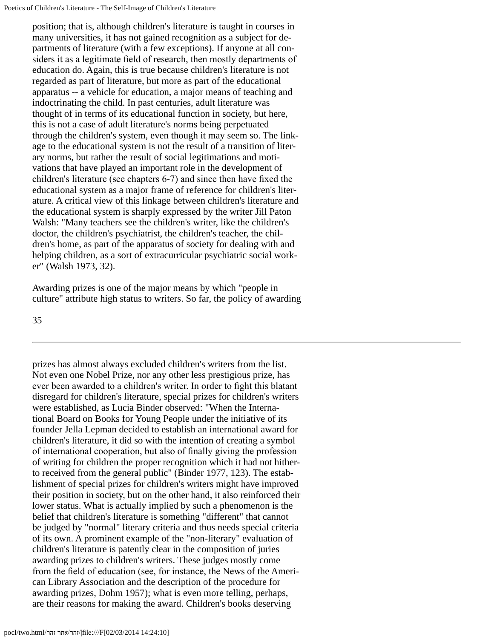position; that is, although children's literature is taught in courses in many universities, it has not gained recognition as a subject for departments of literature (with a few exceptions). If anyone at all considers it as a legitimate field of research, then mostly departments of education do. Again, this is true because children's literature is not regarded as part of literature, but more as part of the educational apparatus -- a vehicle for education, a major means of teaching and indoctrinating the child. In past centuries, adult literature was thought of in terms of its educational function in society, but here, this is not a case of adult literature's norms being perpetuated through the children's system, even though it may seem so. The linkage to the educational system is not the result of a transition of literary norms, but rather the result of social legitimations and motivations that have played an important role in the development of children's literature (see chapters 6-7) and since then have fixed the educational system as a major frame of reference for children's literature. A critical view of this linkage between children's literature and the educational system is sharply expressed by the writer Jill Paton Walsh: "Many teachers see the children's writer, like the children's doctor, the children's psychiatrist, the children's teacher, the children's home, as part of the apparatus of society for dealing with and helping children, as a sort of extracurricular psychiatric social worker" (Walsh 1973, 32).

Awarding prizes is one of the major means by which "people in culture" attribute high status to writers. So far, the policy of awarding

35

prizes has almost always excluded children's writers from the list. Not even one Nobel Prize, nor any other less prestigious prize, has ever been awarded to a children's writer. In order to fight this blatant disregard for children's literature, special prizes for children's writers were established, as Lucia Binder observed: "When the International Board on Books for Young People under the initiative of its founder Jella Lepman decided to establish an international award for children's literature, it did so with the intention of creating a symbol of international cooperation, but also of finally giving the profession of writing for children the proper recognition which it had not hitherto received from the general public" (Binder 1977, 123). The establishment of special prizes for children's writers might have improved their position in society, but on the other hand, it also reinforced their lower status. What is actually implied by such a phenomenon is the belief that children's literature is something "different" that cannot be judged by "normal" literary criteria and thus needs special criteria of its own. A prominent example of the "non-literary" evaluation of children's literature is patently clear in the composition of juries awarding prizes to children's writers. These judges mostly come from the field of education (see, for instance, the News of the American Library Association and the description of the procedure for awarding prizes, Dohm 1957); what is even more telling, perhaps, are their reasons for making the award. Children's books deserving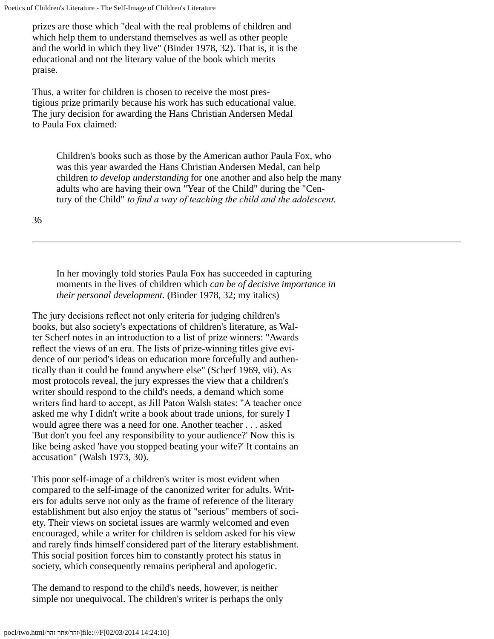prizes are those which "deal with the real problems of children and which help them to understand themselves as well as other people and the world in which they live" (Binder 1978, 32). That is, it is the educational and not the literary value of the book which merits praise.

Thus, a writer for children is chosen to receive the most prestigious prize primarily because his work has such educational value. The jury decision for awarding the Hans Christian Andersen Medal to Paula Fox claimed:

Children's books such as those by the American author Paula Fox, who was this year awarded the Hans Christian Andersen Medal, can help children *to develop understanding* for one another and also help the many adults who are having their own "Year of the Child" during the "Century of the Child" *to find a way of teaching the child and the adolescent*.

36

In her movingly told stories Paula Fox has succeeded in capturing moments in the lives of children which *can be of decisive importance in their personal development*. (Binder 1978, 32; my italics)

The jury decisions reflect not only criteria for judging children's books, but also society's expectations of children's literature, as Walter Scherf notes in an introduction to a list of prize winners: "Awards reflect the views of an era. The lists of prize-winning titles give evidence of our period's ideas on education more forcefully and authentically than it could be found anywhere else" (Scherf 1969, vii). As most protocols reveal, the jury expresses the view that a children's writer should respond to the child's needs, a demand which some writers find hard to accept, as Jill Paton Walsh states: "A teacher once asked me why I didn't write a book about trade unions, for surely I would agree there was a need for one. Another teacher . . . asked 'But don't you feel any responsibility to your audience?' Now this is like being asked 'have you stopped beating your wife?' It contains an accusation" (Walsh 1973, 30).

This poor self-image of a children's writer is most evident when compared to the self-image of the canonized writer for adults. Writers for adults serve not only as the frame of reference of the literary establishment but also enjoy the status of "serious" members of society. Their views on societal issues are warmly welcomed and even encouraged, while a writer for children is seldom asked for his view and rarely finds himself considered part of the literary establishment. This social position forces him to constantly protect his status in society, which consequently remains peripheral and apologetic.

The demand to respond to the child's needs, however, is neither simple nor unequivocal. The children's writer is perhaps the only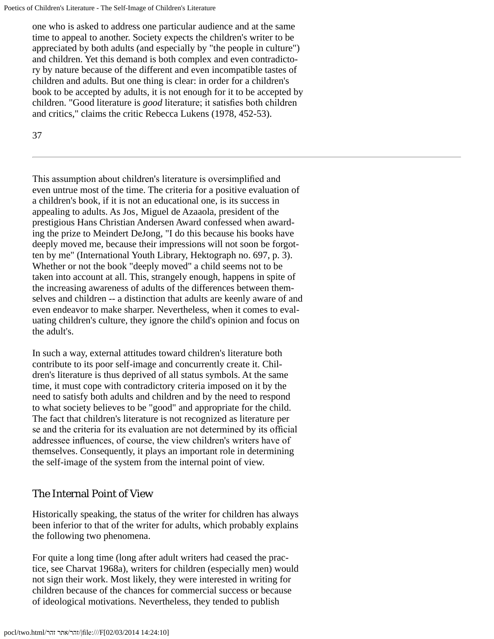one who is asked to address one particular audience and at the same time to appeal to another. Society expects the children's writer to be appreciated by both adults (and especially by "the people in culture") and children. Yet this demand is both complex and even contradictory by nature because of the different and even incompatible tastes of children and adults. But one thing is clear: in order for a children's book to be accepted by adults, it is not enough for it to be accepted by children. "Good literature is *good* literature; it satisfies both children and critics," claims the critic Rebecca Lukens (1978, 452-53).

37

This assumption about children's literature is oversimplified and even untrue most of the time. The criteria for a positive evaluation of a children's book, if it is not an educational one, is its success in appealing to adults. As Jos, Miguel de Azaaola, president of the prestigious Hans Christian Andersen Award confessed when awarding the prize to Meindert DeJong, "I do this because his books have deeply moved me, because their impressions will not soon be forgotten by me" (International Youth Library, Hektograph no. 697, p. 3). Whether or not the book "deeply moved" a child seems not to be taken into account at all. This, strangely enough, happens in spite of the increasing awareness of adults of the differences between themselves and children -- a distinction that adults are keenly aware of and even endeavor to make sharper. Nevertheless, when it comes to evaluating children's culture, they ignore the child's opinion and focus on the adult's.

In such a way, external attitudes toward children's literature both contribute to its poor self-image and concurrently create it. Children's literature is thus deprived of all status symbols. At the same time, it must cope with contradictory criteria imposed on it by the need to satisfy both adults and children and by the need to respond to what society believes to be "good" and appropriate for the child. The fact that children's literature is not recognized as literature per se and the criteria for its evaluation are not determined by its official addressee influences, of course, the view children's writers have of themselves. Consequently, it plays an important role in determining the self-image of the system from the internal point of view.

### The Internal Point of View

Historically speaking, the status of the writer for children has always been inferior to that of the writer for adults, which probably explains the following two phenomena.

For quite a long time (long after adult writers had ceased the practice, see Charvat 1968a), writers for children (especially men) would not sign their work. Most likely, they were interested in writing for children because of the chances for commercial success or because of ideological motivations. Nevertheless, they tended to publish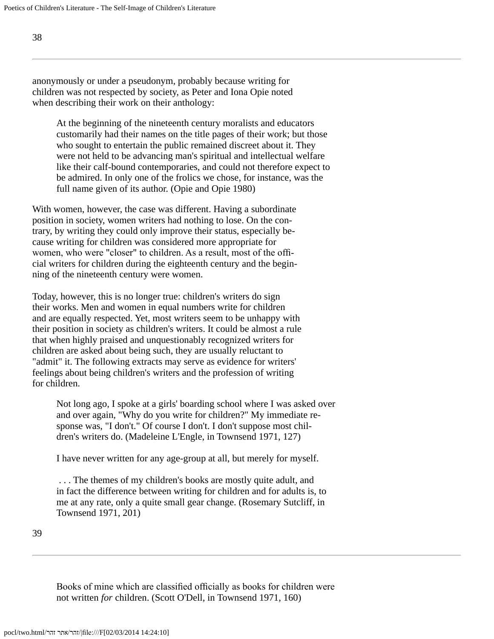38

anonymously or under a pseudonym, probably because writing for children was not respected by society, as Peter and Iona Opie noted when describing their work on their anthology:

At the beginning of the nineteenth century moralists and educators customarily had their names on the title pages of their work; but those who sought to entertain the public remained discreet about it. They were not held to be advancing man's spiritual and intellectual welfare like their calf-bound contemporaries, and could not therefore expect to be admired. In only one of the frolics we chose, for instance, was the full name given of its author. (Opie and Opie 1980)

With women, however, the case was different. Having a subordinate position in society, women writers had nothing to lose. On the contrary, by writing they could only improve their status, especially because writing for children was considered more appropriate for women, who were "closer" to children. As a result, most of the official writers for children during the eighteenth century and the beginning of the nineteenth century were women.

Today, however, this is no longer true: children's writers do sign their works. Men and women in equal numbers write for children and are equally respected. Yet, most writers seem to be unhappy with their position in society as children's writers. It could be almost a rule that when highly praised and unquestionably recognized writers for children are asked about being such, they are usually reluctant to "admit" it. The following extracts may serve as evidence for writers' feelings about being children's writers and the profession of writing for children.

Not long ago, I spoke at a girls' boarding school where I was asked over and over again, "Why do you write for children?" My immediate response was, "I don't." Of course I don't. I don't suppose most children's writers do. (Madeleine L'Engle, in Townsend 1971, 127)

I have never written for any age-group at all, but merely for myself.

 . . . The themes of my children's books are mostly quite adult, and in fact the difference between writing for children and for adults is, to me at any rate, only a quite small gear change. (Rosemary Sutcliff, in Townsend 1971, 201)

39

Books of mine which are classified officially as books for children were not written *for* children. (Scott O'Dell, in Townsend 1971, 160)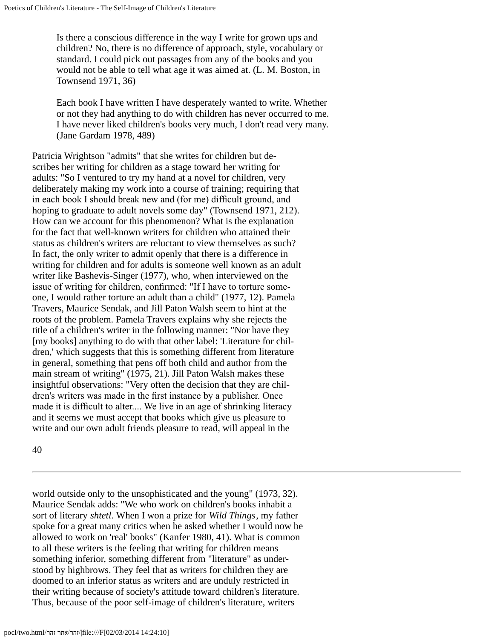Is there a conscious difference in the way I write for grown ups and children? No, there is no difference of approach, style, vocabulary or standard. I could pick out passages from any of the books and you would not be able to tell what age it was aimed at. (L. M. Boston, in Townsend 1971, 36)

Each book I have written I have desperately wanted to write. Whether or not they had anything to do with children has never occurred to me. I have never liked children's books very much, I don't read very many. (Jane Gardam 1978, 489)

Patricia Wrightson "admits" that she writes for children but describes her writing for children as a stage toward her writing for adults: "So I ventured to try my hand at a novel for children, very deliberately making my work into a course of training; requiring that in each book I should break new and (for me) difficult ground, and hoping to graduate to adult novels some day" (Townsend 1971, 212). How can we account for this phenomenon? What is the explanation for the fact that well-known writers for children who attained their status as children's writers are reluctant to view themselves as such? In fact, the only writer to admit openly that there is a difference in writing for children and for adults is someone well known as an adult writer like Bashevis-Singer (1977), who, when interviewed on the issue of writing for children, confirmed: "If I have to torture someone, I would rather torture an adult than a child" (1977, 12). Pamela Travers, Maurice Sendak, and Jill Paton Walsh seem to hint at the roots of the problem. Pamela Travers explains why she rejects the title of a children's writer in the following manner: "Nor have they [my books] anything to do with that other label: 'Literature for children,' which suggests that this is something different from literature in general, something that pens off both child and author from the main stream of writing" (1975, 21). Jill Paton Walsh makes these insightful observations: "Very often the decision that they are children's writers was made in the first instance by a publisher. Once made it is difficult to alter.... We live in an age of shrinking literacy and it seems we must accept that books which give us pleasure to write and our own adult friends pleasure to read, will appeal in the

40

world outside only to the unsophisticated and the young" (1973, 32). Maurice Sendak adds: "We who work on children's books inhabit a sort of literary *shtetl*. When I won a prize for *Wild Things*, my father spoke for a great many critics when he asked whether I would now be allowed to work on 'real' books" (Kanfer 1980, 41). What is common to all these writers is the feeling that writing for children means something inferior, something different from "literature" as understood by highbrows. They feel that as writers for children they are doomed to an inferior status as writers and are unduly restricted in their writing because of society's attitude toward children's literature. Thus, because of the poor self-image of children's literature, writers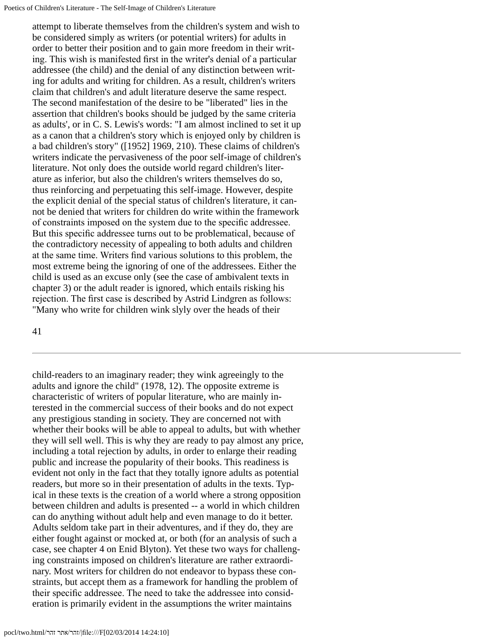attempt to liberate themselves from the children's system and wish to be considered simply as writers (or potential writers) for adults in order to better their position and to gain more freedom in their writing. This wish is manifested first in the writer's denial of a particular addressee (the child) and the denial of any distinction between writing for adults and writing for children. As a result, children's writers claim that children's and adult literature deserve the same respect. The second manifestation of the desire to be "liberated" lies in the assertion that children's books should be judged by the same criteria as adults', or in C. S. Lewis's words: "I am almost inclined to set it up as a canon that a children's story which is enjoyed only by children is a bad children's story" ([1952] 1969, 210). These claims of children's writers indicate the pervasiveness of the poor self-image of children's literature. Not only does the outside world regard children's literature as inferior, but also the children's writers themselves do so, thus reinforcing and perpetuating this self-image. However, despite the explicit denial of the special status of children's literature, it cannot be denied that writers for children do write within the framework of constraints imposed on the system due to the specific addressee. But this specific addressee turns out to be problematical, because of the contradictory necessity of appealing to both adults and children at the same time. Writers find various solutions to this problem, the most extreme being the ignoring of one of the addressees. Either the child is used as an excuse only (see the case of ambivalent texts in chapter 3) or the adult reader is ignored, which entails risking his rejection. The first case is described by Astrid Lindgren as follows: "Many who write for children wink slyly over the heads of their

41

child-readers to an imaginary reader; they wink agreeingly to the adults and ignore the child" (1978, 12). The opposite extreme is characteristic of writers of popular literature, who are mainly interested in the commercial success of their books and do not expect any prestigious standing in society. They are concerned not with whether their books will be able to appeal to adults, but with whether they will sell well. This is why they are ready to pay almost any price, including a total rejection by adults, in order to enlarge their reading public and increase the popularity of their books. This readiness is evident not only in the fact that they totally ignore adults as potential readers, but more so in their presentation of adults in the texts. Typical in these texts is the creation of a world where a strong opposition between children and adults is presented -- a world in which children can do anything without adult help and even manage to do it better. Adults seldom take part in their adventures, and if they do, they are either fought against or mocked at, or both (for an analysis of such a case, see chapter 4 on Enid Blyton). Yet these two ways for challenging constraints imposed on children's literature are rather extraordinary. Most writers for children do not endeavor to bypass these constraints, but accept them as a framework for handling the problem of their specific addressee. The need to take the addressee into consideration is primarily evident in the assumptions the writer maintains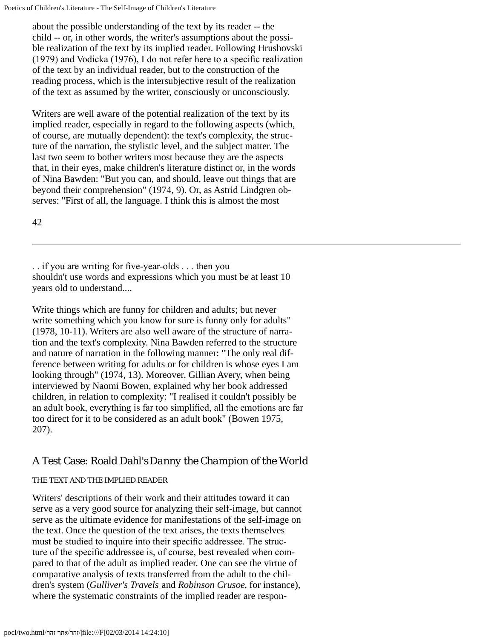about the possible understanding of the text by its reader -- the child -- or, in other words, the writer's assumptions about the possible realization of the text by its implied reader. Following Hrushovski (1979) and Vodicka (1976), I do not refer here to a specific realization of the text by an individual reader, but to the construction of the reading process, which is the intersubjective result of the realization of the text as assumed by the writer, consciously or unconsciously.

Writers are well aware of the potential realization of the text by its implied reader, especially in regard to the following aspects (which, of course, are mutually dependent): the text's complexity, the structure of the narration, the stylistic level, and the subject matter. The last two seem to bother writers most because they are the aspects that, in their eyes, make children's literature distinct or, in the words of Nina Bawden: "But you can, and should, leave out things that are beyond their comprehension" (1974, 9). Or, as Astrid Lindgren observes: "First of all, the language. I think this is almost the most

42

. . if you are writing for five-year-olds . . . then you shouldn't use words and expressions which you must be at least 10 years old to understand....

Write things which are funny for children and adults; but never write something which you know for sure is funny only for adults" (1978, 10-11). Writers are also well aware of the structure of narration and the text's complexity. Nina Bawden referred to the structure and nature of narration in the following manner: "The only real difference between writing for adults or for children is whose eyes I am looking through" (1974, 13). Moreover, Gillian Avery, when being interviewed by Naomi Bowen, explained why her book addressed children, in relation to complexity: "I realised it couldn't possibly be an adult book, everything is far too simplified, all the emotions are far too direct for it to be considered as an adult book" (Bowen 1975, 207).

# A Test Case: Roald Dahl's *Danny the Champion of the World*

### THE TEXT AND THE IMPLIED READER

Writers' descriptions of their work and their attitudes toward it can serve as a very good source for analyzing their self-image, but cannot serve as the ultimate evidence for manifestations of the self-image on the text. Once the question of the text arises, the texts themselves must be studied to inquire into their specific addressee. The structure of the specific addressee is, of course, best revealed when compared to that of the adult as implied reader. One can see the virtue of comparative analysis of texts transferred from the adult to the children's system (*Gulliver's Travels* and *Robinson Crusoe*, for instance), where the systematic constraints of the implied reader are respon-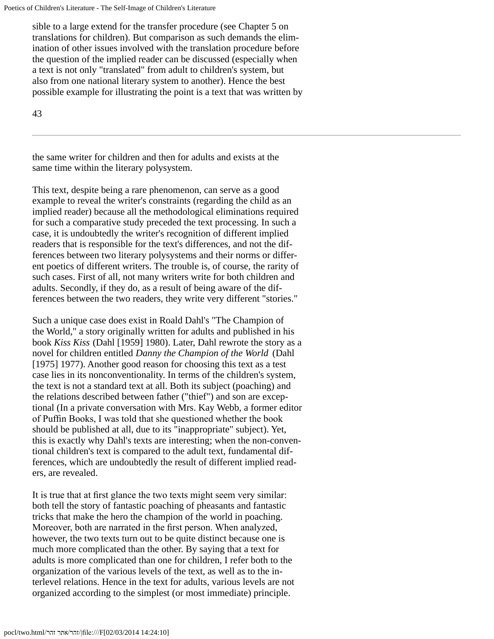sible to a large extend for the transfer procedure (see Chapter 5 on translations for children). But comparison as such demands the elimination of other issues involved with the translation procedure before the question of the implied reader can be discussed (especially when a text is not only "translated" from adult to children's system, but also from one national literary system to another). Hence the best possible example for illustrating the point is a text that was written by

43

the same writer for children and then for adults and exists at the same time within the literary polysystem.

This text, despite being a rare phenomenon, can serve as a good example to reveal the writer's constraints (regarding the child as an implied reader) because all the methodological eliminations required for such a comparative study preceded the text processing. In such a case, it is undoubtedly the writer's recognition of different implied readers that is responsible for the text's differences, and not the differences between two literary polysystems and their norms or different poetics of different writers. The trouble is, of course, the rarity of such cases. First of all, not many writers write for both children and adults. Secondly, if they do, as a result of being aware of the differences between the two readers, they write very different "stories."

Such a unique case does exist in Roald Dahl's "The Champion of the World," a story originally written for adults and published in his book *Kiss Kiss* (Dahl [1959] 1980). Later, Dahl rewrote the story as a novel for children entitled *Danny the Champion of the World* (Dahl [1975] 1977). Another good reason for choosing this text as a test case lies in its nonconventionality. In terms of the children's system, the text is not a standard text at all. Both its subject (poaching) and the relations described between father ("thief") and son are exceptional (In a private conversation with Mrs. Kay Webb, a former editor of Puffin Books, I was told that she questioned whether the book should be published at all, due to its "inappropriate" subject). Yet, this is exactly why Dahl's texts are interesting; when the non-conventional children's text is compared to the adult text, fundamental differences, which are undoubtedly the result of different implied readers, are revealed.

It is true that at first glance the two texts might seem very similar: both tell the story of fantastic poaching of pheasants and fantastic tricks that make the hero the champion of the world in poaching. Moreover, both are narrated in the first person. When analyzed, however, the two texts turn out to be quite distinct because one is much more complicated than the other. By saying that a text for adults is more complicated than one for children, I refer both to the organization of the various levels of the text, as well as to the interlevel relations. Hence in the text for adults, various levels are not organized according to the simplest (or most immediate) principle.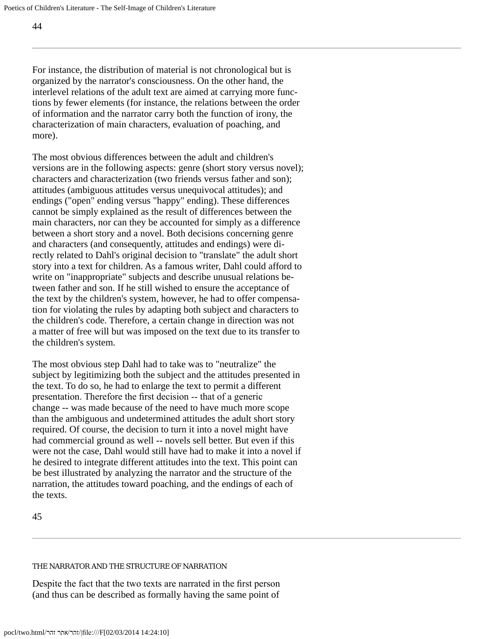For instance, the distribution of material is not chronological but is organized by the narrator's consciousness. On the other hand, the interlevel relations of the adult text are aimed at carrying more functions by fewer elements (for instance, the relations between the order of information and the narrator carry both the function of irony, the characterization of main characters, evaluation of poaching, and more).

The most obvious differences between the adult and children's versions are in the following aspects: genre (short story versus novel); characters and characterization (two friends versus father and son); attitudes (ambiguous attitudes versus unequivocal attitudes); and endings ("open" ending versus "happy" ending). These differences cannot be simply explained as the result of differences between the main characters, nor can they be accounted for simply as a difference between a short story and a novel. Both decisions concerning genre and characters (and consequently, attitudes and endings) were directly related to Dahl's original decision to "translate" the adult short story into a text for children. As a famous writer, Dahl could afford to write on "inappropriate" subjects and describe unusual relations between father and son. If he still wished to ensure the acceptance of the text by the children's system, however, he had to offer compensation for violating the rules by adapting both subject and characters to the children's code. Therefore, a certain change in direction was not a matter of free will but was imposed on the text due to its transfer to the children's system.

The most obvious step Dahl had to take was to "neutralize" the subject by legitimizing both the subject and the attitudes presented in the text. To do so, he had to enlarge the text to permit a different presentation. Therefore the first decision -- that of a generic change -- was made because of the need to have much more scope than the ambiguous and undetermined attitudes the adult short story required. Of course, the decision to turn it into a novel might have had commercial ground as well -- novels sell better. But even if this were not the case, Dahl would still have had to make it into a novel if he desired to integrate different attitudes into the text. This point can be best illustrated by analyzing the narrator and the structure of the narration, the attitudes toward poaching, and the endings of each of the texts.

45

#### THE NARRATOR AND THE STRUCTURE OF NARRATION

Despite the fact that the two texts are narrated in the first person (and thus can be described as formally having the same point of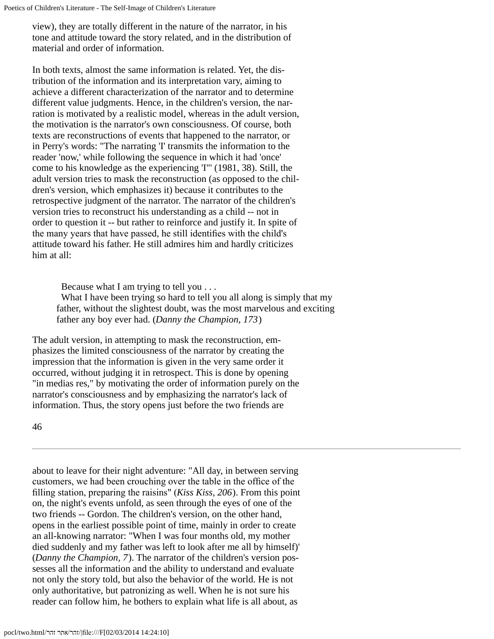view), they are totally different in the nature of the narrator, in his tone and attitude toward the story related, and in the distribution of material and order of information.

In both texts, almost the same information is related. Yet, the distribution of the information and its interpretation vary, aiming to achieve a different characterization of the narrator and to determine different value judgments. Hence, in the children's version, the narration is motivated by a realistic model, whereas in the adult version, the motivation is the narrator's own consciousness. Of course, both texts are reconstructions of events that happened to the narrator, or in Perry's words: "The narrating 'I' transmits the information to the reader 'now,' while following the sequence in which it had 'once' come to his knowledge as the experiencing 'I"' (1981, 38). Still, the adult version tries to mask the reconstruction (as opposed to the children's version, which emphasizes it) because it contributes to the retrospective judgment of the narrator. The narrator of the children's version tries to reconstruct his understanding as a child -- not in order to question it -- but rather to reinforce and justify it. In spite of the many years that have passed, he still identifies with the child's attitude toward his father. He still admires him and hardly criticizes him at all:

Because what I am trying to tell you . . .

What I have been trying so hard to tell you all along is simply that my father, without the slightest doubt, was the most marvelous and exciting father any boy ever had. (*Danny the Champion, 173*)

The adult version, in attempting to mask the reconstruction, emphasizes the limited consciousness of the narrator by creating the impression that the information is given in the very same order it occurred, without judging it in retrospect. This is done by opening "in medias res," by motivating the order of information purely on the narrator's consciousness and by emphasizing the narrator's lack of information. Thus, the story opens just before the two friends are

46

about to leave for their night adventure: "All day, in between serving customers, we had been crouching over the table in the office of the filling station, preparing the raisins" (*Kiss Kiss, 206*). From this point on, the night's events unfold, as seen through the eyes of one of the two friends -- Gordon. The children's version, on the other hand, opens in the earliest possible point of time, mainly in order to create an all-knowing narrator: "When I was four months old, my mother died suddenly and my father was left to look after me all by himself)' (*Danny the Champion, 7*). The narrator of the children's version possesses all the information and the ability to understand and evaluate not only the story told, but also the behavior of the world. He is not only authoritative, but patronizing as well. When he is not sure his reader can follow him, he bothers to explain what life is all about, as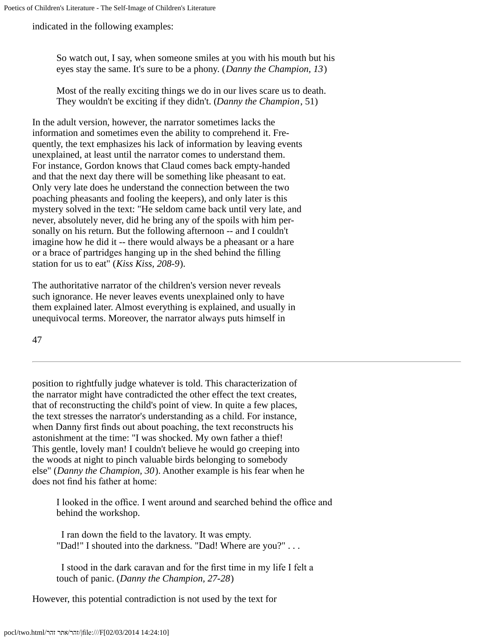indicated in the following examples:

So watch out, I say, when someone smiles at you with his mouth but his eyes stay the same. It's sure to be a phony. (*Danny the Champion, 13*)

Most of the really exciting things we do in our lives scare us to death. They wouldn't be exciting if they didn't. (*Danny the Champion*, 51)

In the adult version, however, the narrator sometimes lacks the information and sometimes even the ability to comprehend it. Frequently, the text emphasizes his lack of information by leaving events unexplained, at least until the narrator comes to understand them. For instance, Gordon knows that Claud comes back empty-handed and that the next day there will be something like pheasant to eat. Only very late does he understand the connection between the two poaching pheasants and fooling the keepers), and only later is this mystery solved in the text: "He seldom came back until very late, and never, absolutely never, did he bring any of the spoils with him personally on his return. But the following afternoon -- and I couldn't imagine how he did it -- there would always be a pheasant or a hare or a brace of partridges hanging up in the shed behind the filling station for us to eat" (*Kiss Kiss, 208-9*).

The authoritative narrator of the children's version never reveals such ignorance. He never leaves events unexplained only to have them explained later. Almost everything is explained, and usually in unequivocal terms. Moreover, the narrator always puts himself in

47

position to rightfully judge whatever is told. This characterization of the narrator might have contradicted the other effect the text creates, that of reconstructing the child's point of view. In quite a few places, the text stresses the narrator's understanding as a child. For instance, when Danny first finds out about poaching, the text reconstructs his astonishment at the time: "I was shocked. My own father a thief! This gentle, lovely man! I couldn't believe he would go creeping into the woods at night to pinch valuable birds belonging to somebody else" (*Danny the Champion, 30*). Another example is his fear when he does not find his father at home:

I looked in the office. I went around and searched behind the office and behind the workshop.

 I ran down the field to the lavatory. It was empty. "Dad!" I shouted into the darkness. "Dad! Where are you?" . . .

 I stood in the dark caravan and for the first time in my life I felt a touch of panic. (*Danny the Champion, 27-28*)

However, this potential contradiction is not used by the text for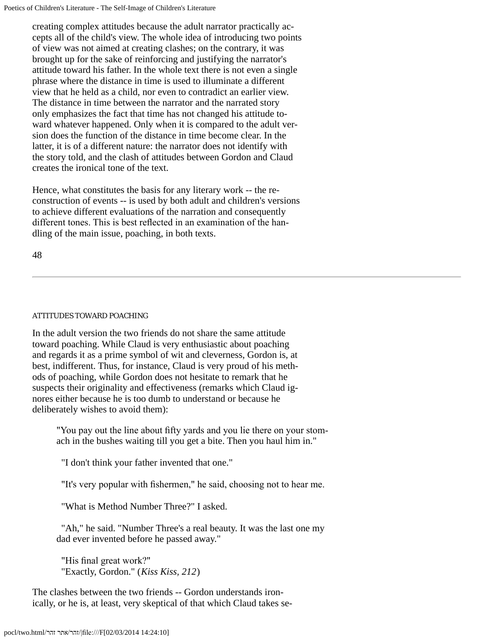creating complex attitudes because the adult narrator practically accepts all of the child's view. The whole idea of introducing two points of view was not aimed at creating clashes; on the contrary, it was brought up for the sake of reinforcing and justifying the narrator's attitude toward his father. In the whole text there is not even a single phrase where the distance in time is used to illuminate a different view that he held as a child, nor even to contradict an earlier view. The distance in time between the narrator and the narrated story only emphasizes the fact that time has not changed his attitude toward whatever happened. Only when it is compared to the adult version does the function of the distance in time become clear. In the latter, it is of a different nature: the narrator does not identify with the story told, and the clash of attitudes between Gordon and Claud creates the ironical tone of the text.

Hence, what constitutes the basis for any literary work -- the reconstruction of events -- is used by both adult and children's versions to achieve different evaluations of the narration and consequently different tones. This is best reflected in an examination of the handling of the main issue, poaching, in both texts.

48

#### ATTITUDES TOWARD POACHING

In the adult version the two friends do not share the same attitude toward poaching. While Claud is very enthusiastic about poaching and regards it as a prime symbol of wit and cleverness, Gordon is, at best, indifferent. Thus, for instance, Claud is very proud of his methods of poaching, while Gordon does not hesitate to remark that he suspects their originality and effectiveness (remarks which Claud ignores either because he is too dumb to understand or because he deliberately wishes to avoid them):

"You pay out the line about fifty yards and you lie there on your stomach in the bushes waiting till you get a bite. Then you haul him in."

"I don't think your father invented that one."

"It's very popular with fishermen," he said, choosing not to hear me.

"What is Method Number Three?" I asked.

 "Ah," he said. "Number Three's a real beauty. It was the last one my dad ever invented before he passed away."

 "His final great work?" "Exactly, Gordon." (*Kiss Kiss, 212*)

The clashes between the two friends -- Gordon understands ironically, or he is, at least, very skeptical of that which Claud takes se-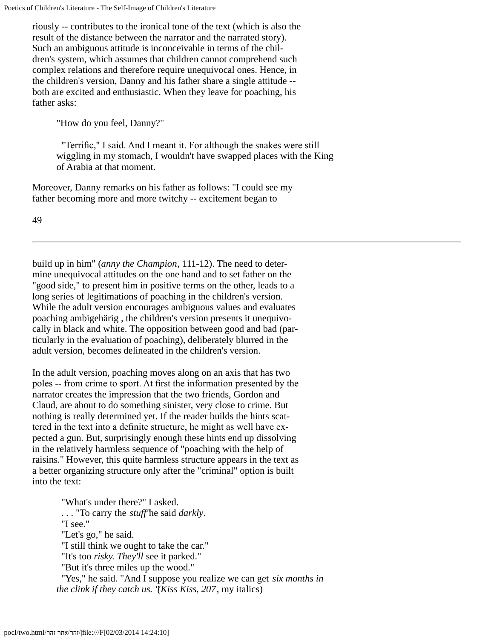riously -- contributes to the ironical tone of the text (which is also the result of the distance between the narrator and the narrated story). Such an ambiguous attitude is inconceivable in terms of the children's system, which assumes that children cannot comprehend such complex relations and therefore require unequivocal ones. Hence, in the children's version, Danny and his father share a single attitude - both are excited and enthusiastic. When they leave for poaching, his father asks:

"How do you feel, Danny?"

 "Terrific," I said. And I meant it. For although the snakes were still wiggling in my stomach, I wouldn't have swapped places with the King of Arabia at that moment.

Moreover, Danny remarks on his father as follows: "I could see my father becoming more and more twitchy -- excitement began to

49

build up in him" (*anny the Champion*, 111-12). The need to determine unequivocal attitudes on the one hand and to set father on the "good side," to present him in positive terms on the other, leads to a long series of legitimations of poaching in the children's version. While the adult version encourages ambiguous values and evaluates poaching ambigehärig , the children's version presents it unequivocally in black and white. The opposition between good and bad (particularly in the evaluation of poaching), deliberately blurred in the adult version, becomes delineated in the children's version.

In the adult version, poaching moves along on an axis that has two poles -- from crime to sport. At first the information presented by the narrator creates the impression that the two friends, Gordon and Claud, are about to do something sinister, very close to crime. But nothing is really determined yet. If the reader builds the hints scattered in the text into a definite structure, he might as well have expected a gun. But, surprisingly enough these hints end up dissolving in the relatively harmless sequence of "poaching with the help of raisins." However, this quite harmless structure appears in the text as a better organizing structure only after the "criminal" option is built into the text:

 "What's under there?" I asked. . . . "To carry the *stuff"* he said *darkly*. "I see." "Let's go," he said. "I still think we ought to take the car." "It's too *risky. They'll* see it parked." "But it's three miles up the wood." "Yes," he said. "And I suppose you realize we can get *six months in the clink if they catch us. " (Kiss Kiss, 207*, my italics)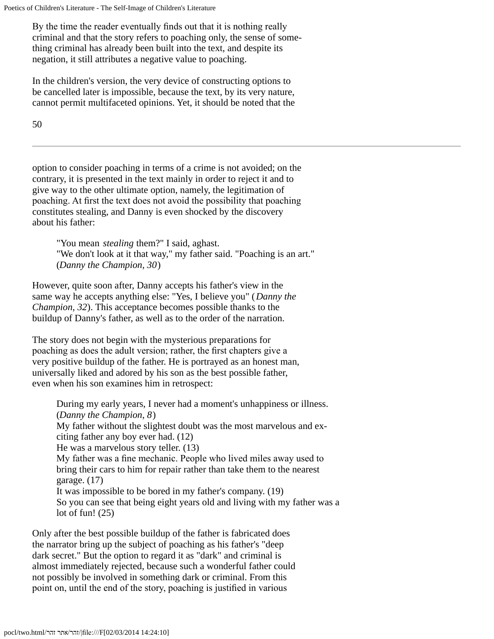By the time the reader eventually finds out that it is nothing really criminal and that the story refers to poaching only, the sense of something criminal has already been built into the text, and despite its negation, it still attributes a negative value to poaching.

In the children's version, the very device of constructing options to be cancelled later is impossible, because the text, by its very nature, cannot permit multifaceted opinions. Yet, it should be noted that the

50

option to consider poaching in terms of a crime is not avoided; on the contrary, it is presented in the text mainly in order to reject it and to give way to the other ultimate option, namely, the legitimation of poaching. At first the text does not avoid the possibility that poaching constitutes stealing, and Danny is even shocked by the discovery about his father:

"You mean *stealing* them?" I said, aghast. "We don't look at it that way," my father said. "Poaching is an art." (*Danny the Champion, 30*)

However, quite soon after, Danny accepts his father's view in the same way he accepts anything else: "Yes, I believe you" (*Danny the Champion, 32*). This acceptance becomes possible thanks to the buildup of Danny's father, as well as to the order of the narration.

The story does not begin with the mysterious preparations for poaching as does the adult version; rather, the first chapters give a very positive buildup of the father. He is portrayed as an honest man, universally liked and adored by his son as the best possible father, even when his son examines him in retrospect:

During my early years, I never had a moment's unhappiness or illness. (*Danny the Champion, 8*) My father without the slightest doubt was the most marvelous and exciting father any boy ever had. (12) He was a marvelous story teller. (13) My father was a fine mechanic. People who lived miles away used to bring their cars to him for repair rather than take them to the nearest garage. (17) It was impossible to be bored in my father's company. (19) So you can see that being eight years old and living with my father was a lot of fun! (25)

Only after the best possible buildup of the father is fabricated does the narrator bring up the subject of poaching as his father's "deep dark secret." But the option to regard it as "dark" and criminal is almost immediately rejected, because such a wonderful father could not possibly be involved in something dark or criminal. From this point on, until the end of the story, poaching is justified in various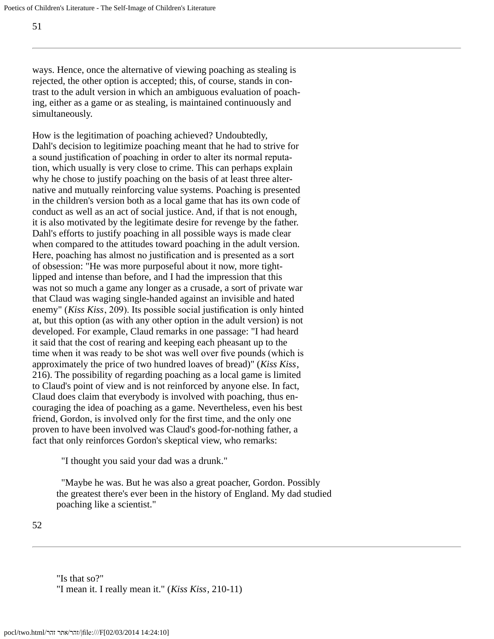ways. Hence, once the alternative of viewing poaching as stealing is rejected, the other option is accepted; this, of course, stands in contrast to the adult version in which an ambiguous evaluation of poaching, either as a game or as stealing, is maintained continuously and simultaneously.

How is the legitimation of poaching achieved? Undoubtedly, Dahl's decision to legitimize poaching meant that he had to strive for a sound justification of poaching in order to alter its normal reputation, which usually is very close to crime. This can perhaps explain why he chose to justify poaching on the basis of at least three alternative and mutually reinforcing value systems. Poaching is presented in the children's version both as a local game that has its own code of conduct as well as an act of social justice. And, if that is not enough, it is also motivated by the legitimate desire for revenge by the father. Dahl's efforts to justify poaching in all possible ways is made clear when compared to the attitudes toward poaching in the adult version. Here, poaching has almost no justification and is presented as a sort of obsession: "He was more purposeful about it now, more tightlipped and intense than before, and I had the impression that this was not so much a game any longer as a crusade, a sort of private war that Claud was waging single-handed against an invisible and hated enemy" (*Kiss Kiss*, 209). Its possible social justification is only hinted at, but this option (as with any other option in the adult version) is not developed. For example, Claud remarks in one passage: "I had heard it said that the cost of rearing and keeping each pheasant up to the time when it was ready to be shot was well over five pounds (which is approximately the price of two hundred loaves of bread)" (*Kiss Kiss*, 216). The possibility of regarding poaching as a local game is limited to Claud's point of view and is not reinforced by anyone else. In fact, Claud does claim that everybody is involved with poaching, thus encouraging the idea of poaching as a game. Nevertheless, even his best friend, Gordon, is involved only for the first time, and the only one proven to have been involved was Claud's good-for-nothing father, a fact that only reinforces Gordon's skeptical view, who remarks:

"I thought you said your dad was a drunk."

 "Maybe he was. But he was also a great poacher, Gordon. Possibly the greatest there's ever been in the history of England. My dad studied poaching like a scientist."

52

"Is that so?" "I mean it. I really mean it." (*Kiss Kiss*, 210-11)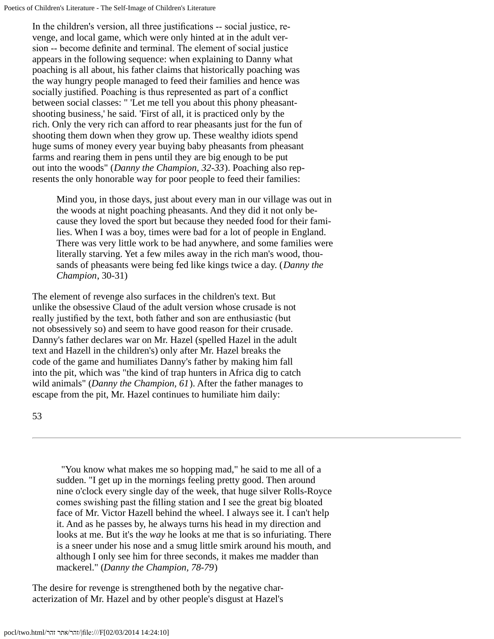In the children's version, all three justifications -- social justice, revenge, and local game, which were only hinted at in the adult version -- become definite and terminal. The element of social justice appears in the following sequence: when explaining to Danny what poaching is all about, his father claims that historically poaching was the way hungry people managed to feed their families and hence was socially justified. Poaching is thus represented as part of a conflict between social classes: " 'Let me tell you about this phony pheasantshooting business,' he said. 'First of all, it is practiced only by the rich. Only the very rich can afford to rear pheasants just for the fun of shooting them down when they grow up. These wealthy idiots spend huge sums of money every year buying baby pheasants from pheasant farms and rearing them in pens until they are big enough to be put out into the woods" (*Danny the Champion, 32-33*). Poaching also represents the only honorable way for poor people to feed their families:

Mind you, in those days, just about every man in our village was out in the woods at night poaching pheasants. And they did it not only because they loved the sport but because they needed food for their families. When I was a boy, times were bad for a lot of people in England. There was very little work to be had anywhere, and some families were literally starving. Yet a few miles away in the rich man's wood, thousands of pheasants were being fed like kings twice a day. (*Danny the Champion*, 30-31)

The element of revenge also surfaces in the children's text. But unlike the obsessive Claud of the adult version whose crusade is not really justified by the text, both father and son are enthusiastic (but not obsessively so) and seem to have good reason for their crusade. Danny's father declares war on Mr. Hazel (spelled Hazel in the adult text and Hazell in the children's) only after Mr. Hazel breaks the code of the game and humiliates Danny's father by making him fall into the pit, which was "the kind of trap hunters in Africa dig to catch wild animals" (*Danny the Champion, 61*). After the father manages to escape from the pit, Mr. Hazel continues to humiliate him daily:

53

 "You know what makes me so hopping mad," he said to me all of a sudden. "I get up in the mornings feeling pretty good. Then around nine o'clock every single day of the week, that huge silver Rolls-Royce comes swishing past the filling station and I see the great big bloated face of Mr. Victor Hazell behind the wheel. I always see it. I can't help it. And as he passes by, he always turns his head in my direction and looks at me. But it's the *way* he looks at me that is so infuriating. There is a sneer under his nose and a smug little smirk around his mouth, and although I only see him for three seconds, it makes me madder than mackerel." (*Danny the Champion, 78-79*)

The desire for revenge is strengthened both by the negative characterization of Mr. Hazel and by other people's disgust at Hazel's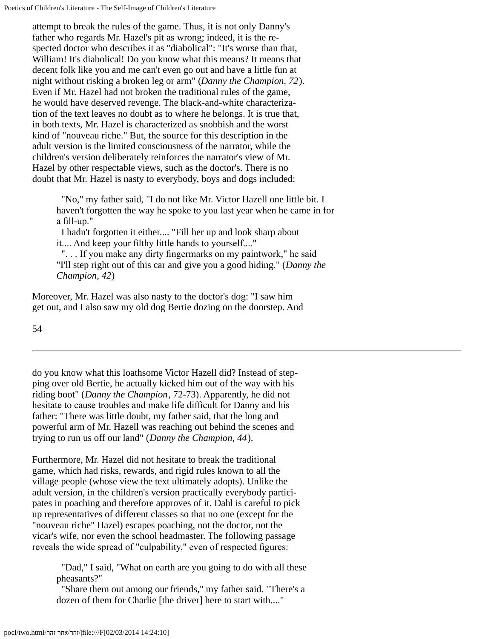attempt to break the rules of the game. Thus, it is not only Danny's father who regards Mr. Hazel's pit as wrong; indeed, it is the respected doctor who describes it as "diabolical": "It's worse than that, William! It's diabolical! Do you know what this means? It means that decent folk like you and me can't even go out and have a little fun at night without risking a broken leg or arm" (*Danny the Champion, 72*). Even if Mr. Hazel had not broken the traditional rules of the game, he would have deserved revenge. The black-and-white characterization of the text leaves no doubt as to where he belongs. It is true that, in both texts, Mr. Hazel is characterized as snobbish and the worst kind of "nouveau riche." But, the source for this description in the adult version is the limited consciousness of the narrator, while the children's version deliberately reinforces the narrator's view of Mr. Hazel by other respectable views, such as the doctor's. There is no doubt that Mr. Hazel is nasty to everybody, boys and dogs included:

 "No," my father said, "I do not like Mr. Victor Hazell one little bit. I haven't forgotten the way he spoke to you last year when he came in for a fill-up."

 I hadn't forgotten it either.... "Fill her up and look sharp about it.... And keep your filthy little hands to yourself...."

 ". . . If you make any dirty fingermarks on my paintwork," he said "I'll step right out of this car and give you a good hiding." (*Danny the Champion, 42*)

Moreover, Mr. Hazel was also nasty to the doctor's dog: "I saw him get out, and I also saw my old dog Bertie dozing on the doorstep. And

54

do you know what this loathsome Victor Hazell did? Instead of stepping over old Bertie, he actually kicked him out of the way with his riding boot" (*Danny the Champion*, 72-73). Apparently, he did not hesitate to cause troubles and make life difficult for Danny and his father: "There was little doubt, my father said, that the long and powerful arm of Mr. Hazell was reaching out behind the scenes and trying to run us off our land" (*Danny the Champion, 44*).

Furthermore, Mr. Hazel did not hesitate to break the traditional game, which had risks, rewards, and rigid rules known to all the village people (whose view the text ultimately adopts). Unlike the adult version, in the children's version practically everybody participates in poaching and therefore approves of it. Dahl is careful to pick up representatives of different classes so that no one (except for the "nouveau riche" Hazel) escapes poaching, not the doctor, not the vicar's wife, nor even the school headmaster. The following passage reveals the wide spread of "culpability," even of respected figures:

 "Dad," I said, "What on earth are you going to do with all these pheasants?"

 "Share them out among our friends," my father said. "There's a dozen of them for Charlie [the driver] here to start with...."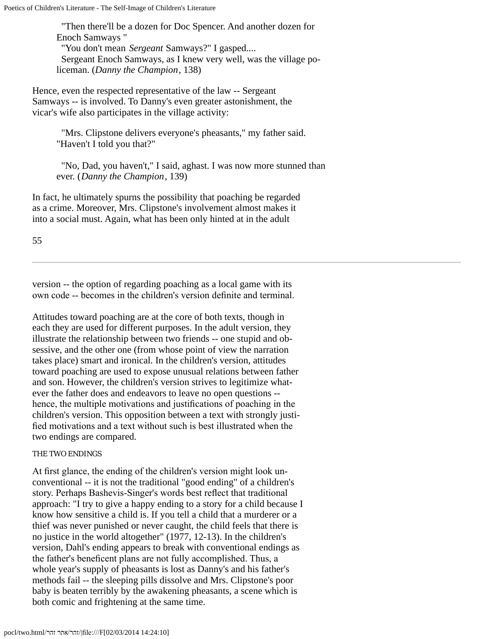"Then there'll be a dozen for Doc Spencer. And another dozen for Enoch Samways " "You don't mean *Sergeant* Samways?" I gasped.... Sergeant Enoch Samways, as I knew very well, was the village policeman. (*Danny the Champion*, 138)

Hence, even the respected representative of the law -- Sergeant Samways -- is involved. To Danny's even greater astonishment, the vicar's wife also participates in the village activity:

 "Mrs. Clipstone delivers everyone's pheasants," my father said. "Haven't I told you that?"

 "No, Dad, you haven't," I said, aghast. I was now more stunned than ever. (*Danny the Champion*, 139)

In fact, he ultimately spurns the possibility that poaching be regarded as a crime. Moreover, Mrs. Clipstone's involvement almost makes it into a social must. Again, what has been only hinted at in the adult

55

version -- the option of regarding poaching as a local game with its own code -- becomes in the children's version definite and terminal.

Attitudes toward poaching are at the core of both texts, though in each they are used for different purposes. In the adult version, they illustrate the relationship between two friends -- one stupid and obsessive, and the other one (from whose point of view the narration takes place) smart and ironical. In the children's version, attitudes toward poaching are used to expose unusual relations between father and son. However, the children's version strives to legitimize whatever the father does and endeavors to leave no open questions - hence, the multiple motivations and justifications of poaching in the children's version. This opposition between a text with strongly justified motivations and a text without such is best illustrated when the two endings are compared.

### THE TWO ENDINGS

At first glance, the ending of the children's version might look unconventional -- it is not the traditional "good ending" of a children's story. Perhaps Bashevis-Singer's words best reflect that traditional approach: "I try to give a happy ending to a story for a child because I know how sensitive a child is. If you tell a child that a murderer or a thief was never punished or never caught, the child feels that there is no justice in the world altogether" (1977, 12-13). In the children's version, Dahl's ending appears to break with conventional endings as the father's beneficent plans are not fully accomplished. Thus, a whole year's supply of pheasants is lost as Danny's and his father's methods fail -- the sleeping pills dissolve and Mrs. Clipstone's poor baby is beaten terribly by the awakening pheasants, a scene which is both comic and frightening at the same time.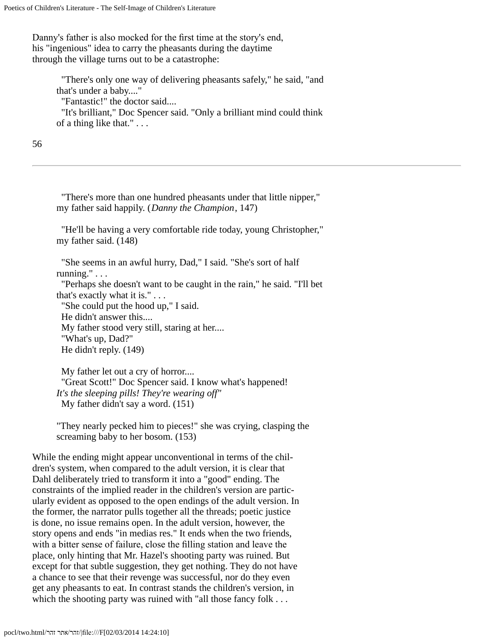of a thing like that." . . .

Danny's father is also mocked for the first time at the story's end, his "ingenious" idea to carry the pheasants during the daytime through the village turns out to be a catastrophe:

 "There's only one way of delivering pheasants safely," he said, "and that's under a baby...." "Fantastic!" the doctor said.... "It's brilliant," Doc Spencer said. "Only a brilliant mind could think

56

 "There's more than one hundred pheasants under that little nipper," my father said happily. (*Danny the Champion*, 147)

 "He'll be having a very comfortable ride today, young Christopher," my father said. (148)

 "She seems in an awful hurry, Dad," I said. "She's sort of half running." . . .

 "Perhaps she doesn't want to be caught in the rain," he said. "I'll bet that's exactly what it is." . . .

 "She could put the hood up," I said. He didn't answer this.... My father stood very still, staring at her.... "What's up, Dad?" He didn't reply. (149)

 My father let out a cry of horror.... "Great Scott!" Doc Spencer said. I know what's happened! *It's the sleeping pills! They're wearing off"* My father didn't say a word. (151)

"They nearly pecked him to pieces!" she was crying, clasping the screaming baby to her bosom. (153)

While the ending might appear unconventional in terms of the children's system, when compared to the adult version, it is clear that Dahl deliberately tried to transform it into a "good" ending. The constraints of the implied reader in the children's version are particularly evident as opposed to the open endings of the adult version. In the former, the narrator pulls together all the threads; poetic justice is done, no issue remains open. In the adult version, however, the story opens and ends "in medias res." It ends when the two friends, with a bitter sense of failure, close the filling station and leave the place, only hinting that Mr. Hazel's shooting party was ruined. But except for that subtle suggestion, they get nothing. They do not have a chance to see that their revenge was successful, nor do they even get any pheasants to eat. In contrast stands the children's version, in which the shooting party was ruined with "all those fancy folk . . .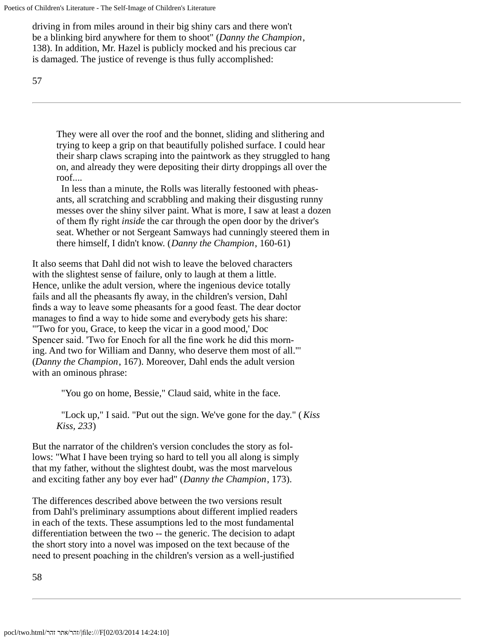driving in from miles around in their big shiny cars and there won't be a blinking bird anywhere for them to shoot" (*Danny the Champion*, 138). In addition, Mr. Hazel is publicly mocked and his precious car is damaged. The justice of revenge is thus fully accomplished:

57

They were all over the roof and the bonnet, sliding and slithering and trying to keep a grip on that beautifully polished surface. I could hear their sharp claws scraping into the paintwork as they struggled to hang on, and already they were depositing their dirty droppings all over the roof....

 In less than a minute, the Rolls was literally festooned with pheasants, all scratching and scrabbling and making their disgusting runny messes over the shiny silver paint. What is more, I saw at least a dozen of them fly right *inside* the car through the open door by the driver's seat. Whether or not Sergeant Samways had cunningly steered them in there himself, I didn't know. (*Danny the Champion*, 160-61)

It also seems that Dahl did not wish to leave the beloved characters with the slightest sense of failure, only to laugh at them a little. Hence, unlike the adult version, where the ingenious device totally fails and all the pheasants fly away, in the children's version, Dahl finds a way to leave some pheasants for a good feast. The dear doctor manages to find a way to hide some and everybody gets his share: "'Two for you, Grace, to keep the vicar in a good mood,' Doc Spencer said. 'Two for Enoch for all the fine work he did this morning. And two for William and Danny, who deserve them most of all."' (*Danny the Champion*, 167). Moreover, Dahl ends the adult version with an ominous phrase:

"You go on home, Bessie," Claud said, white in the face.

 "Lock up," I said. "Put out the sign. We've gone for the day." (*Kiss Kiss, 233*)

But the narrator of the children's version concludes the story as follows: "What I have been trying so hard to tell you all along is simply that my father, without the slightest doubt, was the most marvelous and exciting father any boy ever had" (*Danny the Champion*, 173).

The differences described above between the two versions result from Dahl's preliminary assumptions about different implied readers in each of the texts. These assumptions led to the most fundamental differentiation between the two -- the generic. The decision to adapt the short story into a novel was imposed on the text because of the need to present poaching in the children's version as a well-justified

58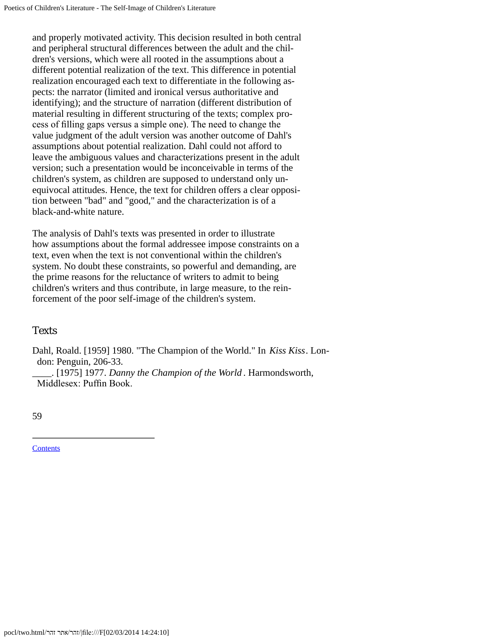and properly motivated activity. This decision resulted in both central and peripheral structural differences between the adult and the children's versions, which were all rooted in the assumptions about a different potential realization of the text. This difference in potential realization encouraged each text to differentiate in the following aspects: the narrator (limited and ironical versus authoritative and identifying); and the structure of narration (different distribution of material resulting in different structuring of the texts; complex process of filling gaps versus a simple one). The need to change the value judgment of the adult version was another outcome of Dahl's assumptions about potential realization. Dahl could not afford to leave the ambiguous values and characterizations present in the adult version; such a presentation would be inconceivable in terms of the children's system, as children are supposed to understand only unequivocal attitudes. Hence, the text for children offers a clear opposition between "bad" and "good," and the characterization is of a black-and-white nature.

The analysis of Dahl's texts was presented in order to illustrate how assumptions about the formal addressee impose constraints on a text, even when the text is not conventional within the children's system. No doubt these constraints, so powerful and demanding, are the prime reasons for the reluctance of writers to admit to being children's writers and thus contribute, in large measure, to the reinforcement of the poor self-image of the children's system.

### Texts

Dahl, Roald. [1959] 1980. "The Champion of the World." In *Kiss Kiss*. Lon don: Penguin, 206-33.

\_\_\_\_. [1975] 1977. *Danny the Champion of the World* . Harmondsworth, Middlesex: Puffin Book.

59

**[Contents](#page-1-0)**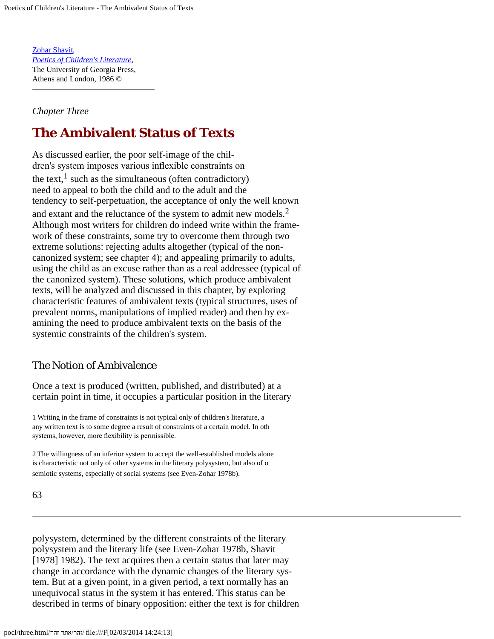Zohar Shavit, *[Poetics of Children's Literature](#page-0-0)*, The University of Georgia Press, Athens and London, 1986 ©

*Chapter Three*

# **The Ambivalent Status of Texts**

As discussed earlier, the poor self-image of the children's system imposes various inflexible constraints on the text, $<sup>1</sup>$  such as the simultaneous (often contradictory)</sup> need to appeal to both the child and to the adult and the tendency to self-perpetuation, the acceptance of only the well known and extant and the reluctance of the system to admit new models.<sup>2</sup> Although most writers for children do indeed write within the framework of these constraints, some try to overcome them through two extreme solutions: rejecting adults altogether (typical of the noncanonized system; see chapter 4); and appealing primarily to adults, using the child as an excuse rather than as a real addressee (typical of the canonized system). These solutions, which produce ambivalent texts, will be analyzed and discussed in this chapter, by exploring characteristic features of ambivalent texts (typical structures, uses of prevalent norms, manipulations of implied reader) and then by examining the need to produce ambivalent texts on the basis of the systemic constraints of the children's system.

# The Notion of Ambivalence

Once a text is produced (written, published, and distributed) at a certain point in time, it occupies a particular position in the literary

1 Writing in the frame of constraints is not typical only of children's literature, a any written text is to some degree a result of constraints of a certain model. In oth systems, however, more flexibility is permissible.

2 The willingness of an inferior system to accept the well-established models alone is characteristic not only of other systems in the literary polysystem, but also of o semiotic systems, especially of social systems (see Even-Zohar 1978b).

polysystem, determined by the different constraints of the literary polysystem and the literary life (see Even-Zohar 1978b, Shavit [1978] 1982). The text acquires then a certain status that later may change in accordance with the dynamic changes of the literary system. But at a given point, in a given period, a text normally has an unequivocal status in the system it has entered. This status can be described in terms of binary opposition: either the text is for children

<sup>63</sup>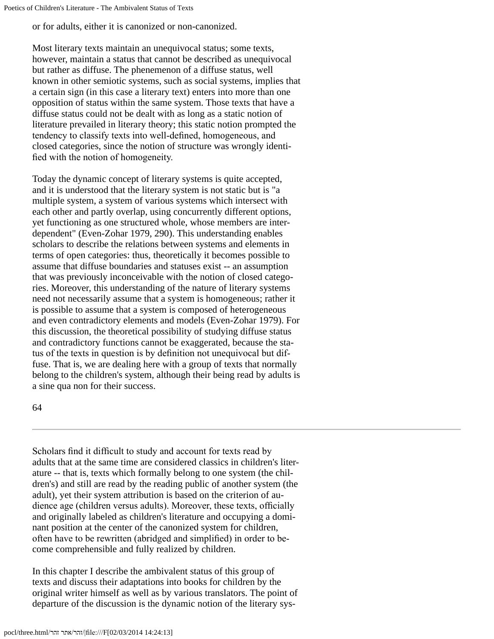or for adults, either it is canonized or non-canonized.

Most literary texts maintain an unequivocal status; some texts, however, maintain a status that cannot be described as unequivocal but rather as diffuse. The phenemenon of a diffuse status, well known in other semiotic systems, such as social systems, implies that a certain sign (in this case a literary text) enters into more than one opposition of status within the same system. Those texts that have a diffuse status could not be dealt with as long as a static notion of literature prevailed in literary theory; this static notion prompted the tendency to classify texts into well-defined, homogeneous, and closed categories, since the notion of structure was wrongly identified with the notion of homogeneity.

Today the dynamic concept of literary systems is quite accepted, and it is understood that the literary system is not static but is "a multiple system, a system of various systems which intersect with each other and partly overlap, using concurrently different options, yet functioning as one structured whole, whose members are interdependent" (Even-Zohar 1979, 290). This understanding enables scholars to describe the relations between systems and elements in terms of open categories: thus, theoretically it becomes possible to assume that diffuse boundaries and statuses exist -- an assumption that was previously inconceivable with the notion of closed categories. Moreover, this understanding of the nature of literary systems need not necessarily assume that a system is homogeneous; rather it is possible to assume that a system is composed of heterogeneous and even contradictory elements and models (Even-Zohar 1979). For this discussion, the theoretical possibility of studying diffuse status and contradictory functions cannot be exaggerated, because the status of the texts in question is by definition not unequivocal but diffuse. That is, we are dealing here with a group of texts that normally belong to the children's system, although their being read by adults is a sine qua non for their success.

64

Scholars find it difficult to study and account for texts read by adults that at the same time are considered classics in children's literature -- that is, texts which formally belong to one system (the children's) and still are read by the reading public of another system (the adult), yet their system attribution is based on the criterion of audience age (children versus adults). Moreover, these texts, officially and originally labeled as children's literature and occupying a dominant position at the center of the canonized system for children, often have to be rewritten (abridged and simplified) in order to become comprehensible and fully realized by children.

In this chapter I describe the ambivalent status of this group of texts and discuss their adaptations into books for children by the original writer himself as well as by various translators. The point of departure of the discussion is the dynamic notion of the literary sys-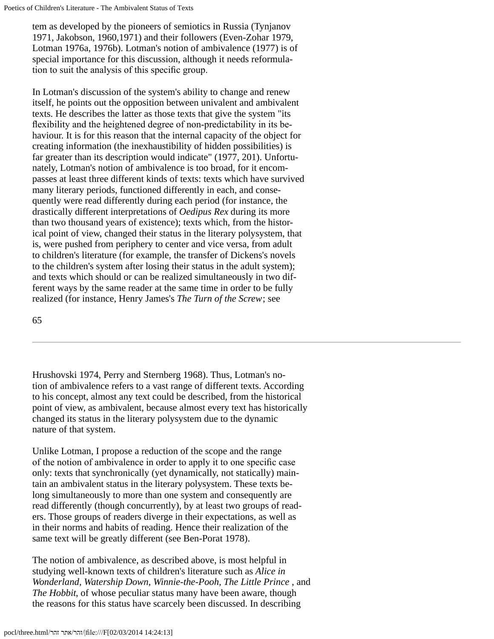tem as developed by the pioneers of semiotics in Russia (Tynjanov 1971, Jakobson, 1960,1971) and their followers (Even-Zohar 1979, Lotman 1976a, 1976b). Lotman's notion of ambivalence (1977) is of special importance for this discussion, although it needs reformulation to suit the analysis of this specific group.

In Lotman's discussion of the system's ability to change and renew itself, he points out the opposition between univalent and ambivalent texts. He describes the latter as those texts that give the system "its flexibility and the heightened degree of non-predictability in its behaviour. It is for this reason that the internal capacity of the object for creating information (the inexhaustibility of hidden possibilities) is far greater than its description would indicate" (1977, 201). Unfortunately, Lotman's notion of ambivalence is too broad, for it encompasses at least three different kinds of texts: texts which have survived many literary periods, functioned differently in each, and consequently were read differently during each period (for instance, the drastically different interpretations of *Oedipus Rex* during its more than two thousand years of existence); texts which, from the historical point of view, changed their status in the literary polysystem, that is, were pushed from periphery to center and vice versa, from adult to children's literature (for example, the transfer of Dickens's novels to the children's system after losing their status in the adult system); and texts which should or can be realized simultaneously in two different ways by the same reader at the same time in order to be fully realized (for instance, Henry James's *The Turn of the Screw*; see

65

Hrushovski 1974, Perry and Sternberg 1968). Thus, Lotman's notion of ambivalence refers to a vast range of different texts. According to his concept, almost any text could be described, from the historical point of view, as ambivalent, because almost every text has historically changed its status in the literary polysystem due to the dynamic nature of that system.

Unlike Lotman, I propose a reduction of the scope and the range of the notion of ambivalence in order to apply it to one specific case only: texts that synchronically (yet dynamically, not statically) maintain an ambivalent status in the literary polysystem. These texts belong simultaneously to more than one system and consequently are read differently (though concurrently), by at least two groups of readers. Those groups of readers diverge in their expectations, as well as in their norms and habits of reading. Hence their realization of the same text will be greatly different (see Ben-Porat 1978).

The notion of ambivalence, as described above, is most helpful in studying well-known texts of children's literature such as *Alice in Wonderland, Watership Down, Winnie-the-Pooh, The Little Prince* , and *The Hobbit*, of whose peculiar status many have been aware, though the reasons for this status have scarcely been discussed. In describing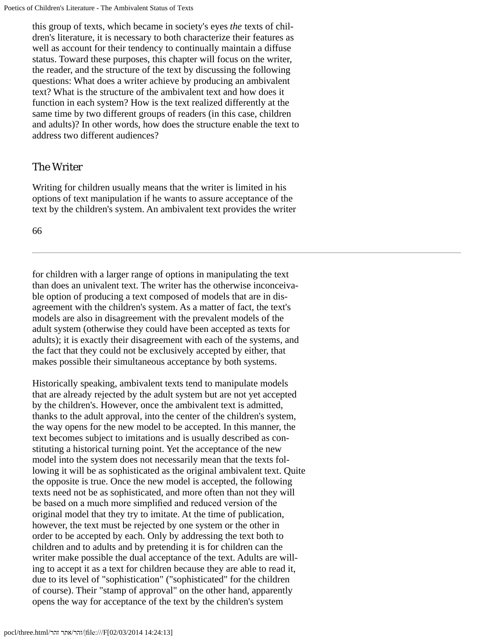this group of texts, which became in society's eyes *the* texts of children's literature, it is necessary to both characterize their features as well as account for their tendency to continually maintain a diffuse status. Toward these purposes, this chapter will focus on the writer, the reader, and the structure of the text by discussing the following questions: What does a writer achieve by producing an ambivalent text? What is the structure of the ambivalent text and how does it function in each system? How is the text realized differently at the same time by two different groups of readers (in this case, children and adults)? In other words, how does the structure enable the text to address two different audiences?

### The Writer

Writing for children usually means that the writer is limited in his options of text manipulation if he wants to assure acceptance of the text by the children's system. An ambivalent text provides the writer

66

for children with a larger range of options in manipulating the text than does an univalent text. The writer has the otherwise inconceivable option of producing a text composed of models that are in disagreement with the children's system. As a matter of fact, the text's models are also in disagreement with the prevalent models of the adult system (otherwise they could have been accepted as texts for adults); it is exactly their disagreement with each of the systems, and the fact that they could not be exclusively accepted by either, that makes possible their simultaneous acceptance by both systems.

Historically speaking, ambivalent texts tend to manipulate models that are already rejected by the adult system but are not yet accepted by the children's. However, once the ambivalent text is admitted, thanks to the adult approval, into the center of the children's system, the way opens for the new model to be accepted. In this manner, the text becomes subject to imitations and is usually described as constituting a historical turning point. Yet the acceptance of the new model into the system does not necessarily mean that the texts following it will be as sophisticated as the original ambivalent text. Quite the opposite is true. Once the new model is accepted, the following texts need not be as sophisticated, and more often than not they will be based on a much more simplified and reduced version of the original model that they try to imitate. At the time of publication, however, the text must be rejected by one system or the other in order to be accepted by each. Only by addressing the text both to children and to adults and by pretending it is for children can the writer make possible the dual acceptance of the text. Adults are willing to accept it as a text for children because they are able to read it, due to its level of "sophistication" ("sophisticated" for the children of course). Their "stamp of approval" on the other hand, apparently opens the way for acceptance of the text by the children's system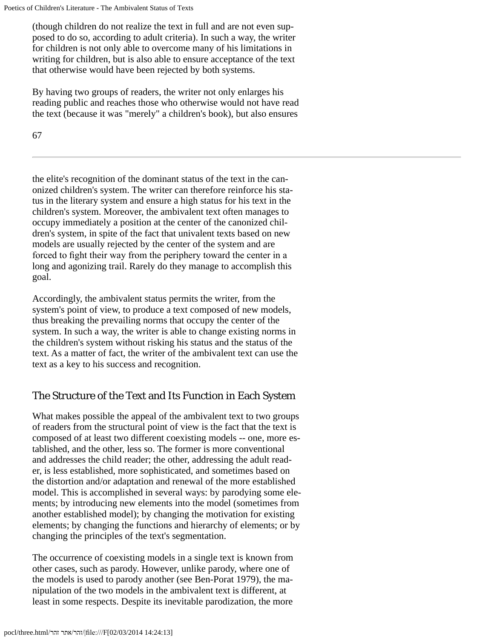(though children do not realize the text in full and are not even supposed to do so, according to adult criteria). In such a way, the writer for children is not only able to overcome many of his limitations in writing for children, but is also able to ensure acceptance of the text that otherwise would have been rejected by both systems.

By having two groups of readers, the writer not only enlarges his reading public and reaches those who otherwise would not have read the text (because it was "merely" a children's book), but also ensures

67

the elite's recognition of the dominant status of the text in the canonized children's system. The writer can therefore reinforce his status in the literary system and ensure a high status for his text in the children's system. Moreover, the ambivalent text often manages to occupy immediately a position at the center of the canonized children's system, in spite of the fact that univalent texts based on new models are usually rejected by the center of the system and are forced to fight their way from the periphery toward the center in a long and agonizing trail. Rarely do they manage to accomplish this goal.

Accordingly, the ambivalent status permits the writer, from the system's point of view, to produce a text composed of new models, thus breaking the prevailing norms that occupy the center of the system. In such a way, the writer is able to change existing norms in the children's system without risking his status and the status of the text. As a matter of fact, the writer of the ambivalent text can use the text as a key to his success and recognition.

# The Structure of the Text and Its Function in Each System

What makes possible the appeal of the ambivalent text to two groups of readers from the structural point of view is the fact that the text is composed of at least two different coexisting models -- one, more established, and the other, less so. The former is more conventional and addresses the child reader; the other, addressing the adult reader, is less established, more sophisticated, and sometimes based on the distortion and/or adaptation and renewal of the more established model. This is accomplished in several ways: by parodying some elements; by introducing new elements into the model (sometimes from another established model); by changing the motivation for existing elements; by changing the functions and hierarchy of elements; or by changing the principles of the text's segmentation.

The occurrence of coexisting models in a single text is known from other cases, such as parody. However, unlike parody, where one of the models is used to parody another (see Ben-Porat 1979), the manipulation of the two models in the ambivalent text is different, at least in some respects. Despite its inevitable parodization, the more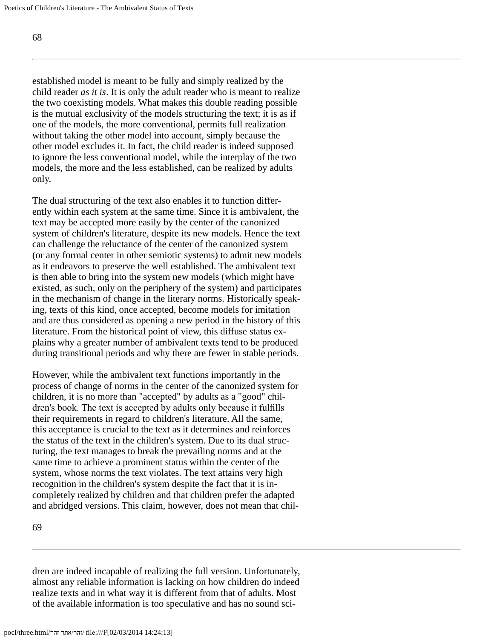established model is meant to be fully and simply realized by the child reader *as it is*. It is only the adult reader who is meant to realize the two coexisting models. What makes this double reading possible is the mutual exclusivity of the models structuring the text; it is as if one of the models, the more conventional, permits full realization without taking the other model into account, simply because the other model excludes it. In fact, the child reader is indeed supposed to ignore the less conventional model, while the interplay of the two models, the more and the less established, can be realized by adults only.

The dual structuring of the text also enables it to function differently within each system at the same time. Since it is ambivalent, the text may be accepted more easily by the center of the canonized system of children's literature, despite its new models. Hence the text can challenge the reluctance of the center of the canonized system (or any formal center in other semiotic systems) to admit new models as it endeavors to preserve the well established. The ambivalent text is then able to bring into the system new models (which might have existed, as such, only on the periphery of the system) and participates in the mechanism of change in the literary norms. Historically speaking, texts of this kind, once accepted, become models for imitation and are thus considered as opening a new period in the history of this literature. From the historical point of view, this diffuse status explains why a greater number of ambivalent texts tend to be produced during transitional periods and why there are fewer in stable periods.

However, while the ambivalent text functions importantly in the process of change of norms in the center of the canonized system for children, it is no more than "accepted" by adults as a "good" children's book. The text is accepted by adults only because it fulfills their requirements in regard to children's literature. All the same, this acceptance is crucial to the text as it determines and reinforces the status of the text in the children's system. Due to its dual structuring, the text manages to break the prevailing norms and at the same time to achieve a prominent status within the center of the system, whose norms the text violates. The text attains very high recognition in the children's system despite the fact that it is incompletely realized by children and that children prefer the adapted and abridged versions. This claim, however, does not mean that chil-

69

dren are indeed incapable of realizing the full version. Unfortunately, almost any reliable information is lacking on how children do indeed realize texts and in what way it is different from that of adults. Most of the available information is too speculative and has no sound sci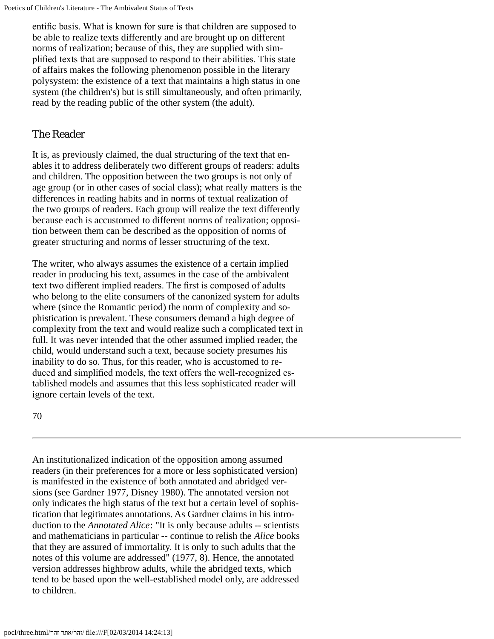entific basis. What is known for sure is that children are supposed to be able to realize texts differently and are brought up on different norms of realization; because of this, they are supplied with simplified texts that are supposed to respond to their abilities. This state of affairs makes the following phenomenon possible in the literary polysystem: the existence of a text that maintains a high status in one system (the children's) but is still simultaneously, and often primarily, read by the reading public of the other system (the adult).

### The Reader

It is, as previously claimed, the dual structuring of the text that enables it to address deliberately two different groups of readers: adults and children. The opposition between the two groups is not only of age group (or in other cases of social class); what really matters is the differences in reading habits and in norms of textual realization of the two groups of readers. Each group will realize the text differently because each is accustomed to different norms of realization; opposition between them can be described as the opposition of norms of greater structuring and norms of lesser structuring of the text.

The writer, who always assumes the existence of a certain implied reader in producing his text, assumes in the case of the ambivalent text two different implied readers. The first is composed of adults who belong to the elite consumers of the canonized system for adults where (since the Romantic period) the norm of complexity and sophistication is prevalent. These consumers demand a high degree of complexity from the text and would realize such a complicated text in full. It was never intended that the other assumed implied reader, the child, would understand such a text, because society presumes his inability to do so. Thus, for this reader, who is accustomed to reduced and simplified models, the text offers the well-recognized established models and assumes that this less sophisticated reader will ignore certain levels of the text.

70

An institutionalized indication of the opposition among assumed readers (in their preferences for a more or less sophisticated version) is manifested in the existence of both annotated and abridged versions (see Gardner 1977, Disney 1980). The annotated version not only indicates the high status of the text but a certain level of sophistication that legitimates annotations. As Gardner claims in his introduction to the *Annotated Alice*: "It is only because adults -- scientists and mathematicians in particular -- continue to relish the *Alice* books that they are assured of immortality. It is only to such adults that the notes of this volume are addressed" (1977, 8). Hence, the annotated version addresses highbrow adults, while the abridged texts, which tend to be based upon the well-established model only, are addressed to children.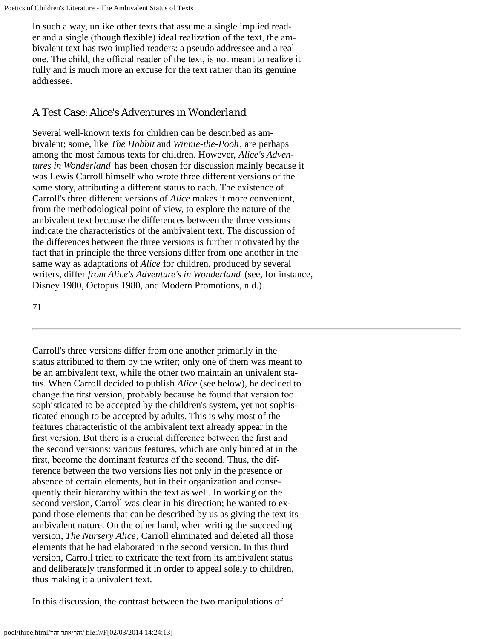In such a way, unlike other texts that assume a single implied reader and a single (though flexible) ideal realization of the text, the ambivalent text has two implied readers: a pseudo addressee and a real one. The child, the official reader of the text, is not meant to realize it fully and is much more an excuse for the text rather than its genuine addressee.

### A Test Case: *Alice's Adventures in Wonderland*

Several well-known texts for children can be described as ambivalent; some, like *The Hobbit* and *Winnie-the-Pooh*, are perhaps among the most famous texts for children. However, *Alice's Adventures in Wonderland* has been chosen for discussion mainly because it was Lewis Carroll himself who wrote three different versions of the same story, attributing a different status to each. The existence of Carroll's three different versions of *Alice* makes it more convenient, from the methodological point of view, to explore the nature of the ambivalent text because the differences between the three versions indicate the characteristics of the ambivalent text. The discussion of the differences between the three versions is further motivated by the fact that in principle the three versions differ from one another in the same way as adaptations of *Alice* for children, produced by several writers, differ *from Alice's Adventure's in Wonderland* (see, for instance, Disney 1980, Octopus 1980, and Modern Promotions, n.d.).

71

Carroll's three versions differ from one another primarily in the status attributed to them by the writer; only one of them was meant to be an ambivalent text, while the other two maintain an univalent status. When Carroll decided to publish *Alice* (see below), he decided to change the first version, probably because he found that version too sophisticated to be accepted by the children's system, yet not sophisticated enough to be accepted by adults. This is why most of the features characteristic of the ambivalent text already appear in the first version. But there is a crucial difference between the first and the second versions: various features, which are only hinted at in the first, become the dominant features of the second. Thus, the difference between the two versions lies not only in the presence or absence of certain elements, but in their organization and consequently their hierarchy within the text as well. In working on the second version, Carroll was clear in his direction; he wanted to expand those elements that can be described by us as giving the text its ambivalent nature. On the other hand, when writing the succeeding version, *The Nursery Alice*, Carroll eliminated and deleted all those elements that he had elaborated in the second version. In this third version, Carroll tried to extricate the text from its ambivalent status and deliberately transformed it in order to appeal solely to children, thus making it a univalent text.

In this discussion, the contrast between the two manipulations of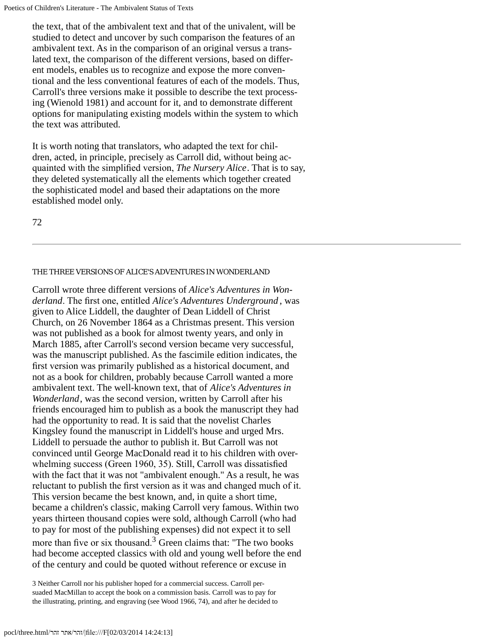the text, that of the ambivalent text and that of the univalent, will be studied to detect and uncover by such comparison the features of an ambivalent text. As in the comparison of an original versus a translated text, the comparison of the different versions, based on different models, enables us to recognize and expose the more conventional and the less conventional features of each of the models. Thus, Carroll's three versions make it possible to describe the text processing (Wienold 1981) and account for it, and to demonstrate different options for manipulating existing models within the system to which the text was attributed.

It is worth noting that translators, who adapted the text for children, acted, in principle, precisely as Carroll did, without being acquainted with the simplified version, *The Nursery Alice*. That is to say, they deleted systematically all the elements which together created the sophisticated model and based their adaptations on the more established model only.

72

#### THE THREE VERSIONS OF *ALICE'S ADVENTURES IN WONDERLAND*

Carroll wrote three different versions of *Alice's Adventures in Wonderland*. The first one, entitled *Alice's Adventures Underground* , was given to Alice Liddell, the daughter of Dean Liddell of Christ Church, on 26 November 1864 as a Christmas present. This version was not published as a book for almost twenty years, and only in March 1885, after Carroll's second version became very successful, was the manuscript published. As the fascimile edition indicates, the first version was primarily published as a historical document, and not as a book for children, probably because Carroll wanted a more ambivalent text. The well-known text, that of *Alice's Adventures in Wonderland*, was the second version, written by Carroll after his friends encouraged him to publish as a book the manuscript they had had the opportunity to read. It is said that the novelist Charles Kingsley found the manuscript in Liddell's house and urged Mrs. Liddell to persuade the author to publish it. But Carroll was not convinced until George MacDonald read it to his children with overwhelming success (Green 1960, 35). Still, Carroll was dissatisfied with the fact that it was not "ambivalent enough." As a result, he was reluctant to publish the first version as it was and changed much of it. This version became the best known, and, in quite a short time, became a children's classic, making Carroll very famous. Within two years thirteen thousand copies were sold, although Carroll (who had to pay for most of the publishing expenses) did not expect it to sell more than five or six thousand.<sup>3</sup> Green claims that: "The two books had become accepted classics with old and young well before the end of the century and could be quoted without reference or excuse in

3 Neither Carroll nor his publisher hoped for a commercial success. Carroll persuaded MacMillan to accept the book on a commission basis. Carroll was to pay for the illustrating, printing, and engraving (see Wood 1966, 74), and after he decided to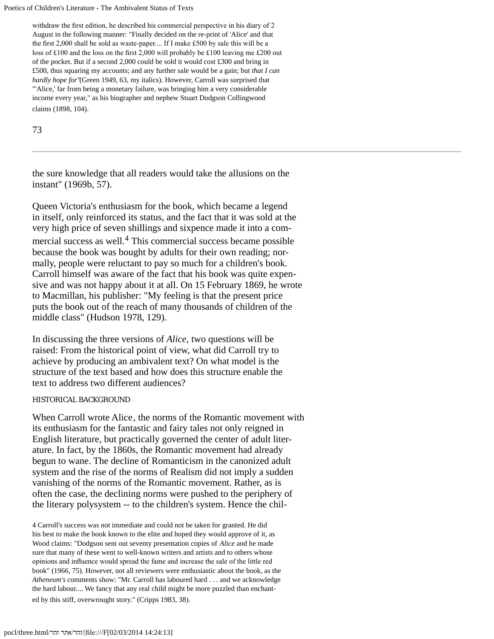withdraw the first edition, he described his commercial perspective in his diary of 2 August in the following manner: "Finally decided on the re-print of 'Alice' and that the first 2,000 shall be sold as waste-paper.... If I make £500 by sale this will be a loss of £100 and the loss on the first 2,000 will probably be £100 leaving me £200 out of the pocket. But if a second 2,000 could be sold it would cost £300 and bring in £500, thus squaring my accounts; and any further sale would be a gain; but *that I can* hardly hope for "(Green 1949, 63, my italics). However, Carroll was surprised that "'Alice,' far from being a monetary failure, was bringing him a very considerable income every year," as his biographer and nephew Stuart Dodgson Collingwood claims (1898, 104).

#### 73

the sure knowledge that all readers would take the allusions on the instant" (1969b, 57).

Queen Victoria's enthusiasm for the book, which became a legend in itself, only reinforced its status, and the fact that it was sold at the very high price of seven shillings and sixpence made it into a commercial success as well.4 This commercial success became possible because the book was bought by adults for their own reading; normally, people were reluctant to pay so much for a children's book. Carroll himself was aware of the fact that his book was quite expensive and was not happy about it at all. On 15 February 1869, he wrote to Macmillan, his publisher: "My feeling is that the present price puts the book out of the reach of many thousands of children of the middle class" (Hudson 1978, 129).

In discussing the three versions of *Alice*, two questions will be raised: From the historical point of view, what did Carroll try to achieve by producing an ambivalent text? On what model is the structure of the text based and how does this structure enable the text to address two different audiences?

#### HISTORICAL BACKGROUND

When Carroll wrote Alice, the norms of the Romantic movement with its enthusiasm for the fantastic and fairy tales not only reigned in English literature, but practically governed the center of adult literature. In fact, by the 1860s, the Romantic movement had already begun to wane. The decline of Romanticism in the canonized adult system and the rise of the norms of Realism did not imply a sudden vanishing of the norms of the Romantic movement. Rather, as is often the case, the declining norms were pushed to the periphery of the literary polysystem -- to the children's system. Hence the chil-

4 Carroll's success was not immediate and could not be taken for granted. He did his best to make the book known to the elite and hoped they would approve of it, as Wood claims: "Dodgson sent out seventy presentation copies of *Alice* and he made sure that many of these went to well-known writers and artists and to others whose opinions and influence would spread the fame and increase the sale of the little red book" (1966, 75). However, not all reviewers were enthusiastic about the book, as the *Atheneum's* comments show: "Mr. Carroll has laboured hard . . . and we acknowledge the hard labour.... We fancy that any real child might be more puzzled than enchanted by this stiff, overwrought story." (Cripps 1983, 38).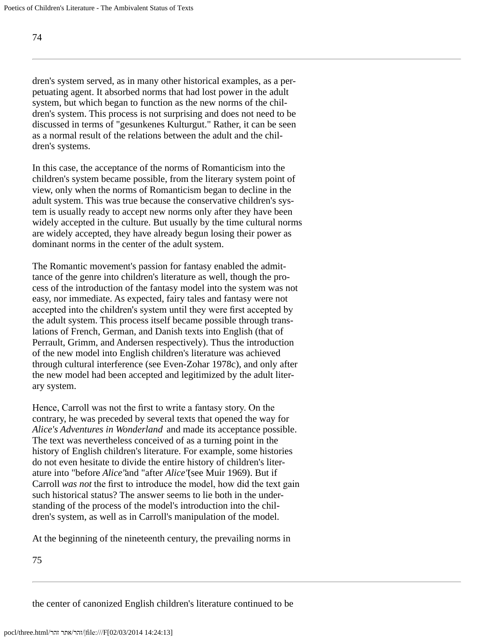#### 74

dren's system served, as in many other historical examples, as a perpetuating agent. It absorbed norms that had lost power in the adult system, but which began to function as the new norms of the children's system. This process is not surprising and does not need to be discussed in terms of "gesunkenes Kulturgut." Rather, it can be seen as a normal result of the relations between the adult and the children's systems.

In this case, the acceptance of the norms of Romanticism into the children's system became possible, from the literary system point of view, only when the norms of Romanticism began to decline in the adult system. This was true because the conservative children's system is usually ready to accept new norms only after they have been widely accepted in the culture. But usually by the time cultural norms are widely accepted, they have already begun losing their power as dominant norms in the center of the adult system.

The Romantic movement's passion for fantasy enabled the admittance of the genre into children's literature as well, though the process of the introduction of the fantasy model into the system was not easy, nor immediate. As expected, fairy tales and fantasy were not accepted into the children's system until they were first accepted by the adult system. This process itself became possible through translations of French, German, and Danish texts into English (that of Perrault, Grimm, and Andersen respectively). Thus the introduction of the new model into English children's literature was achieved through cultural interference (see Even-Zohar 1978c), and only after the new model had been accepted and legitimized by the adult literary system.

Hence, Carroll was not the first to write a fantasy story. On the contrary, he was preceded by several texts that opened the way for *Alice's Adventures in Wonderland* and made its acceptance possible. The text was nevertheless conceived of as a turning point in the history of English children's literature. For example, some histories do not even hesitate to divide the entire history of children's literature into "before *Alice"* and "after *Alice"* (see Muir 1969). But if Carroll *was not* the first to introduce the model, how did the text gain such historical status? The answer seems to lie both in the understanding of the process of the model's introduction into the children's system, as well as in Carroll's manipulation of the model.

At the beginning of the nineteenth century, the prevailing norms in

the center of canonized English children's literature continued to be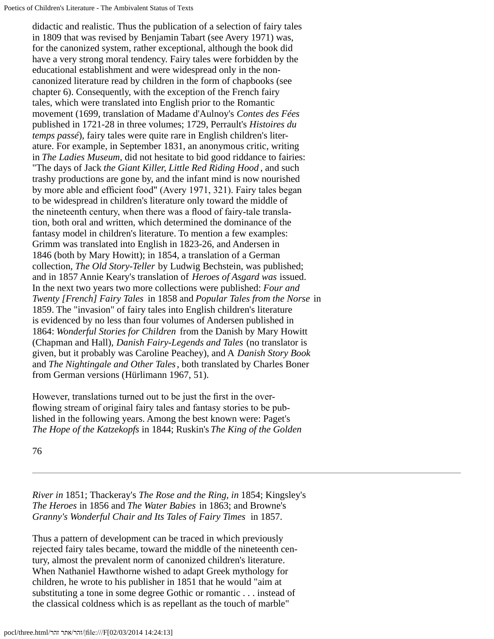didactic and realistic. Thus the publication of a selection of fairy tales in 1809 that was revised by Benjamin Tabart (see Avery 1971) was, for the canonized system, rather exceptional, although the book did have a very strong moral tendency. Fairy tales were forbidden by the educational establishment and were widespread only in the noncanonized literature read by children in the form of chapbooks (see chapter 6). Consequently, with the exception of the French fairy tales, which were translated into English prior to the Romantic movement (1699, translation of Madame d'Aulnoy's *Contes des Fées* published in 1721-28 in three volumes; 1729, Perrault's *Histoires du temps passé*), fairy tales were quite rare in English children's literature. For example, in September 1831, an anonymous critic, writing in *The Ladies Museum*, did not hesitate to bid good riddance to fairies: "The days of Jack *the Giant Killer, Little Red Riding Hood* , and such trashy productions are gone by, and the infant mind is now nourished by more able and efficient food" (Avery 1971, 321). Fairy tales began to be widespread in children's literature only toward the middle of the nineteenth century, when there was a flood of fairy-tale translation, both oral and written, which determined the dominance of the fantasy model in children's literature. To mention a few examples: Grimm was translated into English in 1823-26, and Andersen in 1846 (both by Mary Howitt); in 1854, a translation of a German collection, *The Old Story-Teller* by Ludwig Bechstein, was published; and in 1857 Annie Keary's translation of *Heroes of Asgard was* issued. In the next two years two more collections were published: *Four and Twenty [French] Fairy Tales* in 1858 and *Popular Tales from the Norse* in 1859. The "invasion" of fairy tales into English children's literature is evidenced by no less than four volumes of Andersen published in 1864: *Wonderful Stories for Children* from the Danish by Mary Howitt (Chapman and Hall), *Danish Fairy-Legends and Tales* (no translator is given, but it probably was Caroline Peachey), and A *Danish Story Book* and *The Nightingale and Other Tales*, both translated by Charles Boner from German versions (Hürlimann 1967, 51).

However, translations turned out to be just the first in the overflowing stream of original fairy tales and fantasy stories to be published in the following years. Among the best known were: Paget's *The Hope of the Katzekopfs* in 1844; Ruskin's *The King of the Golden*

76

*River in* 1851; Thackeray's *The Rose and the Ring, in* 1854; Kingsley's *The Heroes* in 1856 and *The Water Babies* in 1863; and Browne's *Granny's Wonderful Chair and Its Tales of Fairy Times* in 1857.

Thus a pattern of development can be traced in which previously rejected fairy tales became, toward the middle of the nineteenth century, almost the prevalent norm of canonized children's literature. When Nathaniel Hawthorne wished to adapt Greek mythology for children, he wrote to his publisher in 1851 that he would "aim at substituting a tone in some degree Gothic or romantic . . . instead of the classical coldness which is as repellant as the touch of marble"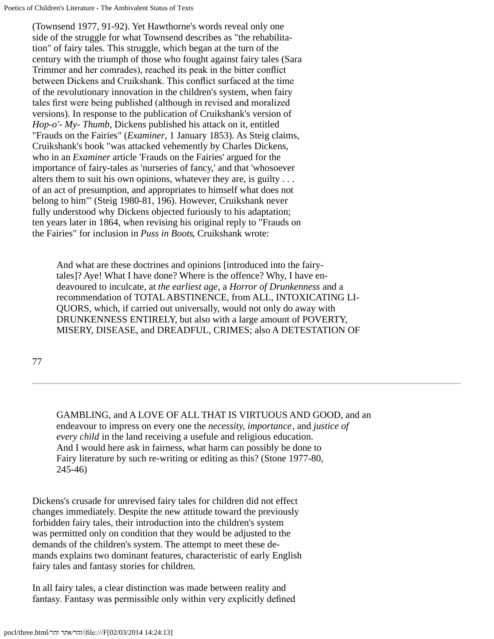(Townsend 1977, 91-92). Yet Hawthorne's words reveal only one side of the struggle for what Townsend describes as "the rehabilitation" of fairy tales. This struggle, which began at the turn of the century with the triumph of those who fought against fairy tales (Sara Trimmer and her comrades), reached its peak in the bitter conflict between Dickens and Cruikshank. This conflict surfaced at the time of the revolutionary innovation in the children's system, when fairy tales first were being published (although in revised and moralized versions). In response to the publication of Cruikshank's version of *Hop-o'- My- Thumb*, Dickens published his attack on it, entitled "Frauds on the Fairies" (*Examiner*, 1 January 1853). As Steig claims, Cruikshank's book "was attacked vehemently by Charles Dickens, who in an *Examiner* article 'Frauds on the Fairies' argued for the importance of fairy-tales as 'nurseries of fancy,' and that 'whosoever alters them to suit his own opinions, whatever they are, is guilty . . . of an act of presumption, and appropriates to himself what does not belong to him"' (Steig 1980-81, 196). However, Cruikshank never fully understood why Dickens objected furiously to his adaptation; ten years later in 1864, when revising his original reply to "Frauds on the Fairies" for inclusion in *Puss in Boots*, Cruikshank wrote:

And what are these doctrines and opinions [introduced into the fairytales]? Aye! What I have done? Where is the offence? Why, I have endeavoured to inculcate, at *the earliest age*, a *Horror of Drunkenness* and a recommendation of TOTAL ABSTINENCE, from ALL, INTOXICATING LI-QUORS, which, if carried out universally, would not only do away with DRUNKENNESS ENTIRELY, but also with a large amount of POVERTY, MISERY, DISEASE, and DREADFUL, CRIMES; also A DETESTATION OF

77

GAMBLING, and A LOVE OF ALL THAT IS VIRTUOUS AND GOOD, and an endeavour to impress on every one the *necessity, importance*, and *justice of every child* in the land receiving a usefule and religious education. And I would here ask in fairness, what harm can possibly be done to Fairy literature by such re-writing or editing as this? (Stone 1977-80, 245-46)

Dickens's crusade for unrevised fairy tales for children did not effect changes immediately. Despite the new attitude toward the previously forbidden fairy tales, their introduction into the children's system was permitted only on condition that they would be adjusted to the demands of the children's system. The attempt to meet these demands explains two dominant features, characteristic of early English fairy tales and fantasy stories for children.

In all fairy tales, a clear distinction was made between reality and fantasy. Fantasy was permissible only within very explicitly defined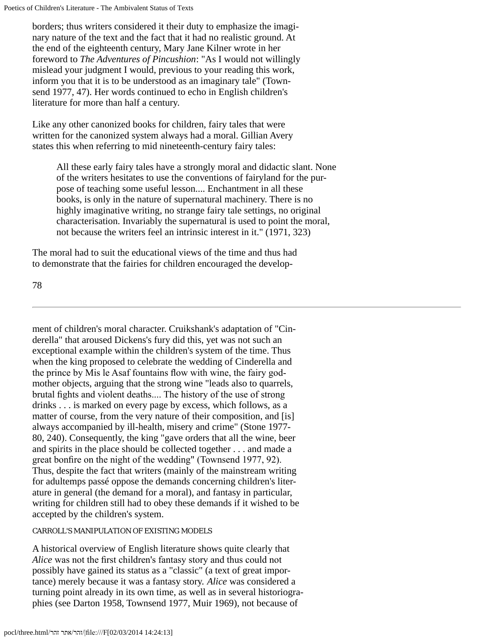borders; thus writers considered it their duty to emphasize the imaginary nature of the text and the fact that it had no realistic ground. At the end of the eighteenth century, Mary Jane Kilner wrote in her foreword to *The Adventures of Pincushion*: "As I would not willingly mislead your judgment I would, previous to your reading this work, inform you that it is to be understood as an imaginary tale" (Townsend 1977, 47). Her words continued to echo in English children's literature for more than half a century.

Like any other canonized books for children, fairy tales that were written for the canonized system always had a moral. Gillian Avery states this when referring to mid nineteenth-century fairy tales:

All these early fairy tales have a strongly moral and didactic slant. None of the writers hesitates to use the conventions of fairyland for the purpose of teaching some useful lesson.... Enchantment in all these books, is only in the nature of supernatural machinery. There is no highly imaginative writing, no strange fairy tale settings, no original characterisation. Invariably the supernatural is used to point the moral, not because the writers feel an intrinsic interest in it." (1971, 323)

The moral had to suit the educational views of the time and thus had to demonstrate that the fairies for children encouraged the develop-

78

ment of children's moral character. Cruikshank's adaptation of "Cinderella" that aroused Dickens's fury did this, yet was not such an exceptional example within the children's system of the time. Thus when the king proposed to celebrate the wedding of Cinderella and the prince by Mis le Asaf fountains flow with wine, the fairy godmother objects, arguing that the strong wine "leads also to quarrels, brutal fights and violent deaths.... The history of the use of strong drinks . . . is marked on every page by excess, which follows, as a matter of course, from the very nature of their composition, and [is] always accompanied by ill-health, misery and crime" (Stone 1977- 80, 240). Consequently, the king "gave orders that all the wine, beer and spirits in the place should be collected together . . . and made a great bonfire on the night of the wedding" (Townsend 1977, 92). Thus, despite the fact that writers (mainly of the mainstream writing for adultemps passé oppose the demands concerning children's literature in general (the demand for a moral), and fantasy in particular, writing for children still had to obey these demands if it wished to be accepted by the children's system.

### CARROLL'S MANIPULATION OF EXISTING MODELS

A historical overview of English literature shows quite clearly that *Alice* was not the first children's fantasy story and thus could not possibly have gained its status as a "classic" (a text of great importance) merely because it was a fantasy story. *Alice* was considered a turning point already in its own time, as well as in several historiographies (see Darton 1958, Townsend 1977, Muir 1969), not because of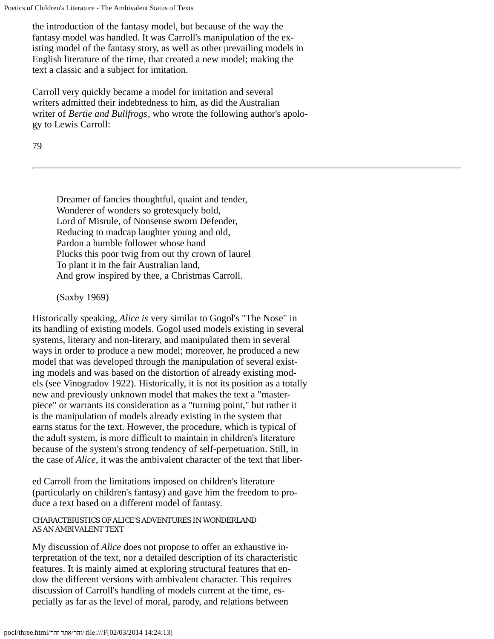the introduction of the fantasy model, but because of the way the fantasy model was handled. It was Carroll's manipulation of the existing model of the fantasy story, as well as other prevailing models in English literature of the time, that created a new model; making the text a classic and a subject for imitation.

Carroll very quickly became a model for imitation and several writers admitted their indebtedness to him, as did the Australian writer of *Bertie and Bullfrogs*, who wrote the following author's apology to Lewis Carroll:

79

Dreamer of fancies thoughtful, quaint and tender, Wonderer of wonders so grotesquely bold, Lord of Misrule, of Nonsense sworn Defender, Reducing to madcap laughter young and old, Pardon a humble follower whose hand Plucks this poor twig from out thy crown of laurel To plant it in the fair Australian land, And grow inspired by thee, a Christmas Carroll.

(Saxby 1969)

Historically speaking, *Alice is* very similar to Gogol's "The Nose" in its handling of existing models. Gogol used models existing in several systems, literary and non-literary, and manipulated them in several ways in order to produce a new model; moreover, he produced a new model that was developed through the manipulation of several existing models and was based on the distortion of already existing models (see Vinogradov 1922). Historically, it is not its position as a totally new and previously unknown model that makes the text a "masterpiece" or warrants its consideration as a "turning point," but rather it is the manipulation of models already existing in the system that earns status for the text. However, the procedure, which is typical of the adult system, is more difficult to maintain in children's literature because of the system's strong tendency of self-perpetuation. Still, in the case of *Alice*, it was the ambivalent character of the text that liber-

ed Carroll from the limitations imposed on children's literature (particularly on children's fantasy) and gave him the freedom to produce a text based on a different model of fantasy.

#### CHARACTERISTICS OF *ALICE'S ADVENTURES IN WONDERLAND* AS AN AMBIVALENT TEXT

My discussion of *Alice* does not propose to offer an exhaustive interpretation of the text, nor a detailed description of its characteristic features. It is mainly aimed at exploring structural features that endow the different versions with ambivalent character. This requires discussion of Carroll's handling of models current at the time, especially as far as the level of moral, parody, and relations between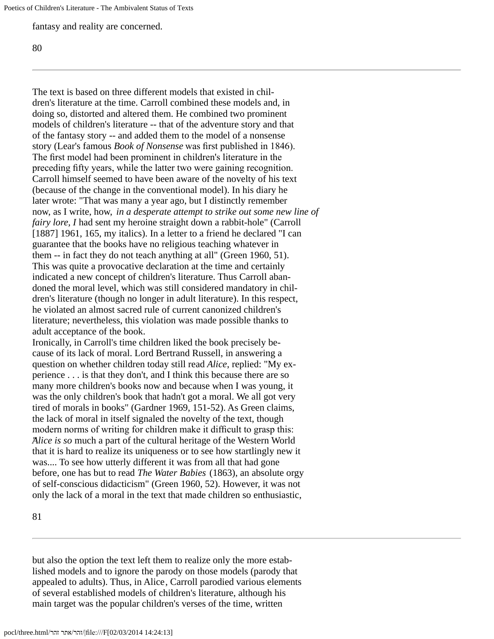fantasy and reality are concerned.

#### 80

The text is based on three different models that existed in children's literature at the time. Carroll combined these models and, in doing so, distorted and altered them. He combined two prominent models of children's literature -- that of the adventure story and that of the fantasy story -- and added them to the model of a nonsense story (Lear's famous *Book of Nonsense* was first published in 1846). The first model had been prominent in children's literature in the preceding fifty years, while the latter two were gaining recognition. Carroll himself seemed to have been aware of the novelty of his text (because of the change in the conventional model). In his diary he later wrote: "That was many a year ago, but I distinctly remember now, as I write, how, *in a desperate attempt to strike out some new line of fairy lore, I* had sent my heroine straight down a rabbit-hole" (Carroll [1887] 1961, 165, my italics). In a letter to a friend he declared "I can guarantee that the books have no religious teaching whatever in them -- in fact they do not teach anything at all" (Green 1960, 51). This was quite a provocative declaration at the time and certainly indicated a new concept of children's literature. Thus Carroll abandoned the moral level, which was still considered mandatory in children's literature (though no longer in adult literature). In this respect, he violated an almost sacred rule of current canonized children's literature; nevertheless, this violation was made possible thanks to adult acceptance of the book.

Ironically, in Carroll's time children liked the book precisely because of its lack of moral. Lord Bertrand Russell, in answering a question on whether children today still read *Alice*, replied: "My experience . . . is that they don't, and I think this because there are so many more children's books now and because when I was young, it was the only children's book that hadn't got a moral. We all got very tired of morals in books" (Gardner 1969, 151-52). As Green claims, the lack of moral in itself signaled the novelty of the text, though modern norms of writing for children make it difficult to grasp this: *"Alice is so* much a part of the cultural heritage of the Western World that it is hard to realize its uniqueness or to see how startlingly new it was.... To see how utterly different it was from all that had gone before, one has but to read *The Water Babies* (1863), an absolute orgy of self-conscious didacticism" (Green 1960, 52). However, it was not only the lack of a moral in the text that made children so enthusiastic,

81

but also the option the text left them to realize only the more established models and to ignore the parody on those models (parody that appealed to adults). Thus, in Alice, Carroll parodied various elements of several established models of children's literature, although his main target was the popular children's verses of the time, written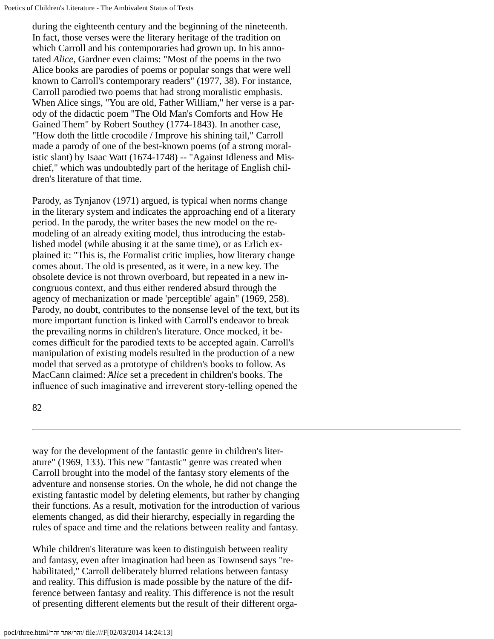during the eighteenth century and the beginning of the nineteenth. In fact, those verses were the literary heritage of the tradition on which Carroll and his contemporaries had grown up. In his annotated *Alice*, Gardner even claims: "Most of the poems in the two Alice books are parodies of poems or popular songs that were well known to Carroll's contemporary readers" (1977, 38). For instance, Carroll parodied two poems that had strong moralistic emphasis. When Alice sings, "You are old, Father William," her verse is a parody of the didactic poem "The Old Man's Comforts and How He Gained Them" by Robert Southey (1774-1843). In another case, "How doth the little crocodile / Improve his shining tail," Carroll made a parody of one of the best-known poems (of a strong moralistic slant) by Isaac Watt (1674-1748) -- "Against Idleness and Mischief," which was undoubtedly part of the heritage of English children's literature of that time.

Parody, as Tynjanov (1971) argued, is typical when norms change in the literary system and indicates the approaching end of a literary period. In the parody, the writer bases the new model on the remodeling of an already exiting model, thus introducing the established model (while abusing it at the same time), or as Erlich explained it: "This is, the Formalist critic implies, how literary change comes about. The old is presented, as it were, in a new key. The obsolete device is not thrown overboard, but repeated in a new incongruous context, and thus either rendered absurd through the agency of mechanization or made 'perceptible' again" (1969, 258). Parody, no doubt, contributes to the nonsense level of the text, but its more important function is linked with Carroll's endeavor to break the prevailing norms in children's literature. Once mocked, it becomes difficult for the parodied texts to be accepted again. Carroll's manipulation of existing models resulted in the production of a new model that served as a prototype of children's books to follow. As MacCann claimed: *Alice* set a precedent in children's books. The influence of such imaginative and irreverent story-telling opened the

82

way for the development of the fantastic genre in children's literature" (1969, 133). This new "fantastic" genre was created when Carroll brought into the model of the fantasy story elements of the adventure and nonsense stories. On the whole, he did not change the existing fantastic model by deleting elements, but rather by changing their functions. As a result, motivation for the introduction of various elements changed, as did their hierarchy, especially in regarding the rules of space and time and the relations between reality and fantasy.

While children's literature was keen to distinguish between reality and fantasy, even after imagination had been as Townsend says "rehabilitated," Carroll deliberately blurred relations between fantasy and reality. This diffusion is made possible by the nature of the difference between fantasy and reality. This difference is not the result of presenting different elements but the result of their different orga-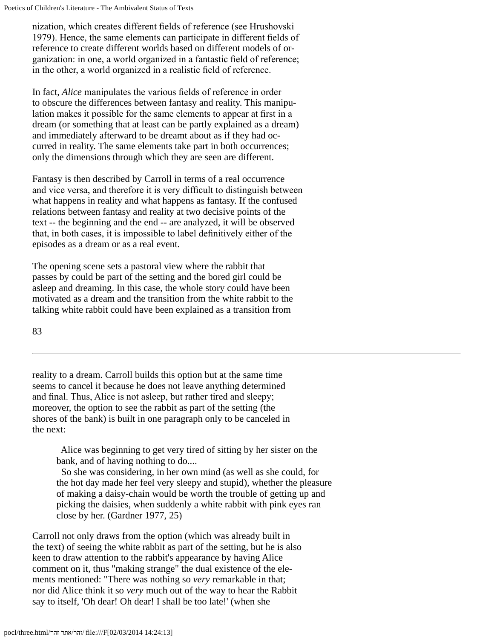```
Poetics of Children's Literature - The Ambivalent Status of Texts
```
nization, which creates different fields of reference (see Hrushovski 1979). Hence, the same elements can participate in different fields of reference to create different worlds based on different models of organization: in one, a world organized in a fantastic field of reference; in the other, a world organized in a realistic field of reference.

In fact, *Alice* manipulates the various fields of reference in order to obscure the differences between fantasy and reality. This manipulation makes it possible for the same elements to appear at first in a dream (or something that at least can be partly explained as a dream) and immediately afterward to be dreamt about as if they had occurred in reality. The same elements take part in both occurrences; only the dimensions through which they are seen are different.

Fantasy is then described by Carroll in terms of a real occurrence and vice versa, and therefore it is very difficult to distinguish between what happens in reality and what happens as fantasy. If the confused relations between fantasy and reality at two decisive points of the text -- the beginning and the end -- are analyzed, it will be observed that, in both cases, it is impossible to label definitively either of the episodes as a dream or as a real event.

The opening scene sets a pastoral view where the rabbit that passes by could be part of the setting and the bored girl could be asleep and dreaming. In this case, the whole story could have been motivated as a dream and the transition from the white rabbit to the talking white rabbit could have been explained as a transition from

83

reality to a dream. Carroll builds this option but at the same time seems to cancel it because he does not leave anything determined and final. Thus, Alice is not asleep, but rather tired and sleepy; moreover, the option to see the rabbit as part of the setting (the shores of the bank) is built in one paragraph only to be canceled in the next:

 Alice was beginning to get very tired of sitting by her sister on the bank, and of having nothing to do....

 So she was considering, in her own mind (as well as she could, for the hot day made her feel very sleepy and stupid), whether the pleasure of making a daisy-chain would be worth the trouble of getting up and picking the daisies, when suddenly a white rabbit with pink eyes ran close by her. (Gardner 1977, 25)

Carroll not only draws from the option (which was already built in the text) of seeing the white rabbit as part of the setting, but he is also keen to draw attention to the rabbit's appearance by having Alice comment on it, thus "making strange" the dual existence of the elements mentioned: "There was nothing so *very* remarkable in that; nor did Alice think it so *very* much out of the way to hear the Rabbit say to itself, 'Oh dear! Oh dear! I shall be too late!' (when she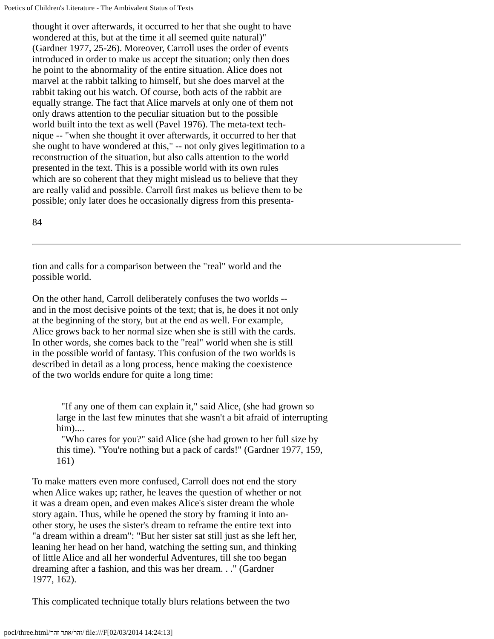thought it over afterwards, it occurred to her that she ought to have wondered at this, but at the time it all seemed quite natural)" (Gardner 1977, 25-26). Moreover, Carroll uses the order of events introduced in order to make us accept the situation; only then does he point to the abnormality of the entire situation. Alice does not marvel at the rabbit talking to himself, but she does marvel at the rabbit taking out his watch. Of course, both acts of the rabbit are equally strange. The fact that Alice marvels at only one of them not only draws attention to the peculiar situation but to the possible world built into the text as well (Pavel 1976). The meta-text technique -- "when she thought it over afterwards, it occurred to her that she ought to have wondered at this," -- not only gives legitimation to a reconstruction of the situation, but also calls attention to the world presented in the text. This is a possible world with its own rules which are so coherent that they might mislead us to believe that they are really valid and possible. Carroll first makes us believe them to be possible; only later does he occasionally digress from this presenta-

84

tion and calls for a comparison between the "real" world and the possible world.

On the other hand, Carroll deliberately confuses the two worlds - and in the most decisive points of the text; that is, he does it not only at the beginning of the story, but at the end as well. For example, Alice grows back to her normal size when she is still with the cards. In other words, she comes back to the "real" world when she is still in the possible world of fantasy. This confusion of the two worlds is described in detail as a long process, hence making the coexistence of the two worlds endure for quite a long time:

 "If any one of them can explain it," said Alice, (she had grown so large in the last few minutes that she wasn't a bit afraid of interrupting him)....

 "Who cares for you?" said Alice (she had grown to her full size by this time). "You're nothing but a pack of cards!" (Gardner 1977, 159, 161)

To make matters even more confused, Carroll does not end the story when Alice wakes up; rather, he leaves the question of whether or not it was a dream open, and even makes Alice's sister dream the whole story again. Thus, while he opened the story by framing it into another story, he uses the sister's dream to reframe the entire text into "a dream within a dream": "But her sister sat still just as she left her, leaning her head on her hand, watching the setting sun, and thinking of little Alice and all her wonderful Adventures, till she too began dreaming after a fashion, and this was her dream. . ." (Gardner 1977, 162).

This complicated technique totally blurs relations between the two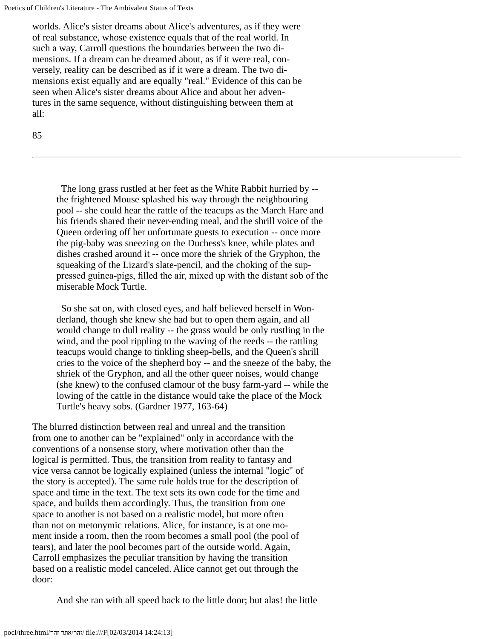worlds. Alice's sister dreams about Alice's adventures, as if they were of real substance, whose existence equals that of the real world. In such a way, Carroll questions the boundaries between the two dimensions. If a dream can be dreamed about, as if it were real, conversely, reality can be described as if it were a dream. The two dimensions exist equally and are equally "real." Evidence of this can be seen when Alice's sister dreams about Alice and about her adventures in the same sequence, without distinguishing between them at all:

85

 The long grass rustled at her feet as the White Rabbit hurried by - the frightened Mouse splashed his way through the neighbouring pool -- she could hear the rattle of the teacups as the March Hare and his friends shared their never-ending meal, and the shrill voice of the Queen ordering off her unfortunate guests to execution -- once more the pig-baby was sneezing on the Duchess's knee, while plates and dishes crashed around it -- once more the shriek of the Gryphon, the squeaking of the Lizard's slate-pencil, and the choking of the suppressed guinea-pigs, filled the air, mixed up with the distant sob of the miserable Mock Turtle.

 So she sat on, with closed eyes, and half believed herself in Wonderland, though she knew she had but to open them again, and all would change to dull reality -- the grass would be only rustling in the wind, and the pool rippling to the waving of the reeds -- the rattling teacups would change to tinkling sheep-bells, and the Queen's shrill cries to the voice of the shepherd boy -- and the sneeze of the baby, the shriek of the Gryphon, and all the other queer noises, would change (she knew) to the confused clamour of the busy farm-yard -- while the lowing of the cattle in the distance would take the place of the Mock Turtle's heavy sobs. (Gardner 1977, 163-64)

The blurred distinction between real and unreal and the transition from one to another can be "explained" only in accordance with the conventions of a nonsense story, where motivation other than the logical is permitted. Thus, the transition from reality to fantasy and vice versa cannot be logically explained (unless the internal "logic" of the story is accepted). The same rule holds true for the description of space and time in the text. The text sets its own code for the time and space, and builds them accordingly. Thus, the transition from one space to another is not based on a realistic model, but more often than not on metonymic relations. Alice, for instance, is at one moment inside a room, then the room becomes a small pool (the pool of tears), and later the pool becomes part of the outside world. Again, Carroll emphasizes the peculiar transition by having the transition based on a realistic model canceled. Alice cannot get out through the door:

And she ran with all speed back to the little door; but alas! the little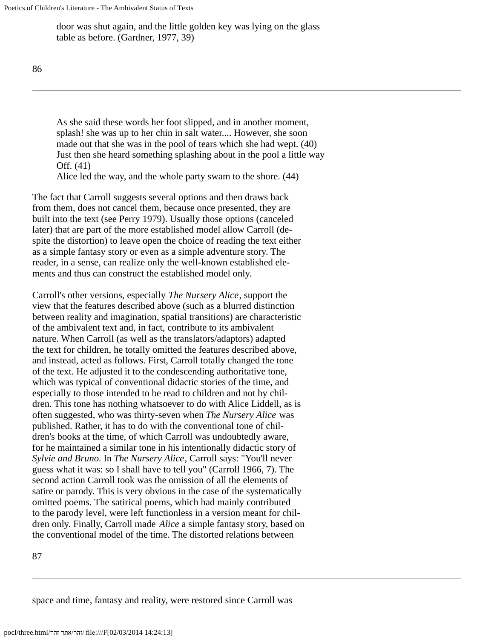door was shut again, and the little golden key was lying on the glass table as before. (Gardner, 1977, 39)

As she said these words her foot slipped, and in another moment, splash! she was up to her chin in salt water.... However, she soon made out that she was in the pool of tears which she had wept. (40) Just then she heard something splashing about in the pool a little way Off. (41)

Alice led the way, and the whole party swam to the shore. (44)

The fact that Carroll suggests several options and then draws back from them, does not cancel them, because once presented, they are built into the text (see Perry 1979). Usually those options (canceled later) that are part of the more established model allow Carroll (despite the distortion) to leave open the choice of reading the text either as a simple fantasy story or even as a simple adventure story. The reader, in a sense, can realize only the well-known established elements and thus can construct the established model only.

Carroll's other versions, especially *The Nursery Alice*, support the view that the features described above (such as a blurred distinction between reality and imagination, spatial transitions) are characteristic of the ambivalent text and, in fact, contribute to its ambivalent nature. When Carroll (as well as the translators/adaptors) adapted the text for children, he totally omitted the features described above, and instead, acted as follows. First, Carroll totally changed the tone of the text. He adjusted it to the condescending authoritative tone, which was typical of conventional didactic stories of the time, and especially to those intended to be read to children and not by children. This tone has nothing whatsoever to do with Alice Liddell, as is often suggested, who was thirty-seven when *The Nursery Alice* was published. Rather, it has to do with the conventional tone of children's books at the time, of which Carroll was undoubtedly aware, for he maintained a similar tone in his intentionally didactic story of *Sylvie and Bruno*. In *The Nursery Alice*, Carroll says: "You'll never guess what it was: so I shall have to tell you" (Carroll 1966, 7). The second action Carroll took was the omission of all the elements of satire or parody. This is very obvious in the case of the systematically omitted poems. The satirical poems, which had mainly contributed to the parody level, were left functionless in a version meant for children only. Finally, Carroll made *Alice* a simple fantasy story, based on the conventional model of the time. The distorted relations between

87

space and time, fantasy and reality, were restored since Carroll was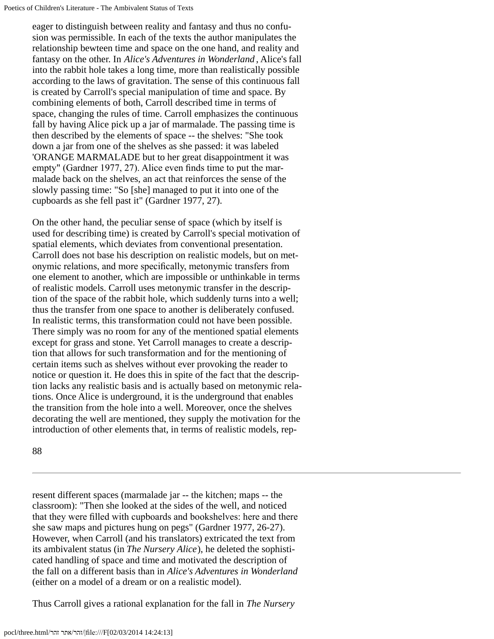eager to distinguish between reality and fantasy and thus no confusion was permissible. In each of the texts the author manipulates the relationship bewteen time and space on the one hand, and reality and fantasy on the other. In *Alice's Adventures in Wonderland* , Alice's fall into the rabbit hole takes a long time, more than realistically possible according to the laws of gravitation. The sense of this continuous fall is created by Carroll's special manipulation of time and space. By combining elements of both, Carroll described time in terms of space, changing the rules of time. Carroll emphasizes the continuous fall by having Alice pick up a jar of marmalade. The passing time is then described by the elements of space -- the shelves: "She took down a jar from one of the shelves as she passed: it was labeled 'ORANGE MARMALADE but to her great disappointment it was empty" (Gardner 1977, 27). Alice even finds time to put the marmalade back on the shelves, an act that reinforces the sense of the slowly passing time: "So [she] managed to put it into one of the cupboards as she fell past it" (Gardner 1977, 27).

On the other hand, the peculiar sense of space (which by itself is used for describing time) is created by Carroll's special motivation of spatial elements, which deviates from conventional presentation. Carroll does not base his description on realistic models, but on metonymic relations, and more specifically, metonymic transfers from one element to another, which are impossible or unthinkable in terms of realistic models. Carroll uses metonymic transfer in the description of the space of the rabbit hole, which suddenly turns into a well; thus the transfer from one space to another is deliberately confused. In realistic terms, this transformation could not have been possible. There simply was no room for any of the mentioned spatial elements except for grass and stone. Yet Carroll manages to create a description that allows for such transformation and for the mentioning of certain items such as shelves without ever provoking the reader to notice or question it. He does this in spite of the fact that the description lacks any realistic basis and is actually based on metonymic relations. Once Alice is underground, it is the underground that enables the transition from the hole into a well. Moreover, once the shelves decorating the well are mentioned, they supply the motivation for the introduction of other elements that, in terms of realistic models, rep-

88

resent different spaces (marmalade jar -- the kitchen; maps -- the classroom): "Then she looked at the sides of the well, and noticed that they were filled with cupboards and bookshelves: here and there she saw maps and pictures hung on pegs" (Gardner 1977, 26-27). However, when Carroll (and his translators) extricated the text from its ambivalent status (in *The Nursery Alice*), he deleted the sophisticated handling of space and time and motivated the description of the fall on a different basis than in *Alice's Adventures in Wonderland* (either on a model of a dream or on a realistic model).

Thus Carroll gives a rational explanation for the fall in *The Nursery*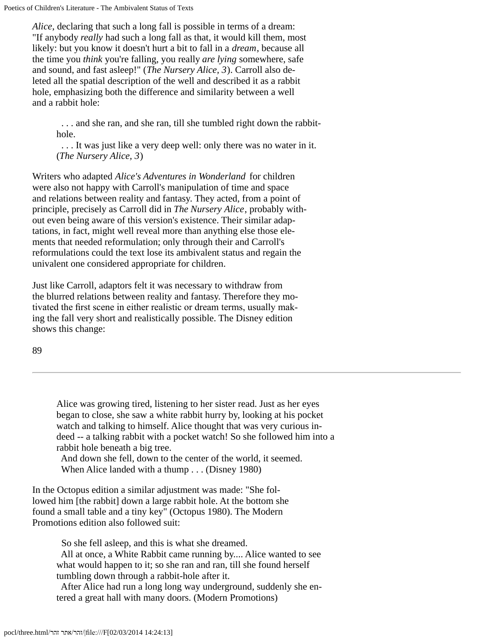*Alice*, declaring that such a long fall is possible in terms of a dream: "If anybody *really* had such a long fall as that, it would kill them, most likely: but you know it doesn't hurt a bit to fall in a *dream*, because all the time you *think* you're falling, you really *are lying* somewhere, safe and sound, and fast asleep!" (*The Nursery Alice, 3*). Carroll also deleted all the spatial description of the well and described it as a rabbit hole, emphasizing both the difference and similarity between a well and a rabbit hole:

 . . . and she ran, and she ran, till she tumbled right down the rabbithole.

 . . . It was just like a very deep well: only there was no water in it. (*The Nursery Alice, 3*)

Writers who adapted *Alice's Adventures in Wonderland* for children were also not happy with Carroll's manipulation of time and space and relations between reality and fantasy. They acted, from a point of principle, precisely as Carroll did in *The Nursery Alice*, probably without even being aware of this version's existence. Their similar adaptations, in fact, might well reveal more than anything else those elements that needed reformulation; only through their and Carroll's reformulations could the text lose its ambivalent status and regain the univalent one considered appropriate for children.

Just like Carroll, adaptors felt it was necessary to withdraw from the blurred relations between reality and fantasy. Therefore they motivated the first scene in either realistic or dream terms, usually making the fall very short and realistically possible. The Disney edition shows this change:

89

Alice was growing tired, listening to her sister read. Just as her eyes began to close, she saw a white rabbit hurry by, looking at his pocket watch and talking to himself. Alice thought that was very curious indeed -- a talking rabbit with a pocket watch! So she followed him into a rabbit hole beneath a big tree.

 And down she fell, down to the center of the world, it seemed. When Alice landed with a thump . . . (Disney 1980)

In the Octopus edition a similar adjustment was made: "She followed him [the rabbit] down a large rabbit hole. At the bottom she found a small table and a tiny key" (Octopus 1980). The Modern Promotions edition also followed suit:

So she fell asleep, and this is what she dreamed.

 All at once, a White Rabbit came running by.... Alice wanted to see what would happen to it; so she ran and ran, till she found herself tumbling down through a rabbit-hole after it.

 After Alice had run a long long way underground, suddenly she entered a great hall with many doors. (Modern Promotions)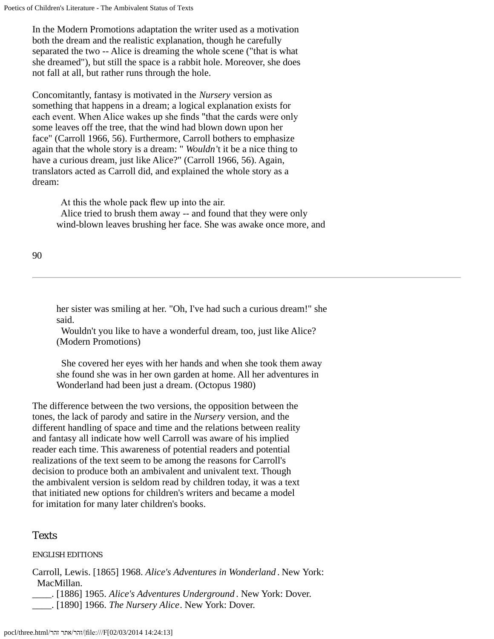In the Modern Promotions adaptation the writer used as a motivation both the dream and the realistic explanation, though he carefully separated the two -- Alice is dreaming the whole scene ("that is what she dreamed"), but still the space is a rabbit hole. Moreover, she does not fall at all, but rather runs through the hole.

Concomitantly, fantasy is motivated in the *Nursery* version as something that happens in a dream; a logical explanation exists for each event. When Alice wakes up she finds "that the cards were only some leaves off the tree, that the wind had blown down upon her face" (Carroll 1966, 56). Furthermore, Carroll bothers to emphasize again that the whole story is a dream: " *Wouldn*'t it be a nice thing to have a curious dream, just like Alice?" (Carroll 1966, 56). Again, translators acted as Carroll did, and explained the whole story as a dream:

At this the whole pack flew up into the air.

 Alice tried to brush them away -- and found that they were only wind-blown leaves brushing her face. She was awake once more, and

90

her sister was smiling at her. "Oh, I've had such a curious dream!" she said.

 Wouldn't you like to have a wonderful dream, too, just like Alice? (Modern Promotions)

 She covered her eyes with her hands and when she took them away she found she was in her own garden at home. All her adventures in Wonderland had been just a dream. (Octopus 1980)

The difference between the two versions, the opposition between the tones, the lack of parody and satire in the *Nursery* version, and the different handling of space and time and the relations between reality and fantasy all indicate how well Carroll was aware of his implied reader each time. This awareness of potential readers and potential realizations of the text seem to be among the reasons for Carroll's decision to produce both an ambivalent and univalent text. Though the ambivalent version is seldom read by children today, it was a text that initiated new options for children's writers and became a model for imitation for many later children's books.

#### Texts

ENGLISH EDITIONS

Carroll, Lewis. [1865] 1968. *Alice's Adventures in Wonderland* . New York: MacMillan.

\_\_\_\_. [1886] 1965. *Alice's Adventures Underground* . New York: Dover.

\_\_\_\_. [1890] 1966. *The Nursery Alice*. New York: Dover.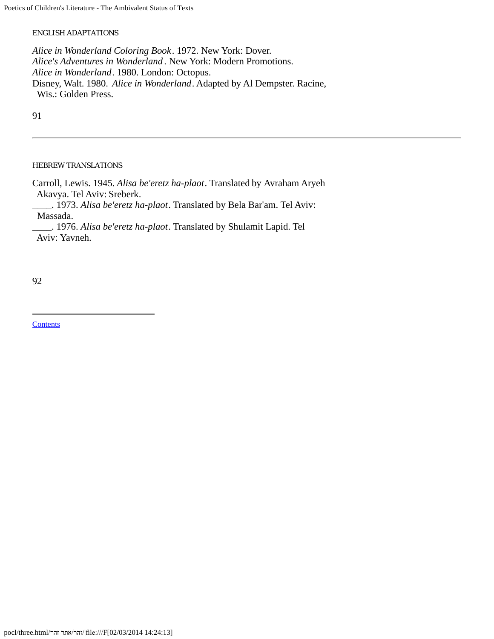#### ENGLISH ADAPTATIONS

*Alice in Wonderland Coloring Book*. 1972. New York: Dover. *Alice's Adventures in Wonderland* . New York: Modern Promotions. *Alice in Wonderland*. 1980. London: Octopus. Disney, Walt. 1980. *Alice in Wonderland*. Adapted by Al Dempster. Racine, Wis.: Golden Press.

91

HEBREW TRANSLATIONS

Carroll, Lewis. 1945. *Alisa be'eretz ha-plaot*. Translated by Avraham Aryeh Akavya. Tel Aviv: Sreberk.

\_\_\_\_. 1973. *Alisa be'eretz ha-plaot*. Translated by Bela Bar'am. Tel Aviv: Massada.

\_\_\_\_. 1976. *Alisa be'eretz ha-plaot*. Translated by Shulamit Lapid. Tel Aviv: Yavneh.

92

**[Contents](#page-1-0)**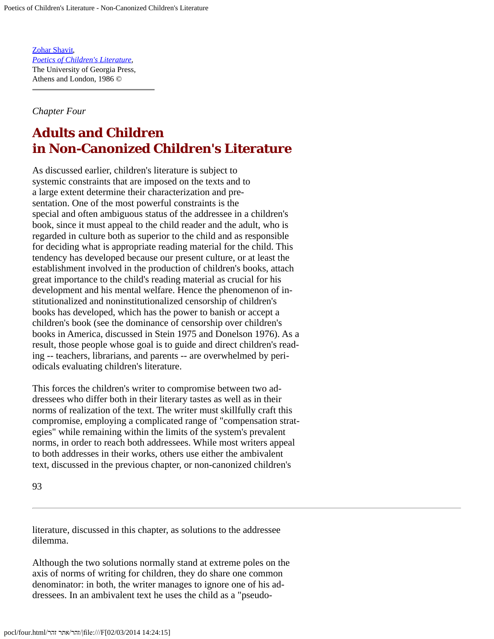Zohar Shavit, *[Poetics of Children's Literature](#page-0-0)*, The University of Georgia Press, Athens and London, 1986 ©

*Chapter Four*

# **Adults and Children in Non-Canonized Children's Literature**

As discussed earlier, children's literature is subject to systemic constraints that are imposed on the texts and to a large extent determine their characterization and presentation. One of the most powerful constraints is the special and often ambiguous status of the addressee in a children's book, since it must appeal to the child reader and the adult, who is regarded in culture both as superior to the child and as responsible for deciding what is appropriate reading material for the child. This tendency has developed because our present culture, or at least the establishment involved in the production of children's books, attach great importance to the child's reading material as crucial for his development and his mental welfare. Hence the phenomenon of institutionalized and noninstitutionalized censorship of children's books has developed, which has the power to banish or accept a children's book (see the dominance of censorship over children's books in America, discussed in Stein 1975 and Donelson 1976). As a result, those people whose goal is to guide and direct children's reading -- teachers, librarians, and parents -- are overwhelmed by periodicals evaluating children's literature.

This forces the children's writer to compromise between two addressees who differ both in their literary tastes as well as in their norms of realization of the text. The writer must skillfully craft this compromise, employing a complicated range of "compensation strategies" while remaining within the limits of the system's prevalent norms, in order to reach both addressees. While most writers appeal to both addresses in their works, others use either the ambivalent text, discussed in the previous chapter, or non-canonized children's

93

literature, discussed in this chapter, as solutions to the addressee dilemma.

Although the two solutions normally stand at extreme poles on the axis of norms of writing for children, they do share one common denominator: in both, the writer manages to ignore one of his addressees. In an ambivalent text he uses the child as a "pseudo-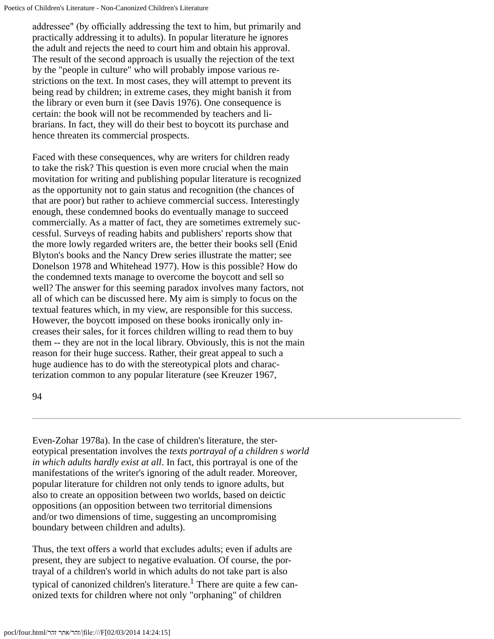addressee" (by officially addressing the text to him, but primarily and practically addressing it to adults). In popular literature he ignores the adult and rejects the need to court him and obtain his approval. The result of the second approach is usually the rejection of the text by the "people in culture" who will probably impose various restrictions on the text. In most cases, they will attempt to prevent its being read by children; in extreme cases, they might banish it from the library or even burn it (see Davis 1976). One consequence is certain: the book will not be recommended by teachers and librarians. In fact, they will do their best to boycott its purchase and hence threaten its commercial prospects.

Faced with these consequences, why are writers for children ready to take the risk? This question is even more crucial when the main movitation for writing and publishing popular literature is recognized as the opportunity not to gain status and recognition (the chances of that are poor) but rather to achieve commercial success. Interestingly enough, these condemned books do eventually manage to succeed commercially. As a matter of fact, they are sometimes extremely successful. Surveys of reading habits and publishers' reports show that the more lowly regarded writers are, the better their books sell (Enid Blyton's books and the Nancy Drew series illustrate the matter; see Donelson 1978 and Whitehead 1977). How is this possible? How do the condemned texts manage to overcome the boycott and sell so well? The answer for this seeming paradox involves many factors, not all of which can be discussed here. My aim is simply to focus on the textual features which, in my view, are responsible for this success. However, the boycott imposed on these books ironically only increases their sales, for it forces children willing to read them to buy them -- they are not in the local library. Obviously, this is not the main reason for their huge success. Rather, their great appeal to such a huge audience has to do with the stereotypical plots and characterization common to any popular literature (see Kreuzer 1967,

Even-Zohar 1978a). In the case of children's literature, the stereotypical presentation involves the *texts portrayal of a children s world in which adults hardly exist at all*. In fact, this portrayal is one of the manifestations of the writer's ignoring of the adult reader. Moreover, popular literature for children not only tends to ignore adults, but also to create an opposition between two worlds, based on deictic oppositions (an opposition between two territorial dimensions and/or two dimensions of time, suggesting an uncompromising boundary between children and adults).

Thus, the text offers a world that excludes adults; even if adults are present, they are subject to negative evaluation. Of course, the portrayal of a children's world in which adults do not take part is also typical of canonized children's literature.<sup>1</sup> There are quite a few canonized texts for children where not only "orphaning" of children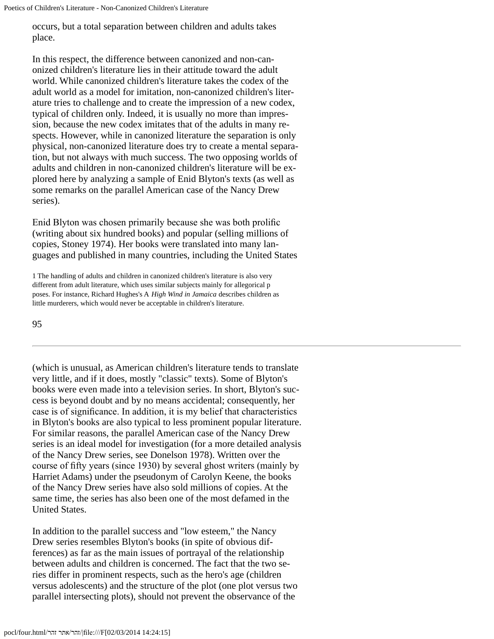occurs, but a total separation between children and adults takes place.

In this respect, the difference between canonized and non-canonized children's literature lies in their attitude toward the adult world. While canonized children's literature takes the codex of the adult world as a model for imitation, non-canonized children's literature tries to challenge and to create the impression of a new codex, typical of children only. Indeed, it is usually no more than impression, because the new codex imitates that of the adults in many respects. However, while in canonized literature the separation is only physical, non-canonized literature does try to create a mental separation, but not always with much success. The two opposing worlds of adults and children in non-canonized children's literature will be explored here by analyzing a sample of Enid Blyton's texts (as well as some remarks on the parallel American case of the Nancy Drew series).

Enid Blyton was chosen primarily because she was both prolific (writing about six hundred books) and popular (selling millions of copies, Stoney 1974). Her books were translated into many languages and published in many countries, including the United States

(which is unusual, as American children's literature tends to translate very little, and if it does, mostly "classic" texts). Some of Blyton's books were even made into a television series. In short, Blyton's success is beyond doubt and by no means accidental; consequently, her case is of significance. In addition, it is my belief that characteristics in Blyton's books are also typical to less prominent popular literature. For similar reasons, the parallel American case of the Nancy Drew series is an ideal model for investigation (for a more detailed analysis of the Nancy Drew series, see Donelson 1978). Written over the course of fifty years (since 1930) by several ghost writers (mainly by Harriet Adams) under the pseudonym of Carolyn Keene, the books of the Nancy Drew series have also sold millions of copies. At the same time, the series has also been one of the most defamed in the United States.

In addition to the parallel success and "low esteem," the Nancy Drew series resembles Blyton's books (in spite of obvious differences) as far as the main issues of portrayal of the relationship between adults and children is concerned. The fact that the two series differ in prominent respects, such as the hero's age (children versus adolescents) and the structure of the plot (one plot versus two parallel intersecting plots), should not prevent the observance of the

<sup>1</sup> The handling of adults and children in canonized children's literature is also very different from adult literature, which uses similar subjects mainly for allegorical p poses. For instance, Richard Hughes's A *High Wind in Jamaica* describes children as little murderers, which would never be acceptable in children's literature.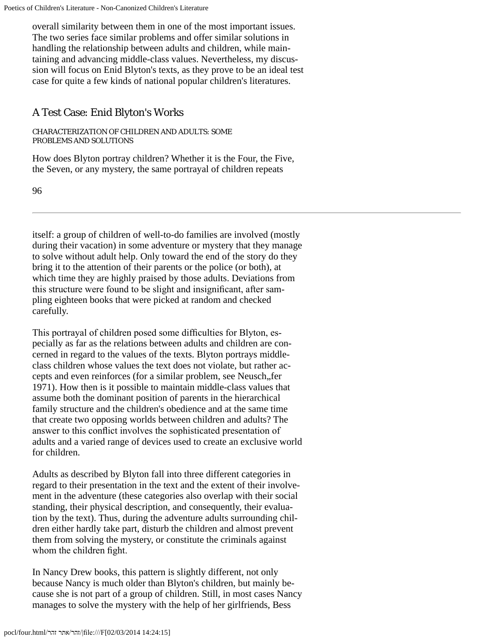overall similarity between them in one of the most important issues. The two series face similar problems and offer similar solutions in handling the relationship between adults and children, while maintaining and advancing middle-class values. Nevertheless, my discussion will focus on Enid Blyton's texts, as they prove to be an ideal test case for quite a few kinds of national popular children's literatures.

## A Test Case: Enid Blyton's Works

CHARACTERIZATION OF CHILDREN AND ADULTS: SOME PROBLEMS AND SOLUTIONS

How does Blyton portray children? Whether it is the Four, the Five, the Seven, or any mystery, the same portrayal of children repeats

96

itself: a group of children of well-to-do families are involved (mostly during their vacation) in some adventure or mystery that they manage to solve without adult help. Only toward the end of the story do they bring it to the attention of their parents or the police (or both), at which time they are highly praised by those adults. Deviations from this structure were found to be slight and insignificant, after sampling eighteen books that were picked at random and checked carefully.

This portrayal of children posed some difficulties for Blyton, especially as far as the relations between adults and children are concerned in regard to the values of the texts. Blyton portrays middleclass children whose values the text does not violate, but rather accepts and even reinforces (for a similar problem, see Neusch, fer 1971). How then is it possible to maintain middle-class values that assume both the dominant position of parents in the hierarchical family structure and the children's obedience and at the same time that create two opposing worlds between children and adults? The answer to this conflict involves the sophisticated presentation of adults and a varied range of devices used to create an exclusive world for children.

Adults as described by Blyton fall into three different categories in regard to their presentation in the text and the extent of their involvement in the adventure (these categories also overlap with their social standing, their physical description, and consequently, their evaluation by the text). Thus, during the adventure adults surrounding children either hardly take part, disturb the children and almost prevent them from solving the mystery, or constitute the criminals against whom the children fight.

In Nancy Drew books, this pattern is slightly different, not only because Nancy is much older than Blyton's children, but mainly because she is not part of a group of children. Still, in most cases Nancy manages to solve the mystery with the help of her girlfriends, Bess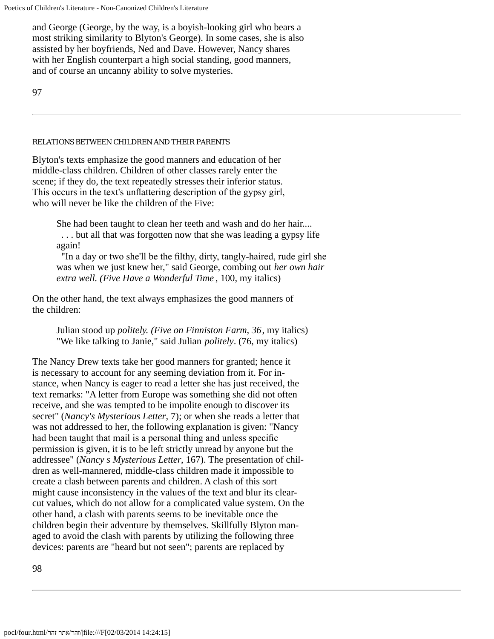and George (George, by the way, is a boyish-looking girl who bears a most striking similarity to Blyton's George). In some cases, she is also assisted by her boyfriends, Ned and Dave. However, Nancy shares with her English counterpart a high social standing, good manners, and of course an uncanny ability to solve mysteries.

97

#### RELATIONS BETWEEN CHILDREN AND THEIR PARENTS

Blyton's texts emphasize the good manners and education of her middle-class children. Children of other classes rarely enter the scene; if they do, the text repeatedly stresses their inferior status. This occurs in the text's unflattering description of the gypsy girl, who will never be like the children of the Five:

She had been taught to clean her teeth and wash and do her hair.... . . . but all that was forgotten now that she was leading a gypsy life again!

 "In a day or two she'll be the filthy, dirty, tangly-haired, rude girl she was when we just knew her," said George, combing out *her own hair extra well. (Five Have a Wonderful Time* , 100, my italics)

On the other hand, the text always emphasizes the good manners of the children:

Julian stood up *politely. (Five on Finniston Farm, 36*, my italics) "We like talking to Janie," said Julian *politely*. (76, my italics)

The Nancy Drew texts take her good manners for granted; hence it is necessary to account for any seeming deviation from it. For instance, when Nancy is eager to read a letter she has just received, the text remarks: "A letter from Europe was something she did not often receive, and she was tempted to be impolite enough to discover its secret" (*Nancy's Mysterious Letter*, 7); or when she reads a letter that was not addressed to her, the following explanation is given: "Nancy had been taught that mail is a personal thing and unless specific permission is given, it is to be left strictly unread by anyone but the addressee" (*Nancy s Mysterious Letter*, 167). The presentation of children as well-mannered, middle-class children made it impossible to create a clash between parents and children. A clash of this sort might cause inconsistency in the values of the text and blur its clearcut values, which do not allow for a complicated value system. On the other hand, a clash with parents seems to be inevitable once the children begin their adventure by themselves. Skillfully Blyton managed to avoid the clash with parents by utilizing the following three devices: parents are "heard but not seen"; parents are replaced by

98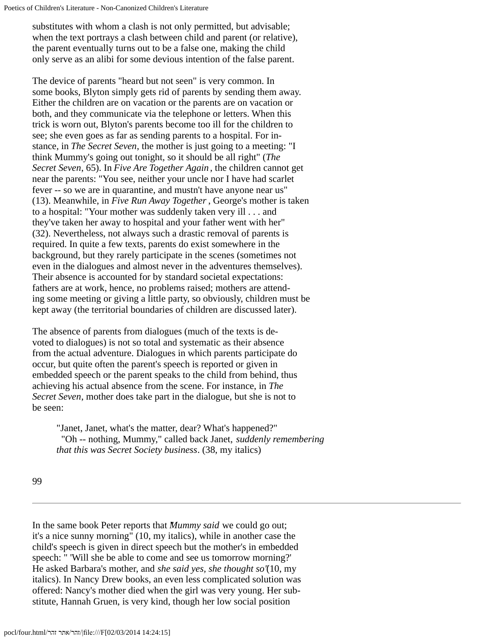```
Poetics of Children's Literature - Non-Canonized Children's Literature
```
substitutes with whom a clash is not only permitted, but advisable; when the text portrays a clash between child and parent (or relative), the parent eventually turns out to be a false one, making the child only serve as an alibi for some devious intention of the false parent.

The device of parents "heard but not seen" is very common. In some books, Blyton simply gets rid of parents by sending them away. Either the children are on vacation or the parents are on vacation or both, and they communicate via the telephone or letters. When this trick is worn out, Blyton's parents become too ill for the children to see; she even goes as far as sending parents to a hospital. For instance, in *The Secret Seven*, the mother is just going to a meeting: "I think Mummy's going out tonight, so it should be all right" (*The Secret Seven*, 65). In *Five Are Together Again* , the children cannot get near the parents: "You see, neither your uncle nor I have had scarlet fever -- so we are in quarantine, and mustn't have anyone near us" (13). Meanwhile, in *Five Run Away Together* , George's mother is taken to a hospital: "Your mother was suddenly taken very ill . . . and they've taken her away to hospital and your father went with her" (32). Nevertheless, not always such a drastic removal of parents is required. In quite a few texts, parents do exist somewhere in the background, but they rarely participate in the scenes (sometimes not even in the dialogues and almost never in the adventures themselves). Their absence is accounted for by standard societal expectations: fathers are at work, hence, no problems raised; mothers are attending some meeting or giving a little party, so obviously, children must be kept away (the territorial boundaries of children are discussed later).

The absence of parents from dialogues (much of the texts is devoted to dialogues) is not so total and systematic as their absence from the actual adventure. Dialogues in which parents participate do occur, but quite often the parent's speech is reported or given in embedded speech or the parent speaks to the child from behind, thus achieving his actual absence from the scene. For instance, in *The Secret Seven*, mother does take part in the dialogue, but she is not to be seen:

"Janet, Janet, what's the matter, dear? What's happened?" "Oh -- nothing, Mummy," called back Janet, *suddenly remembering that this was Secret Society business*. (38, my italics)

99

In the same book Peter reports that *Mummy said* we could go out; it's a nice sunny morning" (10, my italics), while in another case the child's speech is given in direct speech but the mother's in embedded speech: " 'Will she be able to come and see us tomorrow morning?' He asked Barbara's mother, and *she said yes, she thought so"* (10, my italics). In Nancy Drew books, an even less complicated solution was offered: Nancy's mother died when the girl was very young. Her substitute, Hannah Gruen, is very kind, though her low social position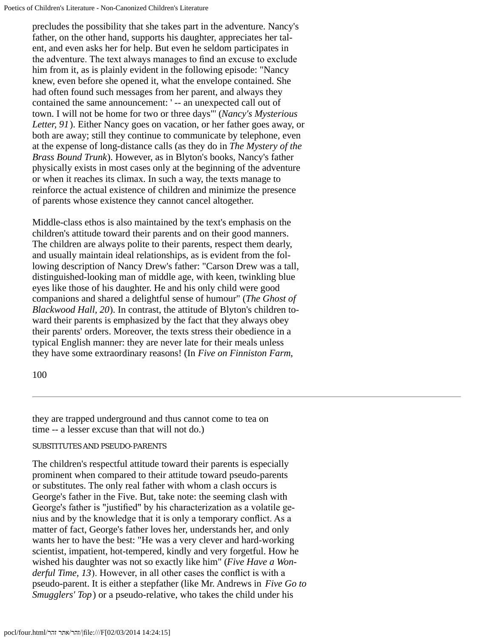precludes the possibility that she takes part in the adventure. Nancy's father, on the other hand, supports his daughter, appreciates her talent, and even asks her for help. But even he seldom participates in the adventure. The text always manages to find an excuse to exclude him from it, as is plainly evident in the following episode: "Nancy knew, even before she opened it, what the envelope contained. She had often found such messages from her parent, and always they contained the same announcement: ' -- an unexpected call out of town. I will not be home for two or three days"' (*Nancy's Mysterious Letter, 91*). Either Nancy goes on vacation, or her father goes away, or both are away; still they continue to communicate by telephone, even at the expense of long-distance calls (as they do in *The Mystery of the Brass Bound Trunk*). However, as in Blyton's books, Nancy's father physically exists in most cases only at the beginning of the adventure or when it reaches its climax. In such a way, the texts manage to reinforce the actual existence of children and minimize the presence of parents whose existence they cannot cancel altogether.

Middle-class ethos is also maintained by the text's emphasis on the children's attitude toward their parents and on their good manners. The children are always polite to their parents, respect them dearly, and usually maintain ideal relationships, as is evident from the following description of Nancy Drew's father: "Carson Drew was a tall, distinguished-looking man of middle age, with keen, twinkling blue eyes like those of his daughter. He and his only child were good companions and shared a delightful sense of humour" (*The Ghost of Blackwood Hall, 20*). In contrast, the attitude of Blyton's children toward their parents is emphasized by the fact that they always obey their parents' orders. Moreover, the texts stress their obedience in a typical English manner: they are never late for their meals unless they have some extraordinary reasons! (In *Five on Finniston Farm*,

100

they are trapped underground and thus cannot come to tea on time -- a lesser excuse than that will not do.)

#### SUBSTITUTES AND PSEUDO-PARENTS

The children's respectful attitude toward their parents is especially prominent when compared to their attitude toward pseudo-parents or substitutes. The only real father with whom a clash occurs is George's father in the Five. But, take note: the seeming clash with George's father is "justified" by his characterization as a volatile genius and by the knowledge that it is only a temporary conflict. As a matter of fact, George's father loves her, understands her, and only wants her to have the best: "He was a very clever and hard-working scientist, impatient, hot-tempered, kindly and very forgetful. How he wished his daughter was not so exactly like him" (*Five Have a Wonderful Time, 13*). However, in all other cases the conflict is with a pseudo-parent. It is either a stepfather (like Mr. Andrews in *Five Go to Smugglers' Top*) or a pseudo-relative, who takes the child under his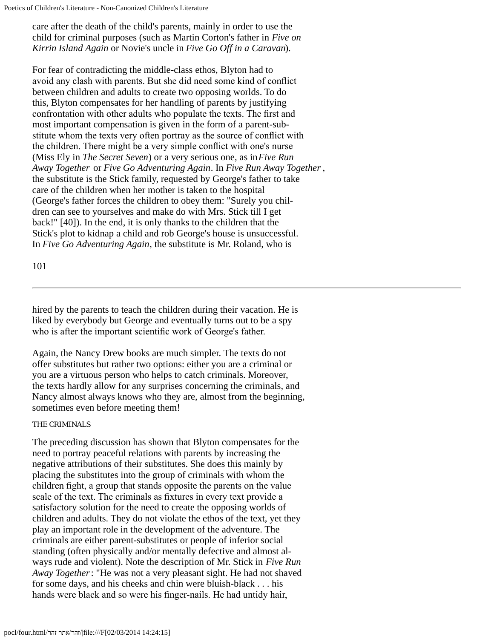care after the death of the child's parents, mainly in order to use the child for criminal purposes (such as Martin Corton's father in *Five on Kirrin Island Again* or Novie's uncle in *Five Go Off in a Caravan*).

For fear of contradicting the middle-class ethos, Blyton had to avoid any clash with parents. But she did need some kind of conflict between children and adults to create two opposing worlds. To do this, Blyton compensates for her handling of parents by justifying confrontation with other adults who populate the texts. The first and most important compensation is given in the form of a parent-substitute whom the texts very often portray as the source of conflict with the children. There might be a very simple conflict with one's nurse (Miss Ely in *The Secret Seven*) or a very serious one, as in *Five Run Away Together* or *Five Go Adventuring Again*. In *Five Run Away Together* , the substitute is the Stick family, requested by George's father to take care of the children when her mother is taken to the hospital (George's father forces the children to obey them: "Surely you children can see to yourselves and make do with Mrs. Stick till I get back!" [40]). In the end, it is only thanks to the children that the Stick's plot to kidnap a child and rob George's house is unsuccessful. In *Five Go Adventuring Again*, the substitute is Mr. Roland, who is

101

hired by the parents to teach the children during their vacation. He is liked by everybody but George and eventually turns out to be a spy who is after the important scientific work of George's father.

Again, the Nancy Drew books are much simpler. The texts do not offer substitutes but rather two options: either you are a criminal or you are a virtuous person who helps to catch criminals. Moreover, the texts hardly allow for any surprises concerning the criminals, and Nancy almost always knows who they are, almost from the beginning, sometimes even before meeting them!

#### THE CRIMINALS

The preceding discussion has shown that Blyton compensates for the need to portray peaceful relations with parents by increasing the negative attributions of their substitutes. She does this mainly by placing the substitutes into the group of criminals with whom the children fight, a group that stands opposite the parents on the value scale of the text. The criminals as fixtures in every text provide a satisfactory solution for the need to create the opposing worlds of children and adults. They do not violate the ethos of the text, yet they play an important role in the development of the adventure. The criminals are either parent-substitutes or people of inferior social standing (often physically and/or mentally defective and almost always rude and violent). Note the description of Mr. Stick in *Five Run Away Together*: "He was not a very pleasant sight. He had not shaved for some days, and his cheeks and chin were bluish-black . . . his hands were black and so were his finger-nails. He had untidy hair,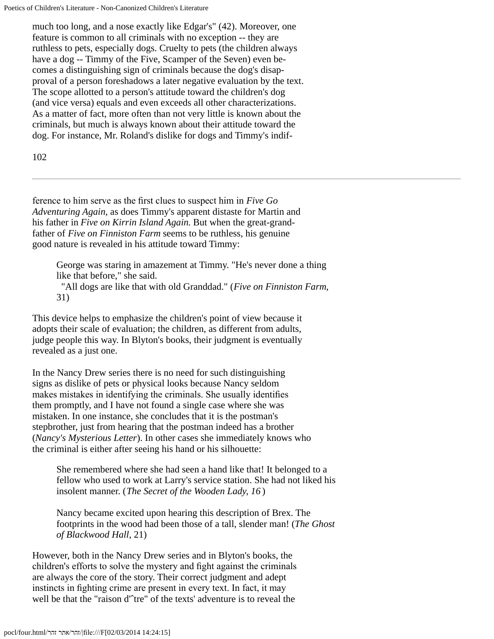much too long, and a nose exactly like Edgar's" (42). Moreover, one feature is common to all criminals with no exception -- they are ruthless to pets, especially dogs. Cruelty to pets (the children always have a dog -- Timmy of the Five, Scamper of the Seven) even becomes a distinguishing sign of criminals because the dog's disapproval of a person foreshadows a later negative evaluation by the text. The scope allotted to a person's attitude toward the children's dog (and vice versa) equals and even exceeds all other characterizations. As a matter of fact, more often than not very little is known about the criminals, but much is always known about their attitude toward the dog. For instance, Mr. Roland's dislike for dogs and Timmy's indif-

102

ference to him serve as the first clues to suspect him in *Five Go Adventuring Again*, as does Timmy's apparent distaste for Martin and his father in *Five on Kirrin Island Again*. But when the great-grandfather of *Five on Finniston Farm* seems to be ruthless, his genuine good nature is revealed in his attitude toward Timmy:

George was staring in amazement at Timmy. "He's never done a thing like that before," she said.

 "All dogs are like that with old Granddad." (*Five on Finniston Farm*, 31)

This device helps to emphasize the children's point of view because it adopts their scale of evaluation; the children, as different from adults, judge people this way. In Blyton's books, their judgment is eventually revealed as a just one.

In the Nancy Drew series there is no need for such distinguishing signs as dislike of pets or physical looks because Nancy seldom makes mistakes in identifying the criminals. She usually identifies them promptly, and I have not found a single case where she was mistaken. In one instance, she concludes that it is the postman's stepbrother, just from hearing that the postman indeed has a brother (*Nancy's Mysterious Letter*). In other cases she immediately knows who the criminal is either after seeing his hand or his silhouette:

She remembered where she had seen a hand like that! It belonged to a fellow who used to work at Larry's service station. She had not liked his insolent manner. (*The Secret of the Wooden Lady, 16* )

Nancy became excited upon hearing this description of Brex. The footprints in the wood had been those of a tall, slender man! (*The Ghost of Blackwood Hall*, 21)

However, both in the Nancy Drew series and in Blyton's books, the children's efforts to solve the mystery and fight against the criminals are always the core of the story. Their correct judgment and adept instincts in fighting crime are present in every text. In fact, it may well be that the "raison d"tre" of the texts' adventure is to reveal the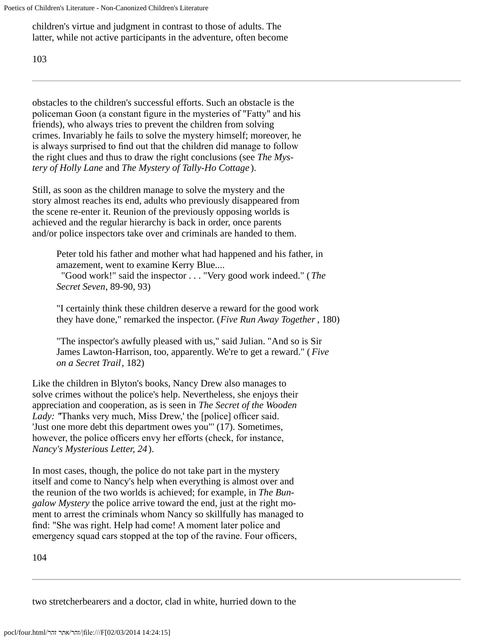children's virtue and judgment in contrast to those of adults. The latter, while not active participants in the adventure, often become

103

obstacles to the children's successful efforts. Such an obstacle is the policeman Goon (a constant figure in the mysteries of "Fatty" and his friends), who always tries to prevent the children from solving crimes. Invariably he fails to solve the mystery himself; moreover, he is always surprised to find out that the children did manage to follow the right clues and thus to draw the right conclusions (see *The Mystery of Holly Lane* and *The Mystery of Tally-Ho Cottage* ).

Still, as soon as the children manage to solve the mystery and the story almost reaches its end, adults who previously disappeared from the scene re-enter it. Reunion of the previously opposing worlds is achieved and the regular hierarchy is back in order, once parents and/or police inspectors take over and criminals are handed to them.

Peter told his father and mother what had happened and his father, in amazement, went to examine Kerry Blue....

 "Good work!" said the inspector . . . "Very good work indeed." (*The Secret Seven*, 89-90, 93)

"I certainly think these children deserve a reward for the good work they have done," remarked the inspector. (*Five Run Away Together* , 180)

"The inspector's awfully pleased with us," said Julian. "And so is Sir James Lawton-Harrison, too, apparently. We're to get a reward." ( *Five on a Secret Trail*, 182)

Like the children in Blyton's books, Nancy Drew also manages to solve crimes without the police's help. Nevertheless, she enjoys their appreciation and cooperation, as is seen in *The Secret of the Wooden Lady:* "Thanks very much, Miss Drew,' the [police] officer said. 'Just one more debt this department owes you"' (17). Sometimes, however, the police officers envy her efforts (check, for instance, *Nancy's Mysterious Letter, 24*).

In most cases, though, the police do not take part in the mystery itself and come to Nancy's help when everything is almost over and the reunion of the two worlds is achieved; for example, in *The Bungalow Mystery* the police arrive toward the end, just at the right moment to arrest the criminals whom Nancy so skillfully has managed to find: "She was right. Help had come! A moment later police and emergency squad cars stopped at the top of the ravine. Four officers,

104

two stretcherbearers and a doctor, clad in white, hurried down to the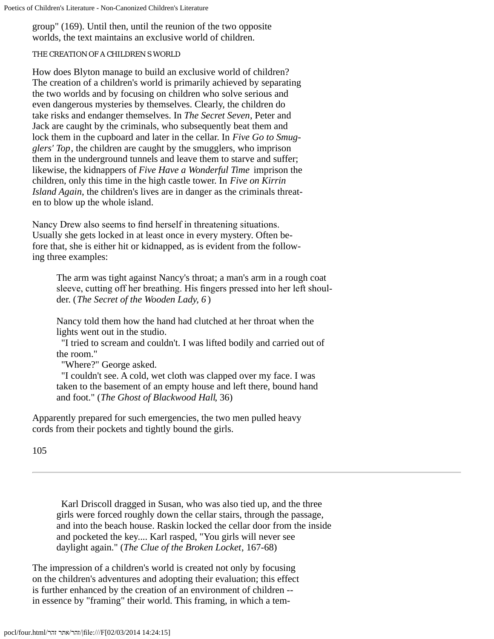Poetics of Children's Literature - Non-Canonized Children's Literature

group" (169). Until then, until the reunion of the two opposite worlds, the text maintains an exclusive world of children.

### THE CREATION OF A CHILDREN S WORLD

How does Blyton manage to build an exclusive world of children? The creation of a children's world is primarily achieved by separating the two worlds and by focusing on children who solve serious and even dangerous mysteries by themselves. Clearly, the children do take risks and endanger themselves. In *The Secret Seven*, Peter and Jack are caught by the criminals, who subsequently beat them and lock them in the cupboard and later in the cellar. In *Five Go to Smugglers' Top*, the children are caught by the smugglers, who imprison them in the underground tunnels and leave them to starve and suffer; likewise, the kidnappers of *Five Have a Wonderful Time* imprison the children, only this time in the high castle tower. In *Five on Kirrin Island Again*, the children's lives are in danger as the criminals threaten to blow up the whole island.

Nancy Drew also seems to find herself in threatening situations. Usually she gets locked in at least once in every mystery. Often before that, she is either hit or kidnapped, as is evident from the following three examples:

The arm was tight against Nancy's throat; a man's arm in a rough coat sleeve, cutting off her breathing. His fingers pressed into her left shoulder. (*The Secret of the Wooden Lady, 6* )

Nancy told them how the hand had clutched at her throat when the lights went out in the studio.

 "I tried to scream and couldn't. I was lifted bodily and carried out of the room."

"Where?" George asked.

 "I couldn't see. A cold, wet cloth was clapped over my face. I was taken to the basement of an empty house and left there, bound hand and foot." (*The Ghost of Blackwood Hall*, 36)

Apparently prepared for such emergencies, the two men pulled heavy cords from their pockets and tightly bound the girls.

105

 Karl Driscoll dragged in Susan, who was also tied up, and the three girls were forced roughly down the cellar stairs, through the passage, and into the beach house. Raskin locked the cellar door from the inside and pocketed the key.... Karl rasped, "You girls will never see daylight again." (*The Clue of the Broken Locket*, 167-68)

The impression of a children's world is created not only by focusing on the children's adventures and adopting their evaluation; this effect is further enhanced by the creation of an environment of children - in essence by "framing" their world. This framing, in which a tem-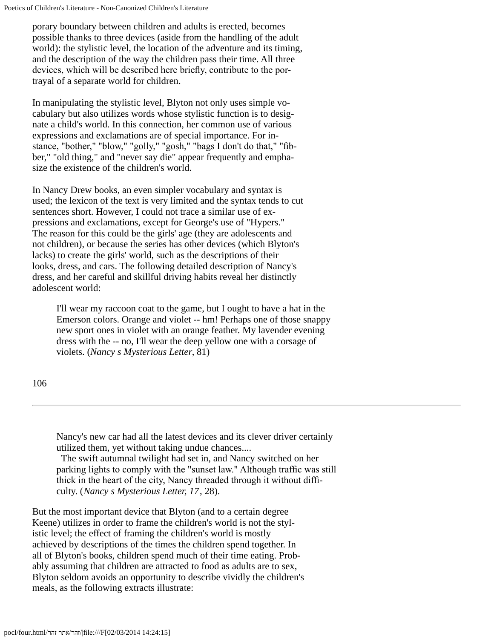Poetics of Children's Literature - Non-Canonized Children's Literature

porary boundary between children and adults is erected, becomes possible thanks to three devices (aside from the handling of the adult world): the stylistic level, the location of the adventure and its timing, and the description of the way the children pass their time. All three devices, which will be described here briefly, contribute to the portrayal of a separate world for children.

In manipulating the stylistic level, Blyton not only uses simple vocabulary but also utilizes words whose stylistic function is to designate a child's world. In this connection, her common use of various expressions and exclamations are of special importance. For instance, "bother," "blow," "golly," "gosh," "bags I don't do that," "fibber," "old thing," and "never say die" appear frequently and emphasize the existence of the children's world.

In Nancy Drew books, an even simpler vocabulary and syntax is used; the lexicon of the text is very limited and the syntax tends to cut sentences short. However, I could not trace a similar use of expressions and exclamations, except for George's use of "Hypers." The reason for this could be the girls' age (they are adolescents and not children), or because the series has other devices (which Blyton's lacks) to create the girls' world, such as the descriptions of their looks, dress, and cars. The following detailed description of Nancy's dress, and her careful and skillful driving habits reveal her distinctly adolescent world:

I'll wear my raccoon coat to the game, but I ought to have a hat in the Emerson colors. Orange and violet -- hm! Perhaps one of those snappy new sport ones in violet with an orange feather. My lavender evening dress with the -- no, I'll wear the deep yellow one with a corsage of violets. (*Nancy s Mysterious Letter*, 81)

Nancy's new car had all the latest devices and its clever driver certainly utilized them, yet without taking undue chances....

 The swift autumnal twilight had set in, and Nancy switched on her parking lights to comply with the "sunset law." Although traffic was still thick in the heart of the city, Nancy threaded through it without difficulty. (*Nancy s Mysterious Letter, 17*, 28).

But the most important device that Blyton (and to a certain degree Keene) utilizes in order to frame the children's world is not the stylistic level; the effect of framing the children's world is mostly achieved by descriptions of the times the children spend together. In all of Blyton's books, children spend much of their time eating. Probably assuming that children are attracted to food as adults are to sex, Blyton seldom avoids an opportunity to describe vividly the children's meals, as the following extracts illustrate: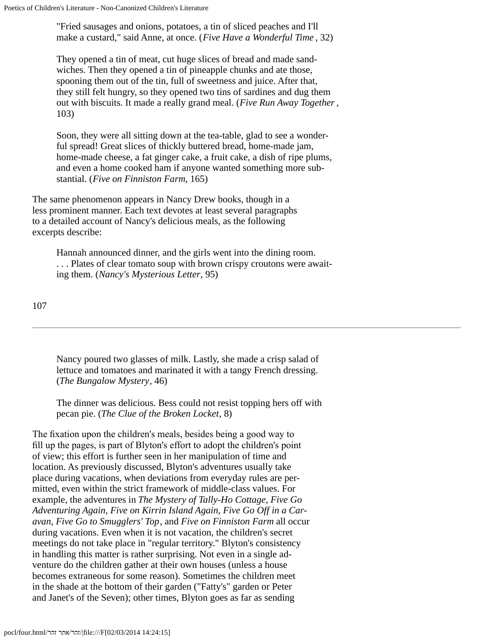"Fried sausages and onions, potatoes, a tin of sliced peaches and I'll make a custard," said Anne, at once. (*Five Have a Wonderful Time* , 32)

They opened a tin of meat, cut huge slices of bread and made sandwiches. Then they opened a tin of pineapple chunks and ate those, spooning them out of the tin, full of sweetness and juice. After that, they still felt hungry, so they opened two tins of sardines and dug them out with biscuits. It made a really grand meal. (*Five Run Away Together* , 103)

Soon, they were all sitting down at the tea-table, glad to see a wonderful spread! Great slices of thickly buttered bread, home-made jam, home-made cheese, a fat ginger cake, a fruit cake, a dish of ripe plums, and even a home cooked ham if anyone wanted something more substantial. (*Five on Finniston Farm*, 165)

The same phenomenon appears in Nancy Drew books, though in a less prominent manner. Each text devotes at least several paragraphs to a detailed account of Nancy's delicious meals, as the following excerpts describe:

Hannah announced dinner, and the girls went into the dining room. . . . Plates of clear tomato soup with brown crispy croutons were awaiting them. (*Nancy's Mysterious Letter*, 95)

107

Nancy poured two glasses of milk. Lastly, she made a crisp salad of lettuce and tomatoes and marinated it with a tangy French dressing. (*The Bungalow Mystery*, 46)

The dinner was delicious. Bess could not resist topping hers off with pecan pie. (*The Clue of the Broken Locket*, 8)

The fixation upon the children's meals, besides being a good way to fill up the pages, is part of Blyton's effort to adopt the children's point of view; this effort is further seen in her manipulation of time and location. As previously discussed, Blyton's adventures usually take place during vacations, when deviations from everyday rules are permitted, even within the strict framework of middle-class values. For example, the adventures in *The Mystery of Tally-Ho Cottage, Five Go Adventuring Again, Five on Kirrin Island Again, Five Go Off in a Caravan, Five Go to Smugglers' Top*, and *Five on Finniston Farm* all occur during vacations. Even when it is not vacation, the children's secret meetings do not take place in "regular territory." Blyton's consistency in handling this matter is rather surprising. Not even in a single adventure do the children gather at their own houses (unless a house becomes extraneous for some reason). Sometimes the children meet in the shade at the bottom of their garden ("Fatty's" garden or Peter and Janet's of the Seven); other times, Blyton goes as far as sending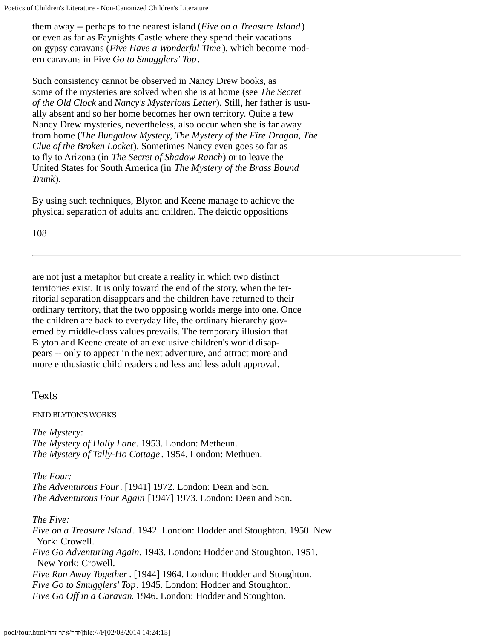them away -- perhaps to the nearest island (*Five on a Treasure Island*) or even as far as Faynights Castle where they spend their vacations on gypsy caravans (*Five Have a Wonderful Time* ), which become modern caravans in Five *Go to Smugglers' Top*.

Such consistency cannot be observed in Nancy Drew books, as some of the mysteries are solved when she is at home (see *The Secret of the Old Clock* and *Nancy's Mysterious Letter*). Still, her father is usually absent and so her home becomes her own territory. Quite a few Nancy Drew mysteries, nevertheless, also occur when she is far away from home (*The Bungalow Mystery, The Mystery of the Fire Dragon, The Clue of the Broken Locket*). Sometimes Nancy even goes so far as to fly to Arizona (in *The Secret of Shadow Ranch*) or to leave the United States for South America (in *The Mystery of the Brass Bound Trunk*).

By using such techniques, Blyton and Keene manage to achieve the physical separation of adults and children. The deictic oppositions

108

are not just a metaphor but create a reality in which two distinct territories exist. It is only toward the end of the story, when the territorial separation disappears and the children have returned to their ordinary territory, that the two opposing worlds merge into one. Once the children are back to everyday life, the ordinary hierarchy governed by middle-class values prevails. The temporary illusion that Blyton and Keene create of an exclusive children's world disappears -- only to appear in the next adventure, and attract more and more enthusiastic child readers and less and less adult approval.

#### Texts

#### ENID BLYTON'S WORKS

*The Mystery*: *The Mystery of Holly Lane*. 1953. London: Metheun. *The Mystery of Tally-Ho Cottage* . 1954. London: Methuen.

*The Four: The Adventurous Four*. [1941] 1972. London: Dean and Son. *The Adventurous Four Again* [1947] 1973. London: Dean and Son.

*The Five:*

*Five on a Treasure Island*. 1942. London: Hodder and Stoughton. 1950. New York: Crowell. *Five Go Adventuring Again*. 1943. London: Hodder and Stoughton. 1951. New York: Crowell. *Five Run Away Together* . [1944] 1964. London: Hodder and Stoughton. *Five Go to Smugglers' Top*. 1945. London: Hodder and Stoughton. *Five Go Off in a Caravan*. 1946. London: Hodder and Stoughton.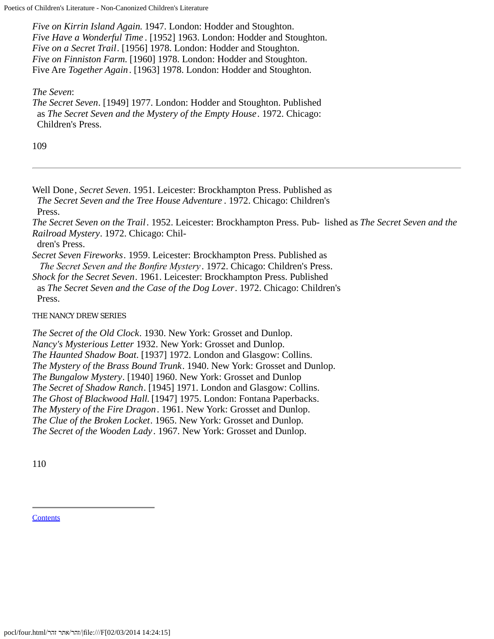*Five on Kirrin Island Again*. 1947. London: Hodder and Stoughton. *Five Have a Wonderful Time* . [1952] 1963. London: Hodder and Stoughton. *Five on a Secret Trail*. [1956] 1978. London: Hodder and Stoughton. *Five on Finniston Farm*. [1960] 1978. London: Hodder and Stoughton. Five Are *Together Again*. [1963] 1978. London: Hodder and Stoughton.

*The Seven*:

*The Secret Seven*. [1949] 1977. London: Hodder and Stoughton. Published as *The Secret Seven and the Mystery of the Empty House*. 1972. Chicago: Children's Press.

109

Well Done*, Secret Seven*. 1951. Leicester: Brockhampton Press. Published as *The Secret Seven and the Tree House Adventure* . 1972. Chicago: Children's Press.

*The Secret Seven on the Trail*. 1952. Leicester: Brockhampton Press. Pub- lished as *The Secret Seven and the Railroad Mystery*. 1972. Chicago: Chil-

dren's Press.

*Secret Seven Fireworks*. 1959. Leicester: Brockhampton Press. Published as *The Secret Seven and the Bonfire Mystery*. 1972. Chicago: Children's Press. *Shock for the Secret Seven*. 1961. Leicester: Brockhampton Press. Published

 as *The Secret Seven and the Case of the Dog Lover*. 1972. Chicago: Children's Press.

#### THE NANCY DREW SERIES

*The Secret of the Old Clock*. 1930. New York: Grosset and Dunlop. *Nancy's Mysterious Letter* 1932. New York: Grosset and Dunlop. *The Haunted Shadow Boat*. [1937] 1972. London and Glasgow: Collins. *The Mystery of the Brass Bound Trunk*. 1940. New York: Grosset and Dunlop. *The Bungalow Mystery*. [1940] 1960. New York: Grosset and Dunlop *The Secret of Shadow Ranch*. [1945] 1971. London and Glasgow: Collins. *The Ghost of Blackwood Hall.* [1947] 1975. London: Fontana Paperbacks. *The Mystery of the Fire Dragon*. 1961. New York: Grosset and Dunlop. *The Clue of the Broken Locket*. 1965. New York: Grosset and Dunlop. *The Secret of the Wooden Lady*. 1967. New York: Grosset and Dunlop.

110

**[Contents](#page-1-0)**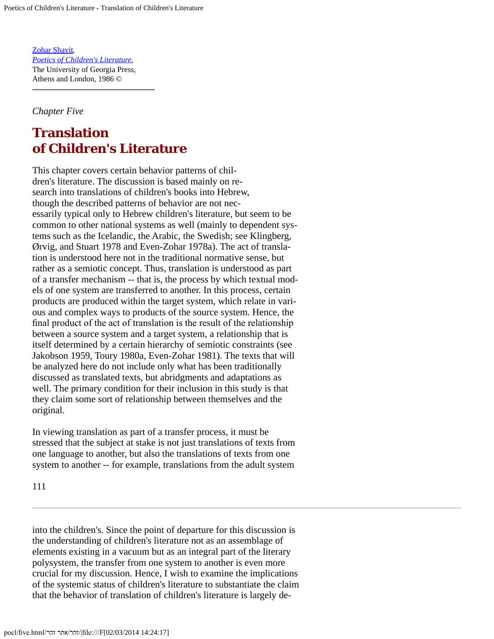Zohar Shavit, *[Poetics of Children's Literature](#page-0-0)*, The University of Georgia Press, Athens and London, 1986 ©

*Chapter Five*

# **Translation of Children's Literature**

This chapter covers certain behavior patterns of children's literature. The discussion is based mainly on research into translations of children's books into Hebrew, though the described patterns of behavior are not necessarily typical only to Hebrew children's literature, but seem to be common to other national systems as well (mainly to dependent systems such as the Icelandic, the Arabic, the Swedish; see Klingberg, Ørvig, and Stuart 1978 and Even-Zohar 1978a). The act of translation is understood here not in the traditional normative sense, but rather as a semiotic concept. Thus, translation is understood as part of a transfer mechanism -- that is, the process by which textual models of one system are transferred to another. In this process, certain products are produced within the target system, which relate in various and complex ways to products of the source system. Hence, the final product of the act of translation is the result of the relationship between a source system and a target system, a relationship that is itself determined by a certain hierarchy of semiotic constraints (see Jakobson 1959, Toury 1980a, Even-Zohar 1981). The texts that will be analyzed here do not include only what has been traditionally discussed as translated texts, but abridgments and adaptations as well. The primary condition for their inclusion in this study is that they claim some sort of relationship between themselves and the original.

In viewing translation as part of a transfer process, it must be stressed that the subject at stake is not just translations of texts from one language to another, but also the translations of texts from one system to another -- for example, translations from the adult system

111

into the children's. Since the point of departure for this discussion is the understanding of children's literature not as an assemblage of elements existing in a vacuum but as an integral part of the literary polysystem, the transfer from one system to another is even more crucial for my discussion. Hence, I wish to examine the implications of the systemic status of children's literature to substantiate the claim that the behavior of translation of children's literature is largely de-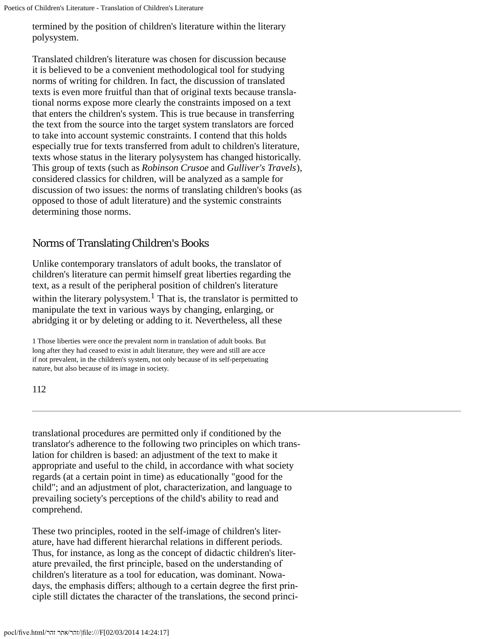termined by the position of children's literature within the literary polysystem.

Translated children's literature was chosen for discussion because it is believed to be a convenient methodological tool for studying norms of writing for children. In fact, the discussion of translated texts is even more fruitful than that of original texts because translational norms expose more clearly the constraints imposed on a text that enters the children's system. This is true because in transferring the text from the source into the target system translators are forced to take into account systemic constraints. I contend that this holds especially true for texts transferred from adult to children's literature, texts whose status in the literary polysystem has changed historically. This group of texts (such as *Robinson Crusoe* and *Gulliver's Travels*), considered classics for children, will be analyzed as a sample for discussion of two issues: the norms of translating children's books (as opposed to those of adult literature) and the systemic constraints determining those norms.

# Norms of Translating Children's Books

Unlike contemporary translators of adult books, the translator of children's literature can permit himself great liberties regarding the text, as a result of the peripheral position of children's literature within the literary polysystem.<sup>1</sup> That is, the translator is permitted to manipulate the text in various ways by changing, enlarging, or abridging it or by deleting or adding to it. Nevertheless, all these

1 Those liberties were once the prevalent norm in translation of adult books. But long after they had ceased to exist in adult literature, they were and still are acce if not prevalent, in the children's system, not only because of its self-perpetuating nature, but also because of its image in society.

#### 112

translational procedures are permitted only if conditioned by the translator's adherence to the following two principles on which translation for children is based: an adjustment of the text to make it appropriate and useful to the child, in accordance with what society regards (at a certain point in time) as educationally "good for the child"; and an adjustment of plot, characterization, and language to prevailing society's perceptions of the child's ability to read and comprehend.

These two principles, rooted in the self-image of children's literature, have had different hierarchal relations in different periods. Thus, for instance, as long as the concept of didactic children's literature prevailed, the first principle, based on the understanding of children's literature as a tool for education, was dominant. Nowadays, the emphasis differs; although to a certain degree the first principle still dictates the character of the translations, the second princi-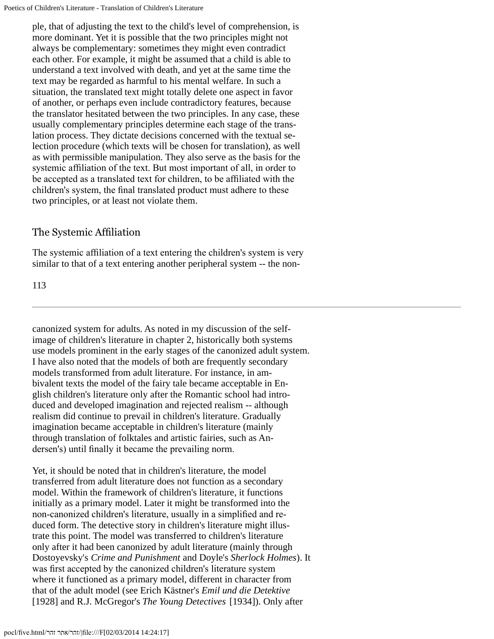ple, that of adjusting the text to the child's level of comprehension, is more dominant. Yet it is possible that the two principles might not always be complementary: sometimes they might even contradict each other. For example, it might be assumed that a child is able to understand a text involved with death, and yet at the same time the text may be regarded as harmful to his mental welfare. In such a situation, the translated text might totally delete one aspect in favor of another, or perhaps even include contradictory features, because the translator hesitated between the two principles. In any case, these usually complementary principles determine each stage of the translation process. They dictate decisions concerned with the textual selection procedure (which texts will be chosen for translation), as well as with permissible manipulation. They also serve as the basis for the systemic affiliation of the text. But most important of all, in order to be accepted as a translated text for children, to be affiliated with the children's system, the final translated product must adhere to these two principles, or at least not violate them.

## The Systemic Affiliation

The systemic affiliation of a text entering the children's system is very similar to that of a text entering another peripheral system -- the non-

113

canonized system for adults. As noted in my discussion of the selfimage of children's literature in chapter 2, historically both systems use models prominent in the early stages of the canonized adult system. I have also noted that the models of both are frequently secondary models transformed from adult literature. For instance, in ambivalent texts the model of the fairy tale became acceptable in English children's literature only after the Romantic school had introduced and developed imagination and rejected realism -- although realism did continue to prevail in children's literature. Gradually imagination became acceptable in children's literature (mainly through translation of folktales and artistic fairies, such as Andersen's) until finally it became the prevailing norm.

Yet, it should be noted that in children's literature, the model transferred from adult literature does not function as a secondary model. Within the framework of children's literature, it functions initially as a primary model. Later it might be transformed into the non-canonized children's literature, usually in a simplified and reduced form. The detective story in children's literature might illustrate this point. The model was transferred to children's literature only after it had been canonized by adult literature (mainly through Dostoyevsky's *Crime and Punishment* and Doyle's *Sherlock Holmes*). It was first accepted by the canonized children's literature system where it functioned as a primary model, different in character from that of the adult model (see Erich Kästner's *Emil und die Detektive* [1928] and R.J. McGregor's *The Young Detectives* [1934]). Only after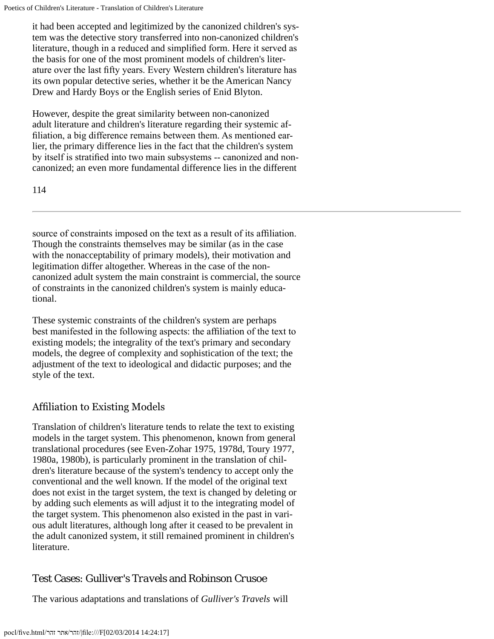it had been accepted and legitimized by the canonized children's system was the detective story transferred into non-canonized children's literature, though in a reduced and simplified form. Here it served as the basis for one of the most prominent models of children's literature over the last fifty years. Every Western children's literature has its own popular detective series, whether it be the American Nancy Drew and Hardy Boys or the English series of Enid Blyton.

However, despite the great similarity between non-canonized adult literature and children's literature regarding their systemic affiliation, a big difference remains between them. As mentioned earlier, the primary difference lies in the fact that the children's system by itself is stratified into two main subsystems -- canonized and noncanonized; an even more fundamental difference lies in the different

source of constraints imposed on the text as a result of its affiliation. Though the constraints themselves may be similar (as in the case with the nonacceptability of primary models), their motivation and legitimation differ altogether. Whereas in the case of the noncanonized adult system the main constraint is commercial, the source of constraints in the canonized children's system is mainly educational.

These systemic constraints of the children's system are perhaps best manifested in the following aspects: the affiliation of the text to existing models; the integrality of the text's primary and secondary models, the degree of complexity and sophistication of the text; the adjustment of the text to ideological and didactic purposes; and the style of the text.

# Affiliation to Existing Models

Translation of children's literature tends to relate the text to existing models in the target system. This phenomenon, known from general translational procedures (see Even-Zohar 1975, 1978d, Toury 1977, 1980a, 1980b), is particularly prominent in the translation of children's literature because of the system's tendency to accept only the conventional and the well known. If the model of the original text does not exist in the target system, the text is changed by deleting or by adding such elements as will adjust it to the integrating model of the target system. This phenomenon also existed in the past in various adult literatures, although long after it ceased to be prevalent in the adult canonized system, it still remained prominent in children's literature.

# Test Cases: *Gulliver's Travels* and *Robinson Crusoe*

The various adaptations and translations of *Gulliver's Travels* will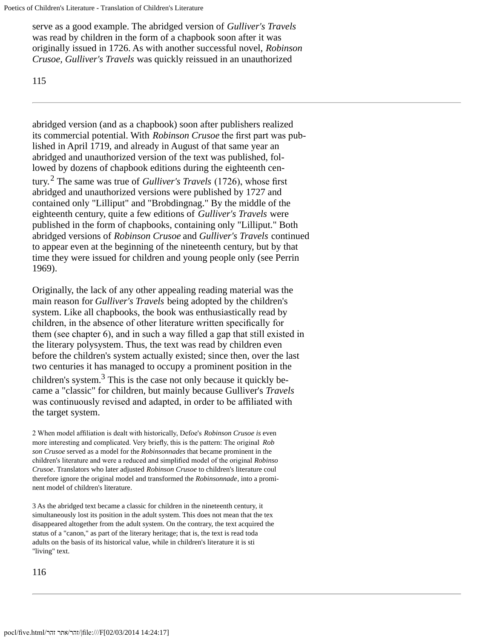serve as a good example. The abridged version of *Gulliver's Travels* was read by children in the form of a chapbook soon after it was originally issued in 1726. As with another successful novel, *Robinson Crusoe, Gulliver's Travels* was quickly reissued in an unauthorized

115

abridged version (and as a chapbook) soon after publishers realized its commercial potential. With *Robinson Crusoe* the first part was published in April 1719, and already in August of that same year an abridged and unauthorized version of the text was published, followed by dozens of chapbook editions during the eighteenth cen-

tury.2 The same was true of *Gulliver's Travels* (1726), whose first abridged and unauthorized versions were published by 1727 and contained only "Lilliput" and "Brobdingnag." By the middle of the eighteenth century, quite a few editions of *Gulliver's Travels* were published in the form of chapbooks, containing only "Lilliput." Both abridged versions of *Robinson Crusoe* and *Gulliver's Travels* continued to appear even at the beginning of the nineteenth century, but by that time they were issued for children and young people only (see Perrin 1969).

Originally, the lack of any other appealing reading material was the main reason for *Gulliver's Travels* being adopted by the children's system. Like all chapbooks, the book was enthusiastically read by children, in the absence of other literature written specifically for them (see chapter 6), and in such a way filled a gap that still existed in the literary polysystem. Thus, the text was read by children even before the children's system actually existed; since then, over the last two centuries it has managed to occupy a prominent position in the children's system.<sup>3</sup> This is the case not only because it quickly became a "classic" for children, but mainly because Gulliver's *Travels* was continuously revised and adapted, in order to be affiliated with the target system.

2 When model affiliation is dealt with historically, Defoe's *Robinson Crusoe is* even more interesting and complicated. Very briefly, this is the pattern: The original *Rob son Crusoe* served as a model for the *Robinsonnades* that became prominent in the children's literature and were a reduced and simplified model of the original *Robinso Crusoe*. Translators who later adjusted *Robinson Crusoe* to children's literature coul therefore ignore the original model and transformed the *Robinsonnade*, into a prominent model of children's literature.

3 As the abridged text became a classic for children in the nineteenth century, it simultaneously lost its position in the adult system. This does not mean that the tex disappeared altogether from the adult system. On the contrary, the text acquired the status of a "canon," as part of the literary heritage; that is, the text is read toda adults on the basis of its historical value, while in children's literature it is sti "living" text.

116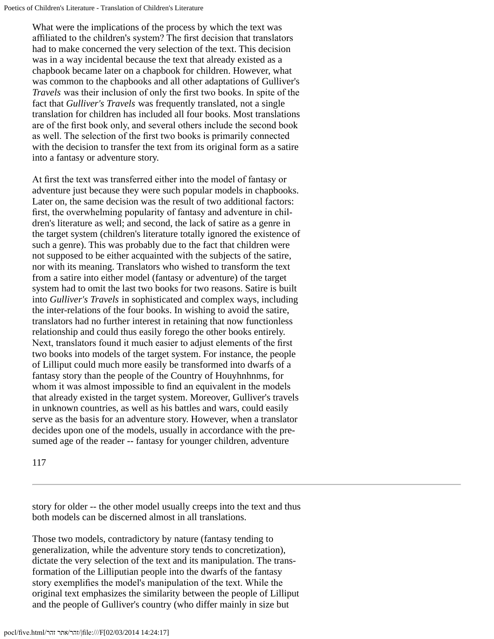What were the implications of the process by which the text was affiliated to the children's system? The first decision that translators had to make concerned the very selection of the text. This decision was in a way incidental because the text that already existed as a chapbook became later on a chapbook for children. However, what was common to the chapbooks and all other adaptations of Gulliver's *Travels* was their inclusion of only the first two books. In spite of the fact that *Gulliver's Travels* was frequently translated, not a single translation for children has included all four books. Most translations are of the first book only, and several others include the second book as well. The selection of the first two books is primarily connected with the decision to transfer the text from its original form as a satire into a fantasy or adventure story.

At first the text was transferred either into the model of fantasy or adventure just because they were such popular models in chapbooks. Later on, the same decision was the result of two additional factors: first, the overwhelming popularity of fantasy and adventure in children's literature as well; and second, the lack of satire as a genre in the target system (children's literature totally ignored the existence of such a genre). This was probably due to the fact that children were not supposed to be either acquainted with the subjects of the satire, nor with its meaning. Translators who wished to transform the text from a satire into either model (fantasy or adventure) of the target system had to omit the last two books for two reasons. Satire is built into *Gulliver's Travels* in sophisticated and complex ways, including the inter-relations of the four books. In wishing to avoid the satire, translators had no further interest in retaining that now functionless relationship and could thus easily forego the other books entirely. Next, translators found it much easier to adjust elements of the first two books into models of the target system. For instance, the people of Lilliput could much more easily be transformed into dwarfs of a fantasy story than the people of the Country of Houyhnhnms, for whom it was almost impossible to find an equivalent in the models that already existed in the target system. Moreover, Gulliver's travels in unknown countries, as well as his battles and wars, could easily serve as the basis for an adventure story. However, when a translator decides upon one of the models, usually in accordance with the presumed age of the reader -- fantasy for younger children, adventure

117

story for older -- the other model usually creeps into the text and thus both models can be discerned almost in all translations.

Those two models, contradictory by nature (fantasy tending to generalization, while the adventure story tends to concretization), dictate the very selection of the text and its manipulation. The transformation of the Lilliputian people into the dwarfs of the fantasy story exemplifies the model's manipulation of the text. While the original text emphasizes the similarity between the people of Lilliput and the people of Gulliver's country (who differ mainly in size but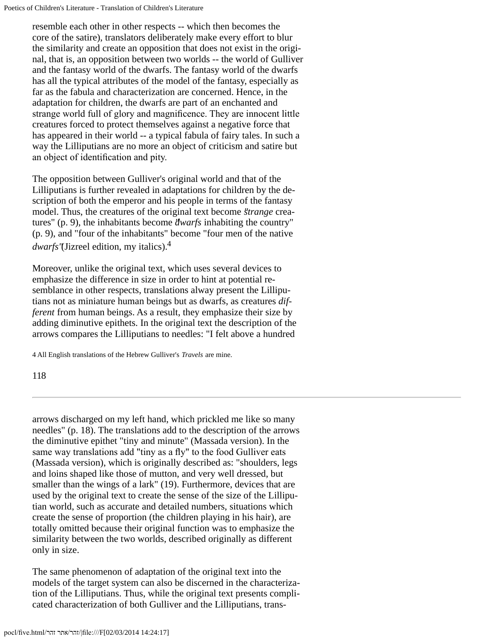resemble each other in other respects -- which then becomes the core of the satire), translators deliberately make every effort to blur the similarity and create an opposition that does not exist in the original, that is, an opposition between two worlds -- the world of Gulliver and the fantasy world of the dwarfs. The fantasy world of the dwarfs has all the typical attributes of the model of the fantasy, especially as far as the fabula and characterization are concerned. Hence, in the adaptation for children, the dwarfs are part of an enchanted and strange world full of glory and magnificence. They are innocent little creatures forced to protect themselves against a negative force that has appeared in their world -- a typical fabula of fairy tales. In such a way the Lilliputians are no more an object of criticism and satire but an object of identification and pity.

The opposition between Gulliver's original world and that of the Lilliputians is further revealed in adaptations for children by the description of both the emperor and his people in terms of the fantasy model. Thus, the creatures of the original text become *strange* creatures" (p. 9), the inhabitants become *dwarfs* inhabiting the country" (p. 9), and "four of the inhabitants" become "four men of the native *dwarfs"* (Jizreel edition, my italics).4

Moreover, unlike the original text, which uses several devices to emphasize the difference in size in order to hint at potential resemblance in other respects, translations alway present the Lilliputians not as miniature human beings but as dwarfs, as creatures *different* from human beings. As a result, they emphasize their size by adding diminutive epithets. In the original text the description of the arrows compares the Lilliputians to needles: "I felt above a hundred

4 All English translations of the Hebrew Gulliver's *Travels* are mine.

118

arrows discharged on my left hand, which prickled me like so many needles" (p. 18). The translations add to the description of the arrows the diminutive epithet "tiny and minute" (Massada version). In the same way translations add "tiny as a fly" to the food Gulliver eats (Massada version), which is originally described as: "shoulders, legs and loins shaped like those of mutton, and very well dressed, but smaller than the wings of a lark" (19). Furthermore, devices that are used by the original text to create the sense of the size of the Lilliputian world, such as accurate and detailed numbers, situations which create the sense of proportion (the children playing in his hair), are totally omitted because their original function was to emphasize the similarity between the two worlds, described originally as different only in size.

The same phenomenon of adaptation of the original text into the models of the target system can also be discerned in the characterization of the Lilliputians. Thus, while the original text presents complicated characterization of both Gulliver and the Lilliputians, trans-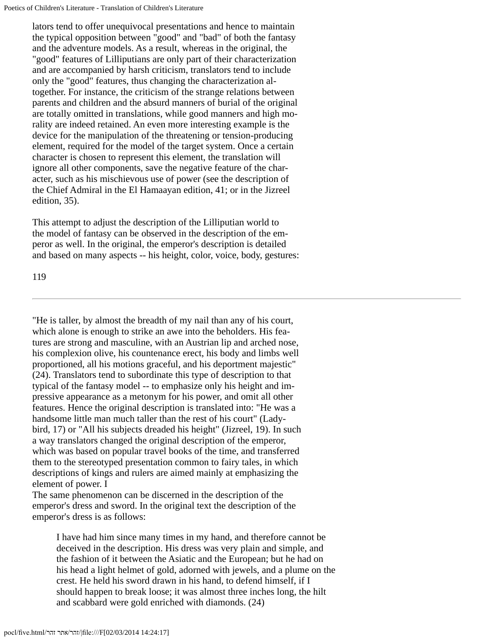lators tend to offer unequivocal presentations and hence to maintain the typical opposition between "good" and "bad" of both the fantasy and the adventure models. As a result, whereas in the original, the "good" features of Lilliputians are only part of their characterization and are accompanied by harsh criticism, translators tend to include only the "good" features, thus changing the characterization altogether. For instance, the criticism of the strange relations between parents and children and the absurd manners of burial of the original are totally omitted in translations, while good manners and high morality are indeed retained. An even more interesting example is the device for the manipulation of the threatening or tension-producing element, required for the model of the target system. Once a certain character is chosen to represent this element, the translation will ignore all other components, save the negative feature of the character, such as his mischievous use of power (see the description of the Chief Admiral in the El Hamaayan edition, 41; or in the Jizreel edition, 35).

This attempt to adjust the description of the Lilliputian world to the model of fantasy can be observed in the description of the emperor as well. In the original, the emperor's description is detailed and based on many aspects -- his height, color, voice, body, gestures:

119

"He is taller, by almost the breadth of my nail than any of his court, which alone is enough to strike an awe into the beholders. His features are strong and masculine, with an Austrian lip and arched nose, his complexion olive, his countenance erect, his body and limbs well proportioned, all his motions graceful, and his deportment majestic" (24). Translators tend to subordinate this type of description to that typical of the fantasy model -- to emphasize only his height and impressive appearance as a metonym for his power, and omit all other features. Hence the original description is translated into: "He was a handsome little man much taller than the rest of his court" (Ladybird, 17) or "All his subjects dreaded his height" (Jizreel, 19). In such a way translators changed the original description of the emperor, which was based on popular travel books of the time, and transferred them to the stereotyped presentation common to fairy tales, in which descriptions of kings and rulers are aimed mainly at emphasizing the element of power. I

The same phenomenon can be discerned in the description of the emperor's dress and sword. In the original text the description of the emperor's dress is as follows:

I have had him since many times in my hand, and therefore cannot be deceived in the description. His dress was very plain and simple, and the fashion of it between the Asiatic and the European; but he had on his head a light helmet of gold, adorned with jewels, and a plume on the crest. He held his sword drawn in his hand, to defend himself, if I should happen to break loose; it was almost three inches long, the hilt and scabbard were gold enriched with diamonds. (24)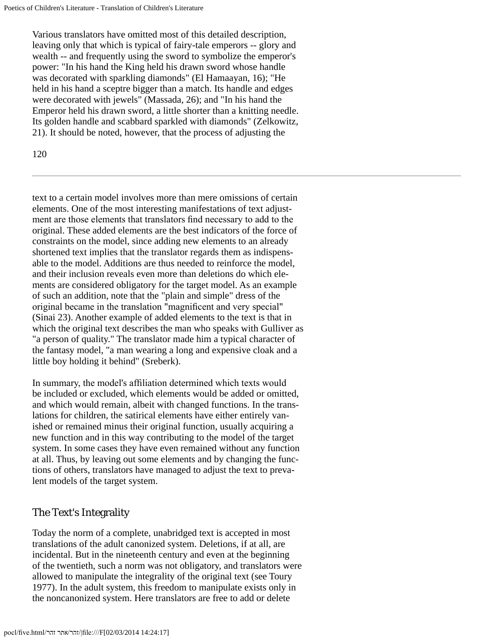Various translators have omitted most of this detailed description, leaving only that which is typical of fairy-tale emperors -- glory and wealth -- and frequently using the sword to symbolize the emperor's power: "In his hand the King held his drawn sword whose handle was decorated with sparkling diamonds" (El Hamaayan, 16); "He held in his hand a sceptre bigger than a match. Its handle and edges were decorated with jewels" (Massada, 26); and "In his hand the Emperor held his drawn sword, a little shorter than a knitting needle. Its golden handle and scabbard sparkled with diamonds" (Zelkowitz, 21). It should be noted, however, that the process of adjusting the

120

text to a certain model involves more than mere omissions of certain elements. One of the most interesting manifestations of text adjustment are those elements that translators find necessary to add to the original. These added elements are the best indicators of the force of constraints on the model, since adding new elements to an already shortened text implies that the translator regards them as indispensable to the model. Additions are thus needed to reinforce the model, and their inclusion reveals even more than deletions do which elements are considered obligatory for the target model. As an example of such an addition, note that the "plain and simple" dress of the original became in the translation "magnificent and very special" (Sinai 23). Another example of added elements to the text is that in which the original text describes the man who speaks with Gulliver as "a person of quality." The translator made him a typical character of the fantasy model, "a man wearing a long and expensive cloak and a little boy holding it behind" (Sreberk).

In summary, the model's affiliation determined which texts would be included or excluded, which elements would be added or omitted, and which would remain, albeit with changed functions. In the translations for children, the satirical elements have either entirely vanished or remained minus their original function, usually acquiring a new function and in this way contributing to the model of the target system. In some cases they have even remained without any function at all. Thus, by leaving out some elements and by changing the functions of others, translators have managed to adjust the text to prevalent models of the target system.

#### The Text's Integrality

Today the norm of a complete, unabridged text is accepted in most translations of the adult canonized system. Deletions, if at all, are incidental. But in the nineteenth century and even at the beginning of the twentieth, such a norm was not obligatory, and translators were allowed to manipulate the integrality of the original text (see Toury 1977). In the adult system, this freedom to manipulate exists only in the noncanonized system. Here translators are free to add or delete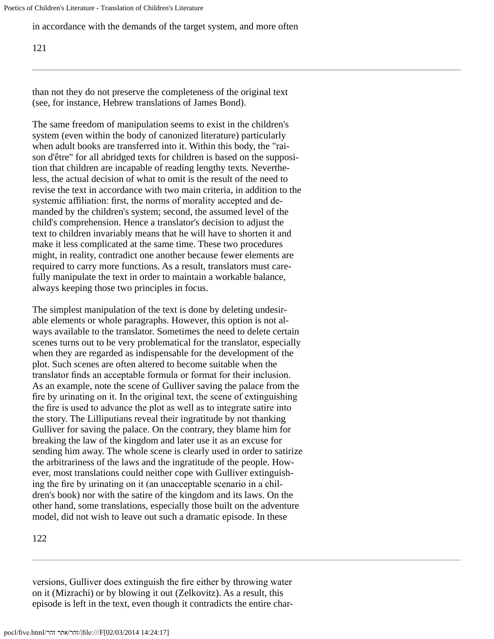in accordance with the demands of the target system, and more often

121

than not they do not preserve the completeness of the original text (see, for instance, Hebrew translations of James Bond).

The same freedom of manipulation seems to exist in the children's system (even within the body of canonized literature) particularly when adult books are transferred into it. Within this body, the "raison d'être" for all abridged texts for children is based on the supposition that children are incapable of reading lengthy texts. Nevertheless, the actual decision of what to omit is the result of the need to revise the text in accordance with two main criteria, in addition to the systemic affiliation: first, the norms of morality accepted and demanded by the children's system; second, the assumed level of the child's comprehension. Hence a translator's decision to adjust the text to children invariably means that he will have to shorten it and make it less complicated at the same time. These two procedures might, in reality, contradict one another because fewer elements are required to carry more functions. As a result, translators must carefully manipulate the text in order to maintain a workable balance, always keeping those two principles in focus.

The simplest manipulation of the text is done by deleting undesirable elements or whole paragraphs. However, this option is not always available to the translator. Sometimes the need to delete certain scenes turns out to be very problematical for the translator, especially when they are regarded as indispensable for the development of the plot. Such scenes are often altered to become suitable when the translator finds an acceptable formula or format for their inclusion. As an example, note the scene of Gulliver saving the palace from the fire by urinating on it. In the original text, the scene of extinguishing the fire is used to advance the plot as well as to integrate satire into the story. The Lilliputians reveal their ingratitude by not thanking Gulliver for saving the palace. On the contrary, they blame him for breaking the law of the kingdom and later use it as an excuse for sending him away. The whole scene is clearly used in order to satirize the arbitrariness of the laws and the ingratitude of the people. However, most translations could neither cope with Gulliver extinguishing the fire by urinating on it (an unacceptable scenario in a children's book) nor with the satire of the kingdom and its laws. On the other hand, some translations, especially those built on the adventure model, did not wish to leave out such a dramatic episode. In these

122

versions, Gulliver does extinguish the fire either by throwing water on it (Mizrachi) or by blowing it out (Zelkovitz). As a result, this episode is left in the text, even though it contradicts the entire char-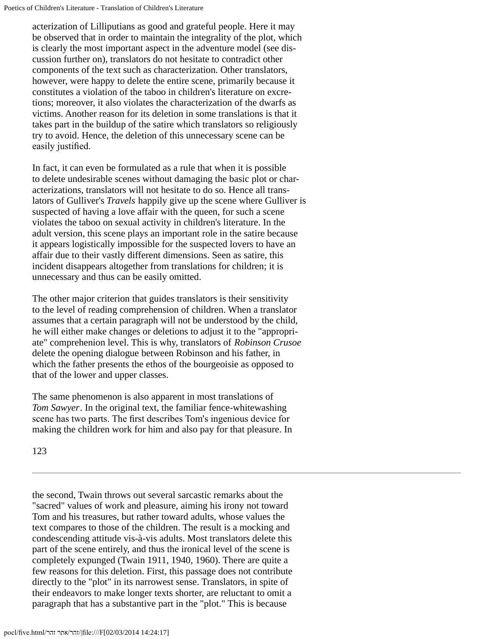acterization of Lilliputians as good and grateful people. Here it may be observed that in order to maintain the integrality of the plot, which is clearly the most important aspect in the adventure model (see discussion further on), translators do not hesitate to contradict other components of the text such as characterization. Other translators, however, were happy to delete the entire scene, primarily because it constitutes a violation of the taboo in children's literature on excretions; moreover, it also violates the characterization of the dwarfs as victims. Another reason for its deletion in some translations is that it takes part in the buildup of the satire which translators so religiously try to avoid. Hence, the deletion of this unnecessary scene can be easily justified.

In fact, it can even be formulated as a rule that when it is possible to delete undesirable scenes without damaging the basic plot or characterizations, translators will not hesitate to do so. Hence all translators of Gulliver's *Travels* happily give up the scene where Gulliver is suspected of having a love affair with the queen, for such a scene violates the taboo on sexual activity in children's literature. In the adult version, this scene plays an important role in the satire because it appears logistically impossible for the suspected lovers to have an affair due to their vastly different dimensions. Seen as satire, this incident disappears altogether from translations for children; it is unnecessary and thus can be easily omitted.

The other major criterion that guides translators is their sensitivity to the level of reading comprehension of children. When a translator assumes that a certain paragraph will not be understood by the child, he will either make changes or deletions to adjust it to the "appropriate" comprehenion level. This is why, translators of *Robinson Crusoe* delete the opening dialogue between Robinson and his father, in which the father presents the ethos of the bourgeoisie as opposed to that of the lower and upper classes.

The same phenomenon is also apparent in most translations of *Tom Sawyer*. In the original text, the familiar fence-whitewashing scene has two parts. The first describes Tom's ingenious device for making the children work for him and also pay for that pleasure. In

123

the second, Twain throws out several sarcastic remarks about the "sacred" values of work and pleasure, aiming his irony not toward Tom and his treasures, but rather toward adults, whose values the text compares to those of the children. The result is a mocking and condescending attitude vis-à-vis adults. Most translators delete this part of the scene entirely, and thus the ironical level of the scene is completely expunged (Twain 1911, 1940, 1960). There are quite a few reasons for this deletion. First, this passage does not contribute directly to the "plot" in its narrowest sense. Translators, in spite of their endeavors to make longer texts shorter, are reluctant to omit a paragraph that has a substantive part in the "plot." This is because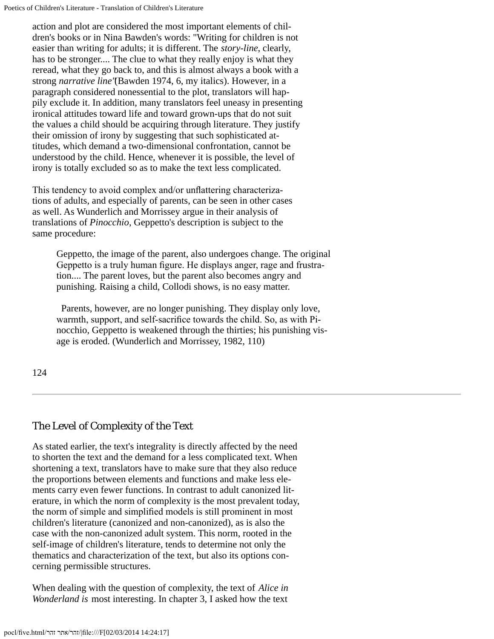action and plot are considered the most important elements of children's books or in Nina Bawden's words: "Writing for children is not easier than writing for adults; it is different. The *story-line*, clearly, has to be stronger.... The clue to what they really enjoy is what they reread, what they go back to, and this is almost always a book with a strong *narrative line"* (Bawden 1974, 6, my italics). However, in a paragraph considered nonessential to the plot, translators will happily exclude it. In addition, many translators feel uneasy in presenting ironical attitudes toward life and toward grown-ups that do not suit the values a child should be acquiring through literature. They justify their omission of irony by suggesting that such sophisticated attitudes, which demand a two-dimensional confrontation, cannot be understood by the child. Hence, whenever it is possible, the level of irony is totally excluded so as to make the text less complicated.

This tendency to avoid complex and/or unflattering characterizations of adults, and especially of parents, can be seen in other cases as well. As Wunderlich and Morrissey argue in their analysis of translations of *Pinocchio*, Geppetto's description is subject to the same procedure:

Geppetto, the image of the parent, also undergoes change. The original Geppetto is a truly human figure. He displays anger, rage and frustration.... The parent loves, but the parent also becomes angry and punishing. Raising a child, Collodi shows, is no easy matter.

 Parents, however, are no longer punishing. They display only love, warmth, support, and self-sacrifice towards the child. So, as with Pinocchio, Geppetto is weakened through the thirties; his punishing visage is eroded. (Wunderlich and Morrissey, 1982, 110)

124

#### The Level of Complexity of the Text

As stated earlier, the text's integrality is directly affected by the need to shorten the text and the demand for a less complicated text. When shortening a text, translators have to make sure that they also reduce the proportions between elements and functions and make less elements carry even fewer functions. In contrast to adult canonized literature, in which the norm of complexity is the most prevalent today, the norm of simple and simplified models is still prominent in most children's literature (canonized and non-canonized), as is also the case with the non-canonized adult system. This norm, rooted in the self-image of children's literature, tends to determine not only the thematics and characterization of the text, but also its options concerning permissible structures.

When dealing with the question of complexity, the text of *Alice in Wonderland is* most interesting. In chapter 3, I asked how the text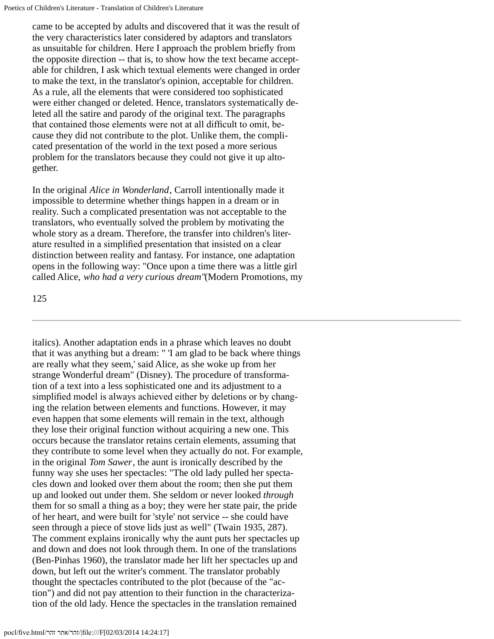came to be accepted by adults and discovered that it was the result of the very characteristics later considered by adaptors and translators as unsuitable for children. Here I approach the problem briefly from the opposite direction -- that is, to show how the text became acceptable for children, I ask which textual elements were changed in order to make the text, in the translator's opinion, acceptable for children. As a rule, all the elements that were considered too sophisticated were either changed or deleted. Hence, translators systematically deleted all the satire and parody of the original text. The paragraphs that contained those elements were not at all difficult to omit, because they did not contribute to the plot. Unlike them, the complicated presentation of the world in the text posed a more serious problem for the translators because they could not give it up altogether.

In the original *Alice in Wonderland*, Carroll intentionally made it impossible to determine whether things happen in a dream or in reality. Such a complicated presentation was not acceptable to the translators, who eventually solved the problem by motivating the whole story as a dream. Therefore, the transfer into children's literature resulted in a simplified presentation that insisted on a clear distinction between reality and fantasy. For instance, one adaptation opens in the following way: "Once upon a time there was a little girl called Alice, *who had a very curious dream"* (Modern Promotions, my

125

italics). Another adaptation ends in a phrase which leaves no doubt that it was anything but a dream: " 'I am glad to be back where things are really what they seem,' said Alice, as she woke up from her strange Wonderful dream" (Disney). The procedure of transformation of a text into a less sophisticated one and its adjustment to a simplified model is always achieved either by deletions or by changing the relation between elements and functions. However, it may even happen that some elements will remain in the text, although they lose their original function without acquiring a new one. This occurs because the translator retains certain elements, assuming that they contribute to some level when they actually do not. For example, in the original *Tom Sawer*, the aunt is ironically described by the funny way she uses her spectacles: "The old lady pulled her spectacles down and looked over them about the room; then she put them up and looked out under them. She seldom or never looked *through* them for so small a thing as a boy; they were her state pair, the pride of her heart, and were built for 'style' not service -- she could have seen through a piece of stove lids just as well" (Twain 1935, 287). The comment explains ironically why the aunt puts her spectacles up and down and does not look through them. In one of the translations (Ben-Pinhas 1960), the translator made her lift her spectacles up and down, but left out the writer's comment. The translator probably thought the spectacles contributed to the plot (because of the "action") and did not pay attention to their function in the characterization of the old lady. Hence the spectacles in the translation remained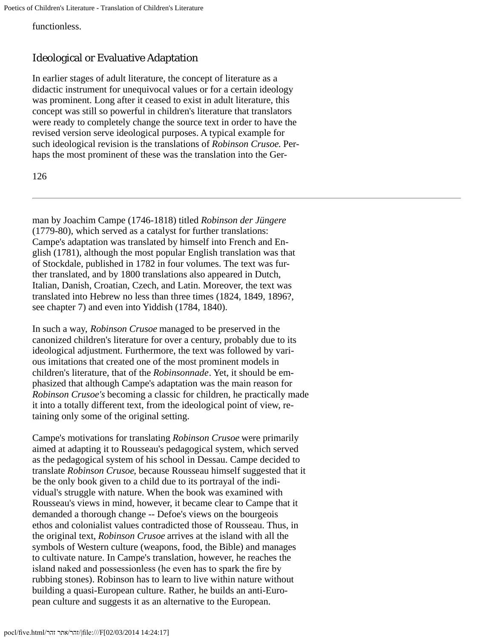functionless.

## Ideological or Evaluative Adaptation

In earlier stages of adult literature, the concept of literature as a didactic instrument for unequivocal values or for a certain ideology was prominent. Long after it ceased to exist in adult literature, this concept was still so powerful in children's literature that translators were ready to completely change the source text in order to have the revised version serve ideological purposes. A typical example for such ideological revision is the translations of *Robinson Crusoe*. Perhaps the most prominent of these was the translation into the Ger-

126

man by Joachim Campe (1746-1818) titled *Robinson der Jüngere* (1779-80), which served as a catalyst for further translations: Campe's adaptation was translated by himself into French and English (1781), although the most popular English translation was that of Stockdale, published in 1782 in four volumes. The text was further translated, and by 1800 translations also appeared in Dutch, Italian, Danish, Croatian, Czech, and Latin. Moreover, the text was translated into Hebrew no less than three times (1824, 1849, 1896?, see chapter 7) and even into Yiddish (1784, 1840).

In such a way, *Robinson Crusoe* managed to be preserved in the canonized children's literature for over a century, probably due to its ideological adjustment. Furthermore, the text was followed by various imitations that created one of the most prominent models in children's literature, that of the *Robinsonnade*. Yet, it should be emphasized that although Campe's adaptation was the main reason for *Robinson Crusoe's* becoming a classic for children, he practically made it into a totally different text, from the ideological point of view, retaining only some of the original setting.

Campe's motivations for translating *Robinson Crusoe* were primarily aimed at adapting it to Rousseau's pedagogical system, which served as the pedagogical system of his school in Dessau. Campe decided to translate *Robinson Crusoe*, because Rousseau himself suggested that it be the only book given to a child due to its portrayal of the individual's struggle with nature. When the book was examined with Rousseau's views in mind, however, it became clear to Campe that it demanded a thorough change -- Defoe's views on the bourgeois ethos and colonialist values contradicted those of Rousseau. Thus, in the original text, *Robinson Crusoe* arrives at the island with all the symbols of Western culture (weapons, food, the Bible) and manages to cultivate nature. In Campe's translation, however, he reaches the island naked and possessionless (he even has to spark the fire by rubbing stones). Robinson has to learn to live within nature without building a quasi-European culture. Rather, he builds an anti-European culture and suggests it as an alternative to the European.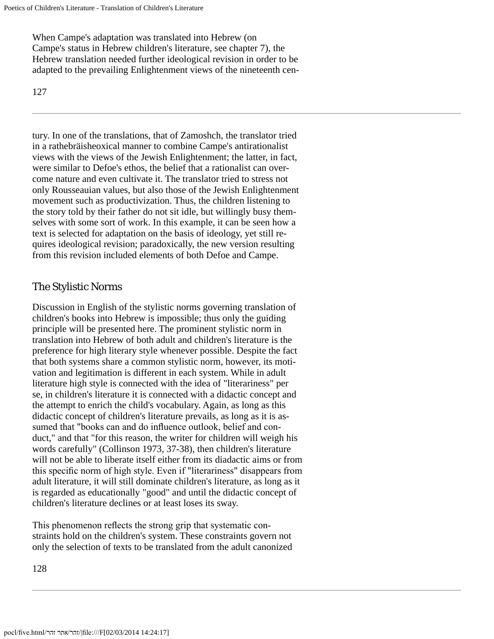When Campe's adaptation was translated into Hebrew (on Campe's status in Hebrew children's literature, see chapter 7), the Hebrew translation needed further ideological revision in order to be adapted to the prevailing Enlightenment views of the nineteenth cen-

127

tury. In one of the translations, that of Zamoshch, the translator tried in a rathebräisheoxical manner to combine Campe's antirationalist views with the views of the Jewish Enlightenment; the latter, in fact, were similar to Defoe's ethos, the belief that a rationalist can overcome nature and even cultivate it. The translator tried to stress not only Rousseauian values, but also those of the Jewish Enlightenment movement such as productivization. Thus, the children listening to the story told by their father do not sit idle, but willingly busy themselves with some sort of work. In this example, it can be seen how a text is selected for adaptation on the basis of ideology, yet still requires ideological revision; paradoxically, the new version resulting from this revision included elements of both Defoe and Campe.

## The Stylistic Norms

Discussion in English of the stylistic norms governing translation of children's books into Hebrew is impossible; thus only the guiding principle will be presented here. The prominent stylistic norm in translation into Hebrew of both adult and children's literature is the preference for high literary style whenever possible. Despite the fact that both systems share a common stylistic norm, however, its motivation and legitimation is different in each system. While in adult literature high style is connected with the idea of "literariness" per se, in children's literature it is connected with a didactic concept and the attempt to enrich the child's vocabulary. Again, as long as this didactic concept of children's literature prevails, as long as it is assumed that "books can and do influence outlook, belief and conduct," and that "for this reason, the writer for children will weigh his words carefully" (Collinson 1973, 37-38), then children's literature will not be able to liberate itself either from its diadactic aims or from this specific norm of high style. Even if "literariness" disappears from adult literature, it will still dominate children's literature, as long as it is regarded as educationally "good" and until the didactic concept of children's literature declines or at least loses its sway.

This phenomenon reflects the strong grip that systematic constraints hold on the children's system. These constraints govern not only the selection of texts to be translated from the adult canonized

128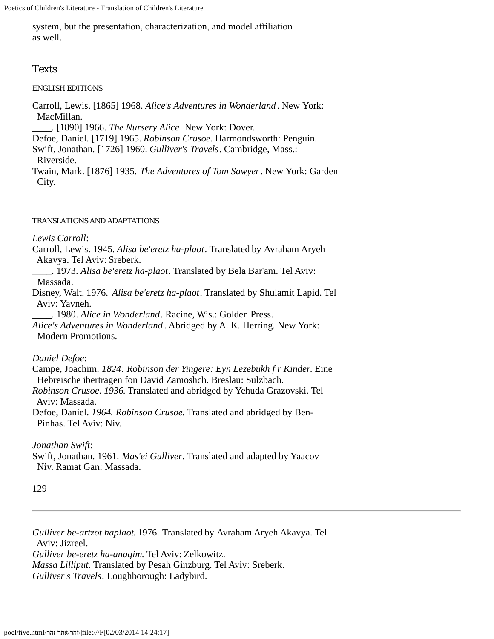system, but the presentation, characterization, and model affiliation as well.

## Texts

### ENGLISH EDITIONS

Carroll, Lewis. [1865] 1968. *Alice's Adventures in Wonderland* . New York: MacMillan.

\_\_\_\_. [1890] 1966. *The Nursery Alice*. New York: Dover.

Defoe, Daniel. [1719] 1965. *Robinson Crusoe*. Harmondsworth: Penguin.

Swift, Jonathan. [1726] 1960. *Gulliver's Travels*. Cambridge, Mass.: Riverside.

Twain, Mark. [1876] 1935. *The Adventures of Tom Sawyer*. New York: Garden City.

#### TRANSLATIONS AND ADAPTATIONS

*Lewis Carroll*:

Carroll, Lewis. 1945. *Alisa be'eretz ha-plaot*. Translated by Avraham Aryeh Akavya. Tel Aviv: Sreberk.

\_\_\_\_. 1973. *Alisa be'eretz ha-plaot*. Translated by Bela Bar'am. Tel Aviv: Massada.

Disney, Walt. 1976. *Alisa be'eretz ha-plaot*. Translated by Shulamit Lapid. Tel Aviv: Yavneh.

\_\_\_\_. 1980. *Alice in Wonderland*. Racine, Wis.: Golden Press.

*Alice's Adventures in Wonderland* . Abridged by A. K. Herring. New York: Modern Promotions.

### *Daniel Defoe*:

Campe, Joachim. *1824: Robinson der Yingere: Eyn Lezebukh f r Kinder*. Eine Hebreische ibertragen fon David Zamoshch. Breslau: Sulzbach.

*Robinson Crusoe. 1936*. Translated and abridged by Yehuda Grazovski. Tel Aviv: Massada.

Defoe, Daniel. *1964. Robinson Crusoe*. Translated and abridged by Ben- Pinhas. Tel Aviv: Niv.

## *Jonathan Swift*:

Swift, Jonathan. 1961. *Mas'ei Gulliver*. Translated and adapted by Yaacov Niv. Ramat Gan: Massada.

129

*Gulliver be-artzot haplaot*. 1976. Translated by Avraham Aryeh Akavya. Tel Aviv: Jizreel. *Gulliver be-eretz ha-anaqim*. Tel Aviv: Zelkowitz. *Massa Lilliput*. Translated by Pesah Ginzburg. Tel Aviv: Sreberk. *Gulliver's Travels*. Loughborough: Ladybird.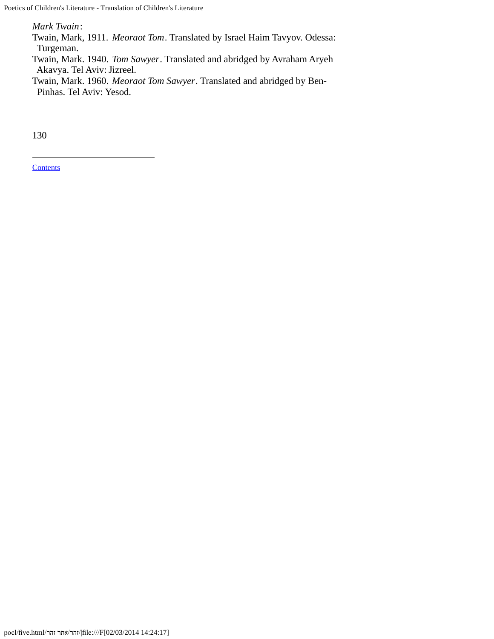Poetics of Children's Literature - Translation of Children's Literature

*Mark Twain*:

Twain, Mark, 1911. *Meoraot Tom*. Translated by Israel Haim Tavyov. Odessa: Turgeman.

Twain, Mark. 1940. *Tom Sawyer*. Translated and abridged by Avraham Aryeh Akavya. Tel Aviv: Jizreel.

Twain, Mark. 1960. *Meoraot Tom Sawyer*. Translated and abridged by Ben- Pinhas. Tel Aviv: Yesod.

130

**[Contents](#page-1-0)**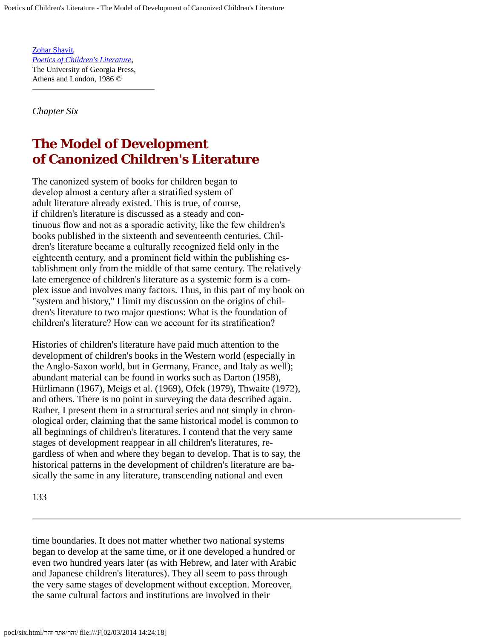Zohar Shavit, *[Poetics of Children's Literature](#page-0-0)*, The University of Georgia Press, Athens and London, 1986 ©

*Chapter Six*

# **The Model of Development of Canonized Children's Literature**

The canonized system of books for children began to develop almost a century after a stratified system of adult literature already existed. This is true, of course, if children's literature is discussed as a steady and continuous flow and not as a sporadic activity, like the few children's books published in the sixteenth and seventeenth centuries. Children's literature became a culturally recognized field only in the eighteenth century, and a prominent field within the publishing establishment only from the middle of that same century. The relatively late emergence of children's literature as a systemic form is a complex issue and involves many factors. Thus, in this part of my book on "system and history," I limit my discussion on the origins of children's literature to two major questions: What is the foundation of children's literature? How can we account for its stratification?

Histories of children's literature have paid much attention to the development of children's books in the Western world (especially in the Anglo-Saxon world, but in Germany, France, and Italy as well); abundant material can be found in works such as Darton (1958), Hürlimann (1967), Meigs et al. (1969), Ofek (1979), Thwaite (1972), and others. There is no point in surveying the data described again. Rather, I present them in a structural series and not simply in chronological order, claiming that the same historical model is common to all beginnings of children's literatures. I contend that the very same stages of development reappear in all children's literatures, regardless of when and where they began to develop. That is to say, the historical patterns in the development of children's literature are basically the same in any literature, transcending national and even

133

time boundaries. It does not matter whether two national systems began to develop at the same time, or if one developed a hundred or even two hundred years later (as with Hebrew, and later with Arabic and Japanese children's literatures). They all seem to pass through the very same stages of development without exception. Moreover, the same cultural factors and institutions are involved in their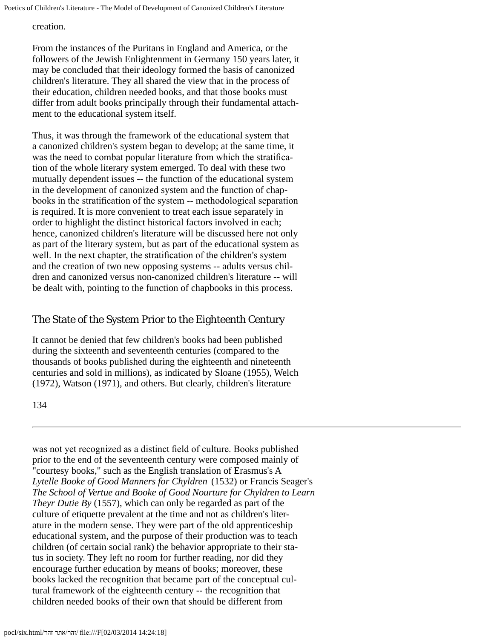#### creation.

From the instances of the Puritans in England and America, or the followers of the Jewish Enlightenment in Germany 150 years later, it may be concluded that their ideology formed the basis of canonized children's literature. They all shared the view that in the process of their education, children needed books, and that those books must differ from adult books principally through their fundamental attachment to the educational system itself.

Thus, it was through the framework of the educational system that a canonized children's system began to develop; at the same time, it was the need to combat popular literature from which the stratification of the whole literary system emerged. To deal with these two mutually dependent issues -- the function of the educational system in the development of canonized system and the function of chapbooks in the stratification of the system -- methodological separation is required. It is more convenient to treat each issue separately in order to highlight the distinct historical factors involved in each; hence, canonized children's literature will be discussed here not only as part of the literary system, but as part of the educational system as well. In the next chapter, the stratification of the children's system and the creation of two new opposing systems -- adults versus children and canonized versus non-canonized children's literature -- will be dealt with, pointing to the function of chapbooks in this process.

## The State of the System Prior to the Eighteenth Century

It cannot be denied that few children's books had been published during the sixteenth and seventeenth centuries (compared to the thousands of books published during the eighteenth and nineteenth centuries and sold in millions), as indicated by Sloane (1955), Welch (1972), Watson (1971), and others. But clearly, children's literature

134

was not yet recognized as a distinct field of culture. Books published prior to the end of the seventeenth century were composed mainly of "courtesy books," such as the English translation of Erasmus's A *Lytelle Booke of Good Manners for Chyldren* (1532) or Francis Seager's *The School of Vertue and Booke of Good Nourture for Chyldren to Learn Theyr Dutie By* (1557), which can only be regarded as part of the culture of etiquette prevalent at the time and not as children's literature in the modern sense. They were part of the old apprenticeship educational system, and the purpose of their production was to teach children (of certain social rank) the behavior appropriate to their status in society. They left no room for further reading, nor did they encourage further education by means of books; moreover, these books lacked the recognition that became part of the conceptual cultural framework of the eighteenth century -- the recognition that children needed books of their own that should be different from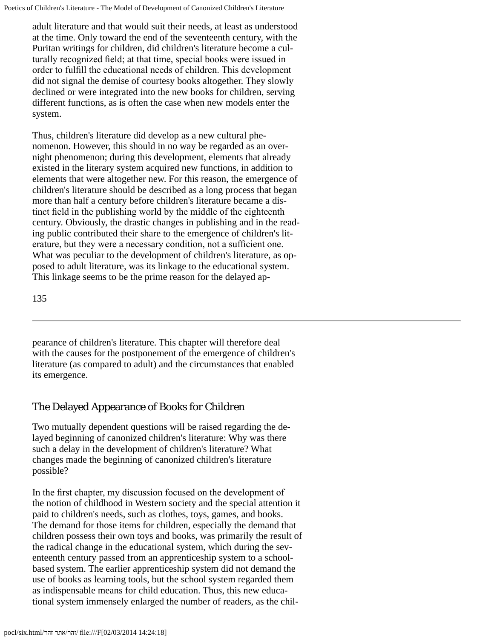adult literature and that would suit their needs, at least as understood at the time. Only toward the end of the seventeenth century, with the Puritan writings for children, did children's literature become a culturally recognized field; at that time, special books were issued in order to fulfill the educational needs of children. This development did not signal the demise of courtesy books altogether. They slowly declined or were integrated into the new books for children, serving different functions, as is often the case when new models enter the system.

Thus, children's literature did develop as a new cultural phenomenon. However, this should in no way be regarded as an overnight phenomenon; during this development, elements that already existed in the literary system acquired new functions, in addition to elements that were altogether new. For this reason, the emergence of children's literature should be described as a long process that began more than half a century before children's literature became a distinct field in the publishing world by the middle of the eighteenth century. Obviously, the drastic changes in publishing and in the reading public contributed their share to the emergence of children's literature, but they were a necessary condition, not a sufficient one. What was peculiar to the development of children's literature, as opposed to adult literature, was its linkage to the educational system. This linkage seems to be the prime reason for the delayed ap-

135

pearance of children's literature. This chapter will therefore deal with the causes for the postponement of the emergence of children's literature (as compared to adult) and the circumstances that enabled its emergence.

## The Delayed Appearance of Books for Children

Two mutually dependent questions will be raised regarding the delayed beginning of canonized children's literature: Why was there such a delay in the development of children's literature? What changes made the beginning of canonized children's literature possible?

In the first chapter, my discussion focused on the development of the notion of childhood in Western society and the special attention it paid to children's needs, such as clothes, toys, games, and books. The demand for those items for children, especially the demand that children possess their own toys and books, was primarily the result of the radical change in the educational system, which during the seventeenth century passed from an apprenticeship system to a schoolbased system. The earlier apprenticeship system did not demand the use of books as learning tools, but the school system regarded them as indispensable means for child education. Thus, this new educational system immensely enlarged the number of readers, as the chil-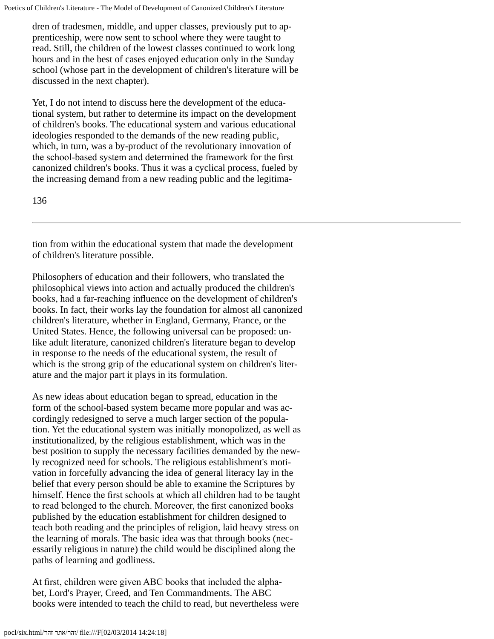dren of tradesmen, middle, and upper classes, previously put to apprenticeship, were now sent to school where they were taught to read. Still, the children of the lowest classes continued to work long hours and in the best of cases enjoyed education only in the Sunday school (whose part in the development of children's literature will be discussed in the next chapter).

Yet, I do not intend to discuss here the development of the educational system, but rather to determine its impact on the development of children's books. The educational system and various educational ideologies responded to the demands of the new reading public, which, in turn, was a by-product of the revolutionary innovation of the school-based system and determined the framework for the first canonized children's books. Thus it was a cyclical process, fueled by the increasing demand from a new reading public and the legitima-

tion from within the educational system that made the development of children's literature possible.

Philosophers of education and their followers, who translated the philosophical views into action and actually produced the children's books, had a far-reaching influence on the development of children's books. In fact, their works lay the foundation for almost all canonized children's literature, whether in England, Germany, France, or the United States. Hence, the following universal can be proposed: unlike adult literature, canonized children's literature began to develop in response to the needs of the educational system, the result of which is the strong grip of the educational system on children's literature and the major part it plays in its formulation.

As new ideas about education began to spread, education in the form of the school-based system became more popular and was accordingly redesigned to serve a much larger section of the population. Yet the educational system was initially monopolized, as well as institutionalized, by the religious establishment, which was in the best position to supply the necessary facilities demanded by the newly recognized need for schools. The religious establishment's motivation in forcefully advancing the idea of general literacy lay in the belief that every person should be able to examine the Scriptures by himself. Hence the first schools at which all children had to be taught to read belonged to the church. Moreover, the first canonized books published by the education establishment for children designed to teach both reading and the principles of religion, laid heavy stress on the learning of morals. The basic idea was that through books (necessarily religious in nature) the child would be disciplined along the paths of learning and godliness.

At first, children were given ABC books that included the alphabet, Lord's Prayer, Creed, and Ten Commandments. The ABC books were intended to teach the child to read, but nevertheless were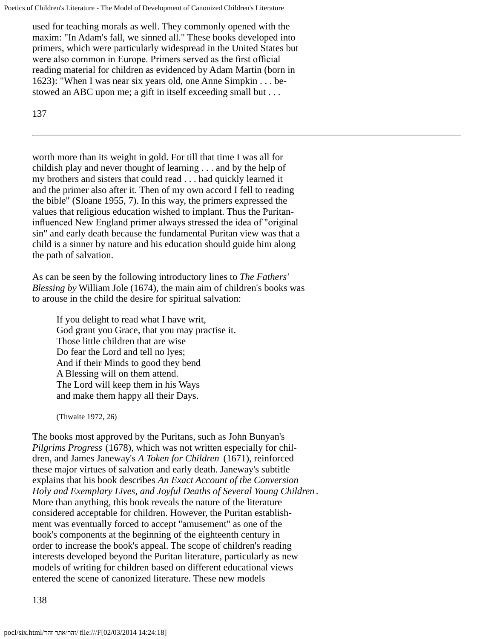used for teaching morals as well. They commonly opened with the maxim: "In Adam's fall, we sinned all." These books developed into primers, which were particularly widespread in the United States but were also common in Europe. Primers served as the first official reading material for children as evidenced by Adam Martin (born in 1623): "When I was near six years old, one Anne Simpkin . . . bestowed an ABC upon me; a gift in itself exceeding small but . . .

137

worth more than its weight in gold. For till that time I was all for childish play and never thought of learning . . . and by the help of my brothers and sisters that could read . . . had quickly learned it and the primer also after it. Then of my own accord I fell to reading the bible" (Sloane 1955, 7). In this way, the primers expressed the values that religious education wished to implant. Thus the Puritaninfluenced New England primer always stressed the idea of "original sin" and early death because the fundamental Puritan view was that a child is a sinner by nature and his education should guide him along the path of salvation.

As can be seen by the following introductory lines to *The Fathers' Blessing by* William Jole (1674), the main aim of children's books was to arouse in the child the desire for spiritual salvation:

If you delight to read what I have writ, God grant you Grace, that you may practise it. Those little children that are wise Do fear the Lord and tell no lyes; And if their Minds to good they bend A Blessing will on them attend. The Lord will keep them in his Ways and make them happy all their Days.

(Thwaite 1972, 26)

The books most approved by the Puritans, such as John Bunyan's *Pilgrims Progress* (1678), which was not written especially for children, and James Janeway's *A Token for Children* (1671), reinforced these major virtues of salvation and early death. Janeway's subtitle explains that his book describes *An Exact Account of the Conversion Holy and Exemplary Lives, and Joyful Deaths of Several Young Children* . More than anything, this book reveals the nature of the literature considered acceptable for children. However, the Puritan establishment was eventually forced to accept "amusement" as one of the book's components at the beginning of the eighteenth century in order to increase the book's appeal. The scope of children's reading interests developed beyond the Puritan literature, particularly as new models of writing for children based on different educational views entered the scene of canonized literature. These new models

138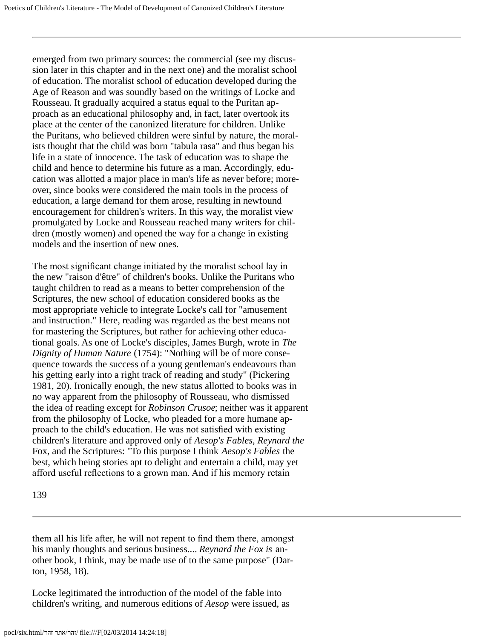emerged from two primary sources: the commercial (see my discussion later in this chapter and in the next one) and the moralist school of education. The moralist school of education developed during the Age of Reason and was soundly based on the writings of Locke and Rousseau. It gradually acquired a status equal to the Puritan approach as an educational philosophy and, in fact, later overtook its place at the center of the canonized literature for children. Unlike the Puritans, who believed children were sinful by nature, the moralists thought that the child was born "tabula rasa" and thus began his life in a state of innocence. The task of education was to shape the child and hence to determine his future as a man. Accordingly, education was allotted a major place in man's life as never before; moreover, since books were considered the main tools in the process of education, a large demand for them arose, resulting in newfound encouragement for children's writers. In this way, the moralist view promulgated by Locke and Rousseau reached many writers for children (mostly women) and opened the way for a change in existing models and the insertion of new ones.

The most significant change initiated by the moralist school lay in the new "raison d'être" of children's books. Unlike the Puritans who taught children to read as a means to better comprehension of the Scriptures, the new school of education considered books as the most appropriate vehicle to integrate Locke's call for "amusement and instruction." Here, reading was regarded as the best means not for mastering the Scriptures, but rather for achieving other educational goals. As one of Locke's disciples, James Burgh, wrote in *The Dignity of Human Nature* (1754): "Nothing will be of more consequence towards the success of a young gentleman's endeavours than his getting early into a right track of reading and study" (Pickering 1981, 20). Ironically enough, the new status allotted to books was in no way apparent from the philosophy of Rousseau, who dismissed the idea of reading except for *Robinson Crusoe*; neither was it apparent from the philosophy of Locke, who pleaded for a more humane approach to the child's education. He was not satisfied with existing children's literature and approved only of *Aesop's Fables, Reynard the* Fox, and the Scriptures: "To this purpose I think *Aesop's Fables* the best, which being stories apt to delight and entertain a child, may yet afford useful reflections to a grown man. And if his memory retain

139

them all his life after, he will not repent to find them there, amongst his manly thoughts and serious business.... *Reynard the Fox is* another book, I think, may be made use of to the same purpose" (Darton, 1958, 18).

Locke legitimated the introduction of the model of the fable into children's writing, and numerous editions of *Aesop* were issued, as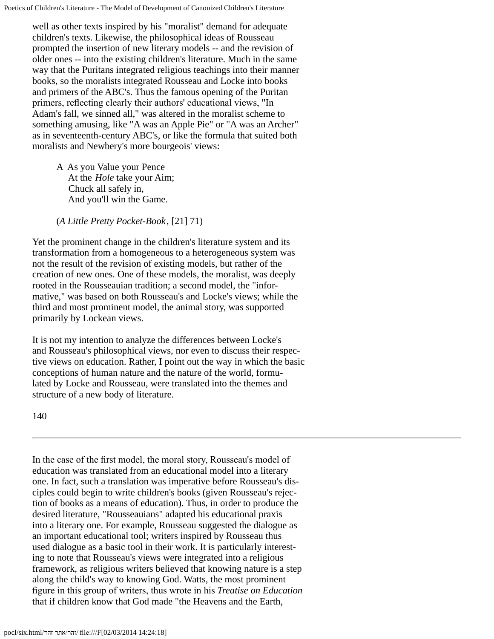well as other texts inspired by his "moralist" demand for adequate children's texts. Likewise, the philosophical ideas of Rousseau prompted the insertion of new literary models -- and the revision of older ones -- into the existing children's literature. Much in the same way that the Puritans integrated religious teachings into their manner books, so the moralists integrated Rousseau and Locke into books and primers of the ABC's. Thus the famous opening of the Puritan primers, reflecting clearly their authors' educational views, "In Adam's fall, we sinned all," was altered in the moralist scheme to something amusing, like "A was an Apple Pie" or "A was an Archer" as in seventeenth-century ABC's, or like the formula that suited both moralists and Newbery's more bourgeois' views:

A As you Value your Pence At the *Hole* take your Aim; Chuck all safely in, And you'll win the Game.

(*A Little Pretty Pocket-Book*, [21] 71)

Yet the prominent change in the children's literature system and its transformation from a homogeneous to a heterogeneous system was not the result of the revision of existing models, but rather of the creation of new ones. One of these models, the moralist, was deeply rooted in the Rousseauian tradition; a second model, the "informative," was based on both Rousseau's and Locke's views; while the third and most prominent model, the animal story, was supported primarily by Lockean views.

It is not my intention to analyze the differences between Locke's and Rousseau's philosophical views, nor even to discuss their respective views on education. Rather, I point out the way in which the basic conceptions of human nature and the nature of the world, formulated by Locke and Rousseau, were translated into the themes and structure of a new body of literature.

140

In the case of the first model, the moral story, Rousseau's model of education was translated from an educational model into a literary one. In fact, such a translation was imperative before Rousseau's disciples could begin to write children's books (given Rousseau's rejection of books as a means of education). Thus, in order to produce the desired literature, "Rousseauians" adapted his educational praxis into a literary one. For example, Rousseau suggested the dialogue as an important educational tool; writers inspired by Rousseau thus used dialogue as a basic tool in their work. It is particularly interesting to note that Rousseau's views were integrated into a religious framework, as religious writers believed that knowing nature is a step along the child's way to knowing God. Watts, the most prominent figure in this group of writers, thus wrote in his *Treatise on Education* that if children know that God made "the Heavens and the Earth,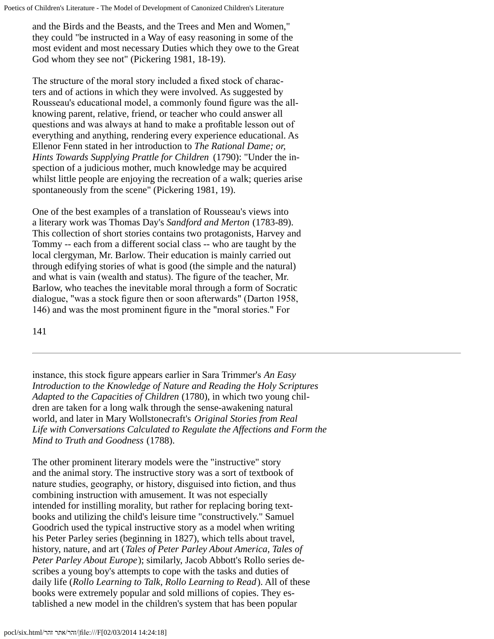and the Birds and the Beasts, and the Trees and Men and Women," they could "be instructed in a Way of easy reasoning in some of the most evident and most necessary Duties which they owe to the Great God whom they see not" (Pickering 1981, 18-19).

The structure of the moral story included a fixed stock of characters and of actions in which they were involved. As suggested by Rousseau's educational model, a commonly found figure was the allknowing parent, relative, friend, or teacher who could answer all questions and was always at hand to make a profitable lesson out of everything and anything, rendering every experience educational. As Ellenor Fenn stated in her introduction to *The Rational Dame; or, Hints Towards Supplying Prattle for Children* (1790): "Under the inspection of a judicious mother, much knowledge may be acquired whilst little people are enjoying the recreation of a walk; queries arise spontaneously from the scene" (Pickering 1981, 19).

One of the best examples of a translation of Rousseau's views into a literary work was Thomas Day's *Sandford and Merton* (1783-89). This collection of short stories contains two protagonists, Harvey and Tommy -- each from a different social class -- who are taught by the local clergyman, Mr. Barlow. Their education is mainly carried out through edifying stories of what is good (the simple and the natural) and what is vain (wealth and status). The figure of the teacher, Mr. Barlow, who teaches the inevitable moral through a form of Socratic dialogue, "was a stock figure then or soon afterwards" (Darton 1958, 146) and was the most prominent figure in the "moral stories." For

141

instance, this stock figure appears earlier in Sara Trimmer's *An Easy Introduction to the Knowledge of Nature and Reading the Holy Scriptures Adapted to the Capacities of Children* (1780), in which two young children are taken for a long walk through the sense-awakening natural world, and later in Mary Wollstonecraft's *Original Stories from Real Life with Conversations Calculated to Regulate the Affections and Form the Mind to Truth and Goodness* (1788).

The other prominent literary models were the "instructive" story and the animal story. The instructive story was a sort of textbook of nature studies, geography, or history, disguised into fiction, and thus combining instruction with amusement. It was not especially intended for instilling morality, but rather for replacing boring textbooks and utilizing the child's leisure time "constructively." Samuel Goodrich used the typical instructive story as a model when writing his Peter Parley series (beginning in 1827), which tells about travel, history, nature, and art (*Tales of Peter Parley About America, Tales of Peter Parley About Europe*); similarly, Jacob Abbott's Rollo series describes a young boy's attempts to cope with the tasks and duties of daily life (*Rollo Learning to Talk, Rollo Learning to Read*). All of these books were extremely popular and sold millions of copies. They established a new model in the children's system that has been popular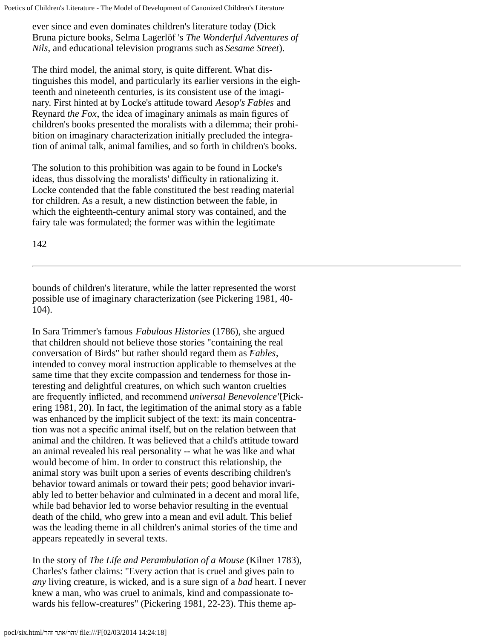ever since and even dominates children's literature today (Dick Bruna picture books, Selma Lagerlöf 's *The Wonderful Adventures of Nils*, and educational television programs such as *Sesame Street*).

The third model, the animal story, is quite different. What distinguishes this model, and particularly its earlier versions in the eighteenth and nineteenth centuries, is its consistent use of the imaginary. First hinted at by Locke's attitude toward *Aesop's Fables* and Reynard *the Fox*, the idea of imaginary animals as main figures of children's books presented the moralists with a dilemma; their prohibition on imaginary characterization initially precluded the integration of animal talk, animal families, and so forth in children's books.

The solution to this prohibition was again to be found in Locke's ideas, thus dissolving the moralists' difficulty in rationalizing it. Locke contended that the fable constituted the best reading material for children. As a result, a new distinction between the fable, in which the eighteenth-century animal story was contained, and the fairy tale was formulated; the former was within the legitimate

142

bounds of children's literature, while the latter represented the worst possible use of imaginary characterization (see Pickering 1981, 40- 104).

In Sara Trimmer's famous *Fabulous Histories* (1786), she argued that children should not believe those stories "containing the real conversation of Birds" but rather should regard them as *"Fables*, intended to convey moral instruction applicable to themselves at the same time that they excite compassion and tenderness for those interesting and delightful creatures, on which such wanton cruelties are frequently inflicted, and recommend *universal Benevolence"* (Pickering 1981, 20). In fact, the legitimation of the animal story as a fable was enhanced by the implicit subject of the text: its main concentration was not a specific animal itself, but on the relation between that animal and the children. It was believed that a child's attitude toward an animal revealed his real personality -- what he was like and what would become of him. In order to construct this relationship, the animal story was built upon a series of events describing children's behavior toward animals or toward their pets; good behavior invariably led to better behavior and culminated in a decent and moral life, while bad behavior led to worse behavior resulting in the eventual death of the child, who grew into a mean and evil adult. This belief was the leading theme in all children's animal stories of the time and appears repeatedly in several texts.

In the story of *The Life and Perambulation of a Mouse* (Kilner 1783), Charles's father claims: "Every action that is cruel and gives pain to *any* living creature, is wicked, and is a sure sign of a *bad* heart. I never knew a man, who was cruel to animals, kind and compassionate towards his fellow-creatures" (Pickering 1981, 22-23). This theme ap-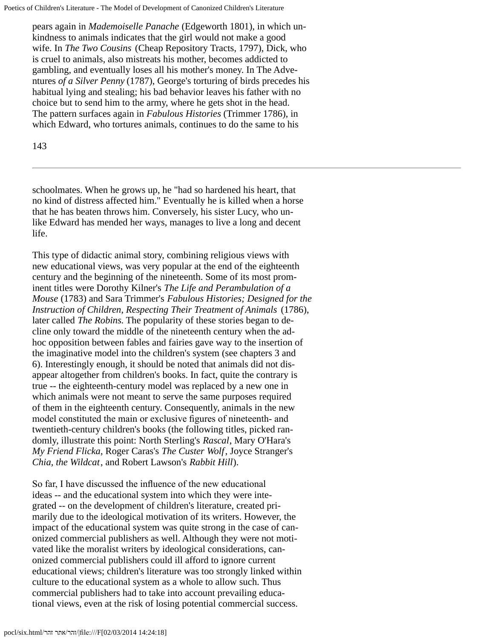pears again in *Mademoiselle Panache* (Edgeworth 1801), in which unkindness to animals indicates that the girl would not make a good wife. In *The Two Cousins* (Cheap Repository Tracts, 1797), Dick, who is cruel to animals, also mistreats his mother, becomes addicted to gambling, and eventually loses all his mother's money. In The Adventures *of a Silver Penny* (1787), George's torturing of birds precedes his habitual lying and stealing; his bad behavior leaves his father with no choice but to send him to the army, where he gets shot in the head. The pattern surfaces again in *Fabulous Histories* (Trimmer 1786), in which Edward, who tortures animals, continues to do the same to his

143

schoolmates. When he grows up, he "had so hardened his heart, that no kind of distress affected him." Eventually he is killed when a horse that he has beaten throws him. Conversely, his sister Lucy, who unlike Edward has mended her ways, manages to live a long and decent life.

This type of didactic animal story, combining religious views with new educational views, was very popular at the end of the eighteenth century and the beginning of the nineteenth. Some of its most prominent titles were Dorothy Kilner's *The Life and Perambulation of a Mouse* (1783) and Sara Trimmer's *Fabulous Histories; Designed for the Instruction of Children, Respecting Their Treatment of Animals* (1786), later called *The Robins*. The popularity of these stories began to decline only toward the middle of the nineteenth century when the adhoc opposition between fables and fairies gave way to the insertion of the imaginative model into the children's system (see chapters 3 and 6). Interestingly enough, it should be noted that animals did not disappear altogether from children's books. In fact, quite the contrary is true -- the eighteenth-century model was replaced by a new one in which animals were not meant to serve the same purposes required of them in the eighteenth century. Consequently, animals in the new model constituted the main or exclusive figures of nineteenth- and twentieth-century children's books (the following titles, picked randomly, illustrate this point: North Sterling's *Rascal*, Mary O'Hara's *My Friend Flicka*, Roger Caras's *The Custer Wolf*, Joyce Stranger's *Chia, the Wildcat*, and Robert Lawson's *Rabbit Hill*).

So far, I have discussed the influence of the new educational ideas -- and the educational system into which they were integrated -- on the development of children's literature, created primarily due to the ideological motivation of its writers. However, the impact of the educational system was quite strong in the case of canonized commercial publishers as well. Although they were not motivated like the moralist writers by ideological considerations, canonized commercial publishers could ill afford to ignore current educational views; children's literature was too strongly linked within culture to the educational system as a whole to allow such. Thus commercial publishers had to take into account prevailing educational views, even at the risk of losing potential commercial success.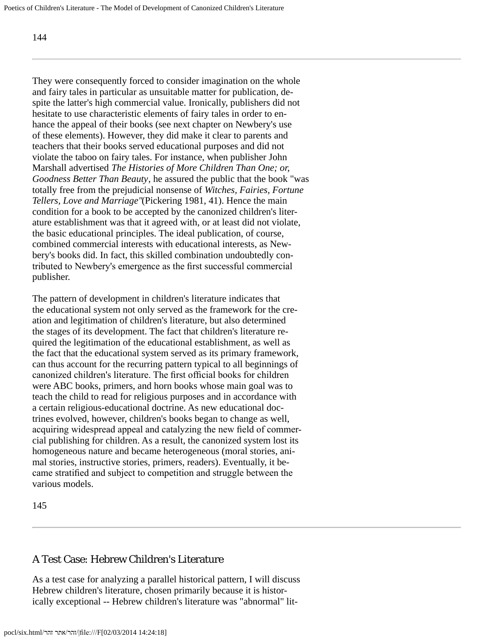#### 144

They were consequently forced to consider imagination on the whole and fairy tales in particular as unsuitable matter for publication, despite the latter's high commercial value. Ironically, publishers did not hesitate to use characteristic elements of fairy tales in order to enhance the appeal of their books (see next chapter on Newbery's use of these elements). However, they did make it clear to parents and teachers that their books served educational purposes and did not violate the taboo on fairy tales. For instance, when publisher John Marshall advertised *The Histories of More Children Than One; or, Goodness Better Than Beauty*, he assured the public that the book "was totally free from the prejudicial nonsense of *Witches, Fairies, Fortune Tellers, Love and Marriage"* (Pickering 1981, 41). Hence the main condition for a book to be accepted by the canonized children's literature establishment was that it agreed with, or at least did not violate, the basic educational principles. The ideal publication, of course, combined commercial interests with educational interests, as Newbery's books did. In fact, this skilled combination undoubtedly contributed to Newbery's emergence as the first successful commercial publisher.

The pattern of development in children's literature indicates that the educational system not only served as the framework for the creation and legitimation of children's literature, but also determined the stages of its development. The fact that children's literature required the legitimation of the educational establishment, as well as the fact that the educational system served as its primary framework, can thus account for the recurring pattern typical to all beginnings of canonized children's literature. The first official books for children were ABC books, primers, and horn books whose main goal was to teach the child to read for religious purposes and in accordance with a certain religious-educational doctrine. As new educational doctrines evolved, however, children's books began to change as well, acquiring widespread appeal and catalyzing the new field of commercial publishing for children. As a result, the canonized system lost its homogeneous nature and became heterogeneous (moral stories, animal stories, instructive stories, primers, readers). Eventually, it became stratified and subject to competition and struggle between the various models.

145

## A Test Case: Hebrew Children's Literature

As a test case for analyzing a parallel historical pattern, I will discuss Hebrew children's literature, chosen primarily because it is historically exceptional -- Hebrew children's literature was "abnormal" lit-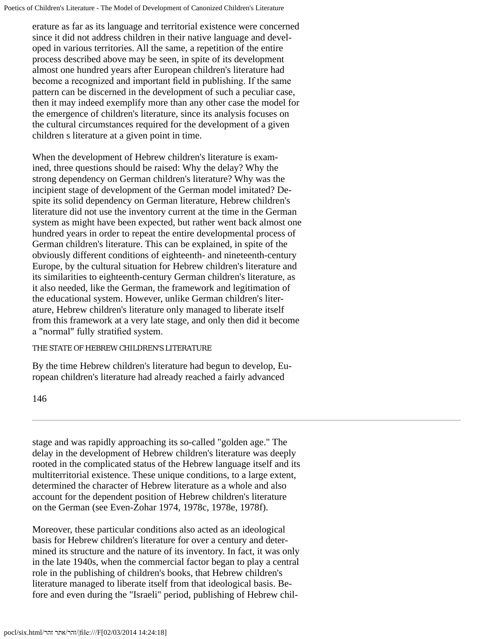erature as far as its language and territorial existence were concerned since it did not address children in their native language and developed in various territories. All the same, a repetition of the entire process described above may be seen, in spite of its development almost one hundred years after European children's literature had become a recognized and important field in publishing. If the same pattern can be discerned in the development of such a peculiar case, then it may indeed exemplify more than any other case the model for the emergence of children's literature, since its analysis focuses on the cultural circumstances required for the development of a given children s literature at a given point in time.

When the development of Hebrew children's literature is examined, three questions should be raised: Why the delay? Why the strong dependency on German children's literature? Why was the incipient stage of development of the German model imitated? Despite its solid dependency on German literature, Hebrew children's literature did not use the inventory current at the time in the German system as might have been expected, but rather went back almost one hundred years in order to repeat the entire developmental process of German children's literature. This can be explained, in spite of the obviously different conditions of eighteenth- and nineteenth-century Europe, by the cultural situation for Hebrew children's literature and its similarities to eighteenth-century German children's literature, as it also needed, like the German, the framework and legitimation of the educational system. However, unlike German children's literature, Hebrew children's literature only managed to liberate itself from this framework at a very late stage, and only then did it become a "normal" fully stratified system.

#### THE STATE OF HEBREW CHILDREN'S LITERATURE

By the time Hebrew children's literature had begun to develop, European children's literature had already reached a fairly advanced

146

stage and was rapidly approaching its so-called "golden age." The delay in the development of Hebrew children's literature was deeply rooted in the complicated status of the Hebrew language itself and its multiterritorial existence. These unique conditions, to a large extent, determined the character of Hebrew literature as a whole and also account for the dependent position of Hebrew children's literature on the German (see Even-Zohar 1974, 1978c, 1978e, 1978f).

Moreover, these particular conditions also acted as an ideological basis for Hebrew children's literature for over a century and determined its structure and the nature of its inventory. In fact, it was only in the late 1940s, when the commercial factor began to play a central role in the publishing of children's books, that Hebrew children's literature managed to liberate itself from that ideological basis. Before and even during the "Israeli" period, publishing of Hebrew chil-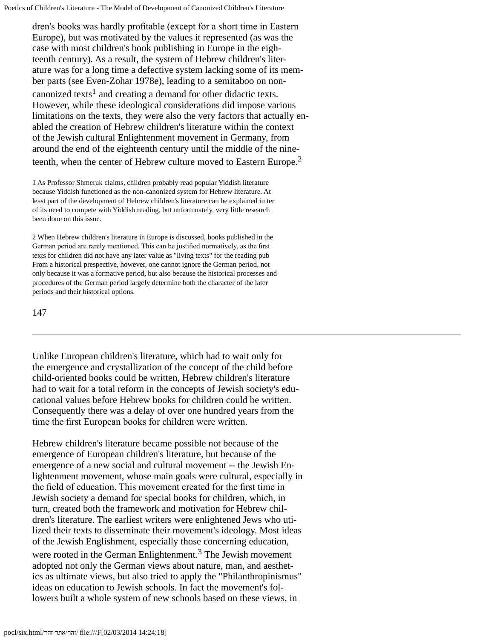dren's books was hardly profitable (except for a short time in Eastern Europe), but was motivated by the values it represented (as was the case with most children's book publishing in Europe in the eighteenth century). As a result, the system of Hebrew children's literature was for a long time a defective system lacking some of its member parts (see Even-Zohar 1978e), leading to a semitaboo on non-

canonized texts<sup>1</sup> and creating a demand for other didactic texts. However, while these ideological considerations did impose various limitations on the texts, they were also the very factors that actually enabled the creation of Hebrew children's literature within the context of the Jewish cultural Enlightenment movement in Germany, from around the end of the eighteenth century until the middle of the nineteenth, when the center of Hebrew culture moved to Eastern Europe.<sup>2</sup>

1 As Professor Shmeruk claims, children probably read popular Yiddish literature because Yiddish functioned as the non-canonized system for Hebrew literature. At least part of the development of Hebrew children's literature can be explained in ter of its need to compete with Yiddish reading, but unfortunately, very little research been done on this issue.

2 When Hebrew children's literature in Europe is discussed, books published in the German period are rarely mentioned. This can be justified normatively, as the first texts for children did not have any later value as "living texts" for the reading pub From a historical prespective, however, one cannot ignore the German period, not only because it was a formative period, but also because the historical processes and procedures of the German period largely determine both the character of the later periods and their historical options.

147

Unlike European children's literature, which had to wait only for the emergence and crystallization of the concept of the child before child-oriented books could be written, Hebrew children's literature had to wait for a total reform in the concepts of Jewish society's educational values before Hebrew books for children could be written. Consequently there was a delay of over one hundred years from the time the first European books for children were written.

Hebrew children's literature became possible not because of the emergence of European children's literature, but because of the emergence of a new social and cultural movement -- the Jewish Enlightenment movement, whose main goals were cultural, especially in the field of education. This movement created for the first time in Jewish society a demand for special books for children, which, in turn, created both the framework and motivation for Hebrew children's literature. The earliest writers were enlightened Jews who utilized their texts to disseminate their movement's ideology. Most ideas of the Jewish Englishment, especially those concerning education, were rooted in the German Enlightenment.<sup>3</sup> The Jewish movement adopted not only the German views about nature, man, and aesthetics as ultimate views, but also tried to apply the "Philanthropinismus" ideas on education to Jewish schools. In fact the movement's followers built a whole system of new schools based on these views, in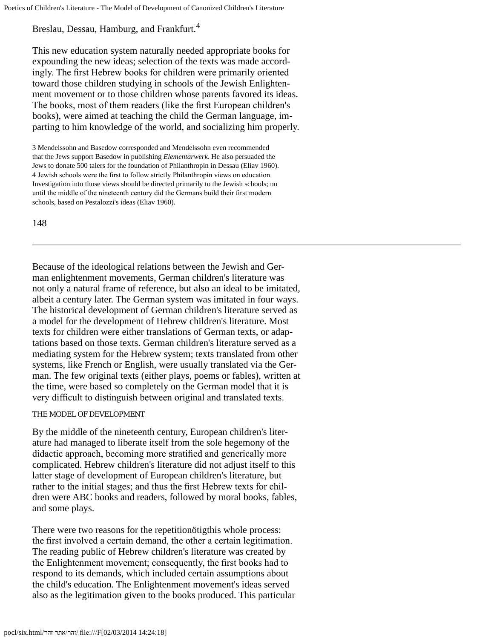Breslau, Dessau, Hamburg, and Frankfurt.<sup>4</sup>

This new education system naturally needed appropriate books for expounding the new ideas; selection of the texts was made accordingly. The first Hebrew books for children were primarily oriented toward those children studying in schools of the Jewish Enlightenment movement or to those children whose parents favored its ideas. The books, most of them readers (like the first European children's books), were aimed at teaching the child the German language, imparting to him knowledge of the world, and socializing him properly.

3 Mendelssohn and Basedow corresponded and Mendelssohn even recommended that the Jews support Basedow in publishing *Elementarwerk*. He also persuaded the Jews to donate 500 talers for the foundation of Philanthropin in Dessau (Eliav 1960). 4 Jewish schools were the first to follow strictly Philanthropin views on education. Investigation into those views should be directed primarily to the Jewish schools; no until the middle of the nineteenth century did the Germans build their first modern schools, based on Pestalozzi's ideas (Eliav 1960).

148

Because of the ideological relations between the Jewish and German enlightenment movements, German children's literature was not only a natural frame of reference, but also an ideal to be imitated, albeit a century later. The German system was imitated in four ways. The historical development of German children's literature served as a model for the development of Hebrew children's literature. Most texts for children were either translations of German texts, or adaptations based on those texts. German children's literature served as a mediating system for the Hebrew system; texts translated from other systems, like French or English, were usually translated via the German. The few original texts (either plays, poems or fables), written at the time, were based so completely on the German model that it is very difficult to distinguish between original and translated texts.

#### THE MODEL OF DEVELOPMENT

By the middle of the nineteenth century, European children's literature had managed to liberate itself from the sole hegemony of the didactic approach, becoming more stratified and generically more complicated. Hebrew children's literature did not adjust itself to this latter stage of development of European children's literature, but rather to the initial stages; and thus the first Hebrew texts for children were ABC books and readers, followed by moral books, fables, and some plays.

There were two reasons for the repetitionötigthis whole process: the first involved a certain demand, the other a certain legitimation. The reading public of Hebrew children's literature was created by the Enlightenment movement; consequently, the first books had to respond to its demands, which included certain assumptions about the child's education. The Enlightenment movement's ideas served also as the legitimation given to the books produced. This particular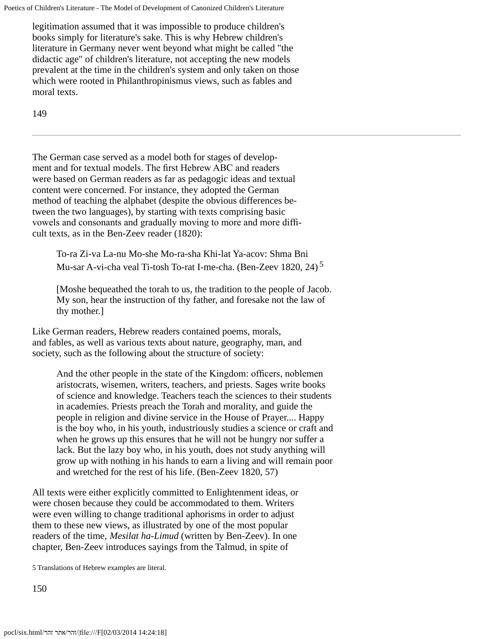legitimation assumed that it was impossible to produce children's books simply for literature's sake. This is why Hebrew children's literature in Germany never went beyond what might be called "the didactic age" of children's literature, not accepting the new models prevalent at the time in the children's system and only taken on those which were rooted in Philanthropinismus views, such as fables and moral texts.

149

The German case served as a model both for stages of development and for textual models. The first Hebrew ABC and readers were based on German readers as far as pedagogic ideas and textual content were concerned. For instance, they adopted the German method of teaching the alphabet (despite the obvious differences between the two languages), by starting with texts comprising basic vowels and consonants and gradually moving to more and more difficult texts, as in the Ben-Zeev reader (1820):

To-ra Zi-va La-nu Mo-she Mo-ra-sha Khi-lat Ya-acov: Shma Bni Mu-sar A-vi-cha veal Ti-tosh To-rat I-me-cha. (Ben-Zeev 1820, 24) <sup>5</sup>

[Moshe bequeathed the torah to us, the tradition to the people of Jacob. My son, hear the instruction of thy father, and foresake not the law of thy mother.]

Like German readers, Hebrew readers contained poems, morals, and fables, as well as various texts about nature, geography, man, and society, such as the following about the structure of society:

And the other people in the state of the Kingdom: officers, noblemen aristocrats, wisemen, writers, teachers, and priests. Sages write books of science and knowledge. Teachers teach the sciences to their students in academies. Priests preach the Torah and morality, and guide the people in religion and divine service in the House of Prayer.... Happy is the boy who, in his youth, industriously studies a science or craft and when he grows up this ensures that he will not be hungry nor suffer a lack. But the lazy boy who, in his youth, does not study anything will grow up with nothing in his hands to earn a living and will remain poor and wretched for the rest of his life. (Ben-Zeev 1820, 57)

All texts were either explicitly committed to Enlightenment ideas, or were chosen because they could be accommodated to them. Writers were even willing to change traditional aphorisms in order to adjust them to these new views, as illustrated by one of the most popular readers of the time, *Mesilat ha-Limud* (written by Ben-Zeev). In one chapter, Ben-Zeev introduces sayings from the Talmud, in spite of

5 Translations of Hebrew examples are literal.

150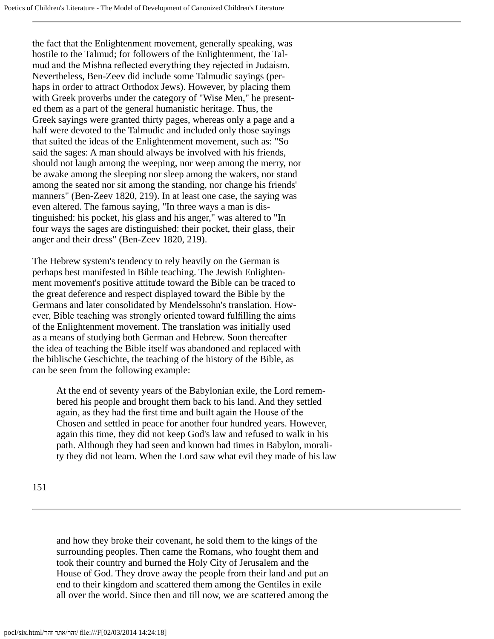the fact that the Enlightenment movement, generally speaking, was hostile to the Talmud; for followers of the Enlightenment, the Talmud and the Mishna reflected everything they rejected in Judaism. Nevertheless, Ben-Zeev did include some Talmudic sayings (perhaps in order to attract Orthodox Jews). However, by placing them with Greek proverbs under the category of "Wise Men," he presented them as a part of the general humanistic heritage. Thus, the Greek sayings were granted thirty pages, whereas only a page and a half were devoted to the Talmudic and included only those sayings that suited the ideas of the Enlightenment movement, such as: "So said the sages: A man should always be involved with his friends, should not laugh among the weeping, nor weep among the merry, nor be awake among the sleeping nor sleep among the wakers, nor stand among the seated nor sit among the standing, nor change his friends' manners" (Ben-Zeev 1820, 219). In at least one case, the saying was even altered. The famous saying, "In three ways a man is distinguished: his pocket, his glass and his anger," was altered to "In four ways the sages are distinguished: their pocket, their glass, their anger and their dress" (Ben-Zeev 1820, 219).

The Hebrew system's tendency to rely heavily on the German is perhaps best manifested in Bible teaching. The Jewish Enlightenment movement's positive attitude toward the Bible can be traced to the great deference and respect displayed toward the Bible by the Germans and later consolidated by Mendelssohn's translation. However, Bible teaching was strongly oriented toward fulfilling the aims of the Enlightenment movement. The translation was initially used as a means of studying both German and Hebrew. Soon thereafter the idea of teaching the Bible itself was abandoned and replaced with the biblische Geschichte, the teaching of the history of the Bible, as can be seen from the following example:

At the end of seventy years of the Babylonian exile, the Lord remembered his people and brought them back to his land. And they settled again, as they had the first time and built again the House of the Chosen and settled in peace for another four hundred years. However, again this time, they did not keep God's law and refused to walk in his path. Although they had seen and known bad times in Babylon, morality they did not learn. When the Lord saw what evil they made of his law

151

and how they broke their covenant, he sold them to the kings of the surrounding peoples. Then came the Romans, who fought them and took their country and burned the Holy City of Jerusalem and the House of God. They drove away the people from their land and put an end to their kingdom and scattered them among the Gentiles in exile all over the world. Since then and till now, we are scattered among the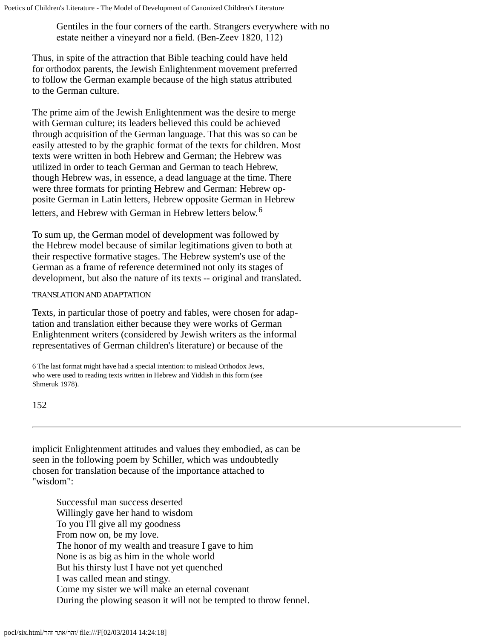Gentiles in the four corners of the earth. Strangers everywhere with no estate neither a vineyard nor a field. (Ben-Zeev 1820, 112)

Thus, in spite of the attraction that Bible teaching could have held for orthodox parents, the Jewish Enlightenment movement preferred to follow the German example because of the high status attributed to the German culture.

The prime aim of the Jewish Enlightenment was the desire to merge with German culture; its leaders believed this could be achieved through acquisition of the German language. That this was so can be easily attested to by the graphic format of the texts for children. Most texts were written in both Hebrew and German; the Hebrew was utilized in order to teach German and German to teach Hebrew, though Hebrew was, in essence, a dead language at the time. There were three formats for printing Hebrew and German: Hebrew opposite German in Latin letters, Hebrew opposite German in Hebrew letters, and Hebrew with German in Hebrew letters below.<sup>6</sup>

To sum up, the German model of development was followed by the Hebrew model because of similar legitimations given to both at their respective formative stages. The Hebrew system's use of the German as a frame of reference determined not only its stages of development, but also the nature of its texts -- original and translated.

#### TRANSLATION AND ADAPTATION

Texts, in particular those of poetry and fables, were chosen for adaptation and translation either because they were works of German Enlightenment writers (considered by Jewish writers as the informal representatives of German children's literature) or because of the

6 The last format might have had a special intention: to mislead Orthodox Jews, who were used to reading texts written in Hebrew and Yiddish in this form (see Shmeruk 1978).

### 152

implicit Enlightenment attitudes and values they embodied, as can be seen in the following poem by Schiller, which was undoubtedly chosen for translation because of the importance attached to "wisdom":

Successful man success deserted Willingly gave her hand to wisdom To you I'll give all my goodness From now on, be my love. The honor of my wealth and treasure I gave to him None is as big as him in the whole world But his thirsty lust I have not yet quenched I was called mean and stingy. Come my sister we will make an eternal covenant During the plowing season it will not be tempted to throw fennel.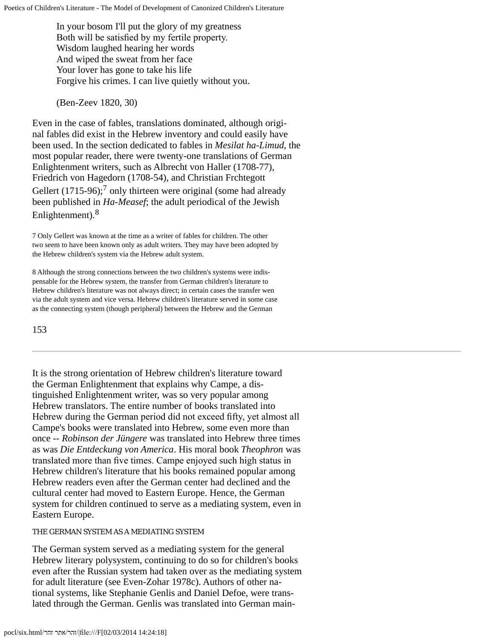In your bosom I'll put the glory of my greatness Both will be satisfied by my fertile property. Wisdom laughed hearing her words And wiped the sweat from her face Your lover has gone to take his life Forgive his crimes. I can live quietly without you.

(Ben-Zeev 1820, 30)

Even in the case of fables, translations dominated, although original fables did exist in the Hebrew inventory and could easily have been used. In the section dedicated to fables in *Mesilat ha-Limud*, the most popular reader, there were twenty-one translations of German Enlightenment writers, such as Albrecht von Haller (1708-77), Friedrich von Hagedorn (1708-54), and Christian Frchtegott Gellert  $(1715-96)$ ;<sup>7</sup> only thirteen were original (some had already been published in *Ha-Measef*; the adult periodical of the Jewish Enlightenment).<sup>8</sup>

7 Only Gellert was known at the time as a writer of fables for children. The other two seem to have been known only as adult writers. They may have been adopted by the Hebrew children's system via the Hebrew adult system.

8 Although the strong connections between the two children's systems were indispensable for the Hebrew system, the transfer from German children's literature to Hebrew children's literature was not always direct; in certain cases the transfer wen via the adult system and vice versa. Hebrew children's literature served in some case as the connecting system (though peripheral) between the Hebrew and the German

153

It is the strong orientation of Hebrew children's literature toward the German Enlightenment that explains why Campe, a distinguished Enlightenment writer, was so very popular among Hebrew translators. The entire number of books translated into Hebrew during the German period did not exceed fifty, yet almost all Campe's books were translated into Hebrew, some even more than once -- *Robinson der Jüngere* was translated into Hebrew three times as was *Die Entdeckung von America*. His moral book *Theophron* was translated more than five times. Campe enjoyed such high status in Hebrew children's literature that his books remained popular among Hebrew readers even after the German center had declined and the cultural center had moved to Eastern Europe. Hence, the German system for children continued to serve as a mediating system, even in Eastern Europe.

#### THE GERMAN SYSTEM AS A MEDIATING SYSTEM

The German system served as a mediating system for the general Hebrew literary polysystem, continuing to do so for children's books even after the Russian system had taken over as the mediating system for adult literature (see Even-Zohar 1978c). Authors of other national systems, like Stephanie Genlis and Daniel Defoe, were translated through the German. Genlis was translated into German main-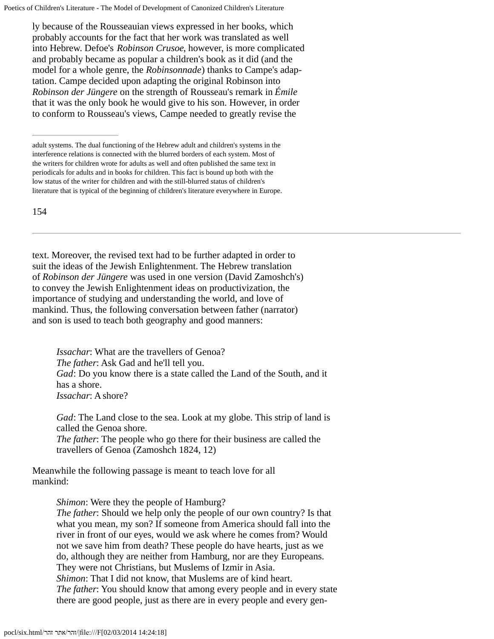ly because of the Rousseauian views expressed in her books, which probably accounts for the fact that her work was translated as well into Hebrew. Defoe's *Robinson Crusoe*, however, is more complicated and probably became as popular a children's book as it did (and the model for a whole genre, the *Robinsonnade*) thanks to Campe's adaptation. Campe decided upon adapting the original Robinson into *Robinson der Jüngere* on the strength of Rousseau's remark in *Émile* that it was the only book he would give to his son. However, in order to conform to Rousseau's views, Campe needed to greatly revise the

154

text. Moreover, the revised text had to be further adapted in order to suit the ideas of the Jewish Enlightenment. The Hebrew translation of *Robinson der Jüngere* was used in one version (David Zamoshch's) to convey the Jewish Enlightenment ideas on productivization, the importance of studying and understanding the world, and love of mankind. Thus, the following conversation between father (narrator) and son is used to teach both geography and good manners:

*Issachar*: What are the travellers of Genoa? *The father*: Ask Gad and he'll tell you. *Gad*: Do you know there is a state called the Land of the South, and it has a shore. *Issachar*: A shore?

*Gad*: The Land close to the sea. Look at my globe. This strip of land is called the Genoa shore.

*The father*: The people who go there for their business are called the travellers of Genoa (Zamoshch 1824, 12)

Meanwhile the following passage is meant to teach love for all mankind:

*Shimon*: Were they the people of Hamburg?

*The father*: Should we help only the people of our own country? Is that what you mean, my son? If someone from America should fall into the river in front of our eyes, would we ask where he comes from? Would not we save him from death? These people do have hearts, just as we do, although they are neither from Hamburg, nor are they Europeans. They were not Christians, but Muslems of Izmir in Asia. *Shimon*: That I did not know, that Muslems are of kind heart. *The father*: You should know that among every people and in every state there are good people, just as there are in every people and every gen-

adult systems. The dual functioning of the Hebrew adult and children's systems in the interference relations is connected with the blurred borders of each system. Most of the writers for children wrote for adults as well and often published the same text in periodicals for adults and in books for children. This fact is bound up both with the low status of the writer for children and with the still-blurred status of children's literature that is typical of the beginning of children's literature everywhere in Europe.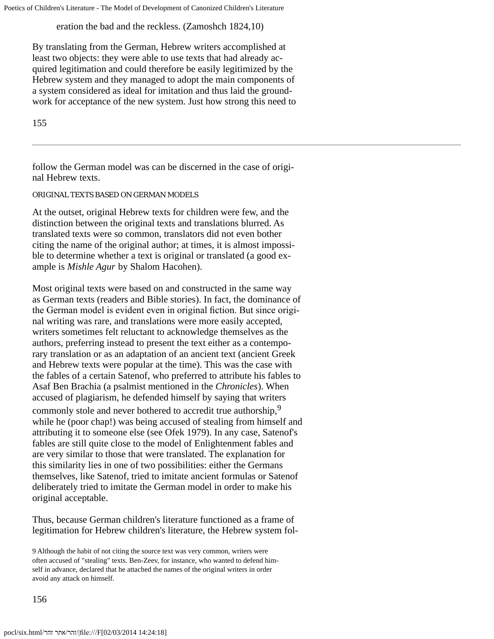#### eration the bad and the reckless. (Zamoshch 1824,10)

By translating from the German, Hebrew writers accomplished at least two objects: they were able to use texts that had already acquired legitimation and could therefore be easily legitimized by the Hebrew system and they managed to adopt the main components of a system considered as ideal for imitation and thus laid the groundwork for acceptance of the new system. Just how strong this need to

155

follow the German model was can be discerned in the case of original Hebrew texts.

#### ORIGINAL TEXTS BASED ON GERMAN MODELS

At the outset, original Hebrew texts for children were few, and the distinction between the original texts and translations blurred. As translated texts were so common, translators did not even bother citing the name of the original author; at times, it is almost impossible to determine whether a text is original or translated (a good example is *Mishle Agur* by Shalom Hacohen).

Most original texts were based on and constructed in the same way as German texts (readers and Bible stories). In fact, the dominance of the German model is evident even in original fiction. But since original writing was rare, and translations were more easily accepted, writers sometimes felt reluctant to acknowledge themselves as the authors, preferring instead to present the text either as a contemporary translation or as an adaptation of an ancient text (ancient Greek and Hebrew texts were popular at the time). This was the case with the fables of a certain Satenof, who preferred to attribute his fables to Asaf Ben Brachia (a psalmist mentioned in the *Chronicles*). When accused of plagiarism, he defended himself by saying that writers commonly stole and never bothered to accredit true authorship,<sup>9</sup> while he (poor chap!) was being accused of stealing from himself and attributing it to someone else (see Ofek 1979). In any case, Satenof's fables are still quite close to the model of Enlightenment fables and are very similar to those that were translated. The explanation for this similarity lies in one of two possibilities: either the Germans themselves, like Satenof, tried to imitate ancient formulas or Satenof deliberately tried to imitate the German model in order to make his original acceptable.

Thus, because German children's literature functioned as a frame of legitimation for Hebrew children's literature, the Hebrew system fol-

156

<sup>9</sup> Although the habit of not citing the source text was very common, writers were often accused of "stealing" texts. Ben-Zeev, for instance, who wanted to defend himself in advance, declared that he attached the names of the original writers in order avoid any attack on himself.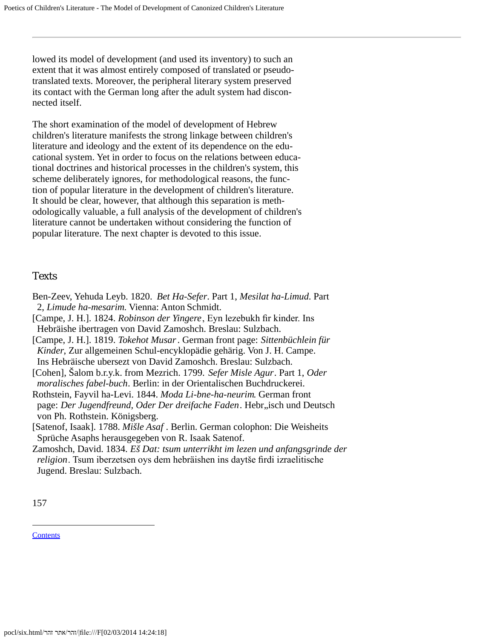lowed its model of development (and used its inventory) to such an extent that it was almost entirely composed of translated or pseudotranslated texts. Moreover, the peripheral literary system preserved its contact with the German long after the adult system had disconnected itself.

The short examination of the model of development of Hebrew children's literature manifests the strong linkage between children's literature and ideology and the extent of its dependence on the educational system. Yet in order to focus on the relations between educational doctrines and historical processes in the children's system, this scheme deliberately ignores, for methodological reasons, the function of popular literature in the development of children's literature. It should be clear, however, that although this separation is methodologically valuable, a full analysis of the development of children's literature cannot be undertaken without considering the function of popular literature. The next chapter is devoted to this issue.

## Texts

Ben-Zeev, Yehuda Leyb. 1820. *Bet Ha-Sefer*. Part 1, *Mesilat ha-Limud*. Part 2, *Limude ha-mesarim*. Vienna: Anton Schmidt.

[Campe, J. H.]. 1824. *Robinson der Yingere*, Eyn lezebukh fir kinder. Ins Hebräishe ibertragen von David Zamoshch. Breslau: Sulzbach.

[Campe, J. H.]. 1819. *Tokehot Musar*. German front page: *Sittenbüchlein für Kinder*, Zur allgemeinen Schul-encyklopädie gehärig. Von J. H. Campe. Ins Hebräische ubersezt von David Zamoshch. Breslau: Sulzbach.

[Cohen], Šalom b.r.y.k. from Mezrich. 1799. *Sefer Misle Agur*. Part 1, *Oder moralisches fabel-buch*. Berlin: in der Orientalischen Buchdruckerei.

Rothstein, Fayvil ha-Levi. 1844. *Moda Li-bne-ha-neurim*. German front page: *Der Jugendfreund, Oder Der dreifache Faden*. Hebr, isch und Deutsch von Ph. Rothstein. Königsberg.

[Satenof, Isaak]. 1788. *Mišle Asaf* . Berlin. German colophon: Die Weisheits Sprüche Asaphs herausgegeben von R. Isaak Satenof.

Zamoshch, David. 1834. *Eš Dat: tsum unterrikht im lezen und anfangsgrinde der religion*. Tsum iberzetsen oys dem hebräishen ins daytše firdi izraelitische Jugend. Breslau: Sulzbach.

157

**[Contents](#page-1-0)**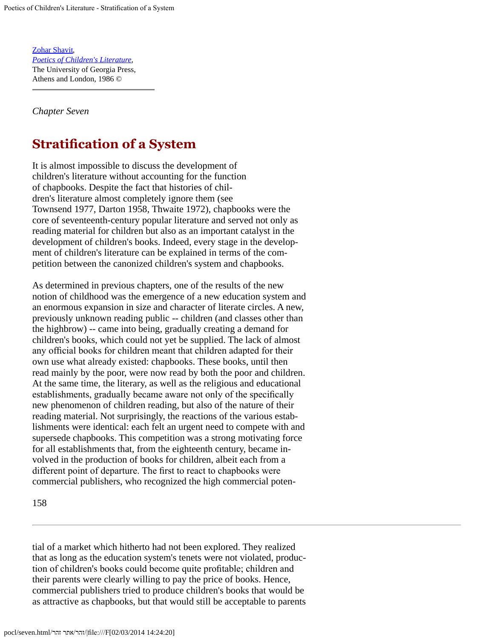Zohar Shavit, *[Poetics of Children's Literature](#page-0-0)*, The University of Georgia Press, Athens and London, 1986 ©

*Chapter Seven*

# **Stratification of a System**

It is almost impossible to discuss the development of children's literature without accounting for the function of chapbooks. Despite the fact that histories of children's literature almost completely ignore them (see Townsend 1977, Darton 1958, Thwaite 1972), chapbooks were the core of seventeenth-century popular literature and served not only as reading material for children but also as an important catalyst in the development of children's books. Indeed, every stage in the development of children's literature can be explained in terms of the competition between the canonized children's system and chapbooks.

As determined in previous chapters, one of the results of the new notion of childhood was the emergence of a new education system and an enormous expansion in size and character of literate circles. A new, previously unknown reading public -- children (and classes other than the highbrow) -- came into being, gradually creating a demand for children's books, which could not yet be supplied. The lack of almost any official books for children meant that children adapted for their own use what already existed: chapbooks. These books, until then read mainly by the poor, were now read by both the poor and children. At the same time, the literary, as well as the religious and educational establishments, gradually became aware not only of the specifically new phenomenon of children reading, but also of the nature of their reading material. Not surprisingly, the reactions of the various establishments were identical: each felt an urgent need to compete with and supersede chapbooks. This competition was a strong motivating force for all establishments that, from the eighteenth century, became involved in the production of books for children, albeit each from a different point of departure. The first to react to chapbooks were commercial publishers, who recognized the high commercial poten-

158

tial of a market which hitherto had not been explored. They realized that as long as the education system's tenets were not violated, production of children's books could become quite profitable; children and their parents were clearly willing to pay the price of books. Hence, commercial publishers tried to produce children's books that would be as attractive as chapbooks, but that would still be acceptable to parents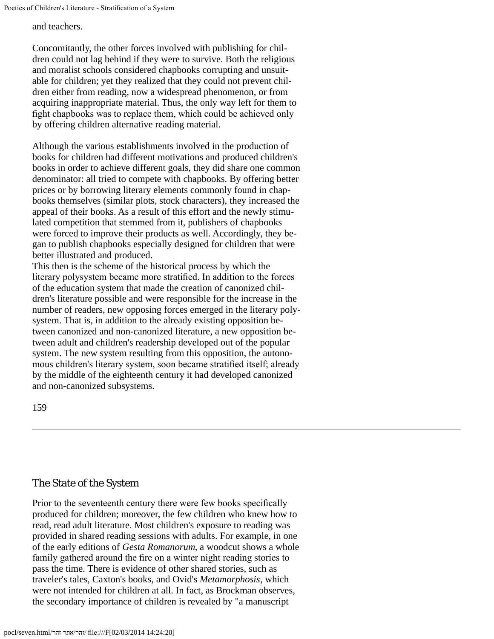and teachers.

Concomitantly, the other forces involved with publishing for children could not lag behind if they were to survive. Both the religious and moralist schools considered chapbooks corrupting and unsuitable for children; yet they realized that they could not prevent children either from reading, now a widespread phenomenon, or from acquiring inappropriate material. Thus, the only way left for them to fight chapbooks was to replace them, which could be achieved only by offering children alternative reading material.

Although the various establishments involved in the production of books for children had different motivations and produced children's books in order to achieve different goals, they did share one common denominator: all tried to compete with chapbooks. By offering better prices or by borrowing literary elements commonly found in chapbooks themselves (similar plots, stock characters), they increased the appeal of their books. As a result of this effort and the newly stimulated competition that stemmed from it, publishers of chapbooks were forced to improve their products as well. Accordingly, they began to publish chapbooks especially designed for children that were better illustrated and produced.

This then is the scheme of the historical process by which the literary polysystem became more stratified. In addition to the forces of the education system that made the creation of canonized children's literature possible and were responsible for the increase in the number of readers, new opposing forces emerged in the literary polysystem. That is, in addition to the already existing opposition between canonized and non-canonized literature, a new opposition between adult and children's readership developed out of the popular system. The new system resulting from this opposition, the autonomous children's literary system, soon became stratified itself; already by the middle of the eighteenth century it had developed canonized and non-canonized subsystems.

159

# The State of the System

Prior to the seventeenth century there were few books specifically produced for children; moreover, the few children who knew how to read, read adult literature. Most children's exposure to reading was provided in shared reading sessions with adults. For example, in one of the early editions of *Gesta Romanorum*, a woodcut shows a whole family gathered around the fire on a winter night reading stories to pass the time. There is evidence of other shared stories, such as traveler's tales, Caxton's books, and Ovid's *Metamorphosis*, which were not intended for children at all. In fact, as Brockman observes, the secondary importance of children is revealed by "a manuscript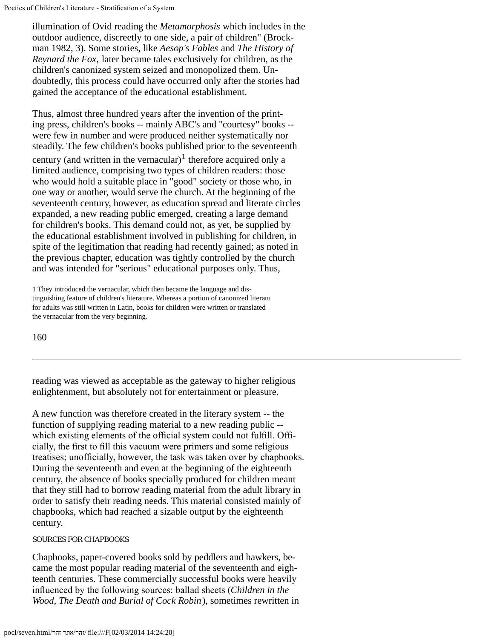illumination of Ovid reading the *Metamorphosis* which includes in the outdoor audience, discreetly to one side, a pair of children" (Brockman 1982, 3). Some stories, like *Aesop's Fables* and *The History of Reynard the Fox,* later became tales exclusively for children, as the children's canonized system seized and monopolized them. Undoubtedly, this process could have occurred only after the stories had gained the acceptance of the educational establishment.

Thus, almost three hundred years after the invention of the printing press, children's books -- mainly ABC's and "courtesy" books - were few in number and were produced neither systematically nor steadily. The few children's books published prior to the seventeenth century (and written in the vernacular)<sup>1</sup> therefore acquired only a limited audience, comprising two types of children readers: those who would hold a suitable place in "good" society or those who, in one way or another, would serve the church. At the beginning of the seventeenth century, however, as education spread and literate circles expanded, a new reading public emerged, creating a large demand for children's books. This demand could not, as yet, be supplied by the educational establishment involved in publishing for children, in spite of the legitimation that reading had recently gained; as noted in the previous chapter, education was tightly controlled by the church and was intended for "serious" educational purposes only. Thus,

1 They introduced the vernacular, which then became the language and distinguishing feature of children's literature. Whereas a portion of canonized literatu for adults was still written in Latin, books for children were written or translated the vernacular from the very beginning.

160

reading was viewed as acceptable as the gateway to higher religious enlightenment, but absolutely not for entertainment or pleasure.

A new function was therefore created in the literary system -- the function of supplying reading material to a new reading public - which existing elements of the official system could not fulfill. Officially, the first to fill this vacuum were primers and some religious treatises; unofficially, however, the task was taken over by chapbooks. During the seventeenth and even at the beginning of the eighteenth century, the absence of books specially produced for children meant that they still had to borrow reading material from the adult library in order to satisfy their reading needs. This material consisted mainly of chapbooks, which had reached a sizable output by the eighteenth century.

#### SOURCES FOR CHAPBOOKS

Chapbooks, paper-covered books sold by peddlers and hawkers, became the most popular reading material of the seventeenth and eighteenth centuries. These commercially successful books were heavily influenced by the following sources: ballad sheets (*Children in the Wood, The Death and Burial of Cock Robin*), sometimes rewritten in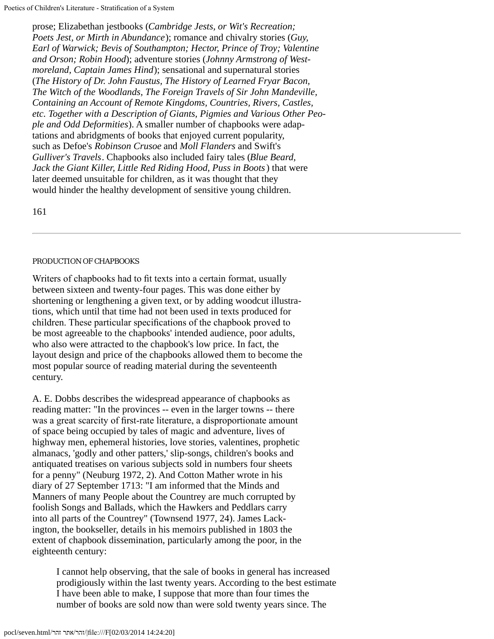prose; Elizabethan jestbooks (*Cambridge Jests, or Wit's Recreation; Poets Jest, or Mirth in Abundance*); romance and chivalry stories (*Guy, Earl of Warwick; Bevis of Southampton; Hector, Prince of Troy; Valentine and Orson; Robin Hood*); adventure stories (*Johnny Armstrong of Westmoreland, Captain James Hind*); sensational and supernatural stories (*The History of Dr. John Faustus, The History of Learned Fryar Bacon, The Witch of the Woodlands, The Foreign Travels of Sir John Mandeville, Containing an Account of Remote Kingdoms, Countries, Rivers, Castles, etc. Together with a Description of Giants, Pigmies and Various Other People and Odd Deformities*). A smaller number of chapbooks were adaptations and abridgments of books that enjoyed current popularity, such as Defoe's *Robinson Crusoe* and *Moll Flanders* and Swift's *Gulliver's Travels*. Chapbooks also included fairy tales (*Blue Beard, Jack the Giant Killer, Little Red Riding Hood, Puss in Boots*) that were later deemed unsuitable for children, as it was thought that they would hinder the healthy development of sensitive young children.

161

#### PRODUCTION OF CHAPBOOKS

Writers of chapbooks had to fit texts into a certain format, usually between sixteen and twenty-four pages. This was done either by shortening or lengthening a given text, or by adding woodcut illustrations, which until that time had not been used in texts produced for children. These particular specifications of the chapbook proved to be most agreeable to the chapbooks' intended audience, poor adults, who also were attracted to the chapbook's low price. In fact, the layout design and price of the chapbooks allowed them to become the most popular source of reading material during the seventeenth century.

A. E. Dobbs describes the widespread appearance of chapbooks as reading matter: "In the provinces -- even in the larger towns -- there was a great scarcity of first-rate literature, a disproportionate amount of space being occupied by tales of magic and adventure, lives of highway men, ephemeral histories, love stories, valentines, prophetic almanacs, 'godly and other patters,' slip-songs, children's books and antiquated treatises on various subjects sold in numbers four sheets for a penny" (Neuburg 1972, 2). And Cotton Mather wrote in his diary of 27 September 1713: "I am informed that the Minds and Manners of many People about the Countrey are much corrupted by foolish Songs and Ballads, which the Hawkers and Peddlars carry into all parts of the Countrey" (Townsend 1977, 24). James Lackington, the bookseller, details in his memoirs published in 1803 the extent of chapbook dissemination, particularly among the poor, in the eighteenth century:

I cannot help observing, that the sale of books in general has increased prodigiously within the last twenty years. According to the best estimate I have been able to make, I suppose that more than four times the number of books are sold now than were sold twenty years since. The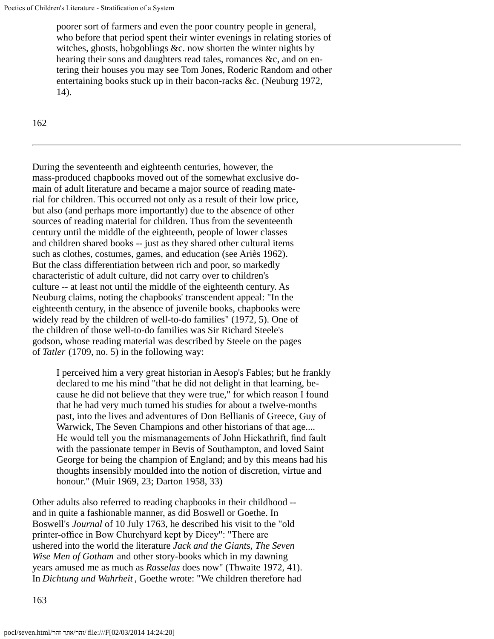poorer sort of farmers and even the poor country people in general, who before that period spent their winter evenings in relating stories of witches, ghosts, hobgoblings &c. now shorten the winter nights by hearing their sons and daughters read tales, romances &c, and on entering their houses you may see Tom Jones, Roderic Random and other entertaining books stuck up in their bacon-racks &c. (Neuburg 1972, 14).

#### 162

During the seventeenth and eighteenth centuries, however, the mass-produced chapbooks moved out of the somewhat exclusive domain of adult literature and became a major source of reading material for children. This occurred not only as a result of their low price, but also (and perhaps more importantly) due to the absence of other sources of reading material for children. Thus from the seventeenth century until the middle of the eighteenth, people of lower classes and children shared books -- just as they shared other cultural items such as clothes, costumes, games, and education (see Ariès 1962). But the class differentiation between rich and poor, so markedly characteristic of adult culture, did not carry over to children's culture -- at least not until the middle of the eighteenth century. As Neuburg claims, noting the chapbooks' transcendent appeal: "In the eighteenth century, in the absence of juvenile books, chapbooks were widely read by the children of well-to-do families" (1972, 5). One of the children of those well-to-do families was Sir Richard Steele's godson, whose reading material was described by Steele on the pages of *Tatler* (1709, no. 5) in the following way:

I perceived him a very great historian in Aesop's Fables; but he frankly declared to me his mind "that he did not delight in that learning, because he did not believe that they were true," for which reason I found that he had very much turned his studies for about a twelve-months past, into the lives and adventures of Don Bellianis of Greece, Guy of Warwick, The Seven Champions and other historians of that age.... He would tell you the mismanagements of John Hickathrift, find fault with the passionate temper in Bevis of Southampton, and loved Saint George for being the champion of England; and by this means had his thoughts insensibly moulded into the notion of discretion, virtue and honour." (Muir 1969, 23; Darton 1958, 33)

Other adults also referred to reading chapbooks in their childhood - and in quite a fashionable manner, as did Boswell or Goethe. In Boswell's *Journal* of 10 July 1763, he described his visit to the "old printer-office in Bow Churchyard kept by Dicey": "There are ushered into the world the literature *Jack and the Giants, The Seven Wise Men of Gotham* and other story-books which in my dawning years amused me as much as *Rasselas* does now" (Thwaite 1972, 41). In *Dichtung und Wahrheit* , Goethe wrote: "We children therefore had

163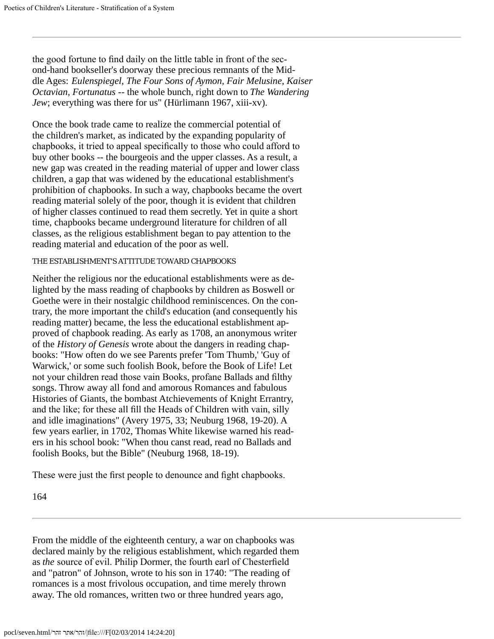the good fortune to find daily on the little table in front of the second-hand bookseller's doorway these precious remnants of the Middle Ages: *Eulenspiegel, The Four Sons of Aymon, Fair Melusine, Kaiser Octavian, Fortunatus* -- the whole bunch, right down to *The Wandering Jew*; everything was there for us" (Hürlimann 1967, xiii-xv).

Once the book trade came to realize the commercial potential of the children's market, as indicated by the expanding popularity of chapbooks, it tried to appeal specifically to those who could afford to buy other books -- the bourgeois and the upper classes. As a result, a new gap was created in the reading material of upper and lower class children, a gap that was widened by the educational establishment's prohibition of chapbooks. In such a way, chapbooks became the overt reading material solely of the poor, though it is evident that children of higher classes continued to read them secretly. Yet in quite a short time, chapbooks became underground literature for children of all classes, as the religious establishment began to pay attention to the reading material and education of the poor as well.

#### THE ESTABLISHMENT'S ATTITUDE TOWARD CHAPBOOKS

Neither the religious nor the educational establishments were as delighted by the mass reading of chapbooks by children as Boswell or Goethe were in their nostalgic childhood reminiscences. On the contrary, the more important the child's education (and consequently his reading matter) became, the less the educational establishment approved of chapbook reading. As early as 1708, an anonymous writer of the *History of Genesis* wrote about the dangers in reading chapbooks: "How often do we see Parents prefer 'Tom Thumb,' 'Guy of Warwick,' or some such foolish Book, before the Book of Life! Let not your children read those vain Books, profane Ballads and filthy songs. Throw away all fond and amorous Romances and fabulous Histories of Giants, the bombast Atchievements of Knight Errantry, and the like; for these all fill the Heads of Children with vain, silly and idle imaginations" (Avery 1975, 33; Neuburg 1968, 19-20). A few years earlier, in 1702, Thomas White likewise warned his readers in his school book: "When thou canst read, read no Ballads and foolish Books, but the Bible" (Neuburg 1968, 18-19).

These were just the first people to denounce and fight chapbooks.

164

From the middle of the eighteenth century, a war on chapbooks was declared mainly by the religious establishment, which regarded them as *the* source of evil. Philip Dormer, the fourth earl of Chesterfield and "patron" of Johnson, wrote to his son in 1740: "The reading of romances is a most frivolous occupation, and time merely thrown away. The old romances, written two or three hundred years ago,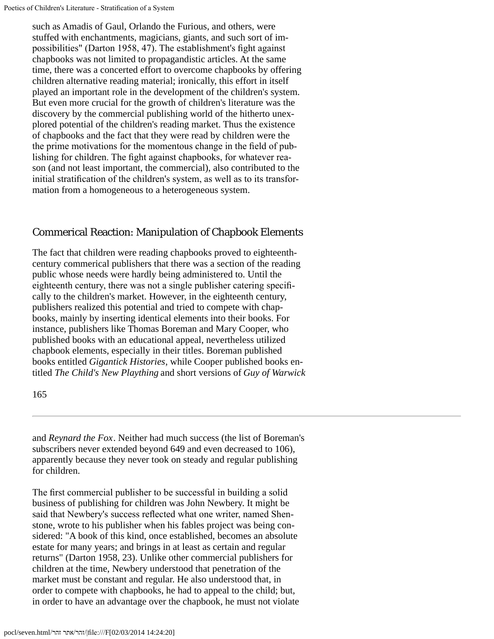such as Amadis of Gaul, Orlando the Furious, and others, were stuffed with enchantments, magicians, giants, and such sort of impossibilities" (Darton 1958, 47). The establishment's fight against chapbooks was not limited to propagandistic articles. At the same time, there was a concerted effort to overcome chapbooks by offering children alternative reading material; ironically, this effort in itself played an important role in the development of the children's system. But even more crucial for the growth of children's literature was the discovery by the commercial publishing world of the hitherto unexplored potential of the children's reading market. Thus the existence of chapbooks and the fact that they were read by children were the the prime motivations for the momentous change in the field of publishing for children. The fight against chapbooks, for whatever reason (and not least important, the commercial), also contributed to the initial stratification of the children's system, as well as to its transformation from a homogeneous to a heterogeneous system.

## Commerical Reaction: Manipulation of Chapbook Elements

The fact that children were reading chapbooks proved to eighteenthcentury commerical publishers that there was a section of the reading public whose needs were hardly being administered to. Until the eighteenth century, there was not a single publisher catering specifically to the children's market. However, in the eighteenth century, publishers realized this potential and tried to compete with chapbooks, mainly by inserting identical elements into their books. For instance, publishers like Thomas Boreman and Mary Cooper, who published books with an educational appeal, nevertheless utilized chapbook elements, especially in their titles. Boreman published books entitled *Gigantick Histories*, while Cooper published books entitled *The Child's New Plaything* and short versions of *Guy of Warwick*

165

and *Reynard the Fox*. Neither had much success (the list of Boreman's subscribers never extended beyond 649 and even decreased to 106), apparently because they never took on steady and regular publishing for children.

The first commercial publisher to be successful in building a solid business of publishing for children was John Newbery. It might be said that Newbery's success reflected what one writer, named Shenstone, wrote to his publisher when his fables project was being considered: "A book of this kind, once established, becomes an absolute estate for many years; and brings in at least as certain and regular returns" (Darton 1958, 23). Unlike other commercial publishers for children at the time, Newbery understood that penetration of the market must be constant and regular. He also understood that, in order to compete with chapbooks, he had to appeal to the child; but, in order to have an advantage over the chapbook, he must not violate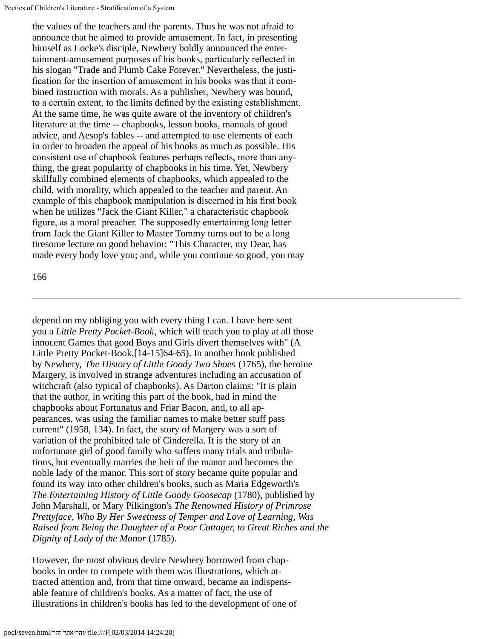the values of the teachers and the parents. Thus he was not afraid to announce that he aimed to provide amusement. In fact, in presenting himself as Locke's disciple, Newbery boldly announced the entertainment-amusement purposes of his books, particularly reflected in his slogan "Trade and Plumb Cake Forever." Nevertheless, the justification for the insertion of amusement in his books was that it combined instruction with morals. As a publisher, Newbery was bound, to a certain extent, to the limits defined by the existing establishment. At the same time, he was quite aware of the inventory of children's literature at the time -- chapbooks, lesson books, manuals of good advice, and Aesop's fables -- and attempted to use elements of each in order to broaden the appeal of his books as much as possible. His consistent use of chapbook features perhaps reflects, more than anything, the great popularity of chapbooks in his time. Yet, Newbery skillfully combined elements of chapbooks, which appealed to the child, with morality, which appealed to the teacher and parent. An example of this chapbook manipulation is discerned in his first book when he utilizes "Jack the Giant Killer," a characteristic chapbook figure, as a moral preacher. The supposedly entertaining long letter from Jack the Giant Killer to Master Tommy turns out to be a long tiresome lecture on good behavior: "This Character, my Dear, has made every body love you; and, while you continue so good, you may

166

depend on my obliging you with every thing I can. I have here sent you a *Little Pretty Pocket-Book*, which will teach you to play at all those innocent Games that good Boys and Girls divert themselves with" (A Little Pretty Pocket-Book,[14-15]64-65). In another book published by Newbery, *The History of Little Goody Two Shoes* (1765), the heroine Margery, is involved in strange adventures including an accusation of witchcraft (also typical of chapbooks). As Darton claims: "It is plain that the author, in writing this part of the book, had in mind the chapbooks about Fortunatus and Friar Bacon, and, to all appearances, was using the familiar names to make better stuff pass current" (1958, 134). In fact, the story of Margery was a sort of variation of the prohibited tale of Cinderella. It is the story of an unfortunate girl of good family who suffers many trials and tribulations, but eventually marries the heir of the manor and becomes the noble lady of the manor. This sort of story became quite popular and found its way into other children's books, such as Maria Edgeworth's *The Entertaining History of Little Goody Goosecap* (1780), published by John Marshall, or Mary Pilkington's *The Renowned History of Primrose Prettyface, Who By Her Sweetness of Temper and Love of Learning, Was Raised from Being the Daughter of a Poor Cottager, to Great Riches and the Dignity of Lady of the Manor* (1785).

However, the most obvious device Newbery borrowed from chapbooks in order to compete with them was illustrations, which attracted attention and, from that time onward, became an indispensable feature of children's books. As a matter of fact, the use of illustrations in children's books has led to the development of one of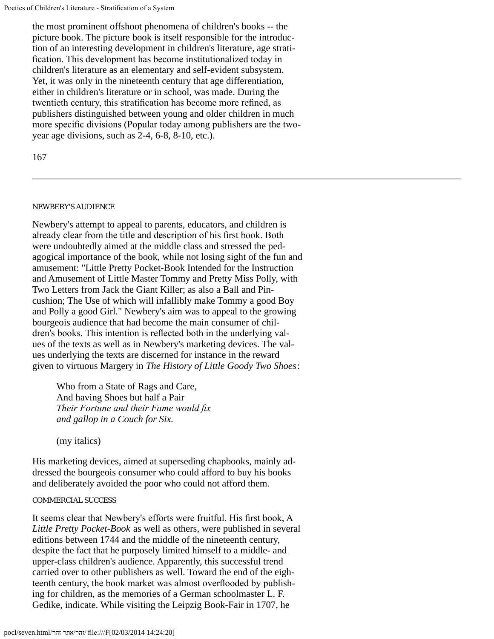the most prominent offshoot phenomena of children's books -- the picture book. The picture book is itself responsible for the introduction of an interesting development in children's literature, age stratification. This development has become institutionalized today in children's literature as an elementary and self-evident subsystem. Yet, it was only in the nineteenth century that age differentiation, either in children's literature or in school, was made. During the twentieth century, this stratification has become more refined, as publishers distinguished between young and older children in much more specific divisions (Popular today among publishers are the twoyear age divisions, such as 2-4, 6-8, 8-10, etc.).

167

### NEWBERY'S AUDIENCE

Newbery's attempt to appeal to parents, educators, and children is already clear from the title and description of his first book. Both were undoubtedly aimed at the middle class and stressed the pedagogical importance of the book, while not losing sight of the fun and amusement: "Little Pretty Pocket-Book Intended for the Instruction and Amusement of Little Master Tommy and Pretty Miss Polly, with Two Letters from Jack the Giant Killer; as also a Ball and Pincushion; The Use of which will infallibly make Tommy a good Boy and Polly a good Girl." Newbery's aim was to appeal to the growing bourgeois audience that had become the main consumer of children's books. This intention is reflected both in the underlying values of the texts as well as in Newbery's marketing devices. The values underlying the texts are discerned for instance in the reward given to virtuous Margery in *The History of Little Goody Two Shoes*:

Who from a State of Rags and Care, And having Shoes but half a Pair *Their Fortune and their Fame would fix and gallop in a Couch for Six*.

(my italics)

His marketing devices, aimed at superseding chapbooks, mainly addressed the bourgeois consumer who could afford to buy his books and deliberately avoided the poor who could not afford them.

#### COMMERCIAL SUCCESS

It seems clear that Newbery's efforts were fruitful. His first book, A *Little Pretty Pocket-Book* as well as others, were published in several editions between 1744 and the middle of the nineteenth century, despite the fact that he purposely limited himself to a middle- and upper-class children's audience. Apparently, this successful trend carried over to other publishers as well. Toward the end of the eighteenth century, the book market was almost overflooded by publishing for children, as the memories of a German schoolmaster L. F. Gedike, indicate. While visiting the Leipzig Book-Fair in 1707, he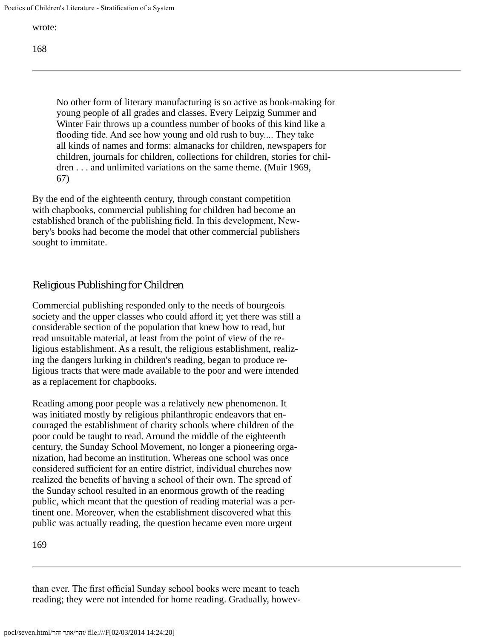wrote:

No other form of literary manufacturing is so active as book-making for young people of all grades and classes. Every Leipzig Summer and Winter Fair throws up a countless number of books of this kind like a flooding tide. And see how young and old rush to buy.... They take all kinds of names and forms: almanacks for children, newspapers for children, journals for children, collections for children, stories for children . . . and unlimited variations on the same theme. (Muir 1969, 67)

By the end of the eighteenth century, through constant competition with chapbooks, commercial publishing for children had become an established branch of the publishing field. In this development, Newbery's books had become the model that other commercial publishers sought to immitate.

## Religious Publishing for Children

Commercial publishing responded only to the needs of bourgeois society and the upper classes who could afford it; yet there was still a considerable section of the population that knew how to read, but read unsuitable material, at least from the point of view of the religious establishment. As a result, the religious establishment, realizing the dangers lurking in children's reading, began to produce religious tracts that were made available to the poor and were intended as a replacement for chapbooks.

Reading among poor people was a relatively new phenomenon. It was initiated mostly by religious philanthropic endeavors that encouraged the establishment of charity schools where children of the poor could be taught to read. Around the middle of the eighteenth century, the Sunday School Movement, no longer a pioneering organization, had become an institution. Whereas one school was once considered sufficient for an entire district, individual churches now realized the benefits of having a school of their own. The spread of the Sunday school resulted in an enormous growth of the reading public, which meant that the question of reading material was a pertinent one. Moreover, when the establishment discovered what this public was actually reading, the question became even more urgent

169

than ever. The first official Sunday school books were meant to teach reading; they were not intended for home reading. Gradually, howev-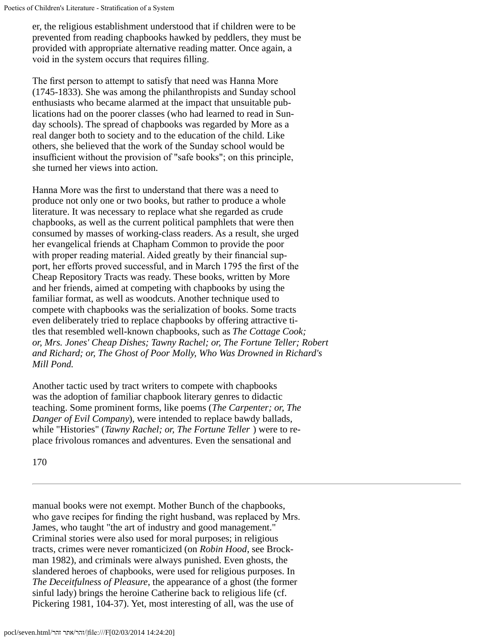```
Poetics of Children's Literature - Stratification of a System
```
er, the religious establishment understood that if children were to be prevented from reading chapbooks hawked by peddlers, they must be provided with appropriate alternative reading matter. Once again, a void in the system occurs that requires filling.

The first person to attempt to satisfy that need was Hanna More (1745-1833). She was among the philanthropists and Sunday school enthusiasts who became alarmed at the impact that unsuitable publications had on the poorer classes (who had learned to read in Sunday schools). The spread of chapbooks was regarded by More as a real danger both to society and to the education of the child. Like others, she believed that the work of the Sunday school would be insufficient without the provision of "safe books"; on this principle, she turned her views into action.

Hanna More was the first to understand that there was a need to produce not only one or two books, but rather to produce a whole literature. It was necessary to replace what she regarded as crude chapbooks, as well as the current political pamphlets that were then consumed by masses of working-class readers. As a result, she urged her evangelical friends at Chapham Common to provide the poor with proper reading material. Aided greatly by their financial support, her efforts proved successful, and in March 1795 the first of the Cheap Repository Tracts was ready. These books, written by More and her friends, aimed at competing with chapbooks by using the familiar format, as well as woodcuts. Another technique used to compete with chapbooks was the serialization of books. Some tracts even deliberately tried to replace chapbooks by offering attractive titles that resembled well-known chapbooks, such as *The Cottage Cook; or, Mrs. Jones' Cheap Dishes; Tawny Rachel; or, The Fortune Teller; Robert and Richard; or, The Ghost of Poor Molly, Who Was Drowned in Richard's Mill Pond*.

Another tactic used by tract writers to compete with chapbooks was the adoption of familiar chapbook literary genres to didactic teaching. Some prominent forms, like poems (*The Carpenter; or, The Danger of Evil Company*), were intended to replace bawdy ballads, while "Histories" (*Tawny Rachel; or, The Fortune Teller* ) were to replace frivolous romances and adventures. Even the sensational and

170

manual books were not exempt. Mother Bunch of the chapbooks, who gave recipes for finding the right husband, was replaced by Mrs. James, who taught "the art of industry and good management." Criminal stories were also used for moral purposes; in religious tracts, crimes were never romanticized (on *Robin Hood*, see Brockman 1982), and criminals were always punished. Even ghosts, the slandered heroes of chapbooks, were used for religious purposes. In *The Deceitfulness of Pleasure*, the appearance of a ghost (the former sinful lady) brings the heroine Catherine back to religious life (cf. Pickering 1981, 104-37). Yet, most interesting of all, was the use of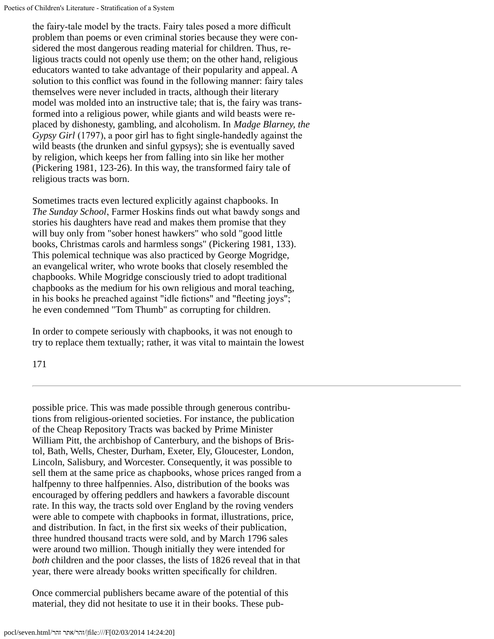the fairy-tale model by the tracts. Fairy tales posed a more difficult problem than poems or even criminal stories because they were considered the most dangerous reading material for children. Thus, religious tracts could not openly use them; on the other hand, religious educators wanted to take advantage of their popularity and appeal. A solution to this conflict was found in the following manner: fairy tales themselves were never included in tracts, although their literary model was molded into an instructive tale; that is, the fairy was transformed into a religious power, while giants and wild beasts were replaced by dishonesty, gambling, and alcoholism. In *Madge Blarney, the Gypsy Girl* (1797), a poor girl has to fight single-handedly against the wild beasts (the drunken and sinful gypsys); she is eventually saved by religion, which keeps her from falling into sin like her mother (Pickering 1981, 123-26). In this way, the transformed fairy tale of religious tracts was born.

Sometimes tracts even lectured explicitly against chapbooks. In *The Sunday School*, Farmer Hoskins finds out what bawdy songs and stories his daughters have read and makes them promise that they will buy only from "sober honest hawkers" who sold "good little books, Christmas carols and harmless songs" (Pickering 1981, 133). This polemical technique was also practiced by George Mogridge, an evangelical writer, who wrote books that closely resembled the chapbooks. While Mogridge consciously tried to adopt traditional chapbooks as the medium for his own religious and moral teaching, in his books he preached against "idle fictions" and "fleeting joys"; he even condemned "Tom Thumb" as corrupting for children.

In order to compete seriously with chapbooks, it was not enough to try to replace them textually; rather, it was vital to maintain the lowest

171

possible price. This was made possible through generous contributions from religious-oriented societies. For instance, the publication of the Cheap Repository Tracts was backed by Prime Minister William Pitt, the archbishop of Canterbury, and the bishops of Bristol, Bath, Wells, Chester, Durham, Exeter, Ely, Gloucester, London, Lincoln, Salisbury, and Worcester. Consequently, it was possible to sell them at the same price as chapbooks, whose prices ranged from a halfpenny to three halfpennies. Also, distribution of the books was encouraged by offering peddlers and hawkers a favorable discount rate. In this way, the tracts sold over England by the roving venders were able to compete with chapbooks in format, illustrations, price, and distribution. In fact, in the first six weeks of their publication, three hundred thousand tracts were sold, and by March 1796 sales were around two million. Though initially they were intended for *both* children and the poor classes, the lists of 1826 reveal that in that year, there were already books written specifically for children.

Once commercial publishers became aware of the potential of this material, they did not hesitate to use it in their books. These pub-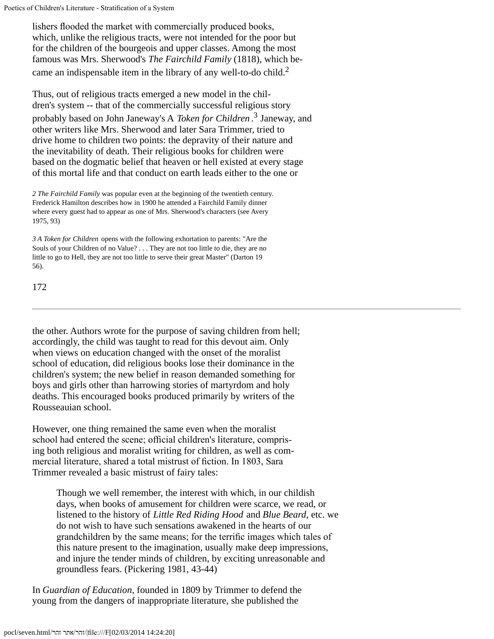lishers flooded the market with commercially produced books, which, unlike the religious tracts, were not intended for the poor but for the children of the bourgeois and upper classes. Among the most famous was Mrs. Sherwood's *The Fairchild Family* (1818), which became an indispensable item in the library of any well-to-do child.<sup>2</sup>

Thus, out of religious tracts emerged a new model in the children's system -- that of the commercially successful religious story probably based on John Janeway's A *Token for Children* . 3 Janeway, and other writers like Mrs. Sherwood and later Sara Trimmer, tried to drive home to children two points: the depravity of their nature and the inevitability of death. Their religious books for children were based on the dogmatic belief that heaven or hell existed at every stage of this mortal life and that conduct on earth leads either to the one or

*2 The Fairchild Family* was popular even at the beginning of the twentieth century. Frederick Hamilton describes how in 1900 he attended a Fairchild Family dinner where every guest had to appear as one of Mrs. Sherwood's characters (see Avery 1975, 93)

*3 A Token for Children* opens with the following exhortation to parents: "Are the Souls of your Children of no Value? . . . They are not too little to die, they are no little to go to Hell, they are not too little to serve their great Master" (Darton 19 56).

#### 172

the other. Authors wrote for the purpose of saving children from hell; accordingly, the child was taught to read for this devout aim. Only when views on education changed with the onset of the moralist school of education, did religious books lose their dominance in the children's system; the new belief in reason demanded something for boys and girls other than harrowing stories of martyrdom and holy deaths. This encouraged books produced primarily by writers of the Rousseauian school.

However, one thing remained the same even when the moralist school had entered the scene; official children's literature, comprising both religious and moralist writing for children, as well as commercial literature, shared a total mistrust of fiction. In 1803, Sara Trimmer revealed a basic mistrust of fairy tales:

Though we well remember, the interest with which, in our childish days, when books of amusement for children were scarce, we read, or listened to the history of *Little Red Riding Hood* and *Blue Beard*, etc. we do not wish to have such sensations awakened in the hearts of our grandchildren by the same means; for the terrific images which tales of this nature present to the imagination, usually make deep impressions, and injure the tender minds of children, by exciting unreasonable and groundless fears. (Pickering 1981, 43-44)

In *Guardian of Education*, founded in 1809 by Trimmer to defend the young from the dangers of inappropriate literature, she published the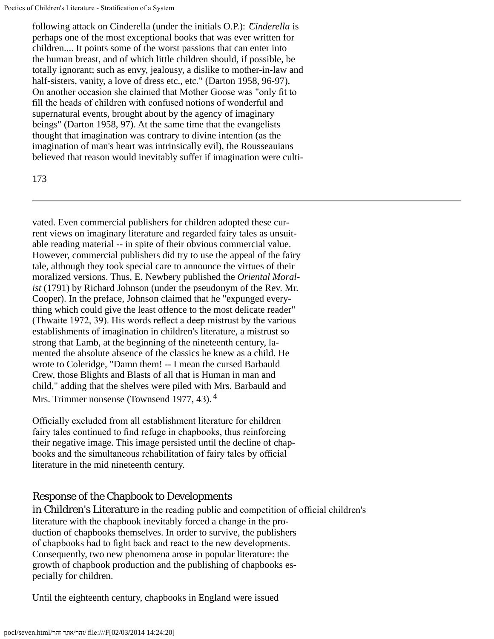following attack on Cinderella (under the initials O.P.): *Cinderella* is perhaps one of the most exceptional books that was ever written for children.... It points some of the worst passions that can enter into the human breast, and of which little children should, if possible, be totally ignorant; such as envy, jealousy, a dislike to mother-in-law and half-sisters, vanity, a love of dress etc., etc." (Darton 1958, 96-97). On another occasion she claimed that Mother Goose was "only fit to fill the heads of children with confused notions of wonderful and supernatural events, brought about by the agency of imaginary beings" (Darton 1958, 97). At the same time that the evangelists thought that imagination was contrary to divine intention (as the imagination of man's heart was intrinsically evil), the Rousseauians believed that reason would inevitably suffer if imagination were culti-

173

vated. Even commercial publishers for children adopted these current views on imaginary literature and regarded fairy tales as unsuitable reading material -- in spite of their obvious commercial value. However, commercial publishers did try to use the appeal of the fairy tale, although they took special care to announce the virtues of their moralized versions. Thus, E. Newbery published the *Oriental Moralist* (1791) by Richard Johnson (under the pseudonym of the Rev. Mr. Cooper). In the preface, Johnson claimed that he "expunged everything which could give the least offence to the most delicate reader" (Thwaite 1972, 39). His words reflect a deep mistrust by the various establishments of imagination in children's literature, a mistrust so strong that Lamb, at the beginning of the nineteenth century, lamented the absolute absence of the classics he knew as a child. He wrote to Coleridge, "Damn them! -- I mean the cursed Barbauld Crew, those Blights and Blasts of all that is Human in man and child," adding that the shelves were piled with Mrs. Barbauld and Mrs. Trimmer nonsense (Townsend 1977, 43). <sup>4</sup>

Officially excluded from all establishment literature for children fairy tales continued to find refuge in chapbooks, thus reinforcing their negative image. This image persisted until the decline of chapbooks and the simultaneous rehabilitation of fairy tales by official literature in the mid nineteenth century.

### Response of the Chapbook to Developments

in Children's Literature in the reading public and competition of official children's literature with the chapbook inevitably forced a change in the production of chapbooks themselves. In order to survive, the publishers of chapbooks had to fight back and react to the new developments. Consequently, two new phenomena arose in popular literature: the growth of chapbook production and the publishing of chapbooks especially for children.

Until the eighteenth century, chapbooks in England were issued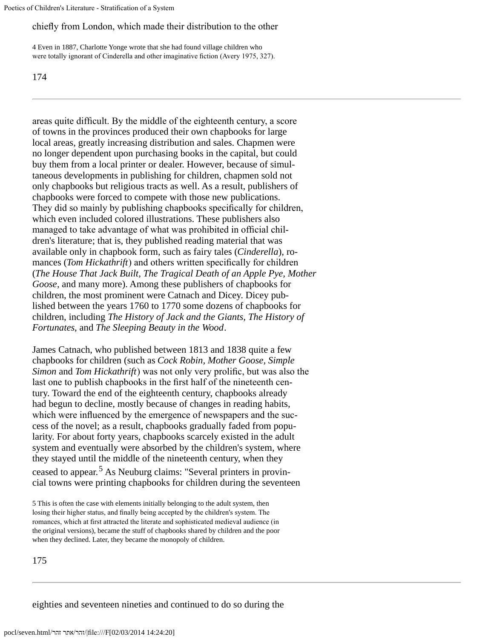#### chiefly from London, which made their distribution to the other

4 Even in 1887, Charlotte Yonge wrote that she had found village children who were totally ignorant of Cinderella and other imaginative fiction (Avery 1975, 327).

174

areas quite difficult. By the middle of the eighteenth century, a score of towns in the provinces produced their own chapbooks for large local areas, greatly increasing distribution and sales. Chapmen were no longer dependent upon purchasing books in the capital, but could buy them from a local printer or dealer. However, because of simultaneous developments in publishing for children, chapmen sold not only chapbooks but religious tracts as well. As a result, publishers of chapbooks were forced to compete with those new publications. They did so mainly by publishing chapbooks specifically for children, which even included colored illustrations. These publishers also managed to take advantage of what was prohibited in official children's literature; that is, they published reading material that was available only in chapbook form, such as fairy tales (*Cinderella*), romances (*Tom Hickathrift*) and others written specifically for children (*The House That Jack Built, The Tragical Death of an Apple Pye, Mother Goose*, and many more). Among these publishers of chapbooks for children, the most prominent were Catnach and Dicey. Dicey published between the years 1760 to 1770 some dozens of chapbooks for children, including *The History of Jack and the Giants, The History of Fortunates*, and *The Sleeping Beauty in the Wood*.

James Catnach, who published between 1813 and 1838 quite a few chapbooks for children (such as *Cock Robin, Mother Goose, Simple Simon* and *Tom Hickathrift*) was not only very prolific, but was also the last one to publish chapbooks in the first half of the nineteenth century. Toward the end of the eighteenth century, chapbooks already had begun to decline, mostly because of changes in reading habits, which were influenced by the emergence of newspapers and the success of the novel; as a result, chapbooks gradually faded from popularity. For about forty years, chapbooks scarcely existed in the adult system and eventually were absorbed by the children's system, where they stayed until the middle of the nineteenth century, when they ceased to appear.<sup>5</sup> As Neuburg claims: "Several printers in provincial towns were printing chapbooks for children during the seventeen

5 This is often the case with elements initially belonging to the adult system, then losing their higher status, and finally being accepted by the children's system. The romances, which at first attracted the literate and sophisticated medieval audience (in the original versions), became the stuff of chapbooks shared by children and the poor when they declined. Later, they became the monopoly of children.

175

eighties and seventeen nineties and continued to do so during the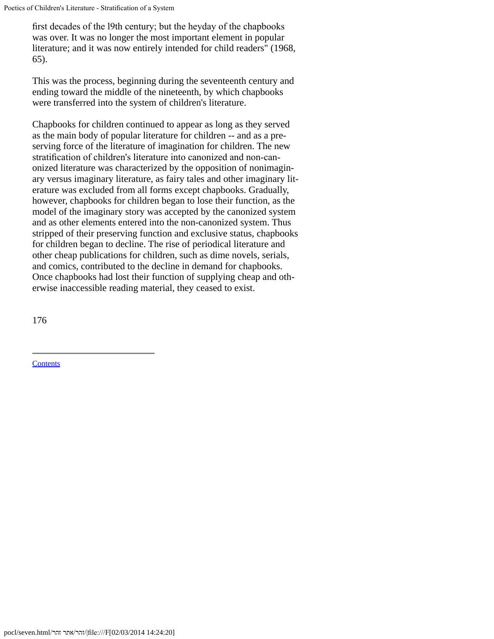first decades of the l9th century; but the heyday of the chapbooks was over. It was no longer the most important element in popular literature; and it was now entirely intended for child readers" (1968, 65).

This was the process, beginning during the seventeenth century and ending toward the middle of the nineteenth, by which chapbooks were transferred into the system of children's literature.

Chapbooks for children continued to appear as long as they served as the main body of popular literature for children -- and as a preserving force of the literature of imagination for children. The new stratification of children's literature into canonized and non-canonized literature was characterized by the opposition of nonimaginary versus imaginary literature, as fairy tales and other imaginary literature was excluded from all forms except chapbooks. Gradually, however, chapbooks for children began to lose their function, as the model of the imaginary story was accepted by the canonized system and as other elements entered into the non-canonized system. Thus stripped of their preserving function and exclusive status, chapbooks for children began to decline. The rise of periodical literature and other cheap publications for children, such as dime novels, serials, and comics, contributed to the decline in demand for chapbooks. Once chapbooks had lost their function of supplying cheap and otherwise inaccessible reading material, they ceased to exist.

176

**[Contents](#page-1-0)**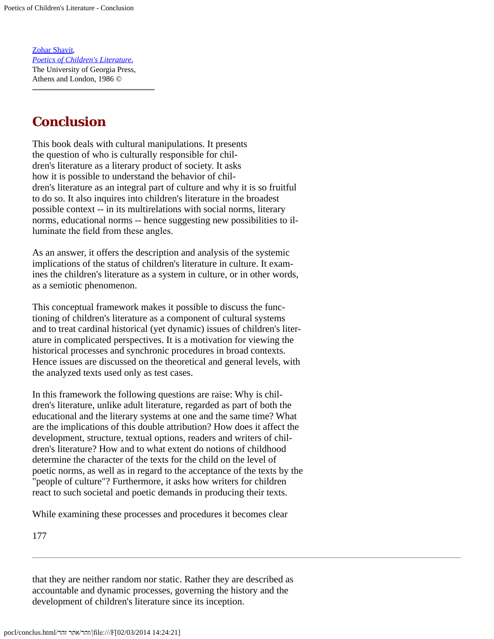Zohar Shavit, *[Poetics of Children's Literature](#page-0-0)*, The University of Georgia Press, Athens and London, 1986 ©

## **Conclusion**

This book deals with cultural manipulations. It presents the question of who is culturally responsible for children's literature as a literary product of society. It asks how it is possible to understand the behavior of children's literature as an integral part of culture and why it is so fruitful to do so. It also inquires into children's literature in the broadest possible context -- in its multirelations with social norms, literary norms, educational norms -- hence suggesting new possibilities to illuminate the field from these angles.

As an answer, it offers the description and analysis of the systemic implications of the status of children's literature in culture. It examines the children's literature as a system in culture, or in other words, as a semiotic phenomenon.

This conceptual framework makes it possible to discuss the functioning of children's literature as a component of cultural systems and to treat cardinal historical (yet dynamic) issues of children's literature in complicated perspectives. It is a motivation for viewing the historical processes and synchronic procedures in broad contexts. Hence issues are discussed on the theoretical and general levels, with the analyzed texts used only as test cases.

In this framework the following questions are raise: Why is children's literature, unlike adult literature, regarded as part of both the educational and the literary systems at one and the same time? What are the implications of this double attribution? How does it affect the development, structure, textual options, readers and writers of children's literature? How and to what extent do notions of childhood determine the character of the texts for the child on the level of poetic norms, as well as in regard to the acceptance of the texts by the "people of culture"? Furthermore, it asks how writers for children react to such societal and poetic demands in producing their texts.

While examining these processes and procedures it becomes clear

177

that they are neither random nor static. Rather they are described as accountable and dynamic processes, governing the history and the development of children's literature since its inception.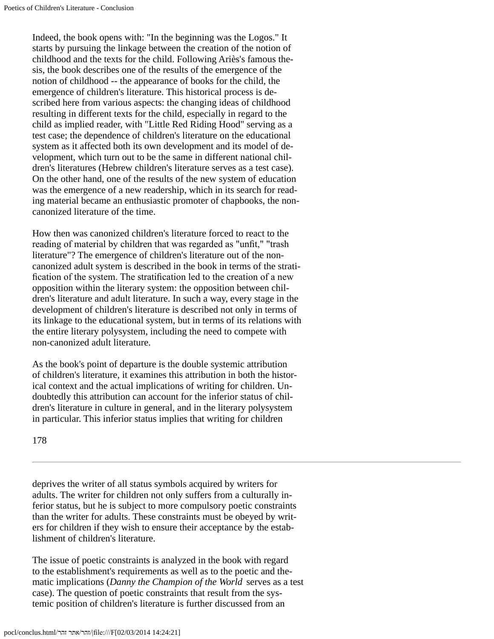Indeed, the book opens with: "In the beginning was the Logos." It starts by pursuing the linkage between the creation of the notion of childhood and the texts for the child. Following Ariès's famous thesis, the book describes one of the results of the emergence of the notion of childhood -- the appearance of books for the child, the emergence of children's literature. This historical process is described here from various aspects: the changing ideas of childhood resulting in different texts for the child, especially in regard to the child as implied reader, with "Little Red Riding Hood" serving as a test case; the dependence of children's literature on the educational system as it affected both its own development and its model of development, which turn out to be the same in different national children's literatures (Hebrew children's literature serves as a test case). On the other hand, one of the results of the new system of education was the emergence of a new readership, which in its search for reading material became an enthusiastic promoter of chapbooks, the noncanonized literature of the time.

How then was canonized children's literature forced to react to the reading of material by children that was regarded as "unfit," "trash literature"? The emergence of children's literature out of the noncanonized adult system is described in the book in terms of the stratification of the system. The stratification led to the creation of a new opposition within the literary system: the opposition between children's literature and adult literature. In such a way, every stage in the development of children's literature is described not only in terms of its linkage to the educational system, but in terms of its relations with the entire literary polysystem, including the need to compete with non-canonized adult literature.

As the book's point of departure is the double systemic attribution of children's literature, it examines this attribution in both the historical context and the actual implications of writing for children. Undoubtedly this attribution can account for the inferior status of children's literature in culture in general, and in the literary polysystem in particular. This inferior status implies that writing for children

178

deprives the writer of all status symbols acquired by writers for adults. The writer for children not only suffers from a culturally inferior status, but he is subject to more compulsory poetic constraints than the writer for adults. These constraints must be obeyed by writers for children if they wish to ensure their acceptance by the establishment of children's literature.

The issue of poetic constraints is analyzed in the book with regard to the establishment's requirements as well as to the poetic and thematic implications (*Danny the Champion of the World* serves as a test case). The question of poetic constraints that result from the systemic position of children's literature is further discussed from an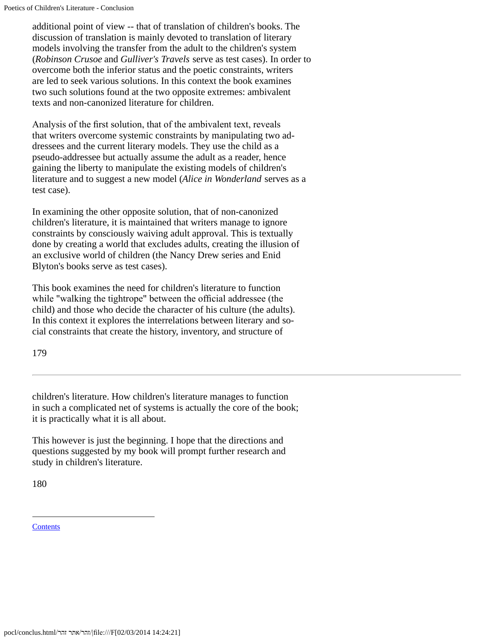Poetics of Children's Literature - Conclusion

additional point of view -- that of translation of children's books. The discussion of translation is mainly devoted to translation of literary models involving the transfer from the adult to the children's system (*Robinson Crusoe* and *Gulliver's Travels* serve as test cases). In order to overcome both the inferior status and the poetic constraints, writers are led to seek various solutions. In this context the book examines two such solutions found at the two opposite extremes: ambivalent texts and non-canonized literature for children.

Analysis of the first solution, that of the ambivalent text, reveals that writers overcome systemic constraints by manipulating two addressees and the current literary models. They use the child as a pseudo-addressee but actually assume the adult as a reader, hence gaining the liberty to manipulate the existing models of children's literature and to suggest a new model (*Alice in Wonderland* serves as a test case).

In examining the other opposite solution, that of non-canonized children's literature, it is maintained that writers manage to ignore constraints by consciously waiving adult approval. This is textually done by creating a world that excludes adults, creating the illusion of an exclusive world of children (the Nancy Drew series and Enid Blyton's books serve as test cases).

This book examines the need for children's literature to function while "walking the tightrope" between the official addressee (the child) and those who decide the character of his culture (the adults). In this context it explores the interrelations between literary and social constraints that create the history, inventory, and structure of

179

children's literature. How children's literature manages to function in such a complicated net of systems is actually the core of the book; it is practically what it is all about.

This however is just the beginning. I hope that the directions and questions suggested by my book will prompt further research and study in children's literature.

180

**[Contents](#page-1-0)**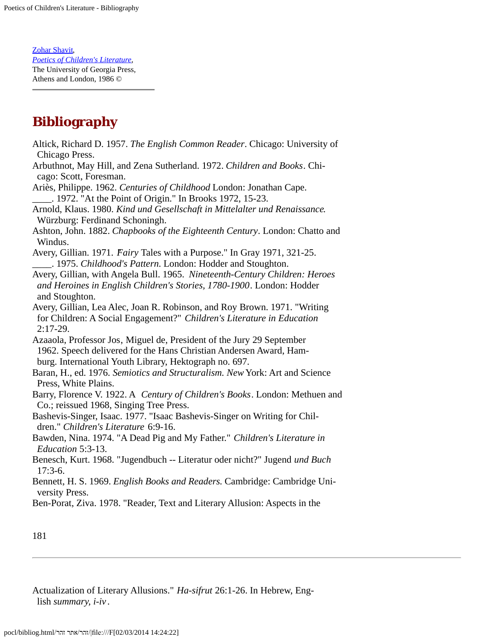Zohar Shavit, *[Poetics of Children's Literature](#page-0-0)*, The University of Georgia Press, Athens and London, 1986 ©

# **Bibliography**

- Altick, Richard D. 1957. *The English Common Reader*. Chicago: University of Chicago Press.
- Arbuthnot, May Hill, and Zena Sutherland. 1972. *Children and Books*. Chi cago: Scott, Foresman.
- Ariès, Philippe. 1962. *Centuries of Childhood* London: Jonathan Cape. \_\_\_\_. 1972. "At the Point of Origin." In Brooks 1972, 15-23.
- Arnold, Klaus. 1980. *Kind und Gesellschaft in Mittelalter und Renaissance*. Würzburg: Ferdinand Schoningh.
- Ashton, John. 1882. *Chapbooks of the Eighteenth Century*. London: Chatto and Windus.
- Avery, Gillian. 1971. *"Fairy* Tales with a Purpose." In Gray 1971, 321-25. \_\_\_\_. 1975. *Childhood's Pattern*. London: Hodder and Stoughton.
- Avery, Gillian, with Angela Bull. 1965. *Nineteenth-Century Children: Heroes and Heroines in English Children's Stories, 1780-1900*. London: Hodder and Stoughton.
- Avery, Gillian, Lea Alec, Joan R. Robinson, and Roy Brown. 1971. "Writing for Children: A Social Engagement?" *Children's Literature in Education* 2:17-29.
- Azaaola, Professor Jos, Miguel de, President of the Jury 29 September 1962. Speech delivered for the Hans Christian Andersen Award, Ham burg. International Youth Library, Hektograph no. 697.
- Baran, H., ed. 1976. *Semiotics and Structuralism. New* York: Art and Science Press, White Plains.
- Barry, Florence V. 1922. A *Century of Children's Books*. London: Methuen and Co.; reissued 1968, Singing Tree Press.
- Bashevis-Singer, Isaac. 1977. "Isaac Bashevis-Singer on Writing for Chil dren." *Children's Literature* 6:9-16.
- Bawden, Nina. 1974. "A Dead Pig and My Father." *Children's Literature in Education* 5:3-13.
- Benesch, Kurt. 1968. "Jugendbuch -- Literatur oder nicht?" Jugend *und Buch* 17:3-6.
- Bennett, H. S. 1969. *English Books and Readers*. Cambridge: Cambridge Uni versity Press.
- Ben-Porat, Ziva. 1978. "Reader, Text and Literary Allusion: Aspects in the

181

Actualization of Literary Allusions." *Ha-sifrut* 26:1-26. In Hebrew, Eng lish *summary, i-iv* .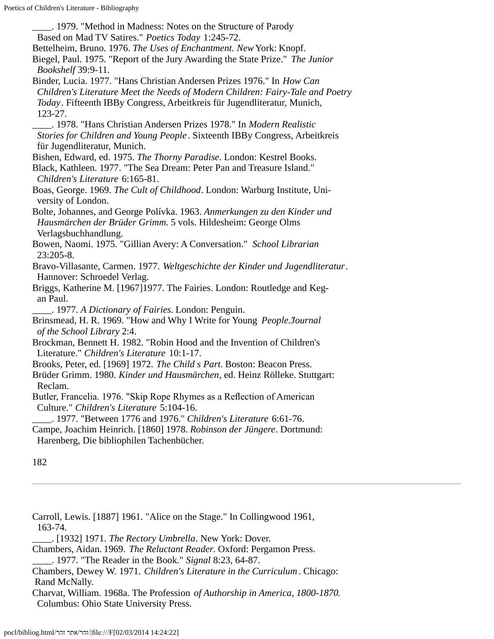\_\_\_\_. 1979. "Method in Madness: Notes on the Structure of Parody Based on Mad TV Satires." *Poetics Today* 1:245-72. Bettelheim, Bruno. 1976. *The Uses of Enchantment. New* York: Knopf. Biegel, Paul. 1975. "Report of the Jury Awarding the State Prize." *The Junior Bookshelf* 39:9-11. Binder, Lucia. 1977. "Hans Christian Andersen Prizes 1976." In *How Can Children's Literature Meet the Needs of Modern Children: Fairy-Tale and Poetry Today*. Fifteenth IBBy Congress, Arbeitkreis für Jugendliteratur, Munich, 123-27. \_\_\_\_. 1978. "Hans Christian Andersen Prizes 1978." In *Modern Realistic Stories for Children and Young People*. Sixteenth IBBy Congress, Arbeitkreis für Jugendliteratur, Munich. Bishen, Edward, ed. 1975. *The Thorny Paradise*. London: Kestrel Books. Black, Kathleen. 1977. "The Sea Dream: Peter Pan and Treasure Island." *Children's Literature* 6:165-81. Boas, George. 1969. *The Cult of Childhood*. London: Warburg Institute, Uni versity of London. Bolte, Johannes, and George Polívka. 1963. *Anmerkungen zu den Kinder und Hausmärchen der Brüder Grimm*. 5 vols. Hildesheim: George Olms Verlagsbuchhandlung. Bowen, Naomi. 1975. "Gillian Avery: A Conversation." *School Librarian* 23:205-8. Bravo-Villasante, Carmen. 1977. *Weltgeschichte der Kinder und Jugendliteratur*. Hannover: Schroedel Verlag. Briggs, Katherine M. [1967]1977. The Fairies. London: Routledge and Keg an Paul. \_\_\_\_. 1977. *A Dictionary of Fairies*. London: Penguin. Brinsmead, H. R. 1969. "How and Why I Write for Young *People."Journal of the School Library* 2:4. Brockman, Bennett H. 1982. "Robin Hood and the Invention of Children's Literature." *Children's Literature* 10:1-17. Brooks, Peter, ed. [1969] 1972. *The Child s Part*. Boston: Beacon Press. Brüder Grimm. 1980. *Kinder und Hausmärchen*, ed. Heinz Rölleke. Stuttgart: Reclam. Butler, Francelia. 1976. "Skip Rope Rhymes as a Reflection of American Culture." *Children's Literature* 5:104-16. \_\_\_\_. 1977. "Between 1776 and 1976." *Children's Literature* 6:61-76. Campe, Joachim Heinrich. [1860] 1978. *Robinson der Jüngere*. Dortmund: Harenberg, Die bibliophilen Tachenbücher. 182 Carroll, Lewis. [1887] 1961. "Alice on the Stage." In Collingwood 1961, 163-74. \_\_\_\_. [1932] 1971. *The Rectory Umbrella*. New York: Dover.

Chambers, Aidan. 1969. *The Reluctant Reader*. Oxford: Pergamon Press.

\_\_\_\_. 1977. "The Reader in the Book." *Signal* 8:23, 64-87.

Chambers, Dewey W. 1971. *Children's Literature in the Curriculum*. Chicago: Rand McNally.

Charvat, William. 1968a. The Profession *of Authorship in America, 1800-1870*. Columbus: Ohio State University Press.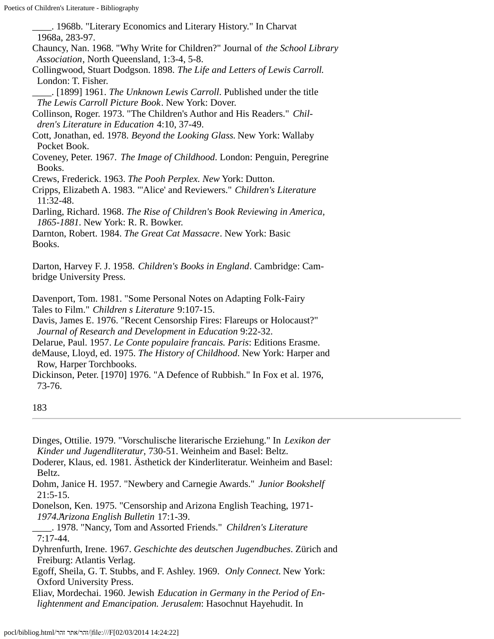\_\_\_\_. 1968b. "Literary Economics and Literary History." In Charvat 1968a, 283-97.

Chauncy, Nan. 1968. "Why Write for Children?" Journal of *the School Library Association*, North Queensland, 1:3-4, 5-8.

Collingwood, Stuart Dodgson. 1898. *The Life and Letters of Lewis Carroll*. London: T. Fisher.

\_\_\_\_. [1899] 1961. *The Unknown Lewis Carroll*. Published under the title *The Lewis Carroll Picture Book*. New York: Dover.

Collinson, Roger. 1973. "The Children's Author and His Readers." *Chil dren's Literature in Education* 4:10, 37-49.

Cott, Jonathan, ed. 1978. *Beyond the Looking Glass*. New York: Wallaby Pocket Book.

Coveney, Peter. 1967. *The Image of Childhood*. London: Penguin, Peregrine Books.

Crews, Frederick. 1963. *The Pooh Perplex. New* York: Dutton.

Cripps, Elizabeth A. 1983. "'Alice' and Reviewers." *Children's Literature* 11:32-48.

Darling, Richard. 1968. *The Rise of Children's Book Reviewing in America, 1865-1881*. New York: R. R. Bowker.

Darnton, Robert. 1984. *The Great Cat Massacre*. New York: Basic Books.

Darton, Harvey F. J. 1958. *Children's Books in England*. Cambridge: Cambridge University Press.

Davenport, Tom. 1981. "Some Personal Notes on Adapting Folk-Fairy Tales to Film." *Children s Literature* 9:107-15.

Davis, James E. 1976. "Recent Censorship Fires: Flareups or Holocaust?" *Journal of Research and Development in Education* 9:22-32.

Delarue, Paul. 1957. *Le Conte populaire francais. Paris*: Editions Erasme.

deMause, Lloyd, ed. 1975. *The History of Childhood*. New York: Harper and Row, Harper Torchbooks.

Dickinson, Peter. [1970] 1976. "A Defence of Rubbish." In Fox et al. 1976, 73-76.

183

Dinges, Ottilie. 1979. "Vorschulische literarische Erziehung." In *Lexikon der Kinder und Jugendliteratur*, 730-51. Weinheim and Basel: Beltz.

Doderer, Klaus, ed. 1981. Ästhetick der Kinderliteratur. Weinheim and Basel: Beltz.

Dohm, Janice H. 1957. "Newbery and Carnegie Awards." *Junior Bookshelf* 21:5-15.

Donelson, Ken. 1975. "Censorship and Arizona English Teaching, 1971- *1974."Arizona English Bulletin* 17:1-39.

\_\_\_\_. 1978. "Nancy, Tom and Assorted Friends." *Children's Literature* 7:17-44.

Dyhrenfurth, Irene. 1967. *Geschichte des deutschen Jugendbuches*. Zürich and Freiburg: Atlantis Verlag.

Egoff, Sheila, G. T. Stubbs, and F. Ashley. 1969. *Only Connect*. New York: Oxford University Press.

Eliav, Mordechai. 1960. Jewish *Education in Germany in the Period of En lightenment and Emancipation. Jerusalem*: Hasochnut Hayehudit. In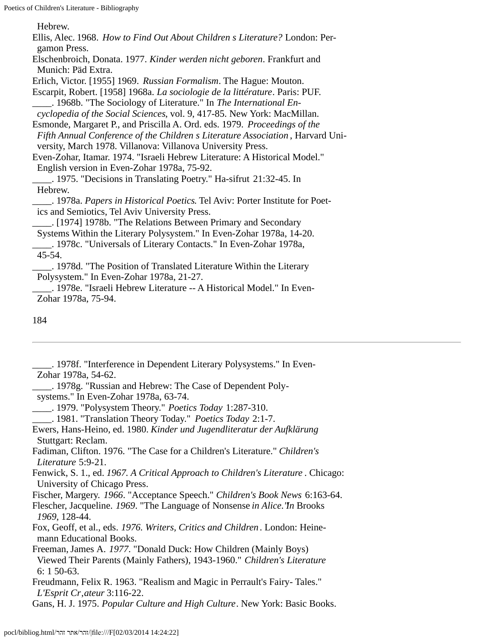Hebrew. Ellis, Alec. 1968. *How to Find Out About Children s Literature?* London: Per gamon Press. Elschenbroich, Donata. 1977. *Kinder werden nicht geboren*. Frankfurt and Munich: Päd Extra. Erlich, Victor. [1955] 1969. *Russian Formalism*. The Hague: Mouton. Escarpit, Robert. [1958] 1968a. *La sociologie de la littérature*. Paris: PUF. \_\_\_\_. 1968b. "The Sociology of Literature." In *The International En cyclopedia of the Social Sciences*, vol. 9, 417-85. New York: MacMillan. Esmonde, Margaret P., and Priscilla A. Ord. eds. 1979. *Proceedings of the Fifth Annual Conference of the Children s Literature Association* , Harvard Uni versity, March 1978. Villanova: Villanova University Press. Even-Zohar, Itamar. 1974. "Israeli Hebrew Literature: A Historical Model." English version in Even-Zohar 1978a, 75-92. \_\_\_\_. 1975. "Decisions in Translating Poetry." Ha-sifrut 21:32-45. In Hebrew. \_\_\_\_. 1978a. *Papers in Historical Poetics*. Tel Aviv: Porter Institute for Poet ics and Semiotics, Tel Aviv University Press. \_\_\_\_. [1974] 1978b. "The Relations Between Primary and Secondary Systems Within the Literary Polysystem." In Even-Zohar 1978a, 14-20. \_\_\_\_. 1978c. "Universals of Literary Contacts." In Even-Zohar 1978a, 45-54. \_\_\_\_. 1978d. "The Position of Translated Literature Within the Literary Polysystem." In Even-Zohar 1978a, 21-27.

\_\_\_\_. 1978e. "Israeli Hebrew Literature -- A Historical Model." In Even- Zohar 1978a, 75-94.

184

\_\_\_\_. 1978f. "Interference in Dependent Literary Polysystems." In Even- Zohar 1978a, 54-62.

- \_\_\_\_. 1978g. "Russian and Hebrew: The Case of Dependent Poly-
- systems." In Even-Zohar 1978a, 63-74.
- \_\_\_\_. 1979. "Polysystem Theory." *Poetics Today* 1:287-310.
- \_\_\_\_. 1981. "Translation Theory Today." *Poetics Today* 2:1-7.
- Ewers, Hans-Heino, ed. 1980. *Kinder und Jugendliteratur der Aufklärung* Stuttgart: Reclam.
- Fadiman, Clifton. 1976. "The Case for a Children's Literature." *Children's Literature* 5:9-21.
- Fenwick, S. 1., ed. *1967. A Critical Approach to Children's Literature* . Chicago: University of Chicago Press.
- Fischer, Margery. *1966*. "Acceptance Speech." *Children's Book News* 6:163-64.
- Flescher, Jacqueline. *1969*. "The Language of Nonsense *in Alice." In* Brooks *1969*, 128-44.
- Fox, Geoff, et al., eds. *1976. Writers, Critics and Children* . London: Heine mann Educational Books.
- Freeman, James A. *1977*. "Donald Duck: How Children (Mainly Boys) Viewed Their Parents (Mainly Fathers), 1943-1960." *Children's Literature* 6: 1 50-63.
- Freudmann, Felix R. 1963. "Realism and Magic in Perrault's Fairy- Tales." *L'Esprit Cr'ateur* 3:116-22.
- Gans, H. J. 1975. *Popular Culture and High Culture*. New York: Basic Books.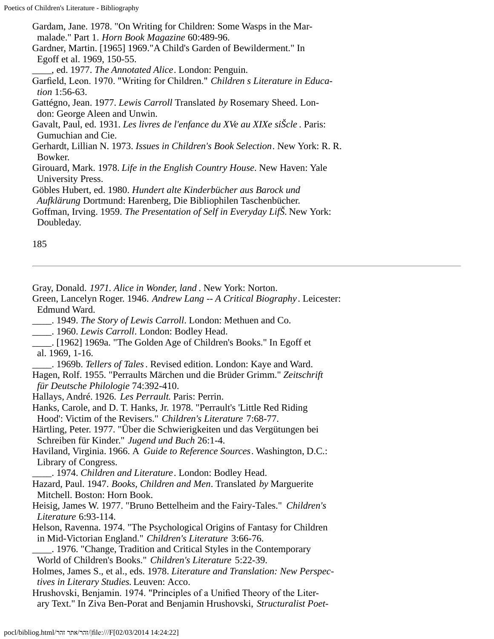Gardam, Jane. 1978. "On Writing for Children: Some Wasps in the Mar malade." Part 1. *Horn Book Magazine* 60:489-96. Gardner, Martin. [1965] 1969."A Child's Garden of Bewilderment." In Egoff et al. 1969, 150-55. \_\_\_\_, ed. 1977. *The Annotated Alice*. London: Penguin. Garfield, Leon. 1970. "Writing for Children." *Children s Literature in Educa tion* 1:56-63. Gattégno, Jean. 1977. *Lewis Carroll* Translated *by* Rosemary Sheed. Lon don: George Aleen and Unwin. Gavalt, Paul, ed. 1931. *Les livres de l'enfance du XVe au XIXe siŠcle* . Paris: Gumuchian and Cie. Gerhardt, Lillian N. 1973. *Issues in Children's Book Selection*. New York: R. R. Bowker. Girouard, Mark. 1978. *Life in the English Country House*. New Haven: Yale University Press. Göbles Hubert, ed. 1980. *Hundert alte Kinderbücher aus Barock und Aufklärung* Dortmund: Harenberg, Die Bibliophilen Taschenbücher. Goffman, Irving. 1959. *The Presentation of Self in Everyday LifŠ*. New York: Doubleday. 185 Gray, Donald. *1971. Alice in Wonder, land* . New York: Norton. Green, Lancelyn Roger. 1946. *Andrew Lang -- A Critical Biography*. Leicester: Edmund Ward. \_\_\_\_. 1949. *The Story of Lewis Carroll*. London: Methuen and Co. \_\_\_\_. 1960. *Lewis Carroll*. London: Bodley Head. \_\_\_\_. [1962] 1969a. "The Golden Age of Children's Books." In Egoff et al. 1969, 1-16. \_\_\_\_. 1969b. *Tellers of Tales*. Revised edition. London: Kaye and Ward. Hagen, Rolf. 1955. "Perraults Märchen und die Brüder Grimm." *Zeitschrift für Deutsche Philologie* 74:392-410. Hallays, André. 1926. *Les Perrault*. Paris: Perrin. Hanks, Carole, and D. T. Hanks, Jr. 1978. "Perrault's 'Little Red Riding Hood': Victim of the Revisers." *Children's Literature* 7:68-77. Härtling, Peter. 1977. "Über die Schwierigkeiten und das Vergütungen bei Schreiben für Kinder." *Jugend und Buch* 26:1-4.

Haviland, Virginia. 1966. A *Guide to Reference Sources*. Washington, D.C.: Library of Congress.

\_\_\_\_. 1974. *Children and Literature*. London: Bodley Head.

Hazard, Paul. 1947. *Books, Children and Men*. Translated *by* Marguerite Mitchell. Boston: Horn Book.

Heisig, James W. 1977. "Bruno Bettelheim and the Fairy-Tales." *Children's Literature* 6:93-114.

Helson, Ravenna. 1974. "The Psychological Origins of Fantasy for Children in Mid-Victorian England." *Children's Literature* 3:66-76.

\_\_\_\_. 1976. "Change, Tradition and Critical Styles in the Contemporary World of Children's Books." *Children's Literature* 5:22-39.

Holmes, James S., et al., eds. 1978. *Literature and Translation: New Perspec tives in Literary Studies*. Leuven: Acco.

Hrushovski, Benjamin. 1974. "Principles of a Unified Theory of the Liter ary Text." In Ziva Ben-Porat and Benjamin Hrushovski, *Structuralist Poet-*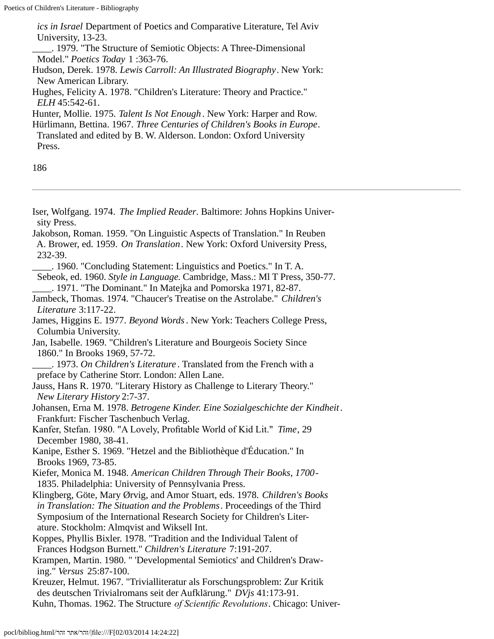*ics in Israel* Department of Poetics and Comparative Literature, Tel Aviv University, 13-23. \_\_\_\_. 1979. "The Structure of Semiotic Objects: A Three-Dimensional Model." *Poetics Today* 1 :363-76. Hudson, Derek. 1978. *Lewis Carroll: An Illustrated Biography*. New York: New American Library. Hughes, Felicity A. 1978. "Children's Literature: Theory and Practice." *ELH* 45:542-61. Hunter, Mollie. 1975. *Talent Is Not Enough* . New York: Harper and Row. Hürlimann, Bettina. 1967. *Three Centuries of Children's Books in Europe*. Translated and edited by B. W. Alderson. London: Oxford University Press. 186

Iser, Wolfgang. 1974. *The Implied Reader*. Baltimore: Johns Hopkins Univer sity Press. Jakobson, Roman. 1959. "On Linguistic Aspects of Translation." In Reuben A. Brower, ed. 1959. *On Translation*. New York: Oxford University Press, 232-39. \_\_\_\_. 1960. "Concluding Statement: Linguistics and Poetics." In T. A. Sebeok, ed. 1960. *Style in Language*. Cambridge, Mass.: Ml T Press, 350-77. \_\_\_\_. 1971. "The Dominant." In Matejka and Pomorska 1971, 82-87. Jambeck, Thomas. 1974. "Chaucer's Treatise on the Astrolabe." *Children's Literature* 3:117-22. James, Higgins E. 1977. *Beyond Words*. New York: Teachers College Press, Columbia University. Jan, Isabelle. 1969. "Children's Literature and Bourgeois Society Since 1860." In Brooks 1969, 57-72. \_\_\_\_. 1973. *On Children's Literature* . Translated from the French with a preface by Catherine Storr. London: Allen Lane. Jauss, Hans R. 1970. "Literary History as Challenge to Literary Theory." *New Literary History* 2:7-37. Johansen, Erna M. 1978. *Betrogene Kinder. Eine Sozialgeschichte der Kindheit*. Frankfurt: Fischer Taschenbuch Verlag. Kanfer, Stefan. 1980. "A Lovely, Profitable World of Kid Lit." *Time*, 29 December 1980, 38-41. Kanipe, Esther S. 1969. "Hetzel and the Bibliothèque d'Éducation." In Brooks 1969, 73-85. Kiefer, Monica M. 1948. *American Children Through Their Books, 1700*- 1835. Philadelphia: University of Pennsylvania Press. Klingberg, Göte, Mary Ørvig, and Amor Stuart, eds. 1978. *Children's Books in Translation: The Situation and the Problems*. Proceedings of the Third Symposium of the International Research Society for Children's Liter ature. Stockholm: Almqvist and Wiksell Int. Koppes, Phyllis Bixler. 1978. "Tradition and the Individual Talent of Frances Hodgson Burnett." *Children's Literature* 7:191-207. Krampen, Martin. 1980. " 'Developmental Semiotics' and Children's Draw ing." *Versus* 25:87-100. Kreuzer, Helmut. 1967. "Trivialliteratur als Forschungsproblem: Zur Kritik des deutschen Trivialromans seit der Aufklärung." *DVjs* 41:173-91. Kuhn, Thomas. 1962. The Structure *of Scientific Revolutions*. Chicago: Univer-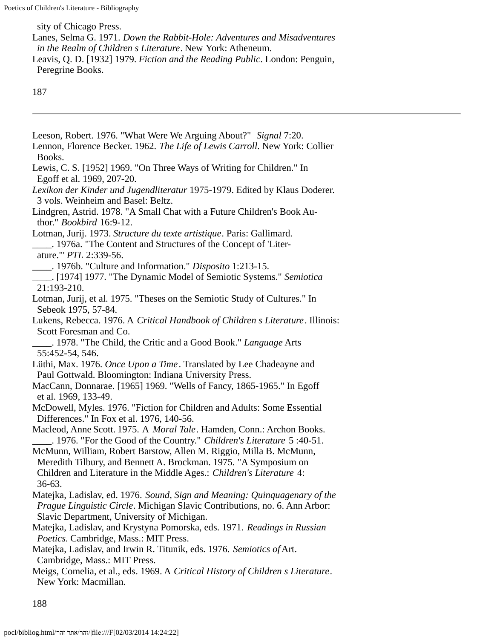sity of Chicago Press. Lanes, Selma G. 1971. *Down the Rabbit-Hole: Adventures and Misadventures in the Realm of Children s Literature*. New York: Atheneum. Leavis, Q. D. [1932] 1979. *Fiction and the Reading Public*. London: Penguin, Peregrine Books.

187

| Leeson, Robert. 1976. "What Were We Arguing About?" Signal 7:20.                |
|---------------------------------------------------------------------------------|
| Lennon, Florence Becker. 1962. The Life of Lewis Carroll. New York: Collier     |
| Books.                                                                          |
| Lewis, C. S. [1952] 1969. "On Three Ways of Writing for Children." In           |
| Egoff et al. 1969, 207-20.                                                      |
| Lexikon der Kinder und Jugendliteratur 1975-1979. Edited by Klaus Doderer.      |
| 3 vols. Weinheim and Basel: Beltz.                                              |
| Lindgren, Astrid. 1978. "A Small Chat with a Future Children's Book Au-         |
| thor." <i>Bookbird</i> 16:9-12.                                                 |
| Lotman, Jurij. 1973. Structure du texte artistique. Paris: Gallimard.           |
| _____. 1976a. "The Content and Structures of the Concept of 'Liter-             |
| ature."' PTL 2:339-56.                                                          |
|                                                                                 |
| ____. [1974] 1977. "The Dynamic Model of Semiotic Systems." Semiotica           |
| 21:193-210.                                                                     |
| Lotman, Jurij, et al. 1975. "Theses on the Semiotic Study of Cultures." In      |
| Sebeok 1975, 57-84.                                                             |
| Lukens, Rebecca. 1976. A Critical Handbook of Children s Literature. Illinois:  |
| Scott Foresman and Co.                                                          |
| ____. 1978. "The Child, the Critic and a Good Book." <i>Language</i> Arts       |
| 55:452-54, 546.                                                                 |
| Lüthi, Max. 1976. Once Upon a Time. Translated by Lee Chadeayne and             |
| Paul Gottwald. Bloomington: Indiana University Press.                           |
| MacCann, Donnarae. [1965] 1969. "Wells of Fancy, 1865-1965." In Egoff           |
| et al. 1969, 133-49.                                                            |
| McDowell, Myles. 1976. "Fiction for Children and Adults: Some Essential         |
| Differences." In Fox et al. 1976, 140-56.                                       |
| Macleod, Anne Scott. 1975. A Moral Tale. Hamden, Conn.: Archon Books.           |
|                                                                                 |
|                                                                                 |
| McMunn, William, Robert Barstow, Allen M. Riggio, Milla B. McMunn,              |
| Meredith Tilbury, and Bennett A. Brockman. 1975. "A Symposium on                |
| Children and Literature in the Middle Ages.: Children's Literature 4:           |
| $36-63.$                                                                        |
| Matejka, Ladislav, ed. 1976. Sound, Sign and Meaning: Quinquagenary of the      |
| Prague Linguistic Circle. Michigan Slavic Contributions, no. 6. Ann Arbor:      |
| Slavic Department, University of Michigan.                                      |
| Matejka, Ladislav, and Krystyna Pomorska, eds. 1971. Readings in Russian        |
| Poetics. Cambridge, Mass.: MIT Press.                                           |
| Matejka, Ladislav, and Irwin R. Titunik, eds. 1976. Semiotics of Art.           |
| Cambridge, Mass.: MIT Press.                                                    |
| Meigs, Comelia, et al., eds. 1969. A Critical History of Children s Literature. |
| New York: Macmillan.                                                            |
|                                                                                 |
| 188                                                                             |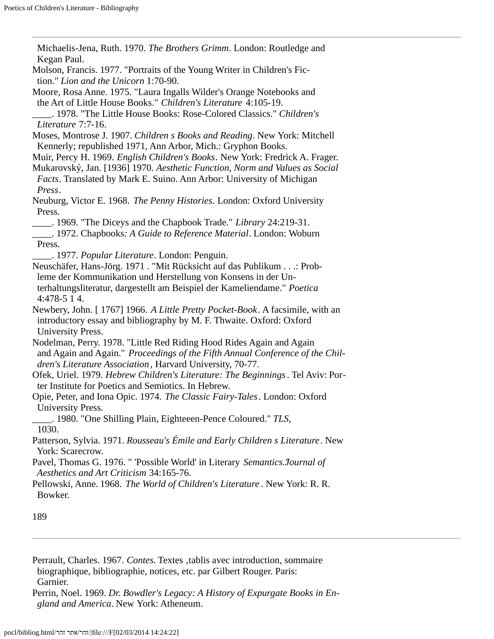Michaelis-Jena, Ruth. 1970. *The Brothers Grimm*. London: Routledge and Kegan Paul.

Molson, Francis. 1977. "Portraits of the Young Writer in Children's Fic tion." *Lion and the Unicorn* 1:70-90.

Moore, Rosa Anne. 1975. "Laura Ingalls Wilder's Orange Notebooks and the Art of Little House Books." *Children's Literature* 4:105-19.

\_\_\_\_. 1978. "The Little House Books: Rose-Colored Classics." *Children's Literature* 7:7-16.

Moses, Montrose J. 1907. *Children s Books and Reading*. New York: Mitchell Kennerly; republished 1971, Ann Arbor, Mich.: Gryphon Books.

Muir, Percy H. 1969. *English Children's Books*. New York: Fredrick A. Frager.

Mukarovský, Jan. [1936] 1970. *Aesthetic Function, Norm and Values as Social Facts*. Translated by Mark E. Suino. Ann Arbor: University of Michigan

*Press*.

Neuburg, Victor E. 1968. *The Penny Histories*. London: Oxford University Press.

\_\_\_\_. 1969. "The Diceys and the Chapbook Trade." *Library* 24:219-31.

\_\_\_\_. 1972. Chapbooks*: A Guide to Reference Material*. London: Woburn Press.

\_\_\_\_. 1977. *Popular Literature*. London: Penguin.

Neuschäfer, Hans-Jörg. 1971 . "Mit Rücksicht auf das Publikum . . .: Prob leme der Kommunikation und Herstellung von Konsens in der Un terhaltungsliteratur, dargestellt am Beispiel der Kameliendame." *Poetica* 4:478-5 1 4.

Newbery, John. [ 1767] 1966. *A Little Pretty Pocket-Book*. A facsimile, with an introductory essay and bibliography by M. F. Thwaite. Oxford: Oxford University Press.

Nodelman, Perry. 1978. "Little Red Riding Hood Rides Again and Again and Again and Again." *Proceedings of the Fifth Annual Conference of the Chil dren's Literature Association*, Harvard University, 70-77.

Ofek, Uriel. 1979. *Hebrew Children's Literature: The Beginnings*. Tel Aviv: Por ter Institute for Poetics and Semiotics. In Hebrew.

Opie, Peter, and Iona Opic. 1974. *The Classic Fairy-Tales*. London: Oxford University Press.

\_\_\_\_. 1980. "One Shilling Plain, Eighteeen-Pence Coloured." *TLS*, 1030.

Patterson, Sylvia. 1971. *Rousseau's Émile and Early Children s Literature*. New York: Scarecrow.

Pavel, Thomas G. 1976. " 'Possible World' in Literary *Semantics.Journal of Aesthetics and Art Criticism* 34:165-76.

Pellowski, Anne. 1968. *The World of Children's Literature* . New York: R. R. Bowker.

189

Perrault, Charles. 1967. *Contes*. Textes , tablis avec introduction, sommaire biographique, bibliographie, notices, etc. par Gilbert Rouger. Paris: Garnier.

Perrin, Noel. 1969. *Dr. Bowdler's Legacy: A History of Expurgate Books in En gland and America*. New York: Atheneum.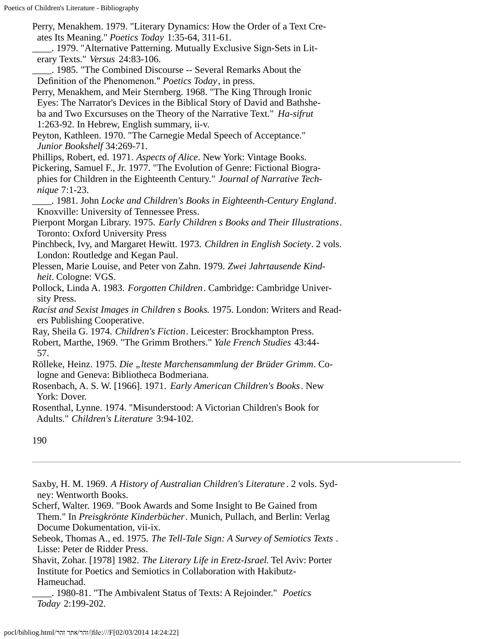Perry, Menakhem. 1979. "Literary Dynamics: How the Order of a Text Cre ates Its Meaning." *Poetics Today* 1:35-64, 311-61. \_\_\_\_. 1979. "Alternative Patterning. Mutually Exclusive Sign-Sets in Lit erary Texts." *Versus* 24:83-106. \_\_\_\_. 1985. "The Combined Discourse -- Several Remarks About the Definition of the Phenomenon." *Poetics Today*, in press. Perry, Menakhem, and Meir Sternberg. 1968. "The King Through Ironic Eyes: The Narrator's Devices in the Biblical Story of David and Bathshe ba and Two Excursuses on the Theory of the Narrative Text." *Ha-sifrut* 1:263-92. In Hebrew, English summary, ii-v. Peyton, Kathleen. 1970. "The Carnegie Medal Speech of Acceptance." *Junior Bookshelf* 34:269-71. Phillips, Robert, ed. 1971. *Aspects of Alice*. New York: Vintage Books. Pickering, Samuel F., Jr. 1977. "The Evolution of Genre: Fictional Biogra phies for Children in the Eighteenth Century." *Journal of Narrative Tech nique* 7:1-23. \_\_\_\_. 1981. John *Locke and Children's Books in Eighteenth-Century England*. Knoxville: University of Tennessee Press. Pierpont Morgan Library. 1975. *Early Children s Books and Their Illustrations*. Toronto: Oxford University Press Pinchbeck, Ivy, and Margaret Hewitt. 1973. *Children in English Society*. 2 vols. London: Routledge and Kegan Paul. Plessen, Marie Louise, and Peter von Zahn. 1979. *Zwei Jahrtausende Kind heit*. Cologne: VGS. Pollock, Linda A. 1983. *Forgotten Children*. Cambridge: Cambridge Univer sity Press. *Racist and Sexist Images in Children s Books*. 1975. London: Writers and Read ers Publishing Cooperative. Ray, Sheila G. 1974. *Children's Fiction*. Leicester: Brockhampton Press. Robert, Marthe, 1969. "The Grimm Brothers." *Yale French Studies* 43:44- 57. Rölleke, Heinz. 1975. *Die "lteste Marchensammlung der Brüder Grimm*. Co logne and Geneva: Bibliotheca Bodmeriana. Rosenbach, A. S. W. [1966]. 1971. *Early American Children's Books*. New York: Dover. Rosenthal, Lynne. 1974. "Misunderstood: A Victorian Children's Book for Adults." *Children's Literature* 3:94-102. 190

- Saxby, H. M. 1969. *A History of Australian Children's Literature* . 2 vols. Syd ney: Wentworth Books.
- Scherf, Walter. 1969. "Book Awards and Some Insight to Be Gained from Them." In *Preisgkrönte Kinderbücher*. Munich, Pullach, and Berlin: Verlag Docume Dokumentation, vii-ix.
- Sebeok, Thomas A., ed. 1975. *The Tell-Tale Sign: A Survey of Semiotics Texts* . Lisse: Peter de Ridder Press.

Shavit, Zohar. [1978] 1982. *The Literary Life in Eretz-Israel*. Tel Aviv: Porter Institute for Poetics and Semiotics in Collaboration with Hakibutz- Hameuchad.

\_\_\_\_. 1980-81. "The Ambivalent Status of Texts: A Rejoinder." *Poetics Today* 2:199-202.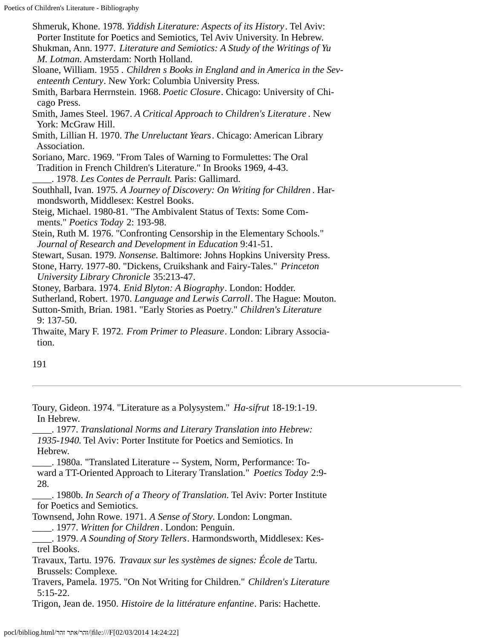- Shmeruk, Khone. 1978. *Yiddish Literature: Aspects of its History*. Tel Aviv: Porter Institute for Poetics and Semiotics, Tel Aviv University. In Hebrew. Shukman, Ann. 1977. *Literature and Semiotics: A Study of the Writings of Yu M. Lotman*. Amsterdam: North Holland. Sloane, William. 1955 . *Children s Books in England and in America in the Sev enteenth Century*. New York: Columbia University Press. Smith, Barbara Herrnstein. 1968. *Poetic Closure*. Chicago: University of Chi cago Press. Smith, James Steel. 1967. *A Critical Approach to Children's Literature* . New York: McGraw Hill. Smith, Lillian H. 1970. *The Unreluctant Years*. Chicago: American Library Association. Soriano, Marc. 1969. "From Tales of Warning to Formulettes: The Oral Tradition in French Children's Literature." In Brooks 1969, 4-43. \_\_\_\_. 1978. *Les Contes de Perrault*. Paris: Gallimard. Southhall, Ivan. 1975. *A Journey of Discovery: On Writing for Children* . Har mondsworth, Middlesex: Kestrel Books. Steig, Michael. 1980-81. "The Ambivalent Status of Texts: Some Com ments." *Poetics Today* 2: 193-98. Stein, Ruth M. 1976. "Confronting Censorship in the Elementary Schools." *Journal of Research and Development in Education* 9:41-51. Stewart, Susan. 1979. *Nonsense*. Baltimore: Johns Hopkins University Press. Stone, Harry. 1977-80. "Dickens, Cruikshank and Fairy-Tales." *Princeton University Library Chronicle* 35:213-47. Stoney, Barbara. 1974. *Enid Blyton: A Biography*. London: Hodder. Sutherland, Robert. 1970. *Language and Lerwis Carroll*. The Hague: Mouton. Sutton-Smith, Brian. 1981. "Early Stories as Poetry." *Children's Literature* 9: 137-50. Thwaite, Mary F. 1972. *From Primer to Pleasure*. London: Library Associa tion. 191
- Toury, Gideon. 1974. "Literature as a Polysystem." *Ha-sifrut* 18-19:1-19. In Hebrew.

\_\_\_\_. 1977. *Translational Norms and Literary Translation into Hebrew: 1935-1940*. Tel Aviv: Porter Institute for Poetics and Semiotics. In Hebrew.

\_\_\_\_. 1980a. "Translated Literature -- System, Norm, Performance: To ward a TT-Oriented Approach to Literary Translation." *Poetics Today* 2:9- 28.

\_\_\_\_. 1980b. *In Search of a Theory of Translation*. Tel Aviv: Porter Institute for Poetics and Semiotics.

Townsend, John Rowe. 1971. *A Sense of Story*. London: Longman.

\_\_\_\_. 1977. *Written for Children*. London: Penguin.

\_\_\_\_. 1979. *A Sounding of Story Tellers*. Harmondsworth, Middlesex: Kes trel Books.

Travaux, Tartu. 1976. *Travaux sur les systèmes de signes: École de* Tartu. Brussels: Complexe.

Travers, Pamela. 1975. "On Not Writing for Children." *Children's Literature* 5:15-22.

Trigon, Jean de. 1950. *Histoire de la littérature enfantine*. Paris: Hachette.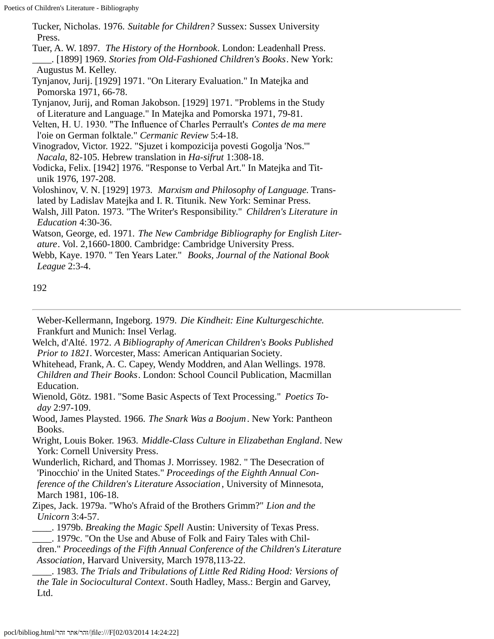Tucker, Nicholas. 1976. *Suitable for Children?* Sussex: Sussex University Press.

Tuer, A. W. 1897. *The History of the Hornbook*. London: Leadenhall Press. \_\_\_\_. [1899] 1969. *Stories from Old-Fashioned Children's Books*. New York: Augustus M. Kelley.

Tynjanov, Jurij. [1929] 1971. "On Literary Evaluation." In Matejka and Pomorska 1971, 66-78.

Tynjanov, Jurij, and Roman Jakobson. [1929] 1971. "Problems in the Study of Literature and Language." In Matejka and Pomorska 1971, 79-81.

Velten, H. U. 1930. "The Influence of Charles Perrault's *Contes de ma mere* l'oie on German folktale." *Cermanic Review* 5:4-18.

Vinogradov, Victor. 1922. "Sjuzet i kompozicija povesti Gogolja 'Nos.'" *Nacala*, 82-105. Hebrew translation in *Ha-sifrut* 1:308-18.

Vodicka, Felix. [1942] 1976. "Response to Verbal Art." In Matejka and Tit unik 1976, 197-208.

Voloshinov, V. N. [1929] 1973. *Marxism and Philosophy of Language*. Trans lated by Ladislav Matejka and I. R. Titunik. New York: Seminar Press.

Walsh, Jill Paton. 1973. "The Writer's Responsibility." *Children's Literature in Education* 4:30-36.

Watson, George, ed. 1971. *The New Cambridge Bibliography for English Liter ature*. Vol. 2,1660-1800. Cambridge: Cambridge University Press.

Webb, Kaye. 1970. " Ten Years Later." *Books, Journal of the National Book League* 2:3-4.

192

 Weber-Kellermann, Ingeborg. 1979. *Die Kindheit: Eine Kulturgeschichte*. Frankfurt and Munich: Insel Verlag.

Welch, d'Alté. 1972. *A Bibliography of American Children's Books Published Prior to 1821*. Worcester, Mass: American Antiquarian Society.

Whitehead, Frank, A. C. Capey, Wendy Moddren, and Alan Wellings. 1978. *Children and Their Books*. London: School Council Publication, Macmillan Education.

Wienold, Götz. 1981. "Some Basic Aspects of Text Processing." *Poetics To day* 2:97-109.

Wood, James Playsted. 1966. *The Snark Was a Boojum*. New York: Pantheon Books.

Wright, Louis Boker. 1963. *Middle-Class Culture in Elizabethan England*. New York: Cornell University Press.

Wunderlich, Richard, and Thomas J. Morrissey. 1982. " The Desecration of 'Pinocchio' in the United States." *Proceedings of the Eighth Annual Con ference of the Children's Literature Association*, University of Minnesota, March 1981, 106-18.

Zipes, Jack. 1979a. "Who's Afraid of the Brothers Grimm?" *Lion and the Unicorn* 3:4-57.

\_\_\_\_. 1979b. *Breaking the Magic Spell* Austin: University of Texas Press.

\_\_\_\_. 1979c. "On the Use and Abuse of Folk and Fairy Tales with Chil-

 dren." *Proceedings of the Fifth Annual Conference of the Children's Literature Association*, Harvard University, March 1978,113-22.

\_\_\_\_. 1983. *The Trials and Tribulations of Little Red Riding Hood: Versions of the Tale in Sociocultural Context*. South Hadley, Mass.: Bergin and Garvey, Ltd.